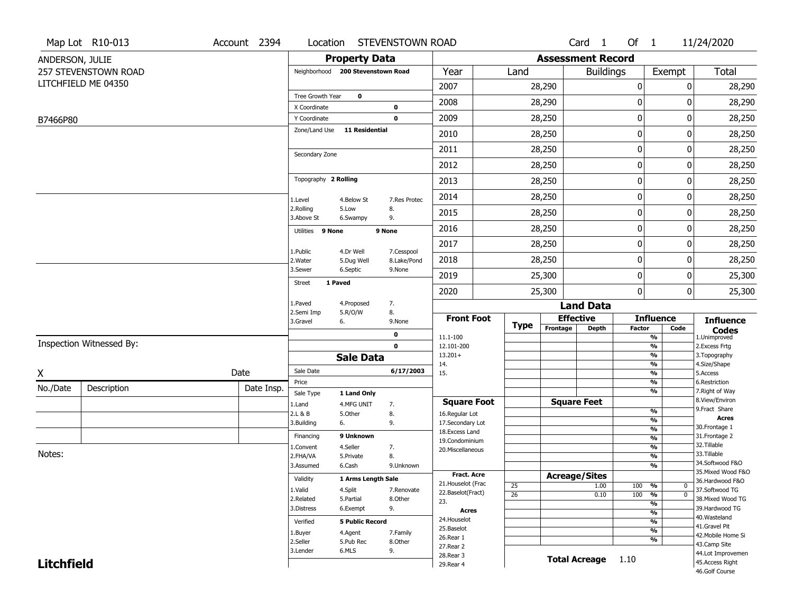|                   | Map Lot R10-013             | Account 2394 |                         |                                   | Location STEVENSTOWN ROAD |                       |                 |                          | Card 1             | Of $1$        |                                 | 11/24/2020                           |
|-------------------|-----------------------------|--------------|-------------------------|-----------------------------------|---------------------------|-----------------------|-----------------|--------------------------|--------------------|---------------|---------------------------------|--------------------------------------|
| ANDERSON, JULIE   |                             |              |                         | <b>Property Data</b>              |                           |                       |                 | <b>Assessment Record</b> |                    |               |                                 |                                      |
|                   | <b>257 STEVENSTOWN ROAD</b> |              |                         | Neighborhood 200 Stevenstown Road |                           | Year                  | Land            |                          | <b>Buildings</b>   |               | Exempt                          | Total                                |
|                   | LITCHFIELD ME 04350         |              |                         |                                   |                           | 2007                  |                 | 28,290                   |                    | $\pmb{0}$     | 0                               | 28,290                               |
|                   |                             |              | Tree Growth Year        | $\mathbf 0$                       |                           | 2008                  |                 | 28,290                   |                    | 0             | 0                               | 28,290                               |
|                   |                             |              | X Coordinate            |                                   | 0                         |                       |                 |                          |                    |               |                                 |                                      |
| B7466P80          |                             |              | Y Coordinate            | 11 Residential                    | $\mathbf 0$               | 2009                  |                 | 28,250                   |                    | 0             | 0                               | 28,250                               |
|                   |                             |              | Zone/Land Use           |                                   |                           | 2010                  |                 | 28,250                   |                    | 0             | 0                               | 28,250                               |
|                   |                             |              | Secondary Zone          |                                   |                           | 2011                  |                 | 28,250                   |                    | 0             | 0                               | 28,250                               |
|                   |                             |              |                         |                                   |                           | 2012                  |                 | 28,250                   |                    | 0             | 0                               | 28,250                               |
|                   |                             |              | Topography 2 Rolling    |                                   |                           | 2013                  |                 | 28,250                   |                    | 0             | 0                               | 28,250                               |
|                   |                             |              | 1.Level                 | 4.Below St                        | 7.Res Protec              | 2014                  |                 | 28,250                   |                    | 0             | 0                               | 28,250                               |
|                   |                             |              | 2.Rolling<br>3.Above St | 5.Low<br>6.Swampy                 | 8.<br>9.                  | 2015                  |                 | 28,250                   |                    | 0             | 0                               | 28,250                               |
|                   |                             |              | Utilities 9 None        |                                   | 9 None                    | 2016                  |                 | 28,250                   |                    | 0             | 0                               | 28,250                               |
|                   |                             |              | 1.Public                | 4.Dr Well                         | 7.Cesspool                | 2017                  |                 | 28,250                   |                    | $\pmb{0}$     | 0                               | 28,250                               |
|                   |                             |              | 2. Water                | 5.Dug Well                        | 8.Lake/Pond               | 2018                  |                 | 28,250                   |                    | 0             | 0                               | 28,250                               |
|                   |                             |              | 3.Sewer                 | 6.Septic                          | 9.None                    | 2019                  |                 | 25,300                   |                    | 0             | 0                               | 25,300                               |
|                   |                             |              | <b>Street</b>           | 1 Paved                           |                           | 2020                  |                 | 25,300                   |                    | 0             | $\mathbf 0$                     | 25,300                               |
|                   |                             |              | 1.Paved                 | 4.Proposed                        | 7.                        |                       |                 |                          | <b>Land Data</b>   |               |                                 |                                      |
|                   |                             |              | 2.Semi Imp<br>3.Gravel  | 5.R/O/W<br>6.                     | 8.<br>9.None              | <b>Front Foot</b>     | <b>Type</b>     | <b>Effective</b>         |                    |               | <b>Influence</b>                | <b>Influence</b>                     |
|                   |                             |              |                         |                                   | $\mathbf 0$               | 11.1-100              |                 | Frontage                 | <b>Depth</b>       | <b>Factor</b> | Code<br>$\frac{9}{6}$           | <b>Codes</b><br>1.Unimproved         |
|                   | Inspection Witnessed By:    |              |                         |                                   | $\mathbf 0$               | 12.101-200            |                 |                          |                    |               | $\frac{9}{6}$                   | 2.Excess Frtg                        |
|                   |                             |              |                         | <b>Sale Data</b>                  |                           | $13.201+$<br>14.      |                 |                          |                    |               | $\frac{9}{6}$<br>$\frac{9}{6}$  | 3. Topography<br>4.Size/Shape        |
| Χ                 |                             | Date         | Sale Date               |                                   | 6/17/2003                 | 15.                   |                 |                          |                    |               | $\frac{9}{6}$                   | 5.Access                             |
| No./Date          | Description                 | Date Insp.   | Price                   |                                   |                           |                       |                 |                          |                    |               | %                               | 6.Restriction                        |
|                   |                             |              | Sale Type               | 1 Land Only                       |                           | <b>Square Foot</b>    |                 | <b>Square Feet</b>       |                    |               | $\frac{9}{6}$                   | 7. Right of Way<br>8.View/Environ    |
|                   |                             |              | 1.Land<br>2.L & B       | 4.MFG UNIT<br>5.Other             | 7.<br>8.                  | 16.Regular Lot        |                 |                          |                    |               | %                               | 9. Fract Share                       |
|                   |                             |              | 3.Building              | 6.                                | 9.                        | 17.Secondary Lot      |                 |                          |                    |               | %                               | <b>Acres</b>                         |
|                   |                             |              | Financing               | 9 Unknown                         |                           | 18.Excess Land        |                 |                          |                    |               | %                               | 30. Frontage 1<br>31. Frontage 2     |
|                   |                             |              | 1.Convent               | 4.Seller                          | 7.                        | 19.Condominium        |                 |                          |                    |               | %<br>%                          | 32. Tillable                         |
| Notes:            |                             |              | 2.FHA/VA                | 5.Private                         | 8.                        | 20.Miscellaneous      |                 |                          |                    |               | %                               | 33.Tillable                          |
|                   |                             |              | 3.Assumed               | 6.Cash                            | 9.Unknown                 |                       |                 |                          |                    |               | %                               | 34.Softwood F&O                      |
|                   |                             |              | Validity                | 1 Arms Length Sale                |                           | Fract. Acre           |                 | <b>Acreage/Sites</b>     |                    |               |                                 | 35. Mixed Wood F&O                   |
|                   |                             |              | 1.Valid                 | 4.Split                           | 7.Renovate                | 21. Houselot (Frac    | 25              |                          | 1.00               | 100           | %<br>0                          | 36.Hardwood F&O<br>37.Softwood TG    |
|                   |                             |              | 2.Related               | 5.Partial                         | 8.Other                   | 22.Baselot(Fract)     | $\overline{26}$ |                          | 0.10               | 100           | $\frac{9}{6}$<br>$\overline{0}$ | 38. Mixed Wood TG                    |
|                   |                             |              | 3.Distress              | 6.Exempt                          | 9.                        | 23.                   |                 |                          |                    |               | $\frac{9}{6}$                   | 39.Hardwood TG                       |
|                   |                             |              |                         |                                   |                           | Acres<br>24. Houselot |                 |                          |                    |               | $\frac{9}{6}$                   | 40. Wasteland                        |
|                   |                             |              | Verified                | <b>5 Public Record</b>            |                           | 25.Baselot            |                 |                          |                    |               | $\frac{9}{6}$<br>$\frac{9}{6}$  | 41.Gravel Pit                        |
|                   |                             |              | 1.Buyer                 | 4.Agent                           | 7.Family                  | 26.Rear 1             |                 |                          |                    |               | $\frac{9}{6}$                   | 42. Mobile Home Si                   |
|                   |                             |              | 2.Seller<br>3.Lender    | 5.Pub Rec<br>6.MLS                | 8.Other<br>9.             | 27. Rear 2            |                 |                          |                    |               |                                 | 43.Camp Site                         |
|                   |                             |              |                         |                                   |                           | 28. Rear 3            |                 |                          | Total Acreage 1.10 |               |                                 | 44.Lot Improvemen<br>45.Access Right |
| <b>Litchfield</b> |                             |              |                         |                                   |                           | 29. Rear 4            |                 |                          |                    |               |                                 | 46.Golf Course                       |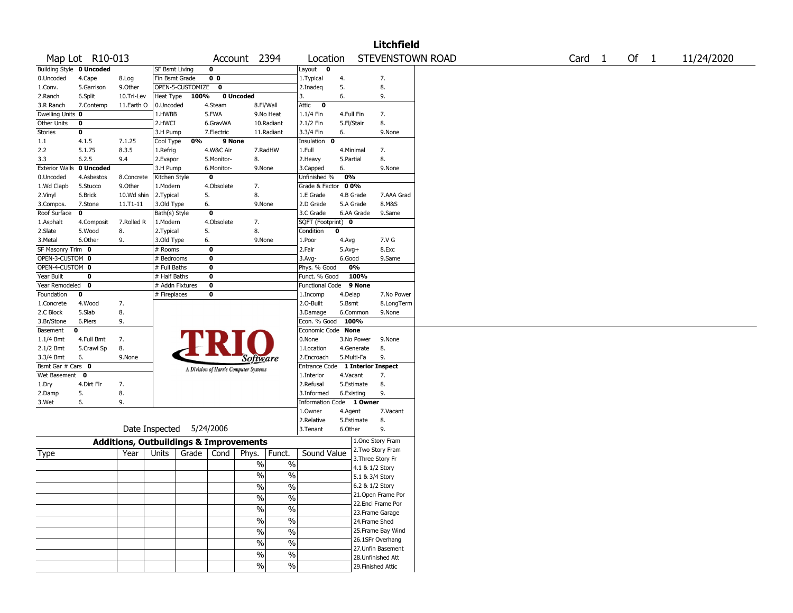|                          |                 |                                                   |                 |                          |                                       |               |               |                                  |            |                   | <b>Litchfield</b>                       |                  |                   |        |            |
|--------------------------|-----------------|---------------------------------------------------|-----------------|--------------------------|---------------------------------------|---------------|---------------|----------------------------------|------------|-------------------|-----------------------------------------|------------------|-------------------|--------|------------|
|                          | Map Lot R10-013 |                                                   |                 |                          | Account                               |               | 2394          | Location                         |            |                   |                                         | STEVENSTOWN ROAD | Card <sub>1</sub> | Of $1$ | 11/24/2020 |
| Building Style 0 Uncoded |                 |                                                   | SF Bsmt Living  |                          | 0                                     |               |               | Layout<br>$\bullet$              |            |                   |                                         |                  |                   |        |            |
| 0.Uncoded                | 4.Cape          | 8.Log                                             | Fin Bsmt Grade  |                          | 0 <sub>0</sub>                        |               |               | 1. Typical                       | 4.         |                   | 7.                                      |                  |                   |        |            |
| 1.Conv.                  | 5.Garrison      | 9.0ther                                           |                 | OPEN-5-CUSTOMIZE         | 0                                     |               |               | 2.Inadeq                         | 5.         |                   | 8.                                      |                  |                   |        |            |
| 2.Ranch                  | 6.Split         | 10.Tri-Lev                                        | Heat Type       | 100%                     |                                       | 0 Uncoded     |               | 3.                               | 6.         |                   | 9.                                      |                  |                   |        |            |
| 3.R Ranch                | 7.Contemp       | 11.Earth O                                        | 0.Uncoded       |                          | 4.Steam                               | 8.Fl/Wall     |               | Attic<br>$\mathbf{o}$            |            |                   |                                         |                  |                   |        |            |
| Dwelling Units 0         |                 |                                                   | 1.HWBB          |                          | 5.FWA                                 |               | 9.No Heat     | 1.1/4 Fin                        | 4.Full Fin |                   | 7.                                      |                  |                   |        |            |
| Other Units              | 0               |                                                   | 2.HWCI          |                          | 6.GravWA                              |               | 10.Radiant    | 2.1/2 Fin                        | 5.Fl/Stair |                   | 8.                                      |                  |                   |        |            |
| <b>Stories</b>           | 0               |                                                   | 3.H Pump        |                          | 7.Electric                            |               | 11.Radiant    | 3.3/4 Fin                        | 6.         |                   | 9.None                                  |                  |                   |        |            |
| 1.1                      | 4.1.5           | 7.1.25                                            | Cool Type       | 0%                       | 9 None                                |               |               | Insulation<br>$\mathbf 0$        |            |                   |                                         |                  |                   |        |            |
| 2.2                      | 5.1.75          | 8.3.5                                             | 1.Refrig        |                          | 4.W&C Air                             |               | 7.RadHW       | 1.Full                           | 4.Minimal  |                   | 7.                                      |                  |                   |        |            |
| 3.3                      | 6.2.5           | 9.4                                               | 2.Evapor        |                          | 5.Monitor-                            | 8.            |               | 2. Heavy                         | 5.Partial  |                   | 8.                                      |                  |                   |        |            |
| <b>Exterior Walls</b>    | 0 Uncoded       |                                                   | 3.H Pump        |                          | 6.Monitor-                            | 9.None        |               | 3.Capped                         | 6.         |                   | 9.None                                  |                  |                   |        |            |
| 0.Uncoded                | 4.Asbestos      | 8.Concrete                                        | Kitchen Style   |                          | 0                                     |               |               | Unfinished %                     | 0%         |                   |                                         |                  |                   |        |            |
| 1.Wd Clapb               | 5.Stucco        | 9.0ther                                           | 1.Modern        |                          | 4.Obsolete                            | 7.            |               | Grade & Factor 00%               |            |                   |                                         |                  |                   |        |            |
| 2.Vinyl                  | 6.Brick         | 10.Wd shin                                        | 2.Typical       |                          | 5.                                    | 8.            |               | 1.E Grade                        |            | 4.B Grade         | 7.AAA Grad                              |                  |                   |        |            |
| 3.Compos.                | 7.Stone         | 11.T1-11                                          | 3.Old Type      |                          | 6.                                    | 9.None        |               | 2.D Grade                        |            | 5.A Grade         | 8.M&S                                   |                  |                   |        |            |
| Roof Surface             | 0               |                                                   | Bath(s) Style   |                          | $\bf{0}$                              |               |               | 3.C Grade                        |            | 6.AA Grade        | 9.Same                                  |                  |                   |        |            |
| 1.Asphalt                | 4.Composit      | 7.Rolled R                                        | 1.Modern        |                          | 4.Obsolete                            | 7.            |               | SQFT (Footprint) 0               |            |                   |                                         |                  |                   |        |            |
| 2.Slate                  | 5.Wood          | 8.                                                | 2.Typical       |                          | 5.                                    | 8.            |               | Condition                        | 0          |                   |                                         |                  |                   |        |            |
| 3.Metal                  | 6.Other         | 9.                                                | 3.Old Type      |                          | 6.                                    | 9.None        |               | 1.Poor                           | 4.Avg      |                   | 7.V G                                   |                  |                   |        |            |
| SF Masonry Trim 0        |                 |                                                   | # Rooms         |                          | 0                                     |               |               | 2.Fair                           | $5.Avg+$   |                   | 8.Exc                                   |                  |                   |        |            |
| OPEN-3-CUSTOM 0          |                 |                                                   | # Bedrooms      |                          | 0                                     |               |               | $3.$ Avg-                        | 6.Good     |                   | 9.Same                                  |                  |                   |        |            |
| OPEN-4-CUSTOM 0          |                 |                                                   | # Full Baths    |                          | $\mathbf 0$                           |               |               | Phys. % Good                     |            | 0%                |                                         |                  |                   |        |            |
| Year Built               | 0               |                                                   | # Half Baths    |                          | 0                                     |               |               | Funct. % Good                    |            | 100%              |                                         |                  |                   |        |            |
| Year Remodeled           | $\mathbf{0}$    |                                                   | # Addn Fixtures |                          | $\bf{0}$                              |               |               | Functional Code                  |            | 9 None            |                                         |                  |                   |        |            |
| Foundation               | 0               |                                                   | # Fireplaces    |                          | 0                                     |               |               | 1.Incomp                         | 4.Delap    |                   | 7.No Power                              |                  |                   |        |            |
| 1.Concrete               | 4.Wood          | 7.                                                |                 |                          |                                       |               |               | 2.O-Built                        | 5.Bsmt     |                   | 8.LongTerm                              |                  |                   |        |            |
| 2.C Block                | 5.Slab          | 8.                                                |                 |                          |                                       |               |               | 3.Damage                         |            | 6.Common          | 9.None                                  |                  |                   |        |            |
| 3.Br/Stone               | 6.Piers         | 9.                                                |                 |                          |                                       |               |               | Econ. % Good                     | 100%       |                   |                                         |                  |                   |        |            |
| Basement                 | 0               |                                                   |                 |                          |                                       |               |               | Economic Code None               |            |                   |                                         |                  |                   |        |            |
| 1.1/4 Bmt                | 4.Full Bmt      | 7.                                                |                 |                          | FRI                                   |               |               | 0.None                           |            | 3.No Power        | 9.None                                  |                  |                   |        |            |
| 2.1/2 Bmt                | 5.Crawl Sp      | 8.                                                |                 |                          |                                       |               |               | 1.Location                       |            | 4.Generate        | 8.                                      |                  |                   |        |            |
| 3.3/4 Bmt                | 6.              | 9.None                                            |                 |                          |                                       | Software      |               | 2.Encroach                       |            | 5.Multi-Fa        | 9.                                      |                  |                   |        |            |
| Bsmt Gar # Cars 0        |                 |                                                   |                 |                          | A Division of Harris Computer Systems |               |               | Entrance Code 1 Interior Inspect |            |                   |                                         |                  |                   |        |            |
| Wet Basement             | 0               |                                                   |                 |                          |                                       |               |               | 1.Interior                       | 4.Vacant   |                   | 7.                                      |                  |                   |        |            |
| 1.Dry                    | 4.Dirt Flr      | 7.                                                |                 |                          |                                       |               |               | 2.Refusal                        |            | 5.Estimate        | 8.                                      |                  |                   |        |            |
| 2.Damp                   | 5.              | 8.                                                |                 |                          |                                       |               |               | 3.Informed                       | 6.Existing |                   | 9.                                      |                  |                   |        |            |
| 3.Wet                    | 6.              | 9.                                                |                 |                          |                                       |               |               | Information Code 1 Owner         |            |                   |                                         |                  |                   |        |            |
|                          |                 |                                                   |                 |                          |                                       |               |               | 1.Owner                          | 4.Agent    |                   | 7.Vacant                                |                  |                   |        |            |
|                          |                 |                                                   |                 |                          |                                       |               |               | 2.Relative                       |            | 5.Estimate        | 8.                                      |                  |                   |        |            |
|                          |                 |                                                   |                 | Date Inspected 5/24/2006 |                                       |               |               | 3.Tenant                         | 6.Other    |                   | 9.                                      |                  |                   |        |            |
|                          |                 |                                                   |                 |                          |                                       |               |               |                                  |            |                   | 1.One Story Fram                        |                  |                   |        |            |
|                          |                 | <b>Additions, Outbuildings &amp; Improvements</b> |                 |                          |                                       |               |               |                                  |            |                   | 2. Two Story Fram                       |                  |                   |        |            |
| Type                     |                 | Year                                              | Units           | Grade                    | Cond                                  | Phys.         | Funct.        | Sound Value                      |            | 3. Three Story Fr |                                         |                  |                   |        |            |
|                          |                 |                                                   |                 |                          |                                       | $\%$          | $\%$          |                                  |            | 4.1 & 1/2 Story   |                                         |                  |                   |        |            |
|                          |                 |                                                   |                 |                          |                                       | %             | $\%$          |                                  |            | 5.1 & 3/4 Story   |                                         |                  |                   |        |            |
|                          |                 |                                                   |                 |                          |                                       |               |               |                                  |            | 6.2 & 1/2 Story   |                                         |                  |                   |        |            |
|                          |                 |                                                   |                 |                          |                                       | $\%$          | $\frac{0}{0}$ |                                  |            |                   |                                         |                  |                   |        |            |
|                          |                 |                                                   |                 |                          |                                       | $\sqrt{6}$    | $\frac{0}{0}$ |                                  |            |                   | 21. Open Frame Por<br>22.Encl Frame Por |                  |                   |        |            |
|                          |                 |                                                   |                 |                          |                                       | $\frac{1}{2}$ | $\frac{9}{6}$ |                                  |            |                   | 23. Frame Garage                        |                  |                   |        |            |
|                          |                 |                                                   |                 |                          |                                       | $\sqrt{6}$    | $\frac{0}{6}$ |                                  |            |                   |                                         |                  |                   |        |            |
|                          |                 |                                                   |                 |                          |                                       |               |               |                                  |            | 24.Frame Shed     |                                         |                  |                   |        |            |
|                          |                 |                                                   |                 |                          |                                       | $\sqrt{6}$    | $\frac{0}{6}$ |                                  |            |                   | 25. Frame Bay Wind                      |                  |                   |        |            |
|                          |                 |                                                   |                 |                          |                                       | $\sqrt{6}$    | $\frac{0}{6}$ |                                  |            |                   | 26.1SFr Overhang                        |                  |                   |        |            |
|                          |                 |                                                   |                 |                          |                                       | $\sqrt{6}$    | $\frac{1}{2}$ |                                  |            |                   | 27. Unfin Basement                      |                  |                   |        |            |
|                          |                 |                                                   |                 |                          |                                       |               |               |                                  |            |                   | 28. Unfinished Att                      |                  |                   |        |            |
|                          |                 |                                                   |                 |                          |                                       | $\%$          | $\frac{1}{2}$ |                                  |            |                   | 29. Finished Attic                      |                  |                   |        |            |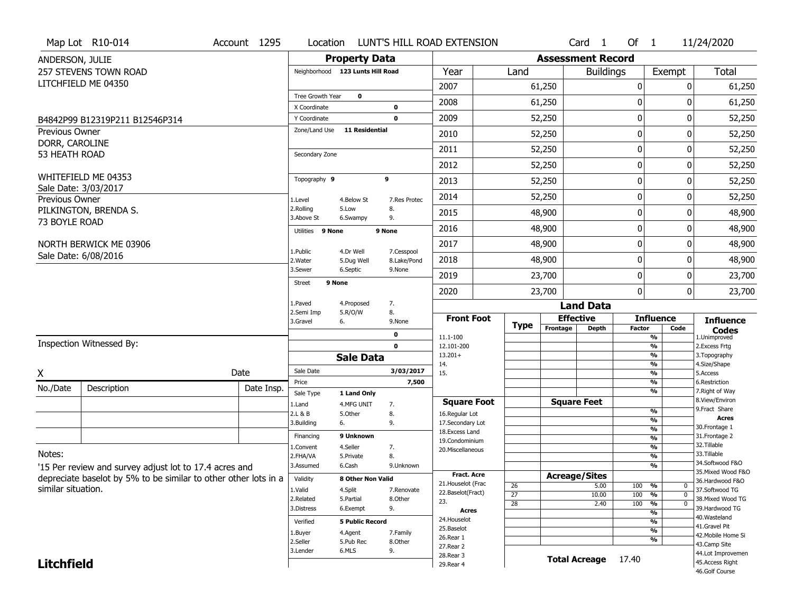|                      | Map Lot R10-014                                                 | Account 1295 | Location                      |                                  |                           | LUNT'S HILL ROAD EXTENSION               |                       |                          | Card <sub>1</sub>  | Of $1$        |                                           | 11/24/2020                            |
|----------------------|-----------------------------------------------------------------|--------------|-------------------------------|----------------------------------|---------------------------|------------------------------------------|-----------------------|--------------------------|--------------------|---------------|-------------------------------------------|---------------------------------------|
| ANDERSON, JULIE      |                                                                 |              |                               | <b>Property Data</b>             |                           |                                          |                       | <b>Assessment Record</b> |                    |               |                                           |                                       |
|                      | <b>257 STEVENS TOWN ROAD</b>                                    |              |                               | Neighborhood 123 Lunts Hill Road |                           | Year                                     | Land                  |                          | <b>Buildings</b>   |               | Exempt                                    | Total                                 |
|                      | LITCHFIELD ME 04350                                             |              |                               |                                  |                           | 2007                                     |                       | 61,250                   |                    | 0             | 0                                         | 61,250                                |
|                      |                                                                 |              | Tree Growth Year              | 0                                |                           | 2008                                     |                       | 61,250                   |                    | 0             | <sup>0</sup>                              | 61,250                                |
|                      |                                                                 |              | X Coordinate                  |                                  | $\bf{0}$<br>$\mathbf 0$   | 2009                                     |                       | 52,250                   |                    | 0             | 0                                         | 52,250                                |
| Previous Owner       | B4842P99 B12319P211 B12546P314                                  |              | Y Coordinate<br>Zone/Land Use | <b>11 Residential</b>            |                           |                                          |                       |                          |                    |               |                                           |                                       |
| DORR, CAROLINE       |                                                                 |              |                               |                                  |                           | 2010                                     |                       | 52,250                   |                    | 0             | $\Omega$                                  | 52,250                                |
| 53 HEATH ROAD        |                                                                 |              | Secondary Zone                |                                  |                           | 2011                                     |                       | 52,250                   |                    | 0             | 0                                         | 52,250                                |
|                      |                                                                 |              |                               |                                  |                           | 2012                                     |                       | 52,250                   |                    | 0             | 0                                         | 52,250                                |
| Sale Date: 3/03/2017 | WHITEFIELD ME 04353                                             |              | Topography 9                  |                                  | 9                         | 2013                                     |                       | 52,250                   |                    | 0             | 0                                         | 52,250                                |
| Previous Owner       |                                                                 |              | 1.Level                       | 4.Below St                       | 7.Res Protec              | 2014                                     |                       | 52,250                   |                    | $\mathbf 0$   | 0                                         | 52,250                                |
|                      | PILKINGTON, BRENDA S.                                           |              | 2.Rolling<br>3.Above St       | 5.Low<br>6.Swampy                | 8.<br>9.                  | 2015                                     |                       | 48,900                   |                    | 0             | 0                                         | 48,900                                |
| 73 BOYLE ROAD        |                                                                 |              | Utilities 9 None              |                                  | 9 None                    | 2016                                     |                       | 48,900                   |                    | 0             | 0                                         | 48,900                                |
|                      | NORTH BERWICK ME 03906                                          |              |                               |                                  |                           | 2017                                     |                       | 48,900                   |                    | 0             | 0                                         | 48,900                                |
|                      | Sale Date: 6/08/2016                                            |              | 1.Public<br>2. Water          | 4.Dr Well<br>5.Dug Well          | 7.Cesspool<br>8.Lake/Pond | 2018                                     |                       | 48,900                   |                    | 0             | 0                                         | 48,900                                |
|                      |                                                                 |              | 3.Sewer                       | 6.Septic                         | 9.None                    | 2019                                     |                       | 23,700                   |                    | 0             | 0                                         | 23,700                                |
|                      |                                                                 |              | <b>Street</b>                 | 9 None                           |                           | 2020                                     |                       | 23,700                   |                    | 0             | $\Omega$                                  | 23,700                                |
|                      |                                                                 |              | 1.Paved                       | 4.Proposed                       | 7.                        |                                          |                       |                          | <b>Land Data</b>   |               |                                           |                                       |
|                      |                                                                 |              | 2.Semi Imp<br>3.Gravel        | 5.R/O/W<br>6.                    | 8.<br>9.None              | <b>Front Foot</b>                        |                       | <b>Effective</b>         |                    |               | <b>Influence</b>                          | <b>Influence</b>                      |
|                      |                                                                 |              |                               |                                  | 0                         |                                          | Type                  | Frontage                 | <b>Depth</b>       | <b>Factor</b> | Code                                      | <b>Codes</b>                          |
|                      | <b>Inspection Witnessed By:</b>                                 |              |                               |                                  | $\mathbf 0$               | 11.1-100<br>12.101-200                   |                       |                          |                    |               | %<br>$\frac{9}{6}$                        | 1.Unimproved<br>2. Excess Frtg        |
|                      |                                                                 |              |                               | <b>Sale Data</b>                 |                           | $13.201+$                                |                       |                          |                    |               | $\frac{9}{6}$                             | 3. Topography                         |
| X                    |                                                                 | Date         | Sale Date                     |                                  | 3/03/2017                 | 14.<br>15.                               |                       |                          |                    |               | $\frac{9}{6}$<br>$\frac{9}{6}$            | 4.Size/Shape<br>5.Access              |
| No./Date             | Description                                                     | Date Insp.   | Price                         |                                  | 7,500                     |                                          |                       |                          |                    |               | $\frac{9}{6}$                             | 6.Restriction                         |
|                      |                                                                 |              | Sale Type                     | 1 Land Only                      |                           | <b>Square Foot</b>                       |                       |                          | <b>Square Feet</b> |               | $\overline{\frac{9}{6}}$                  | 7. Right of Way<br>8.View/Environ     |
|                      |                                                                 |              | 1.Land<br>2.L & B             | 4.MFG UNIT<br>5.Other            | 7.<br>8.                  | 16.Regular Lot                           |                       |                          |                    |               | %                                         | 9. Fract Share                        |
|                      |                                                                 |              | 3.Building                    | 6.                               | 9.                        | 17.Secondary Lot                         |                       |                          |                    |               | $\frac{9}{6}$                             | <b>Acres</b><br>30.Frontage 1         |
|                      |                                                                 |              | Financing                     | 9 Unknown                        |                           | 18. Excess Land                          |                       |                          |                    |               | $\overline{\frac{9}{6}}$<br>$\frac{9}{6}$ | 31. Frontage 2                        |
|                      |                                                                 |              | 1.Convent                     | 4.Seller                         | 7.                        | 19.Condominium<br>20.Miscellaneous       |                       |                          |                    |               | $\frac{9}{6}$                             | 32.Tillable                           |
| Notes:               |                                                                 |              | 2.FHA/VA                      | 5.Private                        | 8.                        |                                          |                       |                          |                    |               | $\frac{9}{6}$                             | 33.Tillable                           |
|                      | '15 Per review and survey adjust lot to 17.4 acres and          |              | 3.Assumed                     | 6.Cash                           | 9.Unknown                 |                                          |                       |                          |                    |               | $\overline{\frac{9}{6}}$                  | 34.Softwood F&O<br>35. Mixed Wood F&O |
|                      | depreciate baselot by 5% to be similar to other other lots in a |              | Validity                      | 8 Other Non Valid                |                           | <b>Fract. Acre</b><br>21. Houselot (Frac |                       | <b>Acreage/Sites</b>     |                    |               |                                           | 36.Hardwood F&O                       |
| similar situation.   |                                                                 |              | 1.Valid                       | 4.Split                          | 7.Renovate                | 22.Baselot(Fract)                        | 26<br>$\overline{27}$ |                          | 5.00               | 100           | %<br>0<br>$\overline{0}$                  | 37.Softwood TG                        |
|                      |                                                                 |              | 2.Related                     | 5.Partial                        | 8.0ther                   | 23.                                      | 28                    |                          | 10.00<br>2.40      | 100<br>100    | %<br>$\frac{9}{6}$<br>$\mathbf 0$         | 38. Mixed Wood TG                     |
|                      |                                                                 |              | 3.Distress                    | 6.Exempt                         | 9.                        | <b>Acres</b>                             |                       |                          |                    |               | $\frac{9}{6}$                             | 39.Hardwood TG                        |
|                      |                                                                 |              | Verified                      | <b>5 Public Record</b>           |                           | 24. Houselot                             |                       |                          |                    |               | $\overline{\frac{9}{6}}$                  | 40. Wasteland<br>41.Gravel Pit        |
|                      |                                                                 |              | 1.Buyer                       | 4.Agent                          | 7.Family                  | 25.Baselot                               |                       |                          |                    |               | $\overline{\frac{9}{6}}$                  | 42. Mobile Home Si                    |
|                      |                                                                 |              | 2.Seller                      | 5.Pub Rec                        | 8.Other                   | 26.Rear 1                                |                       |                          |                    |               | %                                         | 43.Camp Site                          |
|                      |                                                                 |              |                               |                                  |                           |                                          |                       |                          |                    |               |                                           |                                       |
| <b>Litchfield</b>    |                                                                 |              | 3.Lender                      | 6.MLS                            | 9.                        | 27.Rear 2<br>28. Rear 3                  |                       | <b>Total Acreage</b>     |                    | 17.40         |                                           | 44.Lot Improvemen<br>45.Access Right  |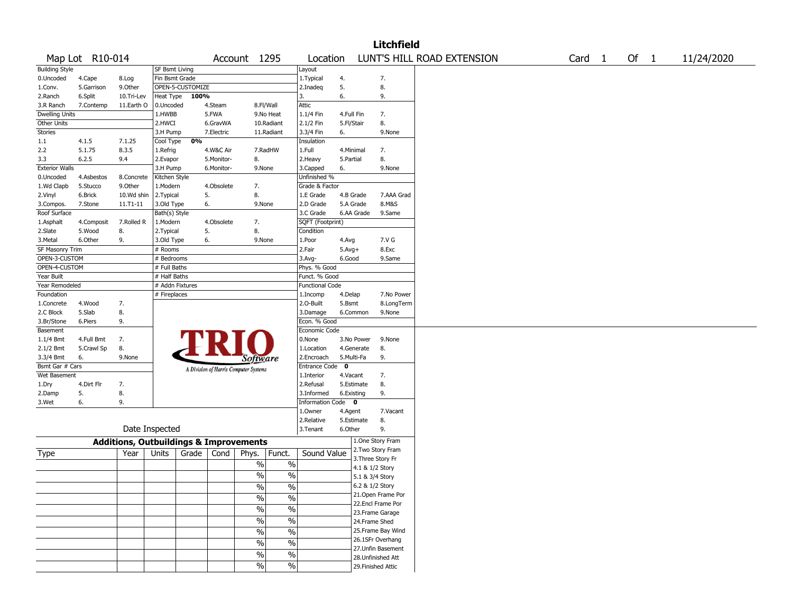|                        |                 |                                                   |                       |                  |            |                                       |                          |                        |             |            | <b>Litchfield</b>                      |                            |        |        |            |
|------------------------|-----------------|---------------------------------------------------|-----------------------|------------------|------------|---------------------------------------|--------------------------|------------------------|-------------|------------|----------------------------------------|----------------------------|--------|--------|------------|
|                        | Map Lot R10-014 |                                                   |                       |                  |            | Account 1295                          |                          | Location               |             |            |                                        | LUNT'S HILL ROAD EXTENSION | Card 1 | Of $1$ | 11/24/2020 |
| <b>Building Style</b>  |                 |                                                   | <b>SF Bsmt Living</b> |                  |            |                                       |                          | Layout                 |             |            |                                        |                            |        |        |            |
| 0.Uncoded              | 4.Cape          | 8.Log                                             | Fin Bsmt Grade        |                  |            |                                       |                          | 1. Typical             | 4.          |            | 7.                                     |                            |        |        |            |
| 1.Conv.                | 5.Garrison      | 9.Other                                           |                       | OPEN-5-CUSTOMIZE |            |                                       |                          | 2.Inadeg               | 5.          |            | 8.                                     |                            |        |        |            |
| 2.Ranch                | 6.Split         | 10.Tri-Lev                                        | <b>Heat Type</b>      | 100%             |            |                                       |                          | 3.                     | 6.          |            | 9.                                     |                            |        |        |            |
| 3.R Ranch              | 7.Contemp       | 11.Earth O                                        | 0.Uncoded             |                  | 4.Steam    | 8.Fl/Wall                             |                          | Attic                  |             |            |                                        |                            |        |        |            |
| <b>Dwelling Units</b>  |                 |                                                   | 1.HWBB                |                  | 5.FWA      |                                       | 9.No Heat                | 1.1/4 Fin              | 4.Full Fin  |            | 7.                                     |                            |        |        |            |
| Other Units            |                 |                                                   | 2.HWCI                |                  | 6.GravWA   |                                       | 10.Radiant               | 2.1/2 Fin              | 5.Fl/Stair  |            | 8.                                     |                            |        |        |            |
| Stories                |                 |                                                   | 3.H Pump              |                  | 7.Electric |                                       | 11.Radiant               | 3.3/4 Fin              | 6.          |            | 9.None                                 |                            |        |        |            |
| 1.1                    | 4.1.5           | 7.1.25                                            | Cool Type             | 0%               |            |                                       |                          | Insulation             |             |            |                                        |                            |        |        |            |
| 2.2                    | 5.1.75          | 8.3.5                                             | 1.Refrig              |                  | 4.W&C Air  |                                       | 7.RadHW                  | 1.Full                 | 4.Minimal   |            | 7.                                     |                            |        |        |            |
| 3.3                    | 6.2.5           | 9.4                                               | 2.Evapor              |                  | 5.Monitor- | 8.                                    |                          | 2.Heavy                | 5.Partial   |            | 8.                                     |                            |        |        |            |
| <b>Exterior Walls</b>  |                 |                                                   | 3.H Pump              |                  | 6.Monitor- | 9.None                                |                          | 3.Capped               | 6.          |            | 9.None                                 |                            |        |        |            |
| 0.Uncoded              | 4.Asbestos      | 8.Concrete                                        | Kitchen Style         |                  |            |                                       |                          | Unfinished %           |             |            |                                        |                            |        |        |            |
| 1.Wd Clapb             | 5.Stucco        | 9.0ther                                           | 1.Modern              |                  | 4.Obsolete | 7.                                    |                          | Grade & Factor         |             |            |                                        |                            |        |        |            |
| 2.Vinyl                | 6.Brick         | 10.Wd shin                                        | 2. Typical            |                  | 5.         | 8.                                    |                          | 1.E Grade              |             | 4.B Grade  | 7.AAA Grad                             |                            |        |        |            |
| 3.Compos.              | 7.Stone         | 11.T1-11                                          | 3.Old Type            |                  | 6.         | 9.None                                |                          | 2.D Grade              |             | 5.A Grade  | 8.M&S                                  |                            |        |        |            |
| Roof Surface           |                 |                                                   | Bath(s) Style         |                  |            |                                       |                          | 3.C Grade              |             | 6.AA Grade | 9.Same                                 |                            |        |        |            |
| 1.Asphalt              | 4.Composit      | 7.Rolled R                                        | 1.Modern              |                  | 4.Obsolete | 7.                                    |                          | SQFT (Footprint)       |             |            |                                        |                            |        |        |            |
| 2.Slate                | 5.Wood          | 8.                                                | 2.Typical             | 5.               |            | 8.                                    |                          | Condition              |             |            |                                        |                            |        |        |            |
| 3. Metal               | 6.Other         | 9.                                                | 3.Old Type            |                  | 6.         | 9.None                                |                          | 1.Poor                 | 4.Avg       |            | 7.V G                                  |                            |        |        |            |
| <b>SF Masonry Trim</b> |                 |                                                   | # Rooms               |                  |            |                                       |                          | 2.Fair                 | $5.Avg+$    |            | 8.Exc                                  |                            |        |        |            |
| OPEN-3-CUSTOM          |                 |                                                   | # Bedrooms            |                  |            |                                       |                          | 3.Avg-                 | 6.Good      |            | 9.Same                                 |                            |        |        |            |
| OPEN-4-CUSTOM          |                 |                                                   | # Full Baths          |                  |            |                                       |                          | Phys. % Good           |             |            |                                        |                            |        |        |            |
| Year Built             |                 |                                                   | # Half Baths          |                  |            |                                       |                          | Funct. % Good          |             |            |                                        |                            |        |        |            |
| Year Remodeled         |                 |                                                   | # Addn Fixtures       |                  |            |                                       |                          | <b>Functional Code</b> |             |            |                                        |                            |        |        |            |
| Foundation             |                 |                                                   | # Fireplaces          |                  |            |                                       |                          | 1.Incomp               | 4.Delap     |            | 7.No Power                             |                            |        |        |            |
| 1.Concrete             | 4.Wood          | 7.                                                |                       |                  |            |                                       |                          | 2.O-Built              | 5.Bsmt      |            | 8.LongTerm                             |                            |        |        |            |
| 2.C Block              | 5.Slab          | 8.                                                |                       |                  |            |                                       |                          | 3.Damage               |             | 6.Common   | 9.None                                 |                            |        |        |            |
| 3.Br/Stone             | 6.Piers         | 9.                                                |                       |                  |            |                                       |                          | Econ. % Good           |             |            |                                        |                            |        |        |            |
| Basement               |                 |                                                   |                       |                  |            |                                       |                          | Economic Code          |             |            |                                        |                            |        |        |            |
| $1.1/4$ Bmt            | 4.Full Bmt      | 7.                                                |                       |                  |            |                                       |                          | 0.None                 |             | 3.No Power | 9.None                                 |                            |        |        |            |
| 2.1/2 Bmt              | 5.Crawl Sp      | 8.                                                |                       |                  |            |                                       |                          | 1.Location             |             | 4.Generate | 8.                                     |                            |        |        |            |
| 3.3/4 Bmt              | 6.              | 9.None                                            |                       |                  |            |                                       |                          | 2.Encroach             | 5.Multi-Fa  |            | 9.                                     |                            |        |        |            |
| Bsmt Gar # Cars        |                 |                                                   |                       |                  |            | Software                              |                          | <b>Entrance Code</b>   | $\mathbf 0$ |            |                                        |                            |        |        |            |
| Wet Basement           |                 |                                                   |                       |                  |            | A Division of Harris Computer Systems |                          | 1.Interior             | 4.Vacant    |            | 7.                                     |                            |        |        |            |
| 1.Dry                  | 4.Dirt Flr      | 7.                                                |                       |                  |            |                                       |                          | 2.Refusal              |             | 5.Estimate | 8.                                     |                            |        |        |            |
| 2.Damp                 | 5.              | 8.                                                |                       |                  |            |                                       |                          | 3.Informed             | 6.Existing  |            | 9.                                     |                            |        |        |            |
| 3.Wet                  | 6.              | 9.                                                |                       |                  |            |                                       |                          | Information Code 0     |             |            |                                        |                            |        |        |            |
|                        |                 |                                                   |                       |                  |            |                                       |                          | 1.0wner                | 4.Agent     |            | 7.Vacant                               |                            |        |        |            |
|                        |                 |                                                   |                       |                  |            |                                       |                          | 2.Relative             |             | 5.Estimate | 8.                                     |                            |        |        |            |
|                        |                 |                                                   | Date Inspected        |                  |            |                                       |                          | 3. Tenant              | 6.Other     |            | 9.                                     |                            |        |        |            |
|                        |                 |                                                   |                       |                  |            |                                       |                          |                        |             |            |                                        |                            |        |        |            |
|                        |                 | <b>Additions, Outbuildings &amp; Improvements</b> |                       |                  |            |                                       |                          |                        |             |            | 1.One Story Fram<br>2. Two Story Fram  |                            |        |        |            |
| Type                   |                 | Year                                              | Units                 | Grade            | Cond       | Phys.                                 | Funct.                   | Sound Value            |             |            | 3. Three Story Fr                      |                            |        |        |            |
|                        |                 |                                                   |                       |                  |            | $\%$                                  | $\%$                     |                        |             |            | 4.1 & 1/2 Story                        |                            |        |        |            |
|                        |                 |                                                   |                       |                  |            | $\frac{0}{0}$                         | $\%$                     |                        |             |            |                                        |                            |        |        |            |
|                        |                 |                                                   |                       |                  |            |                                       |                          |                        |             |            | 5.1 & 3/4 Story                        |                            |        |        |            |
|                        |                 |                                                   |                       |                  |            | $\sqrt{6}$                            | $\sqrt{6}$               |                        |             |            | 6.2 & 1/2 Story                        |                            |        |        |            |
|                        |                 |                                                   |                       |                  |            | $\frac{0}{0}$                         | $\%$                     |                        |             |            | 21.Open Frame Por<br>22.Encl Frame Por |                            |        |        |            |
|                        |                 |                                                   |                       |                  |            | $\sqrt{6}$                            | $\sqrt{2}$               |                        |             |            |                                        |                            |        |        |            |
|                        |                 |                                                   |                       |                  |            | $\sqrt{6}$                            | $\sqrt{6}$               |                        |             |            | 23. Frame Garage                       |                            |        |        |            |
|                        |                 |                                                   |                       |                  |            |                                       |                          |                        |             |            | 24.Frame Shed                          |                            |        |        |            |
|                        |                 |                                                   |                       |                  |            | $\sqrt{6}$                            | $\overline{\frac{0}{6}}$ |                        |             |            | 25. Frame Bay Wind                     |                            |        |        |            |
|                        |                 |                                                   |                       |                  |            | $\frac{0}{0}$                         | $\%$                     |                        |             |            | 26.1SFr Overhang                       |                            |        |        |            |
|                        |                 |                                                   |                       |                  |            | $\sqrt{6}$                            | $\sqrt{6}$               |                        |             |            | 27.Unfin Basement                      |                            |        |        |            |
|                        |                 |                                                   |                       |                  |            |                                       |                          |                        |             |            | 28. Unfinished Att                     |                            |        |        |            |
|                        |                 |                                                   |                       |                  |            | $\sqrt{6}$                            | %                        |                        |             |            | 29. Finished Attic                     |                            |        |        |            |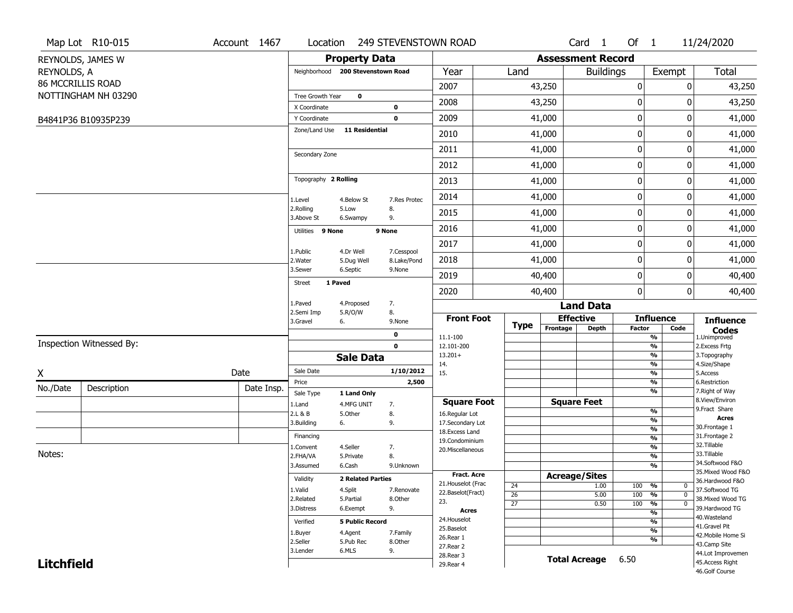|                   | Map Lot R10-015          | Account 1467 | Location                |                                   |                           | 249 STEVENSTOWN ROAD   |                 |                          | Card <sub>1</sub>  | Of $1$        |                                           | 11/24/2020                       |
|-------------------|--------------------------|--------------|-------------------------|-----------------------------------|---------------------------|------------------------|-----------------|--------------------------|--------------------|---------------|-------------------------------------------|----------------------------------|
|                   | REYNOLDS, JAMES W        |              |                         | <b>Property Data</b>              |                           |                        |                 | <b>Assessment Record</b> |                    |               |                                           |                                  |
| REYNOLDS, A       |                          |              |                         | Neighborhood 200 Stevenstown Road |                           | Year                   | Land            |                          | <b>Buildings</b>   |               | Exempt                                    | <b>Total</b>                     |
|                   | <b>86 MCCRILLIS ROAD</b> |              |                         |                                   |                           | 2007                   |                 | 43,250                   |                    | $\pmb{0}$     | 0                                         | 43,250                           |
|                   | NOTTINGHAM NH 03290      |              | Tree Growth Year        | $\mathbf 0$                       |                           |                        |                 |                          |                    |               |                                           |                                  |
|                   |                          |              | X Coordinate            |                                   | 0                         | 2008                   |                 | 43,250                   |                    | $\mathbf 0$   | 0                                         | 43,250                           |
|                   | B4841P36 B10935P239      |              | Y Coordinate            |                                   | $\mathbf 0$               | 2009                   |                 | 41,000                   |                    | 0             | 0                                         | 41,000                           |
|                   |                          |              | Zone/Land Use           | 11 Residential                    |                           | 2010                   |                 | 41,000                   |                    | 0             | 0                                         | 41,000                           |
|                   |                          |              | Secondary Zone          |                                   |                           | 2011                   |                 | 41,000                   |                    | 0             | 0                                         | 41,000                           |
|                   |                          |              |                         |                                   |                           | 2012                   |                 | 41,000                   |                    | $\pmb{0}$     | 0                                         | 41,000                           |
|                   |                          |              | Topography 2 Rolling    |                                   |                           | 2013                   |                 | 41,000                   |                    | $\mathbf 0$   | 0                                         | 41,000                           |
|                   |                          |              | 1.Level                 | 4.Below St                        | 7.Res Protec              | 2014                   |                 | 41,000                   |                    | $\mathbf 0$   | 0                                         | 41,000                           |
|                   |                          |              | 2.Rolling<br>3.Above St | 5.Low<br>6.Swampy                 | 8.<br>9.                  | 2015                   |                 | 41,000                   |                    | 0             | 0                                         | 41,000                           |
|                   |                          |              | Utilities 9 None        |                                   | 9 None                    | 2016                   |                 | 41,000                   |                    | $\mathbf 0$   | 0                                         | 41,000                           |
|                   |                          |              | 1.Public                | 4.Dr Well                         |                           | 2017                   |                 | 41,000                   |                    | 0             | 0                                         | 41,000                           |
|                   |                          |              | 2. Water                | 5.Dug Well                        | 7.Cesspool<br>8.Lake/Pond | 2018                   |                 | 41,000                   |                    | 0             | 0                                         | 41,000                           |
|                   |                          |              | 3.Sewer                 | 6.Septic                          | 9.None                    | 2019                   |                 | 40,400                   |                    | 0             | 0                                         | 40,400                           |
|                   |                          |              | Street                  | 1 Paved                           |                           | 2020                   |                 | 40,400                   |                    | $\pmb{0}$     | 0                                         | 40,400                           |
|                   |                          |              | 1.Paved<br>2.Semi Imp   | 4.Proposed<br>5.R/O/W             | 7.<br>8.                  |                        |                 |                          | <b>Land Data</b>   |               |                                           |                                  |
|                   |                          |              | 3.Gravel                | 6.                                | 9.None                    | <b>Front Foot</b>      | <b>Type</b>     | <b>Effective</b>         |                    |               | <b>Influence</b>                          | <b>Influence</b>                 |
|                   |                          |              |                         |                                   | 0                         | 11.1-100               |                 | Frontage                 | <b>Depth</b>       | <b>Factor</b> | Code<br>$\frac{9}{6}$                     | <b>Codes</b><br>1.Unimproved     |
|                   | Inspection Witnessed By: |              |                         |                                   | $\mathbf 0$               | 12.101-200             |                 |                          |                    |               | $\frac{9}{6}$                             | 2. Excess Frtg                   |
|                   |                          |              |                         | <b>Sale Data</b>                  |                           | $13.201+$<br>14.       |                 |                          |                    |               | $\frac{9}{6}$<br>$\frac{9}{6}$            | 3. Topography<br>4.Size/Shape    |
| X                 |                          | Date         | Sale Date               |                                   | 1/10/2012                 | 15.                    |                 |                          |                    |               | $\frac{9}{6}$                             | 5.Access                         |
| No./Date          | Description              | Date Insp.   | Price                   |                                   | 2,500                     |                        |                 |                          |                    |               | $\overline{\frac{9}{6}}$<br>$\frac{9}{6}$ | 6.Restriction<br>7. Right of Way |
|                   |                          |              | Sale Type               | 1 Land Only                       |                           | <b>Square Foot</b>     |                 | <b>Square Feet</b>       |                    |               |                                           | 8.View/Environ                   |
|                   |                          |              | 1.Land<br>2.L & B       | 4.MFG UNIT<br>5.Other             | 7.<br>8.                  | 16.Regular Lot         |                 |                          |                    |               | $\frac{9}{6}$                             | 9.Fract Share                    |
|                   |                          |              | 3.Building              | 6.                                | 9.                        | 17.Secondary Lot       |                 |                          |                    |               | %                                         | <b>Acres</b><br>30. Frontage 1   |
|                   |                          |              | Financing               |                                   |                           | 18. Excess Land        |                 |                          |                    |               | $\frac{9}{6}$<br>$\frac{9}{6}$            | 31. Frontage 2                   |
|                   |                          |              | 1.Convent               | 4.Seller                          | 7.                        | 19.Condominium         |                 |                          |                    |               | %                                         | 32.Tillable                      |
| Notes:            |                          |              | 2.FHA/VA                | 5.Private                         | 8.                        | 20.Miscellaneous       |                 |                          |                    |               | %                                         | 33.Tillable                      |
|                   |                          |              | 3.Assumed               | 6.Cash                            | 9.Unknown                 |                        |                 |                          |                    |               | %                                         | 34.Softwood F&O                  |
|                   |                          |              |                         |                                   |                           | <b>Fract. Acre</b>     |                 | <b>Acreage/Sites</b>     |                    |               |                                           | 35. Mixed Wood F&O               |
|                   |                          |              | Validity                | <b>2 Related Parties</b>          |                           | 21. Houselot (Frac     | 24              |                          | 1.00               | 100 %         | 0                                         | 36.Hardwood F&O                  |
|                   |                          |              | 1.Valid                 | 4.Split                           | 7.Renovate                | 22.Baselot(Fract)      | $\overline{26}$ |                          | 5.00               | 100           | $\frac{9}{6}$<br>$\mathbf 0$              | 37.Softwood TG                   |
|                   |                          |              | 2.Related               | 5.Partial                         | 8.Other                   | 23.                    | $\overline{27}$ |                          | 0.50               | 100           | $\frac{9}{6}$<br>0                        | 38. Mixed Wood TG                |
|                   |                          |              | 3.Distress              | 6.Exempt                          | 9.                        | Acres                  |                 |                          |                    |               | $\frac{9}{6}$                             | 39.Hardwood TG<br>40. Wasteland  |
|                   |                          |              | Verified                | <b>5 Public Record</b>            |                           | 24. Houselot           |                 |                          |                    |               | $\overline{\frac{9}{6}}$                  | 41.Gravel Pit                    |
|                   |                          |              | 1.Buyer                 | 4.Agent                           | 7.Family                  | 25.Baselot             |                 |                          |                    |               | $\frac{9}{6}$                             | 42. Mobile Home Si               |
|                   |                          |              | 2.Seller                | 5.Pub Rec                         | 8.0ther                   | 26.Rear 1<br>27.Rear 2 |                 |                          |                    |               | $\frac{9}{6}$                             | 43.Camp Site                     |
|                   |                          |              | 3.Lender                | 6.MLS                             | 9.                        | 28. Rear 3             |                 |                          |                    |               |                                           | 44.Lot Improvemen                |
| <b>Litchfield</b> |                          |              |                         |                                   |                           | 29. Rear 4             |                 |                          | Total Acreage 6.50 |               |                                           | 45.Access Right                  |
|                   |                          |              |                         |                                   |                           |                        |                 |                          |                    |               |                                           | 46.Golf Course                   |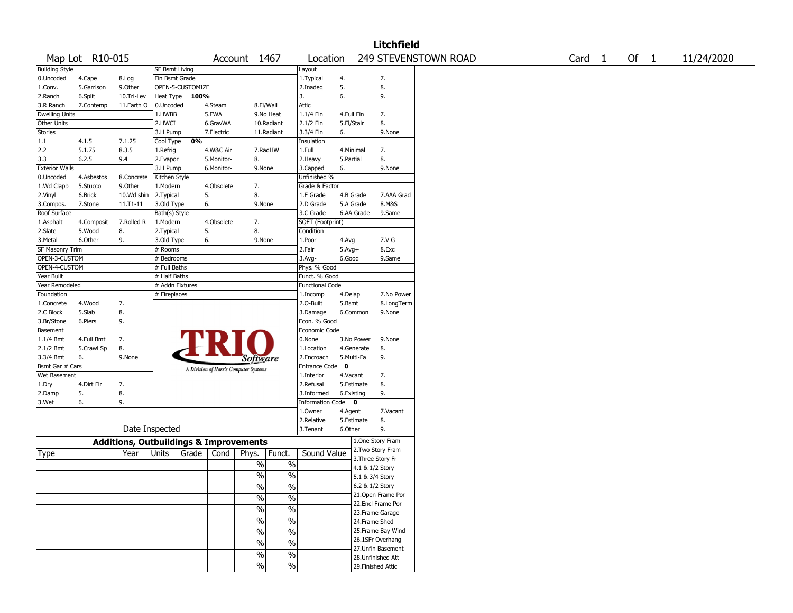|                       |                 |                                                   |                       |                  |            |                                       |                          |                        |             |                 | <b>Litchfield</b>  |                      |  |                   |        |            |  |
|-----------------------|-----------------|---------------------------------------------------|-----------------------|------------------|------------|---------------------------------------|--------------------------|------------------------|-------------|-----------------|--------------------|----------------------|--|-------------------|--------|------------|--|
|                       | Map Lot R10-015 |                                                   |                       |                  |            | Account 1467                          |                          | Location               |             |                 |                    | 249 STEVENSTOWN ROAD |  | Card <sub>1</sub> | Of $1$ | 11/24/2020 |  |
| <b>Building Style</b> |                 |                                                   | <b>SF Bsmt Living</b> |                  |            |                                       |                          | Layout                 |             |                 |                    |                      |  |                   |        |            |  |
| 0.Uncoded             | 4.Cape          | 8.Log                                             | Fin Bsmt Grade        |                  |            |                                       |                          | 1. Typical             | 4.          |                 | 7.                 |                      |  |                   |        |            |  |
| 1.Conv.               | 5.Garrison      | 9.Other                                           |                       | OPEN-5-CUSTOMIZE |            |                                       |                          | 2.Inadeq               | 5.          |                 | 8.                 |                      |  |                   |        |            |  |
| 2.Ranch               | 6.Split         | 10.Tri-Lev                                        | Heat Type             | 100%             |            |                                       |                          | 3.                     | 6.          |                 | 9.                 |                      |  |                   |        |            |  |
| 3.R Ranch             | 7.Contemp       | 11.Earth O                                        | 0.Uncoded             |                  | 4.Steam    | 8.Fl/Wall                             |                          | Attic                  |             |                 |                    |                      |  |                   |        |            |  |
| Dwelling Units        |                 |                                                   | 1.HWBB                |                  | 5.FWA      |                                       | 9.No Heat                | 1.1/4 Fin              | 4.Full Fin  |                 | 7.                 |                      |  |                   |        |            |  |
| Other Units           |                 |                                                   | 2.HWCI                |                  | 6.GravWA   |                                       | 10.Radiant               | 2.1/2 Fin              | 5.Fl/Stair  |                 | 8.                 |                      |  |                   |        |            |  |
| Stories               |                 |                                                   | 3.H Pump              |                  | 7.Electric |                                       | 11.Radiant               | 3.3/4 Fin              | 6.          |                 | 9.None             |                      |  |                   |        |            |  |
| 1.1                   | 4.1.5           | 7.1.25                                            | Cool Type             | 0%               |            |                                       |                          | Insulation             |             |                 |                    |                      |  |                   |        |            |  |
| 2.2                   | 5.1.75          | 8.3.5                                             | 1.Refrig              |                  | 4.W&C Air  |                                       | 7.RadHW                  | 1.Full                 |             | 4.Minimal       | 7.                 |                      |  |                   |        |            |  |
| 3.3                   | 6.2.5           | 9.4                                               | 2.Evapor              |                  | 5.Monitor- | 8.                                    |                          | 2. Heavy               | 5.Partial   |                 | 8.                 |                      |  |                   |        |            |  |
| <b>Exterior Walls</b> |                 |                                                   | 3.H Pump              |                  | 6.Monitor- | 9.None                                |                          | 3.Capped               | 6.          |                 | 9.None             |                      |  |                   |        |            |  |
| 0.Uncoded             | 4.Asbestos      | 8.Concrete                                        | Kitchen Style         |                  |            |                                       |                          | Unfinished %           |             |                 |                    |                      |  |                   |        |            |  |
| 1.Wd Clapb            | 5.Stucco        | 9.0ther                                           | 1.Modern              |                  | 4.Obsolete | 7.                                    |                          | Grade & Factor         |             |                 |                    |                      |  |                   |        |            |  |
| 2.Vinyl               | 6.Brick         | 10.Wd shin                                        | 2.Typical             |                  | 5.         | 8.                                    |                          | 1.E Grade              |             | 4.B Grade       | 7.AAA Grad         |                      |  |                   |        |            |  |
|                       | 7.Stone         | 11.T1-11                                          |                       |                  | 6.         | 9.None                                |                          | 2.D Grade              |             | 5.A Grade       | 8.M&S              |                      |  |                   |        |            |  |
| 3.Compos.             |                 |                                                   | 3.Old Type            |                  |            |                                       |                          |                        |             |                 | 9.Same             |                      |  |                   |        |            |  |
| Roof Surface          |                 |                                                   | Bath(s) Style         |                  |            |                                       |                          | 3.C Grade              |             | 6.AA Grade      |                    |                      |  |                   |        |            |  |
| 1.Asphalt             | 4.Composit      | 7.Rolled R                                        | 1.Modern              |                  | 4.Obsolete | 7.                                    |                          | SQFT (Footprint)       |             |                 |                    |                      |  |                   |        |            |  |
| 2.Slate               | 5.Wood          | 8.                                                | 2. Typical            |                  | 5.         | 8.                                    |                          | Condition              |             |                 |                    |                      |  |                   |        |            |  |
| 3.Metal               | 6.Other         | 9.                                                | 3.Old Type            |                  | 6.         | 9.None                                |                          | 1.Poor                 | 4.Avg       |                 | 7.V G              |                      |  |                   |        |            |  |
| SF Masonry Trim       |                 |                                                   | # Rooms               |                  |            |                                       |                          | 2.Fair                 | $5.Avg+$    |                 | 8.Exc              |                      |  |                   |        |            |  |
| OPEN-3-CUSTOM         |                 |                                                   | # Bedrooms            |                  |            |                                       |                          | 3.Avg-                 | 6.Good      |                 | 9.Same             |                      |  |                   |        |            |  |
| OPEN-4-CUSTOM         |                 |                                                   | # Full Baths          |                  |            |                                       |                          | Phys. % Good           |             |                 |                    |                      |  |                   |        |            |  |
| Year Built            |                 |                                                   | # Half Baths          |                  |            |                                       |                          | Funct. % Good          |             |                 |                    |                      |  |                   |        |            |  |
| Year Remodeled        |                 |                                                   | # Addn Fixtures       |                  |            |                                       |                          | <b>Functional Code</b> |             |                 |                    |                      |  |                   |        |            |  |
| Foundation            |                 |                                                   | # Fireplaces          |                  |            |                                       |                          | 1.Incomp               | 4.Delap     |                 | 7.No Power         |                      |  |                   |        |            |  |
| 1.Concrete            | 4.Wood          | 7.                                                |                       |                  |            |                                       |                          | 2.O-Built              | 5.Bsmt      |                 | 8.LongTerm         |                      |  |                   |        |            |  |
| 2.C Block             | 5.Slab          | 8.                                                |                       |                  |            |                                       |                          | 3.Damage               |             | 6.Common        | 9.None             |                      |  |                   |        |            |  |
| 3.Br/Stone            | 6.Piers         | 9.                                                |                       |                  |            |                                       |                          | Econ. % Good           |             |                 |                    |                      |  |                   |        |            |  |
| Basement              |                 |                                                   |                       |                  |            |                                       |                          | Economic Code          |             |                 |                    |                      |  |                   |        |            |  |
| 1.1/4 Bmt             | 4.Full Bmt      | 7.                                                |                       |                  |            |                                       |                          | 0.None                 |             | 3.No Power      | 9.None             |                      |  |                   |        |            |  |
| 2.1/2 Bmt             | 5.Crawl Sp      | 8.                                                |                       |                  |            |                                       |                          | 1.Location             |             | 4.Generate      | 8.                 |                      |  |                   |        |            |  |
| 3.3/4 Bmt             | 6.              | 9.None                                            |                       |                  |            | <i>Software</i>                       |                          | 2.Encroach             | 5.Multi-Fa  |                 | 9.                 |                      |  |                   |        |            |  |
| Bsmt Gar # Cars       |                 |                                                   |                       |                  |            | A Division of Harris Computer Systems |                          | <b>Entrance Code</b>   | $\mathbf 0$ |                 |                    |                      |  |                   |        |            |  |
| Wet Basement          |                 |                                                   |                       |                  |            |                                       |                          | 1.Interior             | 4.Vacant    |                 | 7.                 |                      |  |                   |        |            |  |
| 1.Dry                 | 4.Dirt Flr      | 7.                                                |                       |                  |            |                                       |                          | 2.Refusal              |             | 5.Estimate      | 8.                 |                      |  |                   |        |            |  |
| 2.Damp                | 5.              | 8.                                                |                       |                  |            |                                       |                          | 3.Informed             |             | 6.Existing      | 9.                 |                      |  |                   |        |            |  |
| 3.Wet                 | 6.              | 9.                                                |                       |                  |            |                                       |                          | Information Code 0     |             |                 |                    |                      |  |                   |        |            |  |
|                       |                 |                                                   |                       |                  |            |                                       |                          | 1.Owner                | 4.Agent     |                 | 7.Vacant           |                      |  |                   |        |            |  |
|                       |                 |                                                   |                       |                  |            |                                       |                          | 2.Relative             |             | 5.Estimate      | 8.                 |                      |  |                   |        |            |  |
|                       |                 |                                                   | Date Inspected        |                  |            |                                       |                          | 3. Tenant              | 6.Other     |                 | 9.                 |                      |  |                   |        |            |  |
|                       |                 |                                                   |                       |                  |            |                                       |                          |                        |             |                 | 1.One Story Fram   |                      |  |                   |        |            |  |
|                       |                 | <b>Additions, Outbuildings &amp; Improvements</b> |                       |                  |            |                                       |                          |                        |             |                 | 2. Two Story Fram  |                      |  |                   |        |            |  |
| Type                  |                 | Year                                              | Units                 | Grade            | Cond       | Phys.                                 | Funct.                   | Sound Value            |             |                 | 3. Three Story Fr  |                      |  |                   |        |            |  |
|                       |                 |                                                   |                       |                  |            | $\%$                                  | $\%$                     |                        |             | 4.1 & 1/2 Story |                    |                      |  |                   |        |            |  |
|                       |                 |                                                   |                       |                  |            | $\%$                                  | $\%$                     |                        |             | 5.1 & 3/4 Story |                    |                      |  |                   |        |            |  |
|                       |                 |                                                   |                       |                  |            |                                       |                          |                        |             | 6.2 & 1/2 Story |                    |                      |  |                   |        |            |  |
|                       |                 |                                                   |                       |                  |            | $\sqrt{6}$                            | $\sqrt{6}$               |                        |             |                 | 21.Open Frame Por  |                      |  |                   |        |            |  |
|                       |                 |                                                   |                       |                  |            | $\sqrt{6}$                            | $\overline{\frac{0}{0}}$ |                        |             |                 | 22.Encl Frame Por  |                      |  |                   |        |            |  |
|                       |                 |                                                   |                       |                  |            | $\sqrt{6}$                            | $\%$                     |                        |             |                 | 23. Frame Garage   |                      |  |                   |        |            |  |
|                       |                 |                                                   |                       |                  |            | $\sqrt{6}$                            | $\overline{\frac{0}{0}}$ |                        |             | 24.Frame Shed   |                    |                      |  |                   |        |            |  |
|                       |                 |                                                   |                       |                  |            |                                       |                          |                        |             |                 | 25. Frame Bay Wind |                      |  |                   |        |            |  |
|                       |                 |                                                   |                       |                  |            | $\frac{1}{2}$                         | $\overline{\frac{0}{0}}$ |                        |             |                 |                    |                      |  |                   |        |            |  |
|                       |                 |                                                   |                       |                  |            | $\sqrt{6}$                            | $\overline{\frac{0}{0}}$ |                        |             |                 | 26.1SFr Overhang   |                      |  |                   |        |            |  |
|                       |                 |                                                   |                       |                  |            | $\sqrt{6}$                            | $\overline{\frac{0}{0}}$ |                        |             |                 | 27.Unfin Basement  |                      |  |                   |        |            |  |
|                       |                 |                                                   |                       |                  |            |                                       |                          |                        |             |                 | 28.Unfinished Att  |                      |  |                   |        |            |  |
|                       |                 |                                                   |                       |                  |            | $\frac{1}{2}$                         | $\sqrt{6}$               |                        |             |                 | 29. Finished Attic |                      |  |                   |        |            |  |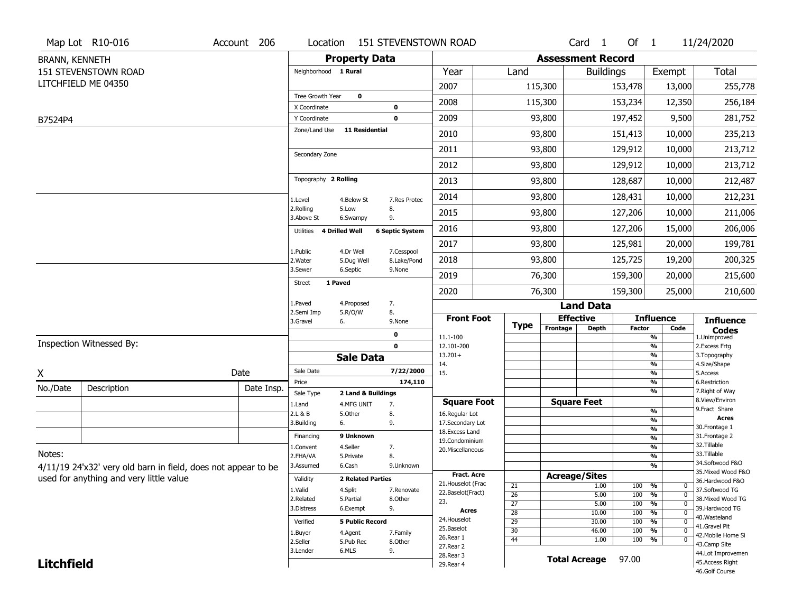|                   | Map Lot R10-016                                               | Account 206 | Location                     |                                  |                        | <b>151 STEVENSTOWN ROAD</b>      |                       |                          | Card <sub>1</sub>    | Of $1$        |                                       | 11/24/2020                         |
|-------------------|---------------------------------------------------------------|-------------|------------------------------|----------------------------------|------------------------|----------------------------------|-----------------------|--------------------------|----------------------|---------------|---------------------------------------|------------------------------------|
| BRANN, KENNETH    |                                                               |             |                              | <b>Property Data</b>             |                        |                                  |                       | <b>Assessment Record</b> |                      |               |                                       |                                    |
|                   | <b>151 STEVENSTOWN ROAD</b>                                   |             | Neighborhood 1 Rural         |                                  |                        | Year                             | Land                  |                          | <b>Buildings</b>     |               | Exempt                                | <b>Total</b>                       |
|                   | LITCHFIELD ME 04350                                           |             |                              |                                  |                        | 2007                             |                       | 115,300                  |                      | 153,478       | 13,000                                | 255,778                            |
|                   |                                                               |             | Tree Growth Year             | $\mathbf 0$                      |                        | 2008                             |                       | 115,300                  |                      | 153,234       | 12,350                                | 256,184                            |
|                   |                                                               |             | X Coordinate<br>Y Coordinate |                                  | 0<br>$\mathbf 0$       | 2009                             |                       | 93,800                   |                      | 197,452       | 9,500                                 | 281,752                            |
| B7524P4           |                                                               |             | Zone/Land Use                | <b>11 Residential</b>            |                        | 2010                             |                       | 93,800                   |                      | 151,413       | 10,000                                | 235,213                            |
|                   |                                                               |             |                              |                                  |                        |                                  |                       |                          |                      |               |                                       |                                    |
|                   |                                                               |             | Secondary Zone               |                                  |                        | 2011                             |                       | 93,800                   |                      | 129,912       | 10,000                                | 213,712                            |
|                   |                                                               |             |                              |                                  |                        | 2012                             |                       | 93,800                   |                      | 129,912       | 10,000                                | 213,712                            |
|                   |                                                               |             | Topography 2 Rolling         |                                  |                        | 2013                             |                       | 93,800                   |                      | 128,687       | 10,000                                | 212,487                            |
|                   |                                                               |             | 1.Level                      | 4.Below St                       | 7.Res Protec           | 2014                             |                       | 93,800                   |                      | 128,431       | 10,000                                | 212,231                            |
|                   |                                                               |             | 2.Rolling<br>3.Above St      | 5.Low<br>6.Swampy                | 8.<br>9.               | 2015                             |                       | 93,800                   |                      | 127,206       | 10,000                                | 211,006                            |
|                   |                                                               |             | Utilities 4 Drilled Well     |                                  | <b>6 Septic System</b> | 2016                             |                       | 93,800                   |                      | 127,206       | 15,000                                | 206,006                            |
|                   |                                                               |             | 1.Public                     | 4.Dr Well                        | 7.Cesspool             | 2017                             |                       | 93,800                   |                      | 125,981       | 20,000                                | 199,781                            |
|                   |                                                               |             | 2. Water                     | 5.Dug Well                       | 8.Lake/Pond            | 2018                             |                       | 93,800                   |                      | 125,725       | 19,200                                | 200,325                            |
|                   |                                                               |             | 3.Sewer                      | 6.Septic                         | 9.None                 | 2019                             |                       | 76,300                   |                      | 159,300       | 20,000                                | 215,600                            |
|                   |                                                               |             | 1 Paved<br><b>Street</b>     |                                  |                        | 2020                             |                       | 76,300                   |                      | 159,300       | 25,000                                | 210,600                            |
|                   |                                                               |             | 1.Paved                      | 4.Proposed                       | 7.                     |                                  |                       |                          | <b>Land Data</b>     |               |                                       |                                    |
|                   |                                                               |             | 2.Semi Imp<br>3.Gravel       | 5.R/O/W<br>6.                    | 8.<br>9.None           | <b>Front Foot</b>                | <b>Type</b>           | <b>Effective</b>         |                      |               | <b>Influence</b>                      | <b>Influence</b>                   |
|                   |                                                               |             |                              |                                  | $\mathbf 0$            | 11.1-100                         |                       | Frontage                 | <b>Depth</b>         | <b>Factor</b> | Code<br>$\frac{9}{6}$                 | <b>Codes</b><br>1.Unimproved       |
|                   | Inspection Witnessed By:                                      |             |                              |                                  | 0                      | 12.101-200                       |                       |                          |                      |               | %                                     | 2.Excess Frtg                      |
|                   |                                                               |             |                              | <b>Sale Data</b>                 |                        | $13.201+$<br>14.                 |                       |                          |                      |               | %<br>%                                | 3. Topography<br>4.Size/Shape      |
| X                 |                                                               | Date        | Sale Date                    |                                  | 7/22/2000              | 15.                              |                       |                          |                      |               | %                                     | 5.Access                           |
| No./Date          | Description                                                   | Date Insp.  | Price                        |                                  | 174,110                |                                  |                       |                          |                      |               | %<br>%                                | 6.Restriction<br>7. Right of Way   |
|                   |                                                               |             | Sale Type<br>1.Land          | 2 Land & Buildings<br>4.MFG UNIT | 7.                     | <b>Square Foot</b>               |                       | <b>Square Feet</b>       |                      |               |                                       | 8.View/Environ                     |
|                   |                                                               |             | 2.L & B                      | 5.0ther                          | 8.                     | 16.Regular Lot                   |                       |                          |                      |               | $\frac{9}{6}$                         | 9. Fract Share<br><b>Acres</b>     |
|                   |                                                               |             | 3.Building                   | 6.                               | 9.                     | 17.Secondary Lot                 |                       |                          |                      |               | %<br>$\frac{9}{6}$                    | 30. Frontage 1                     |
|                   |                                                               |             | Financing                    | 9 Unknown                        |                        | 18.Excess Land<br>19.Condominium |                       |                          |                      |               | %                                     | 31. Frontage 2                     |
|                   |                                                               |             | 1.Convent                    | 4.Seller                         | 7.                     | 20.Miscellaneous                 |                       |                          |                      |               | %                                     | 32.Tillable                        |
| Notes:            |                                                               |             | 2.FHA/VA                     | 5.Private                        | 8.                     |                                  |                       |                          |                      |               | %                                     | 33.Tillable<br>34.Softwood F&O     |
|                   | 4/11/19 24'x32' very old barn in field, does not appear to be |             | 3.Assumed                    | 6.Cash                           | 9.Unknown              | Fract. Acre                      |                       |                          |                      |               | %                                     | 35. Mixed Wood F&O                 |
|                   | used for anything and very little value                       |             | Validity                     | <b>2 Related Parties</b>         |                        | 21. Houselot (Frac               |                       | <b>Acreage/Sites</b>     |                      |               |                                       | 36.Hardwood F&O                    |
|                   |                                                               |             | 1.Valid                      | 4.Split                          | 7.Renovate             | 22.Baselot(Fract)                | 21<br>$\overline{26}$ |                          | 1.00<br>5.00         | 100<br>100    | %<br>0<br>%<br>$\mathbf 0$            | 37.Softwood TG                     |
|                   |                                                               |             |                              |                                  | 8.Other                |                                  |                       |                          |                      |               |                                       | 38. Mixed Wood TG                  |
|                   |                                                               |             | 2.Related                    | 5.Partial                        |                        | 23.                              |                       |                          |                      |               |                                       |                                    |
|                   |                                                               |             | 3.Distress                   | 6.Exempt                         | 9.                     | Acres                            | $\overline{27}$       |                          | 5.00<br>10.00        | 100<br>100    | %<br>$\mathbf{0}$<br>%<br>$\mathbf 0$ | 39.Hardwood TG                     |
|                   |                                                               |             | Verified                     | <b>5 Public Record</b>           |                        | 24. Houselot                     | 28<br>29              |                          | 30.00                | 100           | %<br>$\mathbf 0$                      | 40.Wasteland                       |
|                   |                                                               |             | 1.Buyer                      | 4.Agent                          | 7.Family               | 25.Baselot                       | 30                    |                          | 46.00                | 100           | %<br>0                                | 41.Gravel Pit                      |
|                   |                                                               |             | 2.Seller                     | 5.Pub Rec                        | 8.Other                | 26.Rear 1                        | 44                    |                          | 1.00                 | 100           | %<br>0                                | 42. Mobile Home Si<br>43.Camp Site |
|                   |                                                               |             | 3.Lender                     | 6.MLS                            | 9.                     | 27. Rear 2                       |                       |                          |                      |               |                                       | 44.Lot Improvemen                  |
| <b>Litchfield</b> |                                                               |             |                              |                                  |                        | 28. Rear 3<br>29. Rear 4         |                       |                          | <b>Total Acreage</b> | 97.00         |                                       | 45.Access Right<br>46.Golf Course  |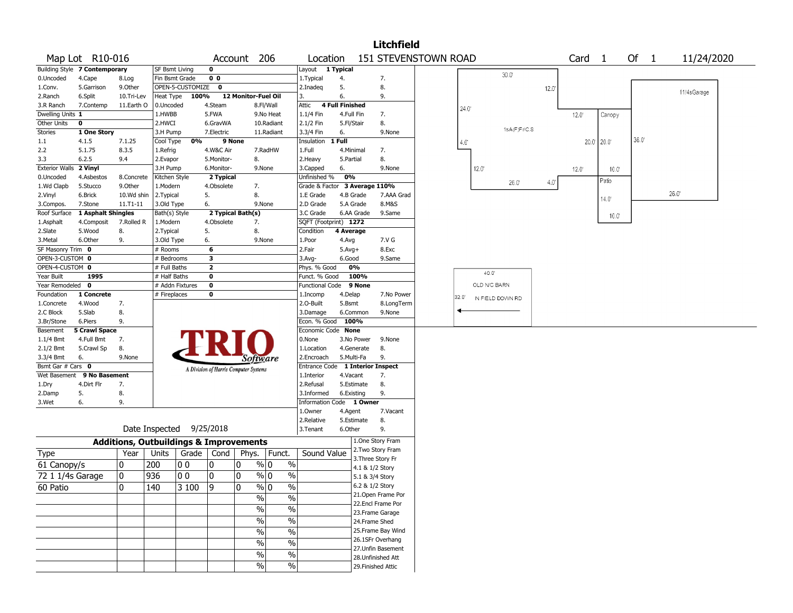|                              |                               |                                                   |                           |                  |                                       |                     |                       |                               |                        |                          | <b>Litchfield</b>                       |                      |               |                  |              |      |                   |             |      |             |  |
|------------------------------|-------------------------------|---------------------------------------------------|---------------------------|------------------|---------------------------------------|---------------------|-----------------------|-------------------------------|------------------------|--------------------------|-----------------------------------------|----------------------|---------------|------------------|--------------|------|-------------------|-------------|------|-------------|--|
|                              | Map Lot R10-016               |                                                   |                           |                  |                                       | Account 206         |                       | Location                      |                        |                          |                                         | 151 STEVENSTOWN ROAD |               |                  |              |      | Card <sub>1</sub> |             | Of 1 | 11/24/2020  |  |
|                              | Building Style 7 Contemporary |                                                   | <b>SF Bsmt Living</b>     |                  | 0                                     |                     |                       | Layout 1 Typical              |                        |                          |                                         |                      |               |                  |              |      |                   |             |      |             |  |
| 0.Uncoded                    | 4.Cape                        | 8.Log                                             | Fin Bsmt Grade            |                  | 0 <sub>0</sub>                        |                     |                       | 1.Typical                     | 4.                     |                          | 7.                                      |                      |               |                  | $30.0^\circ$ |      |                   |             |      |             |  |
| 1.Conv.                      | 5.Garrison                    | 9.Other                                           |                           | OPEN-5-CUSTOMIZE | 0                                     |                     |                       | 2.Inadeq                      | 5.                     |                          | 8.                                      |                      |               |                  |              | 12.0 |                   |             |      | 11/4sGarage |  |
| 2.Ranch                      | 6.Split                       | 10.Tri-Lev                                        | Heat Type                 | 100%             |                                       | 12 Monitor-Fuel Oil |                       | 3.                            | 6.                     |                          | 9.                                      |                      |               |                  |              |      |                   |             |      |             |  |
| 3.R Ranch                    | 7.Contemp                     | 11.Earth O                                        | 0.Uncoded                 |                  | 4.Steam                               |                     | 8.Fl/Wall             | Attic                         | <b>4 Full Finished</b> |                          |                                         |                      | 24.0          |                  |              |      |                   |             |      |             |  |
| Dwelling Units 1             |                               |                                                   | 1.HWBB                    |                  | 5.FWA                                 |                     | 9.No Heat             | 1.1/4 Fin                     | 4.Full Fin             |                          | 7.                                      |                      |               |                  |              |      | $12.0^{\circ}$    | Canopy      |      |             |  |
| Other Units                  | 0                             |                                                   | 2.HWCI                    |                  | 6.GravWA                              |                     | 10.Radiant            | 2.1/2 Fin                     | 5.Fl/Stair             |                          | 8.                                      |                      |               |                  | 1sA(F)Fr/C.S |      |                   |             |      |             |  |
| <b>Stories</b>               | 1 One Story                   |                                                   | 3.H Pump                  |                  | 7.Electric                            |                     | 11.Radiant            | 3.3/4 Fin                     | 6.                     |                          | 9.None                                  |                      |               |                  |              |      |                   |             | 36.0 |             |  |
| $1.1\,$                      | 4.1.5                         | 7.1.25                                            | Cool Type                 | 0%               |                                       | 9 None              |                       | Insulation 1 Full             |                        |                          |                                         |                      | $4.0^{\circ}$ |                  |              |      |                   | 20.0' 20.0' |      |             |  |
| 2.2                          | 5.1.75                        | 8.3.5                                             | 1.Refrig                  |                  | 4.W&C Air                             |                     | 7.RadHW               | 1.Full                        |                        | 4.Minimal                | 7.                                      |                      |               |                  |              |      |                   |             |      |             |  |
| 3.3<br><b>Exterior Walls</b> | 6.2.5                         | 9.4                                               | 2.Evapor                  |                  | 5.Monitor-                            | 8.                  |                       | 2.Heavy                       | 5.Partial<br>6.        |                          | 8.<br>9.None                            |                      |               |                  |              |      |                   |             |      |             |  |
| 0.Uncoded                    | 2 Vinyl<br>4.Asbestos         | 8.Concrete                                        | 3.H Pump<br>Kitchen Style |                  | 6.Monitor-<br>2 Typical               |                     | 9.None                | 3.Capped<br>Unfinished %      | 0%                     |                          |                                         |                      |               | 12.0             |              |      | $12.0^{\circ}$    | 10.0        |      |             |  |
| 1.Wd Clapb                   | 5.Stucco                      | 9.Other                                           | 1.Modern                  |                  | 4.Obsolete                            | 7.                  |                       | Grade & Factor 3 Average 110% |                        |                          |                                         |                      |               |                  | 26.0         | 4.0  |                   | Patio       |      |             |  |
| 2.Vinyl                      | 6.Brick                       | 10.Wd shin                                        | 2. Typical                |                  | 5.                                    | 8.                  |                       | 1.E Grade                     |                        | 4.B Grade                | 7.AAA Grad                              |                      |               |                  |              |      |                   |             |      | 26.0        |  |
| 3.Compos.                    | 7.Stone                       | 11.T1-11                                          | 3.Old Type                |                  | 6.                                    |                     | 9.None                | 2.D Grade                     |                        | 5.A Grade                | 8.M&S                                   |                      |               |                  |              |      |                   | 14.0'       |      |             |  |
| Roof Surface                 | 1 Asphalt Shingles            |                                                   | Bath(s) Style             |                  | 2 Typical Bath(s)                     |                     |                       | 3.C Grade                     |                        | 6.AA Grade               | 9.Same                                  |                      |               |                  |              |      |                   |             |      |             |  |
| 1.Asphalt                    | 4.Composit                    | 7.Rolled R                                        | 1.Modern                  |                  | 4.Obsolete                            | 7.                  |                       | SQFT (Footprint) 1272         |                        |                          |                                         |                      |               |                  |              |      |                   | 10.0'       |      |             |  |
| 2.Slate                      | 5.Wood                        | 8.                                                | 2. Typical                |                  | 5.                                    | 8.                  |                       | Condition                     | 4 Average              |                          |                                         |                      |               |                  |              |      |                   |             |      |             |  |
| 3.Metal                      | 6.Other                       | 9.                                                | 3.Old Type                |                  | 6.                                    |                     | 9.None                | 1.Poor                        | 4.Avg                  |                          | 7.V G                                   |                      |               |                  |              |      |                   |             |      |             |  |
| SF Masonry Trim 0            |                               |                                                   | # Rooms                   |                  | 6                                     |                     |                       | 2.Fair                        | $5.Avg+$               |                          | 8.Exc                                   |                      |               |                  |              |      |                   |             |      |             |  |
| OPEN-3-CUSTOM 0              |                               |                                                   | # Bedrooms                |                  | 3                                     |                     |                       | 3.Avg-                        | 6.Good                 |                          | 9.Same                                  |                      |               |                  |              |      |                   |             |      |             |  |
| OPEN-4-CUSTOM 0              |                               |                                                   | # Full Baths              |                  | $\overline{\mathbf{2}}$               |                     |                       | Phys. % Good                  |                        | 0%                       |                                         |                      |               |                  |              |      |                   |             |      |             |  |
| Year Built                   | 1995                          |                                                   | # Half Baths              |                  | $\bf{0}$                              |                     |                       | Funct. % Good                 |                        | 100%                     |                                         |                      |               | 40.0             |              |      |                   |             |      |             |  |
| Year Remodeled 0             |                               |                                                   | # Addn Fixtures           |                  | $\bf{0}$                              |                     |                       | <b>Functional Code</b>        |                        | 9 None                   |                                         |                      |               | OLD N/C BARN     |              |      |                   |             |      |             |  |
| Foundation                   | 1 Concrete                    |                                                   | # Fireplaces              |                  | 0                                     |                     |                       | 1.Incomp                      | 4.Delap                |                          | 7.No Power                              |                      | 32.0'         | IN FIELD DOWN RD |              |      |                   |             |      |             |  |
| 1.Concrete                   | 4.Wood                        | 7.                                                |                           |                  |                                       |                     |                       | 2.O-Built                     | 5.Bsmt                 |                          | 8.LongTerm                              |                      |               |                  |              |      |                   |             |      |             |  |
| 2.C Block                    | 5.Slab                        | 8.                                                |                           |                  |                                       |                     |                       | 3.Damage                      |                        | 6.Common                 | 9.None                                  |                      |               |                  |              |      |                   |             |      |             |  |
| 3.Br/Stone                   | 6.Piers                       | 9.                                                |                           |                  |                                       |                     |                       | Econ. % Good                  |                        | 100%                     |                                         |                      |               |                  |              |      |                   |             |      |             |  |
| Basement                     | <b>5 Crawl Space</b>          |                                                   |                           |                  |                                       |                     |                       | Economic Code None            |                        |                          |                                         |                      |               |                  |              |      |                   |             |      |             |  |
| 1.1/4 Bmt                    | 4.Full Bmt                    | 7.                                                |                           |                  |                                       |                     |                       | 0.None                        |                        | 3.No Power               | 9.None                                  |                      |               |                  |              |      |                   |             |      |             |  |
| 2.1/2 Bmt<br>3.3/4 Bmt       | 5.Crawl Sp<br>6.              | 8.<br>9.None                                      |                           |                  |                                       |                     |                       | 1.Location<br>2.Encroach      |                        | 4.Generate<br>5.Multi-Fa | 8.<br>9.                                |                      |               |                  |              |      |                   |             |      |             |  |
| Bsmt Gar # Cars 0            |                               |                                                   |                           |                  |                                       |                     | Software              | <b>Entrance Code</b>          |                        |                          | <b>1 Interior Inspect</b>               |                      |               |                  |              |      |                   |             |      |             |  |
| Wet Basement                 | 9 No Basement                 |                                                   |                           |                  | A Division of Harris Computer Systems |                     |                       | 1.Interior                    | 4.Vacant               |                          | 7.                                      |                      |               |                  |              |      |                   |             |      |             |  |
| 1.Dry                        | 4.Dirt Flr                    | 7.                                                |                           |                  |                                       |                     |                       | 2.Refusal                     |                        | 5.Estimate               | 8.                                      |                      |               |                  |              |      |                   |             |      |             |  |
| 2.Damp                       | 5.                            | 8.                                                |                           |                  |                                       |                     |                       | 3.Informed                    |                        | 6.Existing               | 9.                                      |                      |               |                  |              |      |                   |             |      |             |  |
| 3.Wet                        | 6.                            | 9.                                                |                           |                  |                                       |                     |                       | <b>Information Code</b>       |                        | 1 Owner                  |                                         |                      |               |                  |              |      |                   |             |      |             |  |
|                              |                               |                                                   |                           |                  |                                       |                     |                       | 1.0wner                       | 4.Agent                |                          | 7.Vacant                                |                      |               |                  |              |      |                   |             |      |             |  |
|                              |                               |                                                   |                           |                  |                                       |                     |                       | 2.Relative                    |                        | 5.Estimate               | 8.                                      |                      |               |                  |              |      |                   |             |      |             |  |
|                              |                               |                                                   | Date Inspected 9/25/2018  |                  |                                       |                     |                       | 3.Tenant                      | 6.Other                |                          | 9.                                      |                      |               |                  |              |      |                   |             |      |             |  |
|                              |                               | <b>Additions, Outbuildings &amp; Improvements</b> |                           |                  |                                       |                     |                       |                               |                        |                          | 1.One Story Fram                        |                      |               |                  |              |      |                   |             |      |             |  |
| Type                         |                               | Year                                              | Units                     | Grade            | Cond                                  | Phys.               | Funct.                | Sound Value                   |                        |                          | 2. Two Story Fram                       |                      |               |                  |              |      |                   |             |      |             |  |
| 61 Canopy/s                  |                               | 0                                                 | 200                       | O O              | 0                                     | 0                   | $\%$<br>% 0           |                               |                        |                          | 3. Three Story Fr                       |                      |               |                  |              |      |                   |             |      |             |  |
| 72 1 1/4s Garage             |                               | 0                                                 | 936                       | 00               | 0                                     | 10                  | $\frac{0}{0}$<br>% 0  |                               |                        |                          | 4.1 & 1/2 Story                         |                      |               |                  |              |      |                   |             |      |             |  |
|                              |                               |                                                   |                           |                  |                                       |                     |                       |                               |                        | 5.1 & 3/4 Story          |                                         |                      |               |                  |              |      |                   |             |      |             |  |
| 60 Patio                     |                               | $\overline{0}$                                    | 140                       | 3100             | $\overline{9}$                        | $\overline{0}$      | $\sqrt[6]{0}$         | $\frac{1}{2}$                 |                        | 6.2 & 1/2 Story          |                                         |                      |               |                  |              |      |                   |             |      |             |  |
|                              |                               |                                                   |                           |                  |                                       |                     | $\%$<br>$\%$          |                               |                        |                          | 21. Open Frame Por<br>22.Encl Frame Por |                      |               |                  |              |      |                   |             |      |             |  |
|                              |                               |                                                   |                           |                  |                                       |                     | $\%$<br>$\%$          |                               |                        |                          | 23. Frame Garage                        |                      |               |                  |              |      |                   |             |      |             |  |
|                              |                               |                                                   |                           |                  |                                       |                     | $\%$<br>$\%$          |                               |                        | 24.Frame Shed            |                                         |                      |               |                  |              |      |                   |             |      |             |  |
|                              |                               |                                                   |                           |                  |                                       |                     | $\%$<br>$\%$          |                               |                        |                          | 25. Frame Bay Wind                      |                      |               |                  |              |      |                   |             |      |             |  |
|                              |                               |                                                   |                           |                  |                                       |                     |                       |                               |                        |                          | 26.1SFr Overhang                        |                      |               |                  |              |      |                   |             |      |             |  |
|                              |                               |                                                   |                           |                  |                                       |                     | $\%$<br>$\%$          |                               |                        |                          | 27. Unfin Basement                      |                      |               |                  |              |      |                   |             |      |             |  |
|                              |                               |                                                   |                           |                  |                                       |                     | $\frac{0}{6}$<br>$\%$ |                               |                        |                          | 28. Unfinished Att                      |                      |               |                  |              |      |                   |             |      |             |  |
|                              |                               |                                                   |                           |                  |                                       |                     | $\frac{1}{2}$<br>$\%$ |                               |                        |                          | 29. Finished Attic                      |                      |               |                  |              |      |                   |             |      |             |  |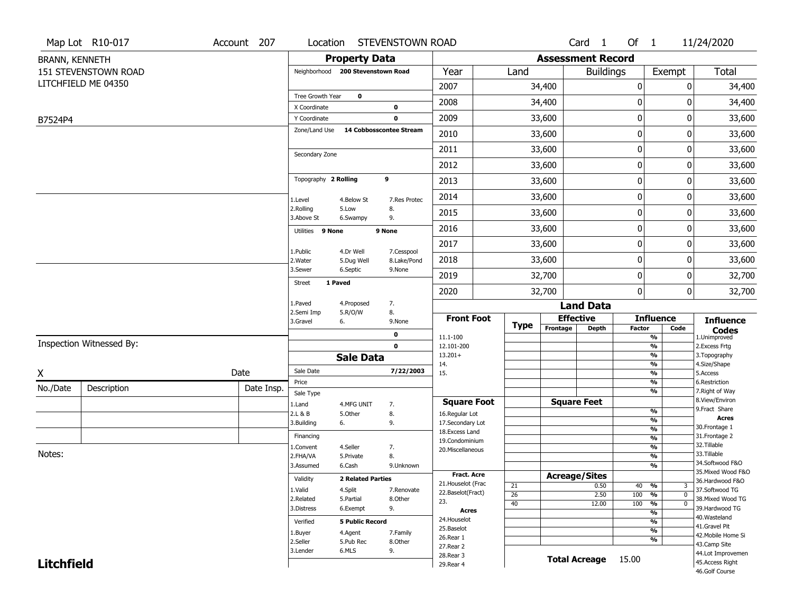|                       | Map Lot R10-017          | Account 207 | Location                      |                                   | STEVENSTOWN ROAD           |                                         |                       |                          | Card <sub>1</sub> | Of $1$        |                                                    | 11/24/2020                            |
|-----------------------|--------------------------|-------------|-------------------------------|-----------------------------------|----------------------------|-----------------------------------------|-----------------------|--------------------------|-------------------|---------------|----------------------------------------------------|---------------------------------------|
| <b>BRANN, KENNETH</b> |                          |             |                               | <b>Property Data</b>              |                            |                                         |                       | <b>Assessment Record</b> |                   |               |                                                    |                                       |
|                       | 151 STEVENSTOWN ROAD     |             |                               | Neighborhood 200 Stevenstown Road |                            | Year                                    | Land                  |                          | <b>Buildings</b>  |               | Exempt                                             | Total                                 |
|                       | LITCHFIELD ME 04350      |             |                               |                                   |                            | 2007                                    |                       | 34,400                   |                   | $\pmb{0}$     | 0                                                  | 34,400                                |
|                       |                          |             | Tree Growth Year              | $\mathbf 0$                       |                            | 2008                                    |                       | 34,400                   |                   | 0             | 0                                                  | 34,400                                |
|                       |                          |             | X Coordinate                  |                                   | $\mathbf 0$<br>$\mathbf 0$ | 2009                                    |                       | 33,600                   |                   | 0             | 0                                                  |                                       |
| B7524P4               |                          |             | Y Coordinate<br>Zone/Land Use |                                   | 14 Cobbosscontee Stream    |                                         |                       |                          |                   |               |                                                    | 33,600                                |
|                       |                          |             |                               |                                   |                            | 2010                                    |                       | 33,600                   |                   | $\mathbf 0$   | 0                                                  | 33,600                                |
|                       |                          |             | Secondary Zone                |                                   |                            | 2011                                    |                       | 33,600                   |                   | $\mathbf 0$   | 0                                                  | 33,600                                |
|                       |                          |             |                               |                                   |                            | 2012                                    |                       | 33,600                   |                   | $\mathbf 0$   | 0                                                  | 33,600                                |
|                       |                          |             | Topography 2 Rolling          |                                   | 9                          | 2013                                    |                       | 33,600                   |                   | 0             | 0                                                  | 33,600                                |
|                       |                          |             | 1.Level                       | 4.Below St                        | 7.Res Protec               | 2014                                    |                       | 33,600                   |                   | $\mathbf 0$   | 0                                                  | 33,600                                |
|                       |                          |             | 2.Rolling<br>3.Above St       | 5.Low<br>6.Swampy                 | 8.<br>9.                   | 2015                                    |                       | 33,600                   |                   | 0             | 0                                                  | 33,600                                |
|                       |                          |             | Utilities 9 None              |                                   | 9 None                     | 2016                                    |                       | 33,600                   |                   | 0             | 0                                                  | 33,600                                |
|                       |                          |             |                               |                                   |                            | 2017                                    |                       | 33,600                   |                   | $\pmb{0}$     | 0                                                  | 33,600                                |
|                       |                          |             | 1.Public<br>2. Water          | 4.Dr Well<br>5.Dug Well           | 7.Cesspool<br>8.Lake/Pond  | 2018                                    |                       | 33,600                   |                   | $\mathbf 0$   | 0                                                  | 33,600                                |
|                       |                          |             | 3.Sewer                       | 6.Septic                          | 9.None                     | 2019                                    |                       | 32,700                   |                   | 0             | 0                                                  | 32,700                                |
|                       |                          |             | <b>Street</b>                 | 1 Paved                           |                            | 2020                                    |                       | 32,700                   |                   | $\mathbf 0$   | 0                                                  | 32,700                                |
|                       |                          |             | 1.Paved                       | 4.Proposed                        | 7.                         |                                         |                       |                          | <b>Land Data</b>  |               |                                                    |                                       |
|                       |                          |             | 2.Semi Imp<br>3.Gravel        | 5.R/O/W<br>6.                     | 8.<br>9.None               | <b>Front Foot</b>                       | <b>Type</b>           | <b>Effective</b>         |                   |               | <b>Influence</b>                                   | <b>Influence</b>                      |
|                       |                          |             |                               |                                   | 0                          | 11.1-100                                |                       | Frontage                 | <b>Depth</b>      | <b>Factor</b> | Code<br>%                                          | <b>Codes</b><br>1.Unimproved          |
|                       | Inspection Witnessed By: |             |                               |                                   | $\mathbf 0$                | 12.101-200                              |                       |                          |                   |               | $\frac{9}{6}$                                      | 2. Excess Frtg                        |
|                       |                          |             |                               | <b>Sale Data</b>                  |                            | $13.201+$<br>14.                        |                       |                          |                   |               | %<br>%                                             | 3. Topography<br>4.Size/Shape         |
| X                     |                          | Date        | Sale Date                     |                                   | 7/22/2003                  | 15.                                     |                       |                          |                   |               | $\frac{9}{6}$                                      | 5.Access                              |
| No./Date              | Description              | Date Insp.  | Price                         |                                   |                            |                                         |                       |                          |                   |               | %                                                  | 6.Restriction                         |
|                       |                          |             | Sale Type                     |                                   |                            | <b>Square Foot</b>                      |                       | <b>Square Feet</b>       |                   |               | %                                                  | 7. Right of Way<br>8.View/Environ     |
|                       |                          |             | 1.Land<br>2.L & B             | 4.MFG UNIT<br>5.Other             | 7.<br>8.                   | 16.Regular Lot                          |                       |                          |                   |               | %                                                  | 9.Fract Share                         |
|                       |                          |             | 3.Building                    | 6.                                | 9.                         | 17.Secondary Lot                        |                       |                          |                   |               | %                                                  | <b>Acres</b><br>30. Frontage 1        |
|                       |                          |             | Financing                     |                                   |                            | 18.Excess Land                          |                       |                          |                   |               | $\frac{9}{6}$<br>$\frac{9}{6}$                     | 31. Frontage 2                        |
|                       |                          |             | 1.Convent                     | 4.Seller                          | 7.                         | 19.Condominium<br>20.Miscellaneous      |                       |                          |                   |               | $\frac{9}{6}$                                      | 32.Tillable                           |
| Notes:                |                          |             | 2.FHA/VA                      | 5.Private                         | 8.                         |                                         |                       |                          |                   |               | $\frac{9}{6}$                                      | 33.Tillable                           |
|                       |                          |             | 3.Assumed                     | 6.Cash                            | 9.Unknown                  |                                         |                       |                          |                   |               | $\overline{\frac{9}{6}}$                           | 34.Softwood F&O<br>35. Mixed Wood F&O |
|                       |                          |             | Validity                      | <b>2 Related Parties</b>          |                            | <b>Fract. Acre</b>                      |                       | <b>Acreage/Sites</b>     |                   |               |                                                    | 36.Hardwood F&O                       |
|                       |                          |             | 1.Valid                       | 4.Split                           | 7.Renovate                 | 21. Houselot (Frac<br>22.Baselot(Fract) | 21                    |                          | 0.50              | 40 %          | 3                                                  | 37.Softwood TG                        |
|                       |                          |             | 2.Related                     | 5.Partial                         | 8.Other                    | 23.                                     | $\overline{26}$<br>40 |                          | 2.50<br>12.00     | 100<br>100    | $\frac{9}{6}$<br>$\mathbf 0$<br>$\frac{9}{6}$<br>0 | 38. Mixed Wood TG                     |
|                       |                          |             | 3.Distress                    | 6.Exempt                          | 9.                         | <b>Acres</b>                            |                       |                          |                   |               | $\frac{9}{6}$                                      | 39.Hardwood TG                        |
|                       |                          |             | Verified                      | <b>5 Public Record</b>            |                            | 24. Houselot                            |                       |                          |                   |               | %                                                  | 40. Wasteland                         |
|                       |                          |             | 1.Buyer                       | 4.Agent                           | 7.Family                   | 25.Baselot                              |                       |                          |                   |               | $\frac{9}{6}$                                      | 41.Gravel Pit<br>42. Mobile Home Si   |
|                       |                          |             | 2.Seller                      | 5.Pub Rec                         | 8.Other                    | 26.Rear 1<br>27. Rear 2                 |                       |                          |                   |               | %                                                  | 43.Camp Site                          |
|                       |                          |             | 3.Lender                      | 6.MLS                             | 9.                         | 28. Rear 3                              |                       |                          |                   |               |                                                    | 44.Lot Improvemen                     |
| <b>Litchfield</b>     |                          |             |                               |                                   |                            | 29. Rear 4                              |                       | <b>Total Acreage</b>     |                   | 15.00         |                                                    | 45.Access Right                       |
|                       |                          |             |                               |                                   |                            |                                         |                       |                          |                   |               |                                                    | 46.Golf Course                        |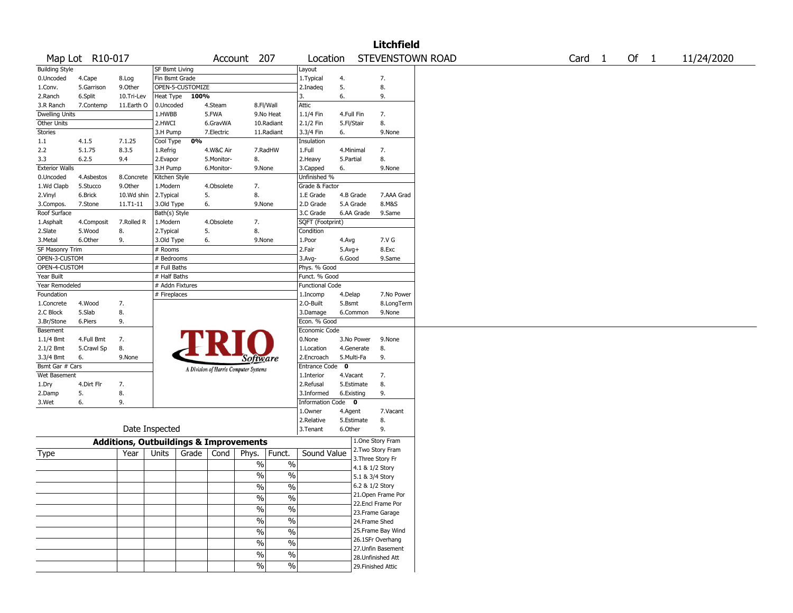|                       |                 |            |                       |                  |            |                                                      |                        |              |                    | <b>Litchfield</b>  |                  |        |        |            |
|-----------------------|-----------------|------------|-----------------------|------------------|------------|------------------------------------------------------|------------------------|--------------|--------------------|--------------------|------------------|--------|--------|------------|
|                       | Map Lot R10-017 |            |                       |                  |            | Account 207                                          | Location               |              |                    |                    | STEVENSTOWN ROAD | Card 1 | Of $1$ | 11/24/2020 |
| <b>Building Style</b> |                 |            | <b>SF Bsmt Living</b> |                  |            |                                                      | Layout                 |              |                    |                    |                  |        |        |            |
| 0.Uncoded             | 4.Cape          | 8.Log      | Fin Bsmt Grade        |                  |            |                                                      | 1. Typical             | 4.           |                    | 7.                 |                  |        |        |            |
| 1.Conv.               | 5.Garrison      | 9.Other    |                       | OPEN-5-CUSTOMIZE |            |                                                      | 2.Inadeq               | 5.           |                    | 8.                 |                  |        |        |            |
| 2.Ranch               | 6.Split         | 10.Tri-Lev | Heat Type             | 100%             |            |                                                      | 3.                     | 6.           |                    | 9.                 |                  |        |        |            |
| 3.R Ranch             | 7.Contemp       | 11.Earth O | 0.Uncoded             |                  | 4.Steam    | 8.Fl/Wall                                            | Attic                  |              |                    |                    |                  |        |        |            |
| <b>Dwelling Units</b> |                 |            | 1.HWBB                |                  | 5.FWA      | 9.No Heat                                            | 1.1/4 Fin              | 4.Full Fin   |                    | 7.                 |                  |        |        |            |
| Other Units           |                 |            | 2.HWCI                |                  | 6.GravWA   | 10.Radiant                                           | 2.1/2 Fin              | 5.Fl/Stair   |                    | 8.                 |                  |        |        |            |
| Stories               |                 |            | 3.H Pump              |                  | 7.Electric | 11.Radiant                                           | 3.3/4 Fin              | 6.           |                    | 9.None             |                  |        |        |            |
| 1.1                   | 4.1.5           | 7.1.25     | Cool Type             | 0%               |            |                                                      | Insulation             |              |                    |                    |                  |        |        |            |
| 2.2                   | 5.1.75          | 8.3.5      | 1.Refrig              |                  | 4.W&C Air  | 7.RadHW                                              | 1.Full                 | 4.Minimal    |                    | 7.                 |                  |        |        |            |
| 3.3                   | 6.2.5           | 9.4        | 2.Evapor              |                  | 5.Monitor- | 8.                                                   | 2.Heavy                | 5.Partial    |                    | 8.                 |                  |        |        |            |
| <b>Exterior Walls</b> |                 |            | 3.H Pump              |                  | 6.Monitor- | 9.None                                               | 3.Capped               | 6.           |                    | 9.None             |                  |        |        |            |
| 0.Uncoded             | 4.Asbestos      | 8.Concrete | Kitchen Style         |                  |            |                                                      | Unfinished %           |              |                    |                    |                  |        |        |            |
| 1.Wd Clapb            | 5.Stucco        | 9.0ther    | 1.Modern              |                  | 4.Obsolete | 7.                                                   | Grade & Factor         |              |                    |                    |                  |        |        |            |
| 2.Vinyl               | 6.Brick         | 10.Wd shin | 2.Typical             |                  | 5.         | 8.                                                   | 1.E Grade              | 4.B Grade    |                    | 7.AAA Grad         |                  |        |        |            |
| 3.Compos.             | 7.Stone         | 11.T1-11   | 3.Old Type            |                  | 6.         | 9.None                                               | 2.D Grade              | 5.A Grade    |                    | 8.M&S              |                  |        |        |            |
| Roof Surface          |                 |            | Bath(s) Style         |                  |            |                                                      | 3.C Grade              | 6.AA Grade   |                    | 9.Same             |                  |        |        |            |
| 1.Asphalt             | 4.Composit      | 7.Rolled R | 1.Modern              |                  | 4.Obsolete | 7.                                                   | SQFT (Footprint)       |              |                    |                    |                  |        |        |            |
| 2.Slate               | 5.Wood          | 8.         | 2. Typical            |                  | 5.         | 8.                                                   | Condition              |              |                    |                    |                  |        |        |            |
| 3.Metal               | 6.Other         | 9.         | 3.Old Type            |                  | 6.         | 9.None                                               | 1.Poor                 | 4.Avg        |                    | 7.V G              |                  |        |        |            |
| SF Masonry Trim       |                 |            | # Rooms               |                  |            |                                                      | 2.Fair                 | $5.$ Avg $+$ |                    | 8.Exc              |                  |        |        |            |
| OPEN-3-CUSTOM         |                 |            | # Bedrooms            |                  |            |                                                      | 3.Avg-                 | 6.Good       |                    | 9.Same             |                  |        |        |            |
| OPEN-4-CUSTOM         |                 |            | # Full Baths          |                  |            |                                                      | Phys. % Good           |              |                    |                    |                  |        |        |            |
| Year Built            |                 |            | # Half Baths          |                  |            |                                                      | Funct. % Good          |              |                    |                    |                  |        |        |            |
| Year Remodeled        |                 |            | # Addn Fixtures       |                  |            |                                                      | <b>Functional Code</b> |              |                    |                    |                  |        |        |            |
| Foundation            |                 |            | # Fireplaces          |                  |            |                                                      | 1.Incomp               | 4.Delap      |                    | 7.No Power         |                  |        |        |            |
| 1.Concrete            | 4.Wood          | 7.         |                       |                  |            |                                                      | 2.O-Built              | 5.Bsmt       |                    | 8.LongTerm         |                  |        |        |            |
| 2.C Block             | 5.Slab          | 8.         |                       |                  |            |                                                      | 3.Damage               | 6.Common     |                    | 9.None             |                  |        |        |            |
| 3.Br/Stone            | 6.Piers         | 9.         |                       |                  |            |                                                      | Econ. % Good           |              |                    |                    |                  |        |        |            |
| Basement              |                 |            |                       |                  |            |                                                      | Economic Code          |              |                    |                    |                  |        |        |            |
| 1.1/4 Bmt             | 4.Full Bmt      | 7.         |                       |                  |            |                                                      | 0.None                 | 3.No Power   |                    | 9.None             |                  |        |        |            |
| 2.1/2 Bmt             | 5.Crawl Sp      | 8.         |                       |                  |            | PRIO                                                 | 1.Location             | 4.Generate   |                    | 8.                 |                  |        |        |            |
| 3.3/4 Bmt             | 6.              | 9.None     |                       |                  |            | Software                                             | 2.Encroach             | 5.Multi-Fa   |                    | 9.                 |                  |        |        |            |
| Bsmt Gar # Cars       |                 |            |                       |                  |            | A Division of Harris Computer Systems                | Entrance Code 0        |              |                    |                    |                  |        |        |            |
| Wet Basement          |                 |            |                       |                  |            |                                                      | 1.Interior             | 4.Vacant     |                    | 7.                 |                  |        |        |            |
| 1.Dry                 | 4.Dirt Flr      | 7.         |                       |                  |            |                                                      | 2.Refusal              | 5.Estimate   |                    | 8.                 |                  |        |        |            |
| 2.Damp                | 5.              | 8.         |                       |                  |            |                                                      | 3.Informed             | 6.Existing   |                    | 9.                 |                  |        |        |            |
| 3.Wet                 | 6.              | 9.         |                       |                  |            |                                                      | Information Code 0     |              |                    |                    |                  |        |        |            |
|                       |                 |            |                       |                  |            |                                                      | 1.Owner                | 4.Agent      |                    | 7.Vacant           |                  |        |        |            |
|                       |                 |            |                       |                  |            |                                                      | 2.Relative             | 5.Estimate   |                    | 8.                 |                  |        |        |            |
|                       |                 |            | Date Inspected        |                  |            |                                                      | 3.Tenant               | 6.Other      |                    | 9.                 |                  |        |        |            |
|                       |                 |            |                       |                  |            | <b>Additions, Outbuildings &amp; Improvements</b>    |                        |              | 1.One Story Fram   |                    |                  |        |        |            |
|                       |                 |            |                       |                  |            |                                                      |                        |              | 2. Two Story Fram  |                    |                  |        |        |            |
| Type                  |                 | Year       | Units                 | Grade $ $        | Cond       | Phys.<br>Funct.                                      | Sound Value            |              | 3. Three Story Fr  |                    |                  |        |        |            |
|                       |                 |            |                       |                  |            | $\%$<br>$\%$                                         |                        |              | 4.1 & 1/2 Story    |                    |                  |        |        |            |
|                       |                 |            |                       |                  |            | $\%$<br>$\%$                                         |                        |              | 5.1 & 3/4 Story    |                    |                  |        |        |            |
|                       |                 |            |                       |                  |            | $\%$<br>$\%$                                         |                        |              | 6.2 & 1/2 Story    |                    |                  |        |        |            |
|                       |                 |            |                       |                  |            |                                                      |                        |              |                    | 21.Open Frame Por  |                  |        |        |            |
|                       |                 |            |                       |                  |            | $\overline{\frac{0}{0}}$<br>$\overline{\frac{0}{0}}$ |                        |              | 22.Encl Frame Por  |                    |                  |        |        |            |
|                       |                 |            |                       |                  |            | $\frac{9}{6}$<br>$\frac{0}{6}$                       |                        |              | 23. Frame Garage   |                    |                  |        |        |            |
|                       |                 |            |                       |                  |            | $\frac{0}{6}$<br>$\frac{9}{6}$                       |                        |              | 24.Frame Shed      |                    |                  |        |        |            |
|                       |                 |            |                       |                  |            | $\frac{0}{6}$<br>$\sqrt{6}$                          |                        |              |                    | 25. Frame Bay Wind |                  |        |        |            |
|                       |                 |            |                       |                  |            |                                                      |                        |              | 26.1SFr Overhang   |                    |                  |        |        |            |
|                       |                 |            |                       |                  |            | $\frac{0}{6}$<br>$\frac{0}{6}$                       |                        |              |                    | 27.Unfin Basement  |                  |        |        |            |
|                       |                 |            |                       |                  |            | $\frac{0}{6}$<br>$\frac{0}{6}$                       |                        |              | 28. Unfinished Att |                    |                  |        |        |            |
|                       |                 |            |                       |                  |            | $\frac{9}{6}$<br>$\frac{1}{2}$                       |                        |              | 29. Finished Attic |                    |                  |        |        |            |
|                       |                 |            |                       |                  |            |                                                      |                        |              |                    |                    |                  |        |        |            |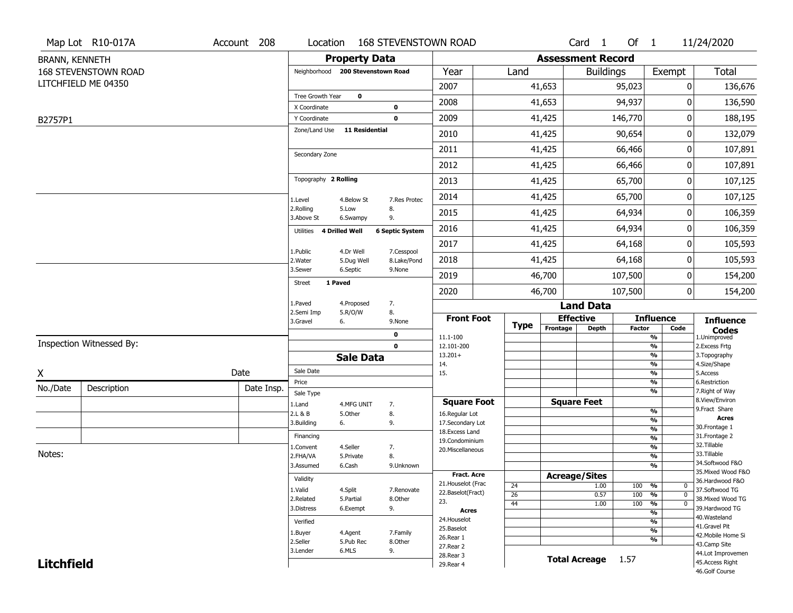|                       | Map Lot R10-017A         | Account 208 | Location                            |                       | <b>168 STEVENSTOWN ROAD</b> |                                   |                 |                          | Card <sub>1</sub>                | Of $1$        |                                | 11/24/2020                        |
|-----------------------|--------------------------|-------------|-------------------------------------|-----------------------|-----------------------------|-----------------------------------|-----------------|--------------------------|----------------------------------|---------------|--------------------------------|-----------------------------------|
| <b>BRANN, KENNETH</b> |                          |             |                                     | <b>Property Data</b>  |                             |                                   |                 | <b>Assessment Record</b> |                                  |               |                                |                                   |
|                       | 168 STEVENSTOWN ROAD     |             | Neighborhood 200 Stevenstown Road   |                       |                             | Year                              | Land            |                          | <b>Buildings</b>                 |               | Exempt                         | <b>Total</b>                      |
|                       | LITCHFIELD ME 04350      |             |                                     |                       |                             | 2007                              |                 | 41,653                   |                                  | 95,023        | 0                              | 136,676                           |
|                       |                          |             | Tree Growth Year                    | $\mathbf 0$           |                             | 2008                              |                 | 41,653                   |                                  | 94,937        | 0                              | 136,590                           |
| B2757P1               |                          |             | X Coordinate<br>Y Coordinate        |                       | $\mathbf 0$<br>$\mathbf 0$  | 2009                              |                 | 41,425                   |                                  | 146,770       | 0                              | 188,195                           |
|                       |                          |             | Zone/Land Use                       | <b>11 Residential</b> |                             | 2010                              |                 | 41,425                   |                                  | 90,654        | 0                              | 132,079                           |
|                       |                          |             |                                     |                       |                             | 2011                              |                 | 41,425                   |                                  | 66,466        | 0                              | 107,891                           |
|                       |                          |             | Secondary Zone                      |                       |                             | 2012                              |                 | 41,425                   |                                  | 66,466        | 0                              | 107,891                           |
|                       |                          |             | Topography 2 Rolling                |                       |                             | 2013                              |                 | 41,425                   |                                  | 65,700        | 0                              | 107,125                           |
|                       |                          |             | 1.Level                             | 4.Below St            | 7.Res Protec                | 2014                              |                 | 41,425                   |                                  | 65,700        | 0                              | 107,125                           |
|                       |                          |             | 2.Rolling<br>3.Above St             | 5.Low<br>6.Swampy     | 8.<br>9.                    | 2015                              |                 | 41,425                   |                                  | 64,934        | 0                              | 106,359                           |
|                       |                          |             | Utilities 4 Drilled Well            |                       | <b>6 Septic System</b>      | 2016                              |                 | 41,425                   |                                  | 64,934        | 0                              | 106,359                           |
|                       |                          |             | 1.Public                            | 4.Dr Well             |                             | 2017                              |                 | 41,425                   |                                  | 64,168        | 0                              | 105,593                           |
|                       |                          |             | 2. Water                            | 5.Dug Well            | 7.Cesspool<br>8.Lake/Pond   | 2018                              |                 | 41,425                   |                                  | 64,168        | 0                              | 105,593                           |
|                       |                          |             | 3.Sewer<br>1 Paved<br><b>Street</b> | 6.Septic              | 9.None                      | 2019                              |                 | 46,700                   |                                  | 107,500       | 0                              | 154,200                           |
|                       |                          |             |                                     |                       |                             | 2020                              |                 | 46,700                   |                                  | 107,500       | 0                              | 154,200                           |
|                       |                          |             | 1.Paved<br>2.Semi Imp               | 4.Proposed<br>5.R/O/W | 7.<br>8.                    |                                   |                 |                          | <b>Land Data</b>                 |               |                                |                                   |
|                       |                          |             | 3.Gravel                            | 6.                    | 9.None                      | <b>Front Foot</b>                 | <b>Type</b>     | Frontage                 | <b>Effective</b><br><b>Depth</b> | <b>Factor</b> | <b>Influence</b><br>Code       | <b>Influence</b>                  |
|                       |                          |             |                                     |                       | $\mathbf 0$                 | 11.1-100                          |                 |                          |                                  |               | $\frac{9}{6}$                  | <b>Codes</b><br>1.Unimproved      |
|                       | Inspection Witnessed By: |             |                                     |                       | $\mathbf 0$                 | 12.101-200<br>$13.201+$           |                 |                          |                                  |               | $\frac{9}{6}$<br>$\frac{9}{6}$ | 2.Excess Frtg<br>3. Topography    |
|                       |                          |             |                                     | <b>Sale Data</b>      |                             | 14.                               |                 |                          |                                  |               | $\frac{9}{6}$                  | 4.Size/Shape                      |
| Χ                     |                          | Date        | Sale Date                           |                       |                             | 15.                               |                 |                          |                                  |               | $\frac{9}{6}$                  | 5.Access                          |
| No./Date              | Description              | Date Insp.  | Price<br>Sale Type                  |                       |                             |                                   |                 |                          |                                  |               | %<br>$\frac{9}{6}$             | 6.Restriction<br>7. Right of Way  |
|                       |                          |             | 1.Land                              | 4.MFG UNIT            | 7.                          | <b>Square Foot</b>                |                 |                          | <b>Square Feet</b>               |               |                                | 8.View/Environ                    |
|                       |                          |             | 2.L & B                             | 5.Other               | 8.                          | 16.Regular Lot                    |                 |                          |                                  |               | %                              | 9. Fract Share<br><b>Acres</b>    |
|                       |                          |             | 3.Building                          | 6.                    | 9.                          | 17.Secondary Lot                  |                 |                          |                                  |               | %<br>%                         | 30. Frontage 1                    |
|                       |                          |             | Financing                           |                       |                             | 18. Excess Land<br>19.Condominium |                 |                          |                                  |               | %                              | 31. Frontage 2                    |
|                       |                          |             | 1.Convent                           | 4.Seller              | 7.                          | 20.Miscellaneous                  |                 |                          |                                  |               | %                              | 32.Tillable                       |
| Notes:                |                          |             | 2.FHA/VA                            | 5.Private             | 8.                          |                                   |                 |                          |                                  |               | %                              | 33.Tillable<br>34.Softwood F&O    |
|                       |                          |             | 3.Assumed                           | 6.Cash                | 9.Unknown                   | Fract. Acre                       |                 |                          |                                  |               | %                              | 35. Mixed Wood F&O                |
|                       |                          |             | Validity                            |                       |                             | 21. Houselot (Frac                | 24              | <b>Acreage/Sites</b>     | 1.00                             | 100           | %<br>0                         | 36.Hardwood F&O                   |
|                       |                          |             | 1.Valid                             | 4.Split               | 7.Renovate                  | 22.Baselot(Fract)                 | $\overline{26}$ |                          | 0.57                             | 100           | %<br>$\mathbf{0}$              | 37.Softwood TG                    |
|                       |                          |             | 2.Related                           | 5.Partial             | 8.Other                     | 23.                               | 44              |                          | 1.00                             | 100           | $\frac{9}{6}$<br>$\mathbf{0}$  | 38. Mixed Wood TG                 |
|                       |                          |             | 3.Distress                          | 6.Exempt              | 9.                          | <b>Acres</b>                      |                 |                          |                                  |               | $\frac{9}{6}$                  | 39.Hardwood TG<br>40.Wasteland    |
|                       |                          |             | Verified                            |                       |                             | 24. Houselot<br>25.Baselot        |                 |                          |                                  |               | $\frac{9}{6}$                  | 41.Gravel Pit                     |
|                       |                          |             | 1.Buyer                             | 4.Agent               | 7.Family                    | 26.Rear 1                         |                 |                          |                                  |               | $\frac{9}{6}$<br>$\frac{9}{6}$ | 42. Mobile Home Si                |
|                       |                          |             | 2.Seller                            | 5.Pub Rec             | 8.Other                     | 27. Rear 2                        |                 |                          |                                  |               |                                | 43.Camp Site                      |
|                       |                          |             | 3.Lender                            | 6.MLS                 | 9.                          | 28. Rear 3                        |                 |                          | Total Acreage 1.57               |               |                                | 44.Lot Improvemen                 |
| <b>Litchfield</b>     |                          |             |                                     |                       |                             | 29. Rear 4                        |                 |                          |                                  |               |                                | 45.Access Right<br>46.Golf Course |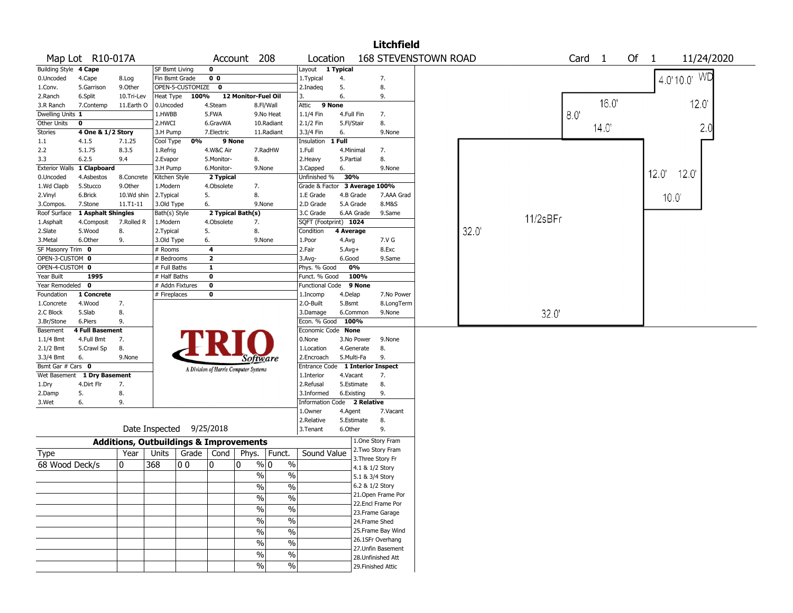|                         |                                          |                                                   |                           |                          |                         |                                       |               |                                  |            |                 | <b>Litchfield</b>                     |                             |       |          |                   |                |                |                 |            |
|-------------------------|------------------------------------------|---------------------------------------------------|---------------------------|--------------------------|-------------------------|---------------------------------------|---------------|----------------------------------|------------|-----------------|---------------------------------------|-----------------------------|-------|----------|-------------------|----------------|----------------|-----------------|------------|
|                         | Map Lot R10-017A                         |                                                   |                           |                          |                         | Account 208                           |               | Location                         |            |                 |                                       | <b>168 STEVENSTOWN ROAD</b> |       |          | Card <sub>1</sub> | Of 1           |                |                 | 11/24/2020 |
| Building Style 4 Cape   |                                          |                                                   | SF Bsmt Living            |                          | $\mathbf 0$             |                                       |               | Layout 1 Typical                 |            |                 |                                       |                             |       |          |                   |                |                |                 |            |
| 0.Uncoded               | 4.Cape                                   | 8.Log                                             | Fin Bsmt Grade            |                          | 0 <sub>0</sub>          |                                       |               | 1. Typical                       | 4.         |                 | 7.                                    |                             |       |          |                   |                |                | $14.0110.01$ WD |            |
| 1.Conv.                 | 5.Garrison                               | 9.0ther                                           |                           | OPEN-5-CUSTOMIZE 0       |                         |                                       |               | 2.Inadeg                         | 5.         |                 | 8.                                    |                             |       |          |                   |                |                |                 |            |
| 2.Ranch                 | 6.Split                                  | 10.Tri-Lev                                        | Heat Type                 | 100%                     |                         | 12 Monitor-Fuel Oil                   |               | 3.                               | 6.         |                 | 9.                                    |                             |       |          |                   | 16.0           |                |                 |            |
| 3.R Ranch               | 7.Contemp                                | 11.Earth O                                        | 0.Uncoded                 |                          | 4.Steam                 |                                       | 8.Fl/Wall     | Attic                            | 9 None     |                 |                                       |                             |       |          |                   |                |                | 120             |            |
| Dwelling Units 1        |                                          |                                                   | 1.HWBB                    |                          | 5.FWA                   |                                       | 9.No Heat     | $1.1/4$ Fin                      | 4.Full Fin |                 | 7.                                    |                             |       |          | 8.0               |                |                |                 |            |
| Other Units             | $\mathbf 0$                              |                                                   | 2.HWCI                    |                          | 6.GravWA                |                                       | 10.Radiant    | 2.1/2 Fin                        | 5.Fl/Stair |                 | 8.                                    |                             |       |          |                   | $14.0^{\circ}$ |                |                 | 2.0        |
| Stories                 | 4 One & 1/2 Story                        |                                                   | 3.H Pump                  |                          | 7.Electric              |                                       | 11.Radiant    | 3.3/4 Fin                        | 6.         |                 | 9.None                                |                             |       |          |                   |                |                |                 |            |
| $1.1\,$                 | 4.1.5                                    | 7.1.25                                            | Cool Type                 | 0%                       | 9 None                  |                                       |               | Insulation                       | 1 Full     |                 |                                       |                             |       |          |                   |                |                |                 |            |
| 2.2                     | 5.1.75<br>6.2.5                          | 8.3.5                                             | 1.Refrig                  |                          | 4.W&C Air               |                                       | 7.RadHW       | 1.Full                           | 4.Minimal  |                 | 7.<br>8.                              |                             |       |          |                   |                |                |                 |            |
| 3.3                     |                                          | 9.4                                               | 2.Evapor                  |                          | 5.Monitor-              | 8.<br>9.None                          |               | 2.Heavy                          | 5.Partial  |                 | 9.None                                |                             |       |          |                   |                |                |                 |            |
|                         | Exterior Walls 1 Clapboard<br>4.Asbestos | 8.Concrete                                        | 3.H Pump                  |                          | 6.Monitor-              |                                       |               | 3.Capped<br>Unfinished %         | 6.<br>30%  |                 |                                       |                             |       |          |                   |                | 12.0           | 12.0            |            |
| 0.Uncoded<br>1.Wd Clapb | 5.Stucco                                 | 9.0ther                                           | Kitchen Style<br>1.Modern |                          | 2 Typical<br>4.Obsolete | 7.                                    |               | Grade & Factor 3 Average 100%    |            |                 |                                       |                             |       |          |                   |                |                |                 |            |
| 2.Vinyl                 | 6.Brick                                  | 10.Wd shin                                        | 2. Typical                |                          | 5.                      | 8.                                    |               | 1.E Grade                        | 4.B Grade  |                 | 7.AAA Grad                            |                             |       |          |                   |                |                |                 |            |
| 3.Compos.               | 7.Stone                                  | 11.T1-11                                          | 3.Old Type                |                          | 6.                      | 9.None                                |               | 2.D Grade                        | 5.A Grade  |                 | 8.M&S                                 |                             |       |          |                   |                | $10.0^{\circ}$ |                 |            |
| Roof Surface            | 1 Asphalt Shingles                       |                                                   | Bath(s) Style             |                          |                         | 2 Typical Bath(s)                     |               | 3.C Grade                        | 6.AA Grade |                 | 9.Same                                |                             |       |          |                   |                |                |                 |            |
| 1.Asphalt               | 4.Composit                               | 7.Rolled R                                        | 1.Modern                  |                          | 4.Obsolete              | 7.                                    |               | SQFT (Footprint) 1024            |            |                 |                                       |                             |       | 11/2sBFr |                   |                |                |                 |            |
| 2.Slate                 | 5.Wood                                   | 8.                                                | 2. Typical                |                          | 5.                      | 8.                                    |               | Condition                        | 4 Average  |                 |                                       |                             | 32.0' |          |                   |                |                |                 |            |
| 3.Metal                 | 6.Other                                  | 9.                                                | 3.Old Type                |                          | 6.                      | 9.None                                |               | 1.Poor                           | 4.Avg      |                 | 7.V G                                 |                             |       |          |                   |                |                |                 |            |
| SF Masonry Trim 0       |                                          |                                                   | # Rooms                   |                          | 4                       |                                       |               | 2.Fair                           | $5.Avg+$   |                 | 8.Exc                                 |                             |       |          |                   |                |                |                 |            |
| OPEN-3-CUSTOM 0         |                                          |                                                   | # Bedrooms                |                          | $\mathbf{z}$            |                                       |               | 3.Avg-                           | 6.Good     |                 | 9.Same                                |                             |       |          |                   |                |                |                 |            |
| OPEN-4-CUSTOM 0         |                                          |                                                   | # Full Baths              |                          | $\mathbf{1}$            |                                       |               | Phys. % Good                     | 0%         |                 |                                       |                             |       |          |                   |                |                |                 |            |
| Year Built              | 1995                                     |                                                   | # Half Baths              |                          | 0                       |                                       |               | Funct. % Good                    |            | 100%            |                                       |                             |       |          |                   |                |                |                 |            |
| Year Remodeled 0        |                                          |                                                   |                           | # Addn Fixtures          | 0                       |                                       |               | Functional Code                  |            | 9 None          |                                       |                             |       |          |                   |                |                |                 |            |
| Foundation              | 1 Concrete                               |                                                   | # Fireplaces              |                          | 0                       |                                       |               | 1.Incomp                         | 4.Delap    |                 | 7.No Power                            |                             |       |          |                   |                |                |                 |            |
| 1.Concrete              | 4.Wood                                   | 7.                                                |                           |                          |                         |                                       |               | 2.O-Built                        | 5.Bsmt     |                 | 8.LongTerm                            |                             |       |          |                   |                |                |                 |            |
| 2.C Block               | 5.Slab                                   | 8.                                                |                           |                          |                         |                                       |               | 3.Damage                         | 6.Common   |                 | 9.None                                |                             |       | 32.0     |                   |                |                |                 |            |
| 3.Br/Stone              | 6.Piers                                  | 9.                                                |                           |                          |                         |                                       |               | Econ. % Good 100%                |            |                 |                                       |                             |       |          |                   |                |                |                 |            |
| Basement                | <b>4 Full Basement</b>                   |                                                   |                           |                          |                         |                                       |               | Economic Code None               |            |                 |                                       |                             |       |          |                   |                |                |                 |            |
| $1.1/4$ Bmt             | 4.Full Bmt                               | 7.                                                |                           |                          |                         |                                       |               | 0.None                           | 3.No Power |                 | 9.None                                |                             |       |          |                   |                |                |                 |            |
| $2.1/2$ Bmt             | 5.Crawl Sp                               | 8.                                                |                           |                          |                         |                                       |               | 1.Location                       | 4.Generate |                 | 8.                                    |                             |       |          |                   |                |                |                 |            |
| 3.3/4 Bmt               | 6.                                       | 9.None                                            |                           |                          |                         | Software                              |               | 2.Encroach                       | 5.Multi-Fa |                 | 9.                                    |                             |       |          |                   |                |                |                 |            |
| Bsmt Gar # Cars 0       |                                          |                                                   |                           |                          |                         | A Division of Harris Computer Systems |               | Entrance Code 1 Interior Inspect |            |                 |                                       |                             |       |          |                   |                |                |                 |            |
|                         | Wet Basement 1 Dry Basement              |                                                   |                           |                          |                         |                                       |               | 1.Interior                       | 4.Vacant   |                 | 7.                                    |                             |       |          |                   |                |                |                 |            |
| 1.Dry                   | 4.Dirt Flr                               | 7.                                                |                           |                          |                         |                                       |               | 2.Refusal                        | 5.Estimate |                 | 8.                                    |                             |       |          |                   |                |                |                 |            |
| 2.Damp                  | 5.                                       | 8.                                                |                           |                          |                         |                                       |               | 3.Informed                       | 6.Existing |                 | 9.                                    |                             |       |          |                   |                |                |                 |            |
| 3.Wet                   | 6.                                       | 9.                                                |                           |                          |                         |                                       |               | Information Code 2 Relative      |            |                 |                                       |                             |       |          |                   |                |                |                 |            |
|                         |                                          |                                                   |                           |                          |                         |                                       |               | 1.Owner                          | 4.Agent    |                 | 7.Vacant                              |                             |       |          |                   |                |                |                 |            |
|                         |                                          |                                                   |                           | Date Inspected 9/25/2018 |                         |                                       |               | 2.Relative                       | 5.Estimate |                 | 8.<br>9.                              |                             |       |          |                   |                |                |                 |            |
|                         |                                          |                                                   |                           |                          |                         |                                       |               | 3.Tenant                         | 6.Other    |                 |                                       |                             |       |          |                   |                |                |                 |            |
|                         |                                          | <b>Additions, Outbuildings &amp; Improvements</b> |                           |                          |                         |                                       |               |                                  |            |                 | 1.One Story Fram<br>2. Two Story Fram |                             |       |          |                   |                |                |                 |            |
| Type                    |                                          | Year                                              | Units                     | Grade                    | Cond                    | Phys.   Funct.                        |               | Sound Value                      |            |                 | 3. Three Story Fr                     |                             |       |          |                   |                |                |                 |            |
| 68 Wood Deck/s          |                                          | 0                                                 | 368                       | O O                      | 0                       | $\%$ 0<br>$\mathbf{0}$                | $\%$          |                                  |            | 4.1 & 1/2 Story |                                       |                             |       |          |                   |                |                |                 |            |
|                         |                                          |                                                   |                           |                          |                         | $\frac{0}{0}$                         | $\%$          |                                  |            | 5.1 & 3/4 Story |                                       |                             |       |          |                   |                |                |                 |            |
|                         |                                          |                                                   |                           |                          |                         | $\%$                                  | $\%$          |                                  |            | 6.2 & 1/2 Story |                                       |                             |       |          |                   |                |                |                 |            |
|                         |                                          |                                                   |                           |                          |                         | $\%$                                  | $\frac{0}{0}$ |                                  |            |                 | 21. Open Frame Por                    |                             |       |          |                   |                |                |                 |            |
|                         |                                          |                                                   |                           |                          |                         |                                       |               |                                  |            |                 | 22.Encl Frame Por                     |                             |       |          |                   |                |                |                 |            |
|                         |                                          |                                                   |                           |                          |                         | %                                     | %             |                                  |            |                 | 23.Frame Garage                       |                             |       |          |                   |                |                |                 |            |
|                         |                                          |                                                   |                           |                          |                         | $\frac{0}{0}$                         | $\frac{1}{2}$ |                                  |            | 24.Frame Shed   |                                       |                             |       |          |                   |                |                |                 |            |
|                         |                                          |                                                   |                           |                          |                         | $\%$                                  | $\sqrt{6}$    |                                  |            |                 | 25.Frame Bay Wind                     |                             |       |          |                   |                |                |                 |            |
|                         |                                          |                                                   |                           |                          |                         | $\frac{0}{0}$                         | $\frac{1}{2}$ |                                  |            |                 | 26.1SFr Overhang                      |                             |       |          |                   |                |                |                 |            |
|                         |                                          |                                                   |                           |                          |                         | $\%$                                  | $\sqrt{6}$    |                                  |            |                 | 27. Unfin Basement                    |                             |       |          |                   |                |                |                 |            |
|                         |                                          |                                                   |                           |                          |                         |                                       |               |                                  |            |                 | 28. Unfinished Att                    |                             |       |          |                   |                |                |                 |            |
|                         |                                          |                                                   |                           |                          |                         | $\frac{0}{0}$                         | $\%$          |                                  |            |                 | 29. Finished Attic                    |                             |       |          |                   |                |                |                 |            |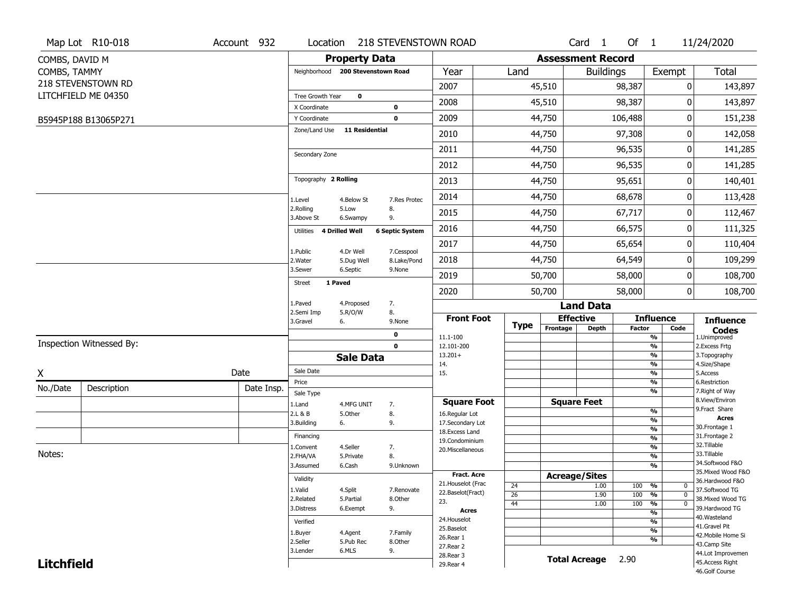| <b>Property Data</b><br><b>Assessment Record</b><br>COMBS, DAVID M<br><b>Total</b><br>COMBS, TAMMY<br>Neighborhood 200 Stevenstown Road<br>Year<br>Land<br>Exempt<br><b>Buildings</b><br>218 STEVENSTOWN RD<br>2007<br>45,510<br>98,387<br>143,897<br>0<br>LITCHFIELD ME 04350<br>$\mathbf 0$<br>Tree Growth Year<br>98,387<br>2008<br>45,510<br>0<br>143,897<br>X Coordinate<br>0<br>2009<br>44,750<br>106,488<br>0<br>151,238<br>$\mathbf 0$<br>Y Coordinate<br>B5945P188 B13065P271<br><b>11 Residential</b><br>Zone/Land Use<br>97,308<br>2010<br>44,750<br>0<br>142,058<br>2011<br>44,750<br>96,535<br>141,285<br>0<br>Secondary Zone<br>96,535<br>0<br>2012<br>44,750<br>Topography 2 Rolling<br>95,651<br>2013<br>44,750<br>0<br>68,678<br>2014<br>44,750<br>0<br>4.Below St<br>7.Res Protec<br>1.Level<br>2.Rolling<br>5.Low<br>8.<br>67,717<br>2015<br>44,750<br>0<br>3.Above St<br>9.<br>6.Swampy<br>2016<br>44,750<br>66,575<br>0<br>4 Drilled Well<br><b>6 Septic System</b><br>Utilities<br>2017<br>44,750<br>65,654<br>0<br>1.Public<br>4.Dr Well<br>7.Cesspool<br>2018<br>64,549<br>44,750<br>0<br>2. Water<br>5.Dug Well<br>8.Lake/Pond<br>3.Sewer<br>6.Septic<br>9.None<br>2019<br>50,700<br>58,000<br>0<br>1 Paved<br>Street<br>58,000<br>$\overline{0}$<br>2020<br>50,700<br>1.Paved<br>4.Proposed<br>7.<br><b>Land Data</b><br>8.<br>2.Semi Imp<br>5.R/O/W<br><b>Front Foot</b><br><b>Effective</b><br><b>Influence</b><br><b>Influence</b><br>3.Gravel<br>6.<br>9.None<br><b>Type</b><br>Frontage<br><b>Depth</b><br><b>Factor</b><br>Code<br><b>Codes</b><br>0<br>11.1-100<br>%<br>1.Unimproved<br>Inspection Witnessed By:<br>$\mathbf 0$<br>$\frac{9}{6}$<br>12.101-200<br>2.Excess Frtg<br>$13.201+$<br>%<br>3. Topography<br><b>Sale Data</b><br>4.Size/Shape<br>%<br>14.<br>Sale Date<br>%<br>5.Access |   | Map Lot R10-018 | Account 932 | Location | 218 STEVENSTOWN ROAD |     |  | Card <sub>1</sub> | Of $1$ | 11/24/2020 |
|-----------------------------------------------------------------------------------------------------------------------------------------------------------------------------------------------------------------------------------------------------------------------------------------------------------------------------------------------------------------------------------------------------------------------------------------------------------------------------------------------------------------------------------------------------------------------------------------------------------------------------------------------------------------------------------------------------------------------------------------------------------------------------------------------------------------------------------------------------------------------------------------------------------------------------------------------------------------------------------------------------------------------------------------------------------------------------------------------------------------------------------------------------------------------------------------------------------------------------------------------------------------------------------------------------------------------------------------------------------------------------------------------------------------------------------------------------------------------------------------------------------------------------------------------------------------------------------------------------------------------------------------------------------------------------------------------------------------------------------------------------------------------------------------------------------------------------------|---|-----------------|-------------|----------|----------------------|-----|--|-------------------|--------|------------|
|                                                                                                                                                                                                                                                                                                                                                                                                                                                                                                                                                                                                                                                                                                                                                                                                                                                                                                                                                                                                                                                                                                                                                                                                                                                                                                                                                                                                                                                                                                                                                                                                                                                                                                                                                                                                                                   |   |                 |             |          |                      |     |  |                   |        |            |
|                                                                                                                                                                                                                                                                                                                                                                                                                                                                                                                                                                                                                                                                                                                                                                                                                                                                                                                                                                                                                                                                                                                                                                                                                                                                                                                                                                                                                                                                                                                                                                                                                                                                                                                                                                                                                                   |   |                 |             |          |                      |     |  |                   |        |            |
|                                                                                                                                                                                                                                                                                                                                                                                                                                                                                                                                                                                                                                                                                                                                                                                                                                                                                                                                                                                                                                                                                                                                                                                                                                                                                                                                                                                                                                                                                                                                                                                                                                                                                                                                                                                                                                   |   |                 |             |          |                      |     |  |                   |        |            |
|                                                                                                                                                                                                                                                                                                                                                                                                                                                                                                                                                                                                                                                                                                                                                                                                                                                                                                                                                                                                                                                                                                                                                                                                                                                                                                                                                                                                                                                                                                                                                                                                                                                                                                                                                                                                                                   |   |                 |             |          |                      |     |  |                   |        |            |
|                                                                                                                                                                                                                                                                                                                                                                                                                                                                                                                                                                                                                                                                                                                                                                                                                                                                                                                                                                                                                                                                                                                                                                                                                                                                                                                                                                                                                                                                                                                                                                                                                                                                                                                                                                                                                                   |   |                 |             |          |                      |     |  |                   |        |            |
|                                                                                                                                                                                                                                                                                                                                                                                                                                                                                                                                                                                                                                                                                                                                                                                                                                                                                                                                                                                                                                                                                                                                                                                                                                                                                                                                                                                                                                                                                                                                                                                                                                                                                                                                                                                                                                   |   |                 |             |          |                      |     |  |                   |        |            |
|                                                                                                                                                                                                                                                                                                                                                                                                                                                                                                                                                                                                                                                                                                                                                                                                                                                                                                                                                                                                                                                                                                                                                                                                                                                                                                                                                                                                                                                                                                                                                                                                                                                                                                                                                                                                                                   |   |                 |             |          |                      |     |  |                   |        |            |
|                                                                                                                                                                                                                                                                                                                                                                                                                                                                                                                                                                                                                                                                                                                                                                                                                                                                                                                                                                                                                                                                                                                                                                                                                                                                                                                                                                                                                                                                                                                                                                                                                                                                                                                                                                                                                                   |   |                 |             |          |                      |     |  |                   |        |            |
|                                                                                                                                                                                                                                                                                                                                                                                                                                                                                                                                                                                                                                                                                                                                                                                                                                                                                                                                                                                                                                                                                                                                                                                                                                                                                                                                                                                                                                                                                                                                                                                                                                                                                                                                                                                                                                   |   |                 |             |          |                      |     |  |                   |        | 141,285    |
|                                                                                                                                                                                                                                                                                                                                                                                                                                                                                                                                                                                                                                                                                                                                                                                                                                                                                                                                                                                                                                                                                                                                                                                                                                                                                                                                                                                                                                                                                                                                                                                                                                                                                                                                                                                                                                   |   |                 |             |          |                      |     |  |                   |        | 140,401    |
|                                                                                                                                                                                                                                                                                                                                                                                                                                                                                                                                                                                                                                                                                                                                                                                                                                                                                                                                                                                                                                                                                                                                                                                                                                                                                                                                                                                                                                                                                                                                                                                                                                                                                                                                                                                                                                   |   |                 |             |          |                      |     |  |                   |        | 113,428    |
|                                                                                                                                                                                                                                                                                                                                                                                                                                                                                                                                                                                                                                                                                                                                                                                                                                                                                                                                                                                                                                                                                                                                                                                                                                                                                                                                                                                                                                                                                                                                                                                                                                                                                                                                                                                                                                   |   |                 |             |          |                      |     |  |                   |        | 112,467    |
|                                                                                                                                                                                                                                                                                                                                                                                                                                                                                                                                                                                                                                                                                                                                                                                                                                                                                                                                                                                                                                                                                                                                                                                                                                                                                                                                                                                                                                                                                                                                                                                                                                                                                                                                                                                                                                   |   |                 |             |          |                      |     |  |                   |        | 111,325    |
|                                                                                                                                                                                                                                                                                                                                                                                                                                                                                                                                                                                                                                                                                                                                                                                                                                                                                                                                                                                                                                                                                                                                                                                                                                                                                                                                                                                                                                                                                                                                                                                                                                                                                                                                                                                                                                   |   |                 |             |          |                      |     |  |                   |        | 110,404    |
|                                                                                                                                                                                                                                                                                                                                                                                                                                                                                                                                                                                                                                                                                                                                                                                                                                                                                                                                                                                                                                                                                                                                                                                                                                                                                                                                                                                                                                                                                                                                                                                                                                                                                                                                                                                                                                   |   |                 |             |          |                      |     |  |                   |        | 109,299    |
|                                                                                                                                                                                                                                                                                                                                                                                                                                                                                                                                                                                                                                                                                                                                                                                                                                                                                                                                                                                                                                                                                                                                                                                                                                                                                                                                                                                                                                                                                                                                                                                                                                                                                                                                                                                                                                   |   |                 |             |          |                      |     |  |                   |        | 108,700    |
|                                                                                                                                                                                                                                                                                                                                                                                                                                                                                                                                                                                                                                                                                                                                                                                                                                                                                                                                                                                                                                                                                                                                                                                                                                                                                                                                                                                                                                                                                                                                                                                                                                                                                                                                                                                                                                   |   |                 |             |          |                      |     |  |                   |        | 108,700    |
|                                                                                                                                                                                                                                                                                                                                                                                                                                                                                                                                                                                                                                                                                                                                                                                                                                                                                                                                                                                                                                                                                                                                                                                                                                                                                                                                                                                                                                                                                                                                                                                                                                                                                                                                                                                                                                   |   |                 |             |          |                      |     |  |                   |        |            |
|                                                                                                                                                                                                                                                                                                                                                                                                                                                                                                                                                                                                                                                                                                                                                                                                                                                                                                                                                                                                                                                                                                                                                                                                                                                                                                                                                                                                                                                                                                                                                                                                                                                                                                                                                                                                                                   |   |                 |             |          |                      |     |  |                   |        |            |
|                                                                                                                                                                                                                                                                                                                                                                                                                                                                                                                                                                                                                                                                                                                                                                                                                                                                                                                                                                                                                                                                                                                                                                                                                                                                                                                                                                                                                                                                                                                                                                                                                                                                                                                                                                                                                                   |   |                 |             |          |                      |     |  |                   |        |            |
|                                                                                                                                                                                                                                                                                                                                                                                                                                                                                                                                                                                                                                                                                                                                                                                                                                                                                                                                                                                                                                                                                                                                                                                                                                                                                                                                                                                                                                                                                                                                                                                                                                                                                                                                                                                                                                   |   |                 |             |          |                      |     |  |                   |        |            |
|                                                                                                                                                                                                                                                                                                                                                                                                                                                                                                                                                                                                                                                                                                                                                                                                                                                                                                                                                                                                                                                                                                                                                                                                                                                                                                                                                                                                                                                                                                                                                                                                                                                                                                                                                                                                                                   |   |                 |             |          |                      |     |  |                   |        |            |
|                                                                                                                                                                                                                                                                                                                                                                                                                                                                                                                                                                                                                                                                                                                                                                                                                                                                                                                                                                                                                                                                                                                                                                                                                                                                                                                                                                                                                                                                                                                                                                                                                                                                                                                                                                                                                                   | X |                 | Date        |          |                      | 15. |  |                   |        |            |
| Price<br>%<br>6.Restriction<br>No./Date<br>Description<br>Date Insp.<br>%<br>7. Right of Way<br>Sale Type                                                                                                                                                                                                                                                                                                                                                                                                                                                                                                                                                                                                                                                                                                                                                                                                                                                                                                                                                                                                                                                                                                                                                                                                                                                                                                                                                                                                                                                                                                                                                                                                                                                                                                                         |   |                 |             |          |                      |     |  |                   |        |            |
| 8.View/Environ<br><b>Square Feet</b><br><b>Square Foot</b><br>1.Land<br>4.MFG UNIT<br>7.                                                                                                                                                                                                                                                                                                                                                                                                                                                                                                                                                                                                                                                                                                                                                                                                                                                                                                                                                                                                                                                                                                                                                                                                                                                                                                                                                                                                                                                                                                                                                                                                                                                                                                                                          |   |                 |             |          |                      |     |  |                   |        |            |
| 9.Fract Share<br>%<br>2.L & B<br>8.<br>5.Other<br>16.Regular Lot<br><b>Acres</b>                                                                                                                                                                                                                                                                                                                                                                                                                                                                                                                                                                                                                                                                                                                                                                                                                                                                                                                                                                                                                                                                                                                                                                                                                                                                                                                                                                                                                                                                                                                                                                                                                                                                                                                                                  |   |                 |             |          |                      |     |  |                   |        |            |
| $\frac{9}{6}$<br>3.Building<br>6.<br>9.<br>17.Secondary Lot<br>30.Frontage 1<br>$\frac{9}{6}$<br>18. Excess Land                                                                                                                                                                                                                                                                                                                                                                                                                                                                                                                                                                                                                                                                                                                                                                                                                                                                                                                                                                                                                                                                                                                                                                                                                                                                                                                                                                                                                                                                                                                                                                                                                                                                                                                  |   |                 |             |          |                      |     |  |                   |        |            |
| 31. Frontage 2<br>Financing<br>$\overline{\frac{9}{6}}$<br>19.Condominium                                                                                                                                                                                                                                                                                                                                                                                                                                                                                                                                                                                                                                                                                                                                                                                                                                                                                                                                                                                                                                                                                                                                                                                                                                                                                                                                                                                                                                                                                                                                                                                                                                                                                                                                                         |   |                 |             |          |                      |     |  |                   |        |            |
| 32.Tillable<br>$\frac{9}{6}$<br>4.Seller<br>1.Convent<br>7.<br>20.Miscellaneous<br>Notes:                                                                                                                                                                                                                                                                                                                                                                                                                                                                                                                                                                                                                                                                                                                                                                                                                                                                                                                                                                                                                                                                                                                                                                                                                                                                                                                                                                                                                                                                                                                                                                                                                                                                                                                                         |   |                 |             |          |                      |     |  |                   |        |            |
| 33.Tillable<br>$\overline{\frac{9}{6}}$<br>2.FHA/VA<br>8.<br>5.Private<br>34.Softwood F&O                                                                                                                                                                                                                                                                                                                                                                                                                                                                                                                                                                                                                                                                                                                                                                                                                                                                                                                                                                                                                                                                                                                                                                                                                                                                                                                                                                                                                                                                                                                                                                                                                                                                                                                                         |   |                 |             |          |                      |     |  |                   |        |            |
| $\frac{9}{6}$<br>3.Assumed<br>6.Cash<br>9.Unknown<br>35. Mixed Wood F&O<br>Fract. Acre                                                                                                                                                                                                                                                                                                                                                                                                                                                                                                                                                                                                                                                                                                                                                                                                                                                                                                                                                                                                                                                                                                                                                                                                                                                                                                                                                                                                                                                                                                                                                                                                                                                                                                                                            |   |                 |             |          |                      |     |  |                   |        |            |
| <b>Acreage/Sites</b><br>Validity<br>36.Hardwood F&O<br>21. Houselot (Frac<br>24<br>1.00<br>100 %<br>$\mathbf 0$                                                                                                                                                                                                                                                                                                                                                                                                                                                                                                                                                                                                                                                                                                                                                                                                                                                                                                                                                                                                                                                                                                                                                                                                                                                                                                                                                                                                                                                                                                                                                                                                                                                                                                                   |   |                 |             |          |                      |     |  |                   |        |            |
| 1.Valid<br>4.Split<br>37.Softwood TG<br>7.Renovate<br>22.Baselot(Fract)<br>100<br>26<br>1.90<br>%<br>$\mathbf 0$                                                                                                                                                                                                                                                                                                                                                                                                                                                                                                                                                                                                                                                                                                                                                                                                                                                                                                                                                                                                                                                                                                                                                                                                                                                                                                                                                                                                                                                                                                                                                                                                                                                                                                                  |   |                 |             |          |                      |     |  |                   |        |            |
| 2.Related<br>5.Partial<br>8.Other<br>38. Mixed Wood TG<br>23.<br>$\frac{9}{6}$<br>44<br>1.00<br>100<br>$\mathbf 0$                                                                                                                                                                                                                                                                                                                                                                                                                                                                                                                                                                                                                                                                                                                                                                                                                                                                                                                                                                                                                                                                                                                                                                                                                                                                                                                                                                                                                                                                                                                                                                                                                                                                                                                |   |                 |             |          |                      |     |  |                   |        |            |
| 9.<br>39.Hardwood TG<br>3.Distress<br>6.Exempt<br><b>Acres</b><br>$\frac{9}{6}$                                                                                                                                                                                                                                                                                                                                                                                                                                                                                                                                                                                                                                                                                                                                                                                                                                                                                                                                                                                                                                                                                                                                                                                                                                                                                                                                                                                                                                                                                                                                                                                                                                                                                                                                                   |   |                 |             |          |                      |     |  |                   |        |            |
| 40. Wasteland<br>24. Houselot<br>%<br>Verified<br>41.Gravel Pit                                                                                                                                                                                                                                                                                                                                                                                                                                                                                                                                                                                                                                                                                                                                                                                                                                                                                                                                                                                                                                                                                                                                                                                                                                                                                                                                                                                                                                                                                                                                                                                                                                                                                                                                                                   |   |                 |             |          |                      |     |  |                   |        |            |
| 25.Baselot<br>$\frac{9}{6}$<br>1.Buyer<br>4.Agent<br>7.Family<br>42. Mobile Home Si<br>26.Rear 1                                                                                                                                                                                                                                                                                                                                                                                                                                                                                                                                                                                                                                                                                                                                                                                                                                                                                                                                                                                                                                                                                                                                                                                                                                                                                                                                                                                                                                                                                                                                                                                                                                                                                                                                  |   |                 |             |          |                      |     |  |                   |        |            |
| %<br>2.Seller<br>5.Pub Rec<br>8.Other<br>43.Camp Site<br>27. Rear 2                                                                                                                                                                                                                                                                                                                                                                                                                                                                                                                                                                                                                                                                                                                                                                                                                                                                                                                                                                                                                                                                                                                                                                                                                                                                                                                                                                                                                                                                                                                                                                                                                                                                                                                                                               |   |                 |             |          |                      |     |  |                   |        |            |
| 3.Lender<br>6.MLS<br>9.<br>44.Lot Improvemen<br>28. Rear 3                                                                                                                                                                                                                                                                                                                                                                                                                                                                                                                                                                                                                                                                                                                                                                                                                                                                                                                                                                                                                                                                                                                                                                                                                                                                                                                                                                                                                                                                                                                                                                                                                                                                                                                                                                        |   |                 |             |          |                      |     |  |                   |        |            |
| <b>Total Acreage</b><br>2.90<br>45.Access Right<br><b>Litchfield</b><br>29. Rear 4<br>46.Golf Course                                                                                                                                                                                                                                                                                                                                                                                                                                                                                                                                                                                                                                                                                                                                                                                                                                                                                                                                                                                                                                                                                                                                                                                                                                                                                                                                                                                                                                                                                                                                                                                                                                                                                                                              |   |                 |             |          |                      |     |  |                   |        |            |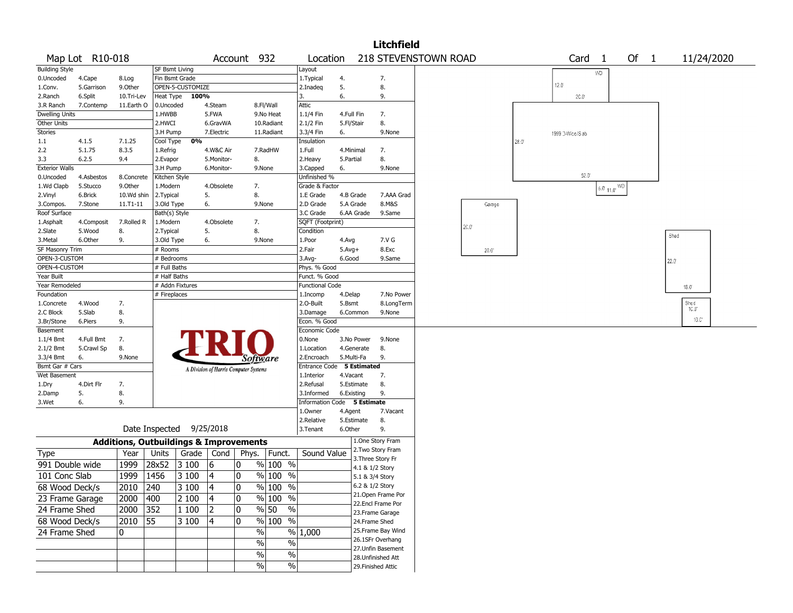|                        |                 |            |                                                   |                                       |             |                                   |                           |                 | <b>Litchfield</b>  |                      |      |                  |                   |                                                        |        |                |
|------------------------|-----------------|------------|---------------------------------------------------|---------------------------------------|-------------|-----------------------------------|---------------------------|-----------------|--------------------|----------------------|------|------------------|-------------------|--------------------------------------------------------|--------|----------------|
|                        | Map Lot R10-018 |            |                                                   |                                       | Account 932 |                                   | Location                  |                 |                    | 218 STEVENSTOWN ROAD |      |                  | Card <sub>1</sub> |                                                        | Of $1$ | 11/24/2020     |
| <b>Building Style</b>  |                 |            | SF Bsmt Living                                    |                                       |             |                                   | Layout                    |                 |                    |                      |      |                  | WD                |                                                        |        |                |
| 0.Uncoded              | 4.Cape          | 8.Log      | Fin Bsmt Grade                                    |                                       |             |                                   | 1. Typical                | 4.              | 7.                 |                      |      |                  |                   |                                                        |        |                |
| 1.Conv.                | 5.Garrison      | 9.0ther    | OPEN-5-CUSTOMIZE                                  |                                       |             |                                   | 2.Inadeq                  | 5.              | 8.                 |                      |      | 12.0             |                   |                                                        |        |                |
| 2.Ranch                | 6.Split         | 10.Tri-Lev | Heat Type                                         | 100%                                  |             |                                   | 3.                        | 6.              | 9.                 |                      |      | 20.0°            |                   |                                                        |        |                |
| 3.R Ranch              | 7.Contemp       | 11.Earth O | 0.Uncoded                                         | 4.Steam                               |             | 8.Fl/Wall                         | Attic                     |                 |                    |                      |      |                  |                   |                                                        |        |                |
| <b>Dwelling Units</b>  |                 |            | 1.HWBB                                            | 5.FWA                                 |             | 9.No Heat                         | 1.1/4 Fin                 | 4.Full Fin      | 7.                 |                      |      |                  |                   |                                                        |        |                |
| Other Units            |                 |            | 2.HWCI                                            | 6.GravWA                              |             | 10.Radiant                        | 2.1/2 Fin                 | 5.Fl/Stair      | 8.                 |                      |      |                  |                   |                                                        |        |                |
| Stories                |                 |            | 3.H Pump                                          | 7.Electric                            |             | 11.Radiant                        | 3.3/4 Fin                 | 6.              | 9.None             |                      |      | 1999 D-Wice/S ab |                   |                                                        |        |                |
| $1.1\,$                | 4.1.5           | 7.1.25     | Cool Type                                         | 0%                                    |             |                                   | Insulation                |                 |                    |                      | 28.0 |                  |                   |                                                        |        |                |
| 2.2                    | 5.1.75          | 8.3.5      | 1.Refrig                                          | 4.W&C Air                             |             | 7.RadHW                           | 1.Full                    | 4.Minimal       | 7.                 |                      |      |                  |                   |                                                        |        |                |
| 3.3                    | 6.2.5           | 9.4        | 2.Evapor                                          | 5.Monitor-                            |             | 8.                                | 2.Heavy                   | 5.Partial       | 8.                 |                      |      |                  |                   |                                                        |        |                |
| <b>Exterior Walls</b>  |                 |            | 3.H Pump                                          | 6.Monitor-                            |             | 9.None                            | 3.Capped                  | 6.              | 9.None             |                      |      |                  |                   |                                                        |        |                |
| 0.Uncoded              | 4.Asbestos      | 8.Concrete | Kitchen Style                                     |                                       |             |                                   | Unfinished %              |                 |                    |                      |      |                  | $52.0^\circ$      |                                                        |        |                |
| 1.Wd Clapb             | 5.Stucco        | 9.Other    | 1.Modern                                          | 4.Obsolete                            |             | 7.                                | Grade & Factor            |                 |                    |                      |      |                  |                   | $15.0^{\circ}$ 11.0 <sup><math>\circ</math> WD</sup> i |        |                |
| 2.Vinyl                | 6.Brick         | 10.Wd shin | 2. Typical                                        | 5.                                    |             | 8.                                | 1.E Grade                 | 4.B Grade       | 7.AAA Grad         |                      |      |                  |                   |                                                        |        |                |
| 3.Compos.              | 7.Stone         | 11.T1-11   | 3.Old Type                                        | 6.                                    |             | 9.None                            | 2.D Grade                 | 5.A Grade       | 8.M&S              | Garage               |      |                  |                   |                                                        |        |                |
| Roof Surface           |                 |            | Bath(s) Style                                     |                                       |             |                                   | 3.C Grade                 | 6.AA Grade      | 9.Same             |                      |      |                  |                   |                                                        |        |                |
| 1.Asphalt              | 4.Composit      | 7.Rolled R | 1.Modern                                          | 4.Obsolete                            |             | 7.                                | SQFT (Footprint)          |                 |                    |                      |      |                  |                   |                                                        |        |                |
| 2.Slate                | 5.Wood          | 8.         | 2. Typical                                        | 5.                                    |             | 8.                                | Condition                 |                 |                    | 20.0                 |      |                  |                   |                                                        |        |                |
| 3.Metal                | 6.Other         | 9.         | 3.Old Type                                        | 6.                                    |             | 9.None                            | 1.Poor                    | 4.Avg           | 7.V G              |                      |      |                  |                   |                                                        |        | Shed           |
| <b>SF Masonry Trim</b> |                 |            | # Rooms                                           |                                       |             |                                   | 2.Fair                    | $5.$ Avg $+$    | 8.Exc              | $20.0^{\circ}$       |      |                  |                   |                                                        |        |                |
| OPEN-3-CUSTOM          |                 |            | # Bedrooms                                        |                                       |             |                                   | 3.Avg-                    | 6.Good          | 9.Same             |                      |      |                  |                   |                                                        |        | 22.0           |
| OPEN-4-CUSTOM          |                 |            | # Full Baths                                      |                                       |             |                                   | Phys. % Good              |                 |                    |                      |      |                  |                   |                                                        |        |                |
| Year Built             |                 |            | # Half Baths                                      |                                       |             |                                   | Funct. % Good             |                 |                    |                      |      |                  |                   |                                                        |        |                |
| Year Remodeled         |                 |            | # Addn Fixtures                                   |                                       |             |                                   | <b>Functional Code</b>    |                 |                    |                      |      |                  |                   |                                                        |        | $18.0^{\circ}$ |
| Foundation             |                 |            | # Fireplaces                                      |                                       |             |                                   | 1.Incomp                  | 4.Delap         | 7.No Power         |                      |      |                  |                   |                                                        |        |                |
| 1.Concrete             | 4.Wood          | 7.         |                                                   |                                       |             |                                   | 2.O-Built                 | 5.Bsmt          | 8.LongTerm         |                      |      |                  |                   |                                                        |        | Shed           |
| 2.C Block              | 5.Slab          | 8.         |                                                   |                                       |             |                                   | 3.Damage                  | 6.Common        | 9.None             |                      |      |                  |                   |                                                        |        | 10.0           |
| 3.Br/Stone             | 6.Piers         | 9.         |                                                   |                                       |             |                                   | Econ. % Good              |                 |                    |                      |      |                  |                   |                                                        |        | 10.C'          |
| Basement               |                 |            |                                                   |                                       |             |                                   | Economic Code             |                 |                    |                      |      |                  |                   |                                                        |        |                |
| 1.1/4 Bmt              | 4.Full Bmt      | 7.         |                                                   |                                       |             |                                   | 0.None                    | 3.No Power      | 9.None             |                      |      |                  |                   |                                                        |        |                |
| 2.1/2 Bmt              | 5.Crawl Sp      | 8.         |                                                   |                                       |             |                                   | 1.Location                | 4.Generate      | 8.                 |                      |      |                  |                   |                                                        |        |                |
| 3.3/4 Bmt              | 6.              | 9.None     |                                                   |                                       |             |                                   | 2.Encroach                | 5.Multi-Fa      | 9.                 |                      |      |                  |                   |                                                        |        |                |
| Bsmt Gar # Cars        |                 |            |                                                   |                                       |             | Software                          | Entrance Code 5 Estimated |                 |                    |                      |      |                  |                   |                                                        |        |                |
| Wet Basement           |                 |            |                                                   | A Division of Harris Computer Systems |             |                                   | 1.Interior                | 4.Vacant        | 7.                 |                      |      |                  |                   |                                                        |        |                |
| 1.Dry                  | 4.Dirt Flr      | 7.         |                                                   |                                       |             |                                   | 2.Refusal                 | 5.Estimate      | 8.                 |                      |      |                  |                   |                                                        |        |                |
| 2.Damp                 | 5.              | 8.         |                                                   |                                       |             |                                   | 3.Informed                | 6.Existing      | 9.                 |                      |      |                  |                   |                                                        |        |                |
| 3.Wet                  | 6.              | 9.         |                                                   |                                       |             |                                   | Information               | Code 5 Estimate |                    |                      |      |                  |                   |                                                        |        |                |
|                        |                 |            |                                                   |                                       |             |                                   | 1.Owner                   | 4.Agent         | 7.Vacant           |                      |      |                  |                   |                                                        |        |                |
|                        |                 |            |                                                   |                                       |             |                                   | 2.Relative                | 5.Estimate      | 8.                 |                      |      |                  |                   |                                                        |        |                |
|                        |                 |            | Date Inspected                                    | 9/25/2018                             |             |                                   | 3.Tenant                  | 6.Other         | 9.                 |                      |      |                  |                   |                                                        |        |                |
|                        |                 |            | <b>Additions, Outbuildings &amp; Improvements</b> |                                       |             |                                   |                           |                 | 1.One Story Fram   |                      |      |                  |                   |                                                        |        |                |
| Type                   |                 | Year       | Units                                             | Grade<br>Cond                         | Phys.       | Funct.                            | Sound Value               |                 | 2. Two Story Fram  |                      |      |                  |                   |                                                        |        |                |
| 991 Double wide        |                 | 1999       | 28x52<br>3 100                                    | 6                                     | 0           | % 100 %                           |                           |                 | 3. Three Story Fr  |                      |      |                  |                   |                                                        |        |                |
|                        |                 |            |                                                   |                                       |             |                                   |                           |                 | 4.1 & 1/2 Story    |                      |      |                  |                   |                                                        |        |                |
| 101 Conc Slab          |                 | 1999       | 1456<br>3 100                                     | 4                                     | $\mathbf 0$ | $%100$ %                          |                           |                 | 5.1 & 3/4 Story    |                      |      |                  |                   |                                                        |        |                |
| 68 Wood Deck/s         |                 | 2010       | 240<br>3 100                                      | 14                                    | I٥          | $\frac{9}{6}$ 100 %               |                           |                 | 6.2 & 1/2 Story    |                      |      |                  |                   |                                                        |        |                |
| 23 Frame Garage        |                 | 2000       | 400<br>2 100                                      | 4                                     | 10          | $\sqrt[6]{}$ 100 %                |                           |                 | 21. Open Frame Por |                      |      |                  |                   |                                                        |        |                |
| 24 Frame Shed          |                 | 2000       | 352<br>1 100                                      | 2                                     | 0           | $\frac{9}{6}$ 50<br>$\frac{1}{2}$ |                           |                 | 22.Encl Frame Por  |                      |      |                  |                   |                                                        |        |                |
|                        |                 |            |                                                   |                                       |             |                                   |                           |                 | 23. Frame Garage   |                      |      |                  |                   |                                                        |        |                |
| 68 Wood Deck/s         |                 | 2010 55    | 3 100                                             | $ 4\rangle$                           | 0           | % 100 %                           |                           |                 | 24.Frame Shed      |                      |      |                  |                   |                                                        |        |                |
| 24 Frame Shed          |                 | 10         |                                                   |                                       |             | $\%$                              | % 1,000                   |                 | 25.Frame Bay Wind  |                      |      |                  |                   |                                                        |        |                |
|                        |                 |            |                                                   |                                       |             | $\%$<br>%                         |                           |                 | 26.1SFr Overhang   |                      |      |                  |                   |                                                        |        |                |
|                        |                 |            |                                                   |                                       |             | $\%$<br>$\%$                      |                           |                 | 27.Unfin Basement  |                      |      |                  |                   |                                                        |        |                |
|                        |                 |            |                                                   |                                       |             | $\sqrt{6}$                        |                           |                 | 28.Unfinished Att  |                      |      |                  |                   |                                                        |        |                |
|                        |                 |            |                                                   |                                       |             | $\%$                              |                           |                 | 29. Finished Attic |                      |      |                  |                   |                                                        |        |                |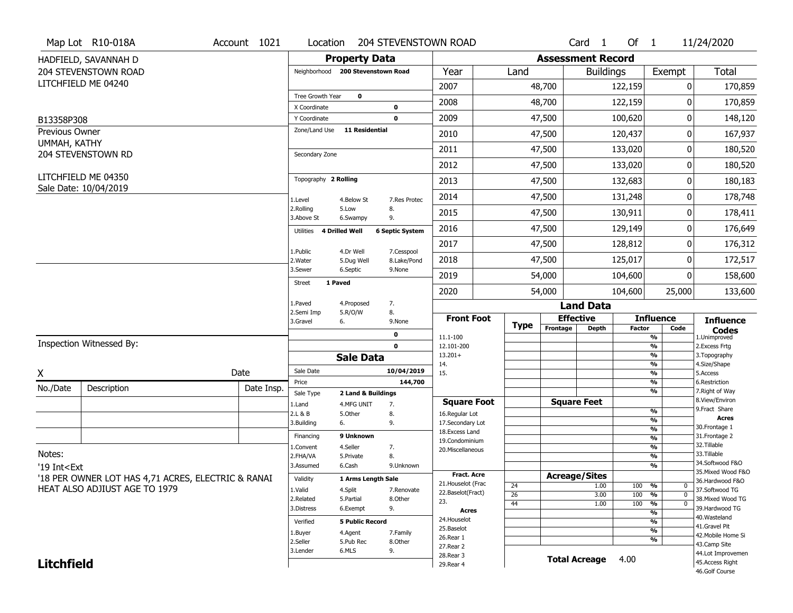|                                                                                                                                                                                                          | Map Lot R10-018A                                   | Account 1021 | Location                          |                         | <b>204 STEVENSTOWN ROAD</b> |                                     |                       |                          | Card <sub>1</sub>    | Of $1$        |                                           | 11/24/2020                        |
|----------------------------------------------------------------------------------------------------------------------------------------------------------------------------------------------------------|----------------------------------------------------|--------------|-----------------------------------|-------------------------|-----------------------------|-------------------------------------|-----------------------|--------------------------|----------------------|---------------|-------------------------------------------|-----------------------------------|
|                                                                                                                                                                                                          | HADFIELD, SAVANNAH D                               |              |                                   | <b>Property Data</b>    |                             |                                     |                       | <b>Assessment Record</b> |                      |               |                                           |                                   |
|                                                                                                                                                                                                          | 204 STEVENSTOWN ROAD                               |              | Neighborhood 200 Stevenstown Road |                         |                             | Year                                | Land                  |                          | <b>Buildings</b>     |               | Exempt                                    | Total                             |
|                                                                                                                                                                                                          | LITCHFIELD ME 04240                                |              |                                   |                         |                             | 2007                                |                       | 48,700                   |                      | 122,159       | 0                                         | 170,859                           |
|                                                                                                                                                                                                          |                                                    |              | Tree Growth Year                  | $\mathbf 0$             |                             | 2008                                |                       | 48,700                   |                      | 122,159       | O                                         | 170,859                           |
| B13358P308                                                                                                                                                                                               |                                                    |              | X Coordinate<br>Y Coordinate      |                         | 0<br>0                      | 2009                                |                       | 47,500                   |                      | 100,620       | 0                                         | 148,120                           |
| Previous Owner                                                                                                                                                                                           |                                                    |              | Zone/Land Use                     | <b>11 Residential</b>   |                             | 2010                                |                       | 47,500                   |                      | 120,437       | 0                                         | 167,937                           |
| UMMAH, KATHY                                                                                                                                                                                             |                                                    |              |                                   |                         |                             |                                     |                       |                          |                      |               |                                           |                                   |
|                                                                                                                                                                                                          | 204 STEVENSTOWN RD                                 |              | Secondary Zone                    |                         |                             | 2011                                |                       | 47,500                   |                      | 133,020       | 0                                         | 180,520                           |
|                                                                                                                                                                                                          | LITCHFIELD ME 04350                                |              |                                   |                         |                             | 2012                                |                       | 47,500                   |                      | 133,020       | 0                                         | 180,520                           |
|                                                                                                                                                                                                          | Sale Date: 10/04/2019                              |              | Topography 2 Rolling              |                         |                             | 2013                                |                       | 47,500                   |                      | 132,683       | 0                                         | 180,183                           |
|                                                                                                                                                                                                          |                                                    |              | 1.Level                           | 4.Below St              | 7.Res Protec                | 2014                                |                       | 47,500                   |                      | 131,248       | 0                                         | 178,748                           |
|                                                                                                                                                                                                          |                                                    |              | 2.Rolling<br>3.Above St           | 5.Low<br>6.Swampy       | 8.<br>9.                    | 2015                                |                       | 47,500                   |                      | 130,911       | 0                                         | 178,411                           |
|                                                                                                                                                                                                          |                                                    |              | Utilities                         | 4 Drilled Well          | <b>6 Septic System</b>      | 2016                                |                       | 47,500                   |                      | 129,149       | 0                                         | 176,649                           |
|                                                                                                                                                                                                          |                                                    |              |                                   |                         |                             | 2017                                |                       | 47,500                   |                      | 128,812       | 0                                         | 176,312                           |
|                                                                                                                                                                                                          |                                                    |              | 1.Public<br>2. Water              | 4.Dr Well<br>5.Dug Well | 7.Cesspool<br>8.Lake/Pond   | 2018                                |                       | 47,500                   |                      | 125,017       | 0                                         | 172,517                           |
|                                                                                                                                                                                                          |                                                    |              | 3.Sewer                           | 6.Septic                | 9.None                      | 2019                                |                       | 54,000                   |                      | 104,600       | 0                                         | 158,600                           |
|                                                                                                                                                                                                          |                                                    |              | Street<br>1 Paved                 |                         |                             | 2020                                |                       | 54,000                   |                      | 104,600       | 25,000                                    | 133,600                           |
|                                                                                                                                                                                                          |                                                    |              | 1.Paved                           | 4.Proposed              | 7.                          |                                     |                       |                          | <b>Land Data</b>     |               |                                           |                                   |
|                                                                                                                                                                                                          |                                                    |              | 2.Semi Imp<br>3.Gravel            | 5.R/O/W<br>6.           | 8.<br>9.None                | <b>Front Foot</b>                   |                       | <b>Effective</b>         |                      |               | <b>Influence</b>                          | <b>Influence</b>                  |
|                                                                                                                                                                                                          |                                                    |              |                                   |                         | $\mathbf 0$                 | 11.1-100                            | <b>Type</b>           | Frontage                 | <b>Depth</b>         | <b>Factor</b> | Code<br>$\overline{\frac{9}{6}}$          | <b>Codes</b><br>1.Unimproved      |
|                                                                                                                                                                                                          | Inspection Witnessed By:                           |              |                                   |                         | $\mathbf 0$                 | 12.101-200                          |                       |                          |                      |               | $\overline{\frac{9}{6}}$                  | 2.Excess Frtg                     |
|                                                                                                                                                                                                          |                                                    |              |                                   | <b>Sale Data</b>        |                             | $13.201+$<br>14.                    |                       |                          |                      |               | $\frac{9}{6}$<br>$\overline{\frac{9}{6}}$ | 3. Topography<br>4.Size/Shape     |
| X                                                                                                                                                                                                        |                                                    | Date         | Sale Date                         |                         | 10/04/2019                  | 15.                                 |                       |                          |                      |               | $\frac{9}{6}$                             | 5.Access                          |
| No./Date                                                                                                                                                                                                 | Description                                        | Date Insp.   | Price<br>Sale Type                | 2 Land & Buildings      | 144,700                     |                                     |                       |                          |                      |               | %<br>$\frac{9}{6}$                        | 6.Restriction<br>7. Right of Way  |
|                                                                                                                                                                                                          |                                                    |              | 1.Land                            | 4.MFG UNIT              | 7.                          | <b>Square Foot</b>                  |                       |                          | <b>Square Feet</b>   |               |                                           | 8.View/Environ                    |
|                                                                                                                                                                                                          |                                                    |              | 2.L & B                           | 5.Other                 | 8.                          | 16.Regular Lot                      |                       |                          |                      |               | %                                         | 9.Fract Share<br><b>Acres</b>     |
|                                                                                                                                                                                                          |                                                    |              | 3.Building                        | 6.                      | 9.                          | 17.Secondary Lot<br>18. Excess Land |                       |                          |                      |               | %<br>%                                    | 30. Frontage 1                    |
|                                                                                                                                                                                                          |                                                    |              | Financing                         | 9 Unknown               |                             | 19.Condominium                      |                       |                          |                      |               | %                                         | 31. Frontage 2                    |
|                                                                                                                                                                                                          |                                                    |              | 1.Convent                         | 4.Seller                | 7.                          | 20.Miscellaneous                    |                       |                          |                      |               | %                                         | 32.Tillable                       |
| Notes:                                                                                                                                                                                                   |                                                    |              | 2.FHA/VA                          | 5.Private               | 8.                          |                                     |                       |                          |                      |               | %                                         | 33.Tillable<br>34.Softwood F&O    |
| '19 Int <ext< td=""><td></td><td></td><td>3.Assumed</td><td>6.Cash</td><td>9.Unknown</td><td><b>Fract. Acre</b></td><td></td><td></td><td></td><td></td><td>%</td><td>35. Mixed Wood F&amp;O</td></ext<> |                                                    |              | 3.Assumed                         | 6.Cash                  | 9.Unknown                   | <b>Fract. Acre</b>                  |                       |                          |                      |               | %                                         | 35. Mixed Wood F&O                |
|                                                                                                                                                                                                          | '18 PER OWNER LOT HAS 4,71 ACRES, ELECTRIC & RANAI |              | Validity                          | 1 Arms Length Sale      |                             | 21. Houselot (Frac                  |                       | <b>Acreage/Sites</b>     |                      |               |                                           | 36.Hardwood F&O                   |
|                                                                                                                                                                                                          | HEAT ALSO ADJIUST AGE TO 1979                      |              | 1.Valid                           | 4.Split                 | 7.Renovate                  | 22.Baselot(Fract)                   | 24<br>$\overline{26}$ |                          | 1.00<br>3.00         | 100<br>100    | %<br>0<br>%<br>$\mathbf{0}$               | 37.Softwood TG                    |
|                                                                                                                                                                                                          |                                                    |              | 2.Related                         | 5.Partial               | 8.Other                     | 23.                                 | 44                    |                          | 1.00                 | 100           | %<br>$\mathbf{0}$                         | 38. Mixed Wood TG                 |
|                                                                                                                                                                                                          |                                                    |              | 3.Distress                        | 6.Exempt                | 9.                          | <b>Acres</b>                        |                       |                          |                      |               | %                                         | 39.Hardwood TG                    |
|                                                                                                                                                                                                          |                                                    |              | Verified                          | <b>5 Public Record</b>  |                             | 24. Houselot                        |                       |                          |                      |               | %                                         | 40. Wasteland<br>41.Gravel Pit    |
|                                                                                                                                                                                                          |                                                    |              | 1.Buyer                           | 4.Agent                 | 7.Family                    | 25.Baselot                          |                       |                          |                      |               | %                                         | 42. Mobile Home Si                |
|                                                                                                                                                                                                          |                                                    |              | 2.Seller                          | 5.Pub Rec               | 8.Other                     | 26.Rear 1<br>27. Rear 2             |                       |                          |                      |               | %                                         | 43.Camp Site                      |
|                                                                                                                                                                                                          |                                                    |              | 3.Lender                          | 6.MLS                   | 9.                          |                                     |                       |                          |                      |               |                                           |                                   |
|                                                                                                                                                                                                          |                                                    |              |                                   |                         |                             | 28. Rear 3                          |                       |                          |                      |               |                                           | 44.Lot Improvemen                 |
| <b>Litchfield</b>                                                                                                                                                                                        |                                                    |              |                                   |                         |                             | 29. Rear 4                          |                       |                          | <b>Total Acreage</b> | 4.00          |                                           | 45.Access Right<br>46.Golf Course |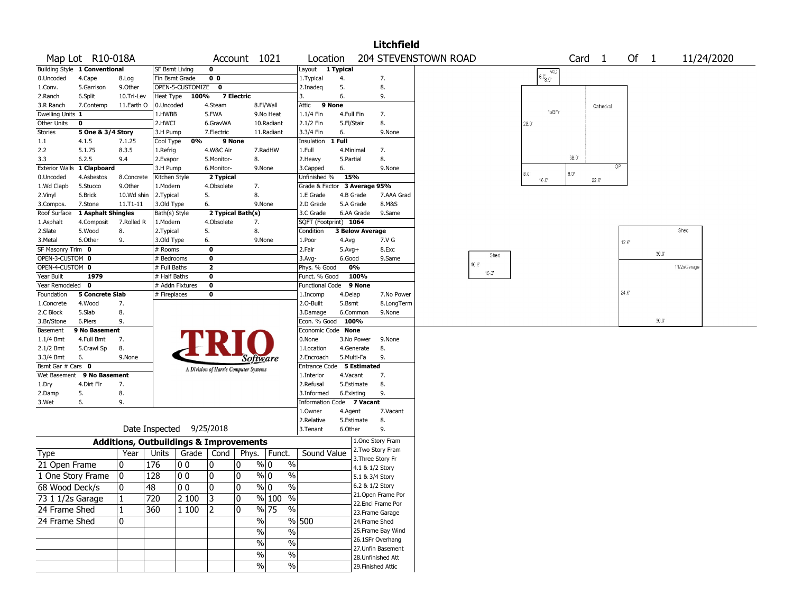|                               |                               |                                                   |                       |                          |                        |                                       |                          |                                    |                   |                        | Litchfield                            |                      |                |                               |                   |              |                |                |             |            |
|-------------------------------|-------------------------------|---------------------------------------------------|-----------------------|--------------------------|------------------------|---------------------------------------|--------------------------|------------------------------------|-------------------|------------------------|---------------------------------------|----------------------|----------------|-------------------------------|-------------------|--------------|----------------|----------------|-------------|------------|
|                               | Map Lot R10-018A              |                                                   |                       |                          |                        | Account 1021                          |                          | Location                           |                   |                        |                                       | 204 STEVENSTOWN ROAD |                |                               | Card <sub>1</sub> |              | Of $1$         |                |             | 11/24/2020 |
|                               | Building Style 1 Conventional |                                                   | <b>SF Bsmt Living</b> |                          | 0                      |                                       |                          | Layout 1 Typical                   |                   |                        |                                       |                      |                | WD                            |                   |              |                |                |             |            |
| 0.Uncoded                     | 4.Cape                        | 8.Log                                             | Fin Bsmt Grade        |                          | 0 <sub>0</sub>         |                                       |                          | 1.Typical                          | 4.                |                        | 7.                                    |                      |                | 6.0,0.00                      |                   |              |                |                |             |            |
| 1.Conv.                       | 5.Garrison                    | 9.Other                                           |                       | OPEN-5-CUSTOMIZE         | $\mathbf{0}$           |                                       |                          | 2.Inadeg                           | 5.                |                        | 8.                                    |                      |                |                               |                   |              |                |                |             |            |
| 2.Ranch                       | 6.Split                       | 10.Tri-Lev                                        | Heat Type             | 100%                     |                        | 7 Electric                            |                          | 3.                                 | 6.                |                        | 9.                                    |                      |                |                               |                   |              |                |                |             |            |
| 3.R Ranch                     | 7.Contemp                     | 11.Earth O                                        | 0.Uncoded             |                          | 4.Steam                |                                       | 8.Fl/Wall                | 9 None<br>Attic                    |                   |                        |                                       |                      |                | 1sBFr                         |                   | Cathedral    |                |                |             |            |
| Dwelling Units 1              |                               |                                                   | 1.HWBB                |                          | 5.FWA                  |                                       | 9.No Heat                | 1.1/4 Fin                          | 4.Full Fin        |                        | 7.                                    |                      |                |                               |                   |              |                |                |             |            |
| Other Units<br><b>Stories</b> | 0<br>5 One & 3/4 Story        |                                                   | 2.HWCI<br>3.H Pump    |                          | 6.GravWA<br>7.Electric |                                       | 10.Radiant<br>11.Radiant | 2.1/2 Fin<br>3.3/4 Fin             | 5.Fl/Stair<br>6.  |                        | 8.<br>9.None                          |                      |                | $28.0^{\circ}$                |                   |              |                |                |             |            |
| $1.1\,$                       | 4.1.5                         | 7.1.25                                            | Cool Type             | 0%                       | 9 None                 |                                       |                          | Insulation                         | 1 Full            |                        |                                       |                      |                |                               |                   |              |                |                |             |            |
| 2.2                           | 5.1.75                        | 8.3.5                                             | 1.Refrig              |                          | 4.W&C Air              |                                       | 7.RadHW                  | 1.Full                             |                   | 4.Minimal              | 7.                                    |                      |                |                               |                   |              |                |                |             |            |
| 3.3                           | 6.2.5                         | 9.4                                               | 2.Evapor              |                          | 5.Monitor-             | 8.                                    |                          | 2.Heavy                            | 5.Partial         |                        | 8.                                    |                      |                |                               | 38.0              |              |                |                |             |            |
|                               | Exterior Walls 1 Clapboard    |                                                   | 3.H Pump              |                          | 6.Monitor-             | 9.None                                |                          | 3.Capped                           | 6.                |                        | 9.None                                |                      |                |                               |                   | OP           |                |                |             |            |
| 0.Uncoded                     | 4.Asbestos                    | 8.Concrete                                        | Kitchen Style         |                          | 2 Typical              |                                       |                          | Unfinished %                       | 15%               |                        |                                       |                      |                | $8.0^\circ$<br>$16.0^{\circ}$ | $8.0^{\circ}$     | $22.0^\circ$ |                |                |             |            |
| 1.Wd Clapb                    | 5.Stucco                      | 9.Other                                           | 1.Modern              |                          | 4.Obsolete             | 7.                                    |                          | Grade & Factor 3 Average 95%       |                   |                        |                                       |                      |                |                               |                   |              |                |                |             |            |
| 2.Vinyl                       | 6.Brick                       | 10.Wd shin                                        | 2.Typical             |                          | 5.                     | 8.                                    |                          | 1.E Grade                          |                   | 4.B Grade              | 7.AAA Grad                            |                      |                |                               |                   |              |                |                |             |            |
| 3.Compos.                     | 7.Stone                       | 11.T1-11                                          | 3.Old Type            |                          | 6.                     | 9.None                                |                          | 2.D Grade                          |                   | 5.A Grade              | 8.M&S                                 |                      |                |                               |                   |              |                |                |             |            |
| Roof Surface                  | 1 Asphalt Shingles            |                                                   | Bath(s) Style         |                          |                        | 2 Typical Bath(s)                     |                          | 3.C Grade                          |                   | 6.AA Grade             | 9.Same                                |                      |                |                               |                   |              |                |                |             |            |
| 1.Asphalt                     | 4.Composit                    | 7.Rolled R                                        | 1.Modern              |                          | 4.Obsolete             | 7.                                    |                          | SQFT (Footprint) 1064              |                   |                        |                                       |                      |                |                               |                   |              |                |                |             |            |
| 2.Slate                       | 5.Wood                        | 8.                                                | 2.Typical             |                          | 5.                     | 8.                                    |                          | Condition                          |                   | <b>3 Below Average</b> |                                       |                      |                |                               |                   |              |                |                | Shec        |            |
| 3.Metal                       | 6.Other                       | 9.                                                | 3.Old Type            |                          | 6.                     |                                       | 9.None                   | 1.Poor                             | 4.Avg             |                        | 7.V G                                 |                      |                |                               |                   |              | $12.0^{\circ}$ |                |             |            |
| SF Masonry Trim 0             |                               |                                                   | # Rooms               |                          | 0                      |                                       |                          | 2.Fair                             | $5.Avg+$          |                        | 8.Exc                                 |                      | Shed           |                               |                   |              |                | $30.0^{\circ}$ |             |            |
| OPEN-3-CUSTOM 0               |                               |                                                   | # Bedrooms            |                          | 0                      |                                       |                          | $3.$ Avg-                          | 6.Good            |                        | 9.Same                                | $10.0^{\circ}$       |                |                               |                   |              |                |                |             |            |
| OPEN-4-CUSTOM 0               |                               |                                                   | # Full Baths          |                          | $\overline{2}$         |                                       |                          | Phys. % Good                       |                   | 0%                     |                                       |                      | $15.0^{\circ}$ |                               |                   |              |                |                | 11/2sGarage |            |
| Year Built<br>Year Remodeled  | 1979<br>$\mathbf 0$           |                                                   | # Half Baths          | # Addn Fixtures          | 0                      |                                       |                          | Funct. % Good                      |                   | 100%                   |                                       |                      |                |                               |                   |              |                |                |             |            |
| Foundation                    | <b>5 Concrete Slab</b>        |                                                   | # Fireplaces          |                          | 0<br>0                 |                                       |                          | Functional Code 9 None<br>1.Incomp |                   |                        | 7.No Power                            |                      |                |                               |                   |              | 24.0'          |                |             |            |
| 1.Concrete                    | 4.Wood                        | 7.                                                |                       |                          |                        |                                       |                          | 2.0-Built                          | 4.Delap<br>5.Bsmt |                        | 8.LongTerm                            |                      |                |                               |                   |              |                |                |             |            |
| 2.C Block                     | 5.Slab                        | 8.                                                |                       |                          |                        |                                       |                          | 3.Damage                           |                   | 6.Common               | 9.None                                |                      |                |                               |                   |              |                |                |             |            |
| 3.Br/Stone                    | 6.Piers                       | 9.                                                |                       |                          |                        |                                       |                          | Econ. % Good                       |                   | 100%                   |                                       |                      |                |                               |                   |              |                | $30.0^{\circ}$ |             |            |
| Basement                      | 9 No Basement                 |                                                   |                       |                          |                        |                                       |                          | Economic Code None                 |                   |                        |                                       |                      |                |                               |                   |              |                |                |             |            |
| $1.1/4$ Bmt                   | 4.Full Bmt                    | 7.                                                |                       |                          |                        |                                       |                          | 0.None                             |                   | 3.No Power             | 9.None                                |                      |                |                               |                   |              |                |                |             |            |
| 2.1/2 Bmt                     | 5.Crawl Sp                    | 8.                                                |                       |                          |                        |                                       |                          | 1.Location                         |                   | 4.Generate             | 8.                                    |                      |                |                               |                   |              |                |                |             |            |
| 3.3/4 Bmt                     | 6.                            | 9.None                                            |                       |                          |                        | Software                              |                          | 2.Encroach                         |                   | 5.Multi-Fa             | 9.                                    |                      |                |                               |                   |              |                |                |             |            |
| Bsmt Gar # Cars 0             |                               |                                                   |                       |                          |                        | A Division of Harris Computer Systems |                          | Entrance Code 5 Estimated          |                   |                        |                                       |                      |                |                               |                   |              |                |                |             |            |
| Wet Basement                  | 9 No Basement                 |                                                   |                       |                          |                        |                                       |                          | 1.Interior                         | 4.Vacant          |                        | 7.                                    |                      |                |                               |                   |              |                |                |             |            |
| 1.Dry                         | 4.Dirt Flr                    | 7.                                                |                       |                          |                        |                                       |                          | 2.Refusal                          |                   | 5.Estimate             | 8.                                    |                      |                |                               |                   |              |                |                |             |            |
| 2.Damp                        | 5.                            | 8.                                                |                       |                          |                        |                                       |                          | 3.Informed                         |                   | 6.Existing             | 9.                                    |                      |                |                               |                   |              |                |                |             |            |
| 3.Wet                         | 6.                            | 9.                                                |                       |                          |                        |                                       |                          | Information Code 7 Vacant          |                   |                        |                                       |                      |                |                               |                   |              |                |                |             |            |
|                               |                               |                                                   |                       |                          |                        |                                       |                          | 1.Owner                            | 4.Agent           |                        | 7.Vacant                              |                      |                |                               |                   |              |                |                |             |            |
|                               |                               |                                                   |                       | Date Inspected 9/25/2018 |                        |                                       |                          | 2.Relative<br>3.Tenant             |                   | 5.Estimate             | 8.<br>9.                              |                      |                |                               |                   |              |                |                |             |            |
|                               |                               |                                                   |                       |                          |                        |                                       |                          |                                    | 6.Other           |                        |                                       |                      |                |                               |                   |              |                |                |             |            |
|                               |                               | <b>Additions, Outbuildings &amp; Improvements</b> |                       |                          |                        |                                       |                          |                                    |                   |                        | 1.One Story Fram<br>2. Two Story Fram |                      |                |                               |                   |              |                |                |             |            |
| Type                          |                               | Year                                              | Units                 |                          | Grade   Cond           | Phys.                                 | Funct.                   | Sound Value                        |                   |                        | 3. Three Story Fr                     |                      |                |                               |                   |              |                |                |             |            |
| 21 Open Frame                 |                               | 10                                                | 176                   | O O                      | 0                      | 0                                     | % 0<br>$\%$              |                                    |                   | 4.1 & 1/2 Story        |                                       |                      |                |                               |                   |              |                |                |             |            |
| 1 One Story Frame             |                               | 10                                                | 128                   | 00                       | 0                      | 0                                     | % 0<br>$\%$              |                                    |                   | 5.1 & 3/4 Story        |                                       |                      |                |                               |                   |              |                |                |             |            |
| 68 Wood Deck/s                |                               | 10                                                | 48                    | 00                       | $\pmb{0}$              | $\Omega$                              | $\sqrt[6]{0}$<br>$\%$    |                                    |                   | 6.2 & 1/2 Story        |                                       |                      |                |                               |                   |              |                |                |             |            |
| 73 1 1/2s Garage              |                               | $ 1\rangle$                                       | 720                   | 2 100                    | 3                      | 0                                     | $%100$ %                 |                                    |                   |                        | 21.Open Frame Por                     |                      |                |                               |                   |              |                |                |             |            |
| 24 Frame Shed                 |                               | 1                                                 | 360                   | 1 100                    | 2                      | 10                                    | % 75<br>%                |                                    |                   |                        | 22.Encl Frame Por                     |                      |                |                               |                   |              |                |                |             |            |
| 24 Frame Shed                 |                               | 10                                                |                       |                          |                        | $\frac{1}{2}$                         |                          | % 500                              |                   | 24.Frame Shed          | 23. Frame Garage                      |                      |                |                               |                   |              |                |                |             |            |
|                               |                               |                                                   |                       |                          |                        |                                       |                          |                                    |                   |                        | 25. Frame Bay Wind                    |                      |                |                               |                   |              |                |                |             |            |
|                               |                               |                                                   |                       |                          |                        | $\%$                                  | $\%$                     |                                    |                   |                        | 26.1SFr Overhang                      |                      |                |                               |                   |              |                |                |             |            |
|                               |                               |                                                   |                       |                          |                        | $\%$                                  | $\%$                     |                                    |                   |                        | 27.Unfin Basement                     |                      |                |                               |                   |              |                |                |             |            |
|                               |                               |                                                   |                       |                          |                        | %                                     | $\%$                     |                                    |                   |                        | 28. Unfinished Att                    |                      |                |                               |                   |              |                |                |             |            |
|                               |                               |                                                   |                       |                          |                        | $\%$                                  | $\%$                     |                                    |                   |                        | 29. Finished Attic                    |                      |                |                               |                   |              |                |                |             |            |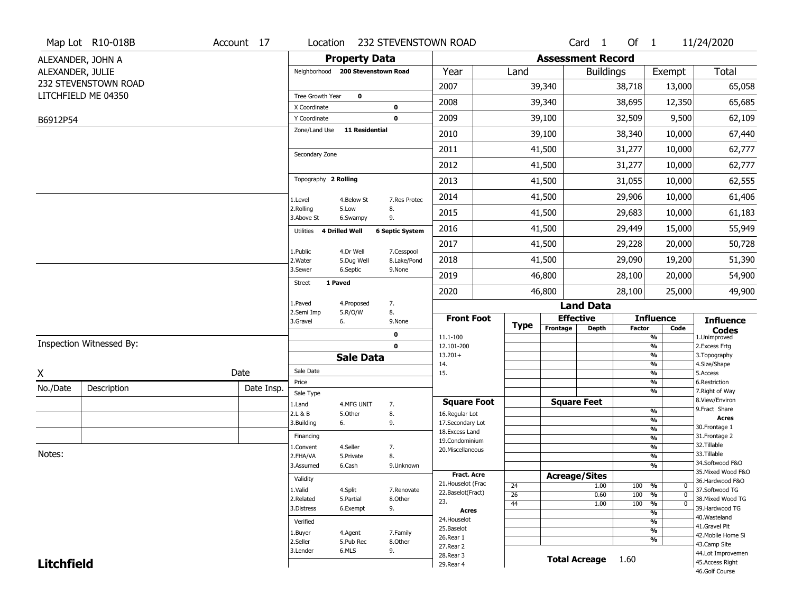|                   | Map Lot R10-018B         | Account 17 | Location                     |                                   | 232 STEVENSTOWN ROAD   |                                    |                       |                              | Card <sub>1</sub>    | Of $1$        |                                   | 11/24/2020                          |
|-------------------|--------------------------|------------|------------------------------|-----------------------------------|------------------------|------------------------------------|-----------------------|------------------------------|----------------------|---------------|-----------------------------------|-------------------------------------|
|                   | ALEXANDER, JOHN A        |            |                              | <b>Property Data</b>              |                        |                                    |                       | <b>Assessment Record</b>     |                      |               |                                   |                                     |
| ALEXANDER, JULIE  |                          |            |                              | Neighborhood 200 Stevenstown Road |                        | Year                               | Land                  |                              | <b>Buildings</b>     |               | Exempt                            | <b>Total</b>                        |
|                   | 232 STEVENSTOWN ROAD     |            |                              |                                   |                        | 2007                               |                       | 39,340                       |                      | 38,718        | 13,000                            | 65,058                              |
|                   | LITCHFIELD ME 04350      |            | Tree Growth Year             | $\mathbf 0$                       |                        | 2008                               |                       | 39,340                       |                      | 38,695        | 12,350                            | 65,685                              |
| B6912P54          |                          |            | X Coordinate<br>Y Coordinate |                                   | 0<br>$\mathbf 0$       | 2009                               |                       | 39,100                       |                      | 32,509        | 9,500                             | 62,109                              |
|                   |                          |            | Zone/Land Use                | <b>11 Residential</b>             |                        | 2010                               |                       | 39,100                       |                      | 38,340        | 10,000                            | 67,440                              |
|                   |                          |            |                              |                                   |                        | 2011                               |                       | 41,500                       |                      | 31,277        | 10,000                            | 62,777                              |
|                   |                          |            | Secondary Zone               |                                   |                        | 2012                               |                       | 41,500                       |                      | 31,277        | 10,000                            | 62,777                              |
|                   |                          |            | Topography 2 Rolling         |                                   |                        |                                    |                       |                              |                      |               |                                   |                                     |
|                   |                          |            |                              |                                   |                        | 2013                               |                       | 41,500                       |                      | 31,055        | 10,000                            | 62,555                              |
|                   |                          |            | 1.Level<br>2.Rolling         | 4.Below St<br>5.Low               | 7.Res Protec<br>8.     | 2014                               |                       | 41,500                       |                      | 29,906        | 10,000                            | 61,406                              |
|                   |                          |            | 3.Above St                   | 6.Swampy                          | 9.                     | 2015                               |                       | 41,500                       |                      | 29,683        | 10,000                            | 61,183                              |
|                   |                          |            | Utilities 4 Drilled Well     |                                   | <b>6 Septic System</b> | 2016                               |                       | 41,500                       |                      | 29,449        | 15,000                            | 55,949                              |
|                   |                          |            | 1.Public                     | 4.Dr Well                         | 7.Cesspool             | 2017                               |                       | 41,500                       |                      | 29,228        | 20,000                            | 50,728                              |
|                   |                          |            | 2.Water                      | 5.Dug Well                        | 8.Lake/Pond            | 2018                               |                       | 41,500                       |                      | 29,090        | 19,200                            | 51,390                              |
|                   |                          |            | 3.Sewer<br>Street            | 6.Septic<br>1 Paved               | 9.None                 | 2019                               |                       | 46,800                       |                      | 28,100        | 20,000                            | 54,900                              |
|                   |                          |            |                              |                                   |                        | 2020                               |                       | 46,800                       |                      | 28,100        | 25,000                            | 49,900                              |
|                   |                          |            | 1.Paved<br>2.Semi Imp        | 4.Proposed<br>5.R/O/W             | 7.<br>8.               |                                    |                       |                              | <b>Land Data</b>     |               |                                   |                                     |
|                   |                          |            | 3.Gravel                     | 6.                                | 9.None                 | <b>Front Foot</b>                  | <b>Type</b>           | <b>Effective</b><br>Frontage | <b>Depth</b>         | <b>Factor</b> | <b>Influence</b><br>Code          | <b>Influence</b>                    |
|                   |                          |            |                              |                                   | $\mathbf 0$            | 11.1-100                           |                       |                              |                      |               | $\frac{9}{6}$                     | <b>Codes</b><br>1.Unimproved        |
|                   | Inspection Witnessed By: |            |                              |                                   | $\mathbf 0$            | 12.101-200<br>$13.201+$            |                       |                              |                      |               | $\frac{9}{6}$<br>$\frac{9}{6}$    | 2. Excess Frtg<br>3. Topography     |
|                   |                          |            |                              | <b>Sale Data</b>                  |                        | 14.                                |                       |                              |                      |               | $\frac{9}{6}$                     | 4.Size/Shape                        |
| X                 |                          | Date       | Sale Date<br>Price           |                                   |                        | 15.                                |                       |                              |                      |               | $\frac{9}{6}$<br>%                | 5.Access<br>6.Restriction           |
| No./Date          | Description              | Date Insp. | Sale Type                    |                                   |                        |                                    |                       |                              |                      |               | $\frac{9}{6}$                     | 7. Right of Way                     |
|                   |                          |            | 1.Land                       | 4.MFG UNIT                        | 7.                     | <b>Square Foot</b>                 |                       | <b>Square Feet</b>           |                      |               |                                   | 8.View/Environ                      |
|                   |                          |            | 2.L & B                      | 5.Other                           | 8.                     | 16.Regular Lot                     |                       |                              |                      |               | %<br>%                            | 9.Fract Share<br><b>Acres</b>       |
|                   |                          |            | 3.Building                   | 6.                                | 9.                     | 17.Secondary Lot<br>18.Excess Land |                       |                              |                      |               | $\frac{9}{6}$                     | 30. Frontage 1                      |
|                   |                          |            | Financing                    |                                   |                        | 19.Condominium                     |                       |                              |                      |               | %                                 | 31. Frontage 2                      |
|                   |                          |            | 1.Convent                    | 4.Seller                          | 7.                     | 20.Miscellaneous                   |                       |                              |                      |               | %                                 | 32.Tillable                         |
| Notes:            |                          |            | 2.FHA/VA                     | 5.Private                         | 8.                     |                                    |                       |                              |                      |               | %                                 | 33.Tillable<br>34.Softwood F&O      |
|                   |                          |            | 3.Assumed                    | 6.Cash                            | 9.Unknown              | Fract. Acre                        |                       |                              |                      |               | %                                 | 35. Mixed Wood F&O                  |
|                   |                          |            | Validity                     |                                   |                        | 21. Houselot (Frac                 |                       | <b>Acreage/Sites</b>         |                      |               |                                   | 36.Hardwood F&O                     |
|                   |                          |            | 1.Valid                      | 4.Split                           | 7.Renovate             | 22.Baselot(Fract)                  | 24<br>$\overline{26}$ |                              | 1.00<br>0.60         | 100 %<br>100  | 0<br>$\frac{9}{6}$<br>$\mathbf 0$ | 37.Softwood TG                      |
|                   |                          |            | 2.Related                    | 5.Partial                         | 8.Other                | 23.                                | 44                    |                              | 1.00                 | 100           | $\frac{9}{6}$<br>0                | 38. Mixed Wood TG                   |
|                   |                          |            | 3.Distress                   | 6.Exempt                          | 9.                     | <b>Acres</b>                       |                       |                              |                      |               | $\frac{9}{6}$                     | 39.Hardwood TG                      |
|                   |                          |            | Verified                     |                                   |                        | 24. Houselot                       |                       |                              |                      |               | $\frac{9}{6}$                     | 40. Wasteland                       |
|                   |                          |            | 1.Buyer                      | 4.Agent                           | 7.Family               | 25.Baselot                         |                       |                              |                      |               | $\frac{9}{6}$                     | 41.Gravel Pit<br>42. Mobile Home Si |
|                   |                          |            | 2.Seller                     | 5.Pub Rec                         | 8.Other                | 26.Rear 1                          |                       |                              |                      |               | $\frac{9}{6}$                     | 43.Camp Site                        |
|                   |                          |            | 3.Lender                     | 6.MLS                             | 9.                     | 27.Rear 2<br>28. Rear 3            |                       |                              |                      |               |                                   | 44.Lot Improvemen                   |
| <b>Litchfield</b> |                          |            |                              |                                   |                        | 29. Rear 4                         |                       |                              | <b>Total Acreage</b> | 1.60          |                                   | 45.Access Right                     |
|                   |                          |            |                              |                                   |                        |                                    |                       |                              |                      |               |                                   | 46.Golf Course                      |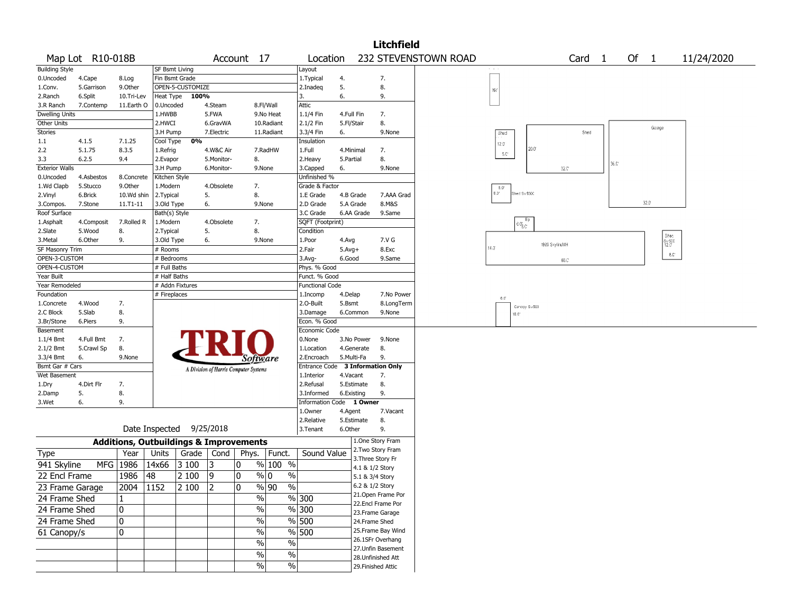|                       |                  |             |                 |                  |                |                                                   |                                 |                                  |            |                 | <b>Litchfield</b>  |                      |               |                                      |                |                |                   |      |      |        |                                                 |            |  |
|-----------------------|------------------|-------------|-----------------|------------------|----------------|---------------------------------------------------|---------------------------------|----------------------------------|------------|-----------------|--------------------|----------------------|---------------|--------------------------------------|----------------|----------------|-------------------|------|------|--------|-------------------------------------------------|------------|--|
|                       | Map Lot R10-018B |             |                 |                  |                | Account 17                                        |                                 | Location                         |            |                 |                    | 232 STEVENSTOWN ROAD |               |                                      |                |                | Card <sub>1</sub> |      | Of 1 |        |                                                 | 11/24/2020 |  |
| <b>Building Style</b> |                  |             | SF Bsmt Living  |                  |                |                                                   |                                 | Layout                           |            |                 |                    |                      |               |                                      |                |                |                   |      |      |        |                                                 |            |  |
| 0.Uncoded             | 4.Cape           | 8.Log       | Fin Bsmt Grade  |                  |                |                                                   |                                 | 1.Typical                        | 4.         |                 | 7.                 |                      |               |                                      |                |                |                   |      |      |        |                                                 |            |  |
| 1.Conv.               | 5.Garrison       | 9.0ther     |                 | OPEN-5-CUSTOMIZE |                |                                                   |                                 | 2.Inadeg                         | 5.         |                 | 8.                 |                      | NV.           |                                      |                |                |                   |      |      |        |                                                 |            |  |
| 2.Ranch               | 6.Split          | 10.Tri-Lev  | Heat Type       | 100%             |                |                                                   |                                 | 3.                               | 6.         |                 | 9.                 |                      |               |                                      |                |                |                   |      |      |        |                                                 |            |  |
| 3.R Ranch             | 7.Contemp        | 11.Earth O  | 0.Uncoded       |                  | 4.Steam        |                                                   | 8.Fl/Wall                       | Attic                            |            |                 |                    |                      |               |                                      |                |                |                   |      |      |        |                                                 |            |  |
| <b>Dwelling Units</b> |                  |             | 1.HWBB          |                  | 5.FWA          |                                                   | 9.No Heat                       | 1.1/4 Fin                        | 4.Full Fin |                 | 7.                 |                      |               |                                      |                |                |                   |      |      |        |                                                 |            |  |
| Other Units           |                  |             | 2.HWCI          |                  | 6.GravWA       |                                                   | 10.Radiant                      | 2.1/2 Fin                        | 5.Fl/Stair |                 | 8.                 |                      |               |                                      |                |                |                   |      |      | Garage |                                                 |            |  |
| Stories               |                  |             | 3.H Pump        |                  | 7.Electric     |                                                   | 11.Radiant                      | 3.3/4 Fin                        | 6.         |                 | 9.None             |                      | Shed          |                                      |                |                | Shed              |      |      |        |                                                 |            |  |
| 1.1                   | 4.1.5            | 7.1.25      | Cool Type       | 0%               |                |                                                   |                                 | Insulation                       |            |                 |                    |                      | $12.0^\circ$  |                                      |                |                |                   |      |      |        |                                                 |            |  |
| 2.2                   | 5.1.75           | 8.3.5       | 1.Refrig        |                  | 4.W&C Air      |                                                   | 7.RadHW                         | 1.Full                           | 4.Minimal  |                 | 7.                 |                      | S.C           |                                      | $20.0^{\circ}$ |                |                   |      |      |        |                                                 |            |  |
| 3.3                   | 6.2.5            | 9.4         | 2.Evapor        |                  | 5.Monitor-     | 8.                                                |                                 | 2. Heavy                         | 5.Partial  |                 | 8.                 |                      |               |                                      |                |                |                   | 36.0 |      |        |                                                 |            |  |
| <b>Exterior Walls</b> |                  |             | 3.H Pump        |                  | 6.Monitor-     | 9.None                                            |                                 | 3.Capped                         | 6.         |                 | 9.None             |                      |               |                                      |                | 32.C           |                   |      |      |        |                                                 |            |  |
| 0.Uncoded             | 4.Asbestos       | 8.Concrete  | Kitchen Style   |                  |                |                                                   |                                 | Unfinished %                     |            |                 |                    |                      |               |                                      |                |                |                   |      |      |        |                                                 |            |  |
| 1.Wd Clapb            | 5.Stucco         | 9.0ther     | 1.Modern        |                  | 4.Obsolete     | 7.                                                |                                 | Grade & Factor                   |            |                 |                    |                      | 5.0           |                                      |                |                |                   |      |      |        |                                                 |            |  |
| 2.Vinyl               | 6.Brick          | 10.Wd shin  | 2.Typical       |                  | 5.             | 8.                                                |                                 | 1.E Grade                        | 4.B Grade  |                 | 7.AAA Grad         |                      | $0.3^\circ$   | hed Sv\$300                          |                |                |                   |      |      |        |                                                 |            |  |
| 3.Compos.             | 7.Stone          | 11.T1-11    | 3.Old Type      |                  | 6.             | 9.None                                            |                                 | 2.D Grade                        | 5.A Grade  |                 | 8.M&S              |                      |               |                                      |                |                |                   |      |      | 32.0   |                                                 |            |  |
| Roof Surface          |                  |             | Bath(s) Style   |                  |                |                                                   |                                 | 3.C Grade                        | 6.AA Grade |                 | 9.Same             |                      |               |                                      |                |                |                   |      |      |        |                                                 |            |  |
| 1.Asphalt             | 4.Composit       | 7.Rolled R  | 1.Modern        |                  | 4.Obsolete     | 7.                                                |                                 | SQFT (Footprint)                 |            |                 |                    |                      |               | $6.0^{\circ}_{\circledcirc\text{C}}$ |                |                |                   |      |      |        |                                                 |            |  |
| 2.Slate               | 5.Wood           | 8.          | 2. Typical      |                  | 5.             | 8.                                                |                                 | Condition                        |            |                 |                    |                      |               |                                      |                |                |                   |      |      |        |                                                 |            |  |
| 3.Metal               | 6.Other          | 9.          | 3.Old Type      |                  | 6.             | 9.None                                            |                                 | 1.Poor                           | 4.Avg      |                 | 7.V G              |                      |               |                                      |                |                |                   |      |      |        | Shed<br>$_{12.0}^{\mathrm{S}\nu\,\mathrm{SCC}}$ |            |  |
| SF Masonry Trim       |                  |             | # Rooms         |                  |                |                                                   |                                 | 2.Fair                           | $5.Avg+$   |                 | 8.Exc              |                      | $14.0^\circ$  |                                      |                | 1986 SkylineMH |                   |      |      |        |                                                 |            |  |
| OPEN-3-CUSTOM         |                  |             | # Bedrooms      |                  |                |                                                   |                                 | $3.$ Avg-                        | 6.Good     |                 | 9.Same             |                      |               |                                      |                | 66.C           |                   |      |      |        | 6.0                                             |            |  |
| OPEN-4-CUSTOM         |                  |             | # Full Baths    |                  |                |                                                   |                                 | Phys. % Good                     |            |                 |                    |                      |               |                                      |                |                |                   |      |      |        |                                                 |            |  |
| Year Built            |                  |             | # Half Baths    |                  |                |                                                   |                                 | Funct. % Good                    |            |                 |                    |                      |               |                                      |                |                |                   |      |      |        |                                                 |            |  |
| Year Remodeled        |                  |             | # Addn Fixtures |                  |                |                                                   |                                 | <b>Functional Code</b>           |            |                 |                    |                      |               |                                      |                |                |                   |      |      |        |                                                 |            |  |
| Foundation            |                  |             | # Fireplaces    |                  |                |                                                   |                                 | 1.Incomp                         | 4.Delap    |                 | 7.No Power         |                      |               |                                      |                |                |                   |      |      |        |                                                 |            |  |
| 1.Concrete            | 4.Wood           | 7.          |                 |                  |                |                                                   |                                 | 2.O-Built                        | 5.Bsmt     |                 | 8.LongTerm         |                      | $6.0^{\circ}$ |                                      |                |                |                   |      |      |        |                                                 |            |  |
| 2.C Block             | 5.Slab           | 8.          |                 |                  |                |                                                   |                                 | 3.Damage                         | 6.Common   |                 | 9.None             |                      |               | Canopy Sv500<br>$10.0^{\circ}$       |                |                |                   |      |      |        |                                                 |            |  |
| 3.Br/Stone            | 6.Piers          | 9.          |                 |                  |                |                                                   |                                 | Econ. % Good                     |            |                 |                    |                      |               |                                      |                |                |                   |      |      |        |                                                 |            |  |
| Basement              |                  |             |                 |                  |                |                                                   |                                 | Economic Code                    |            |                 |                    |                      |               |                                      |                |                |                   |      |      |        |                                                 |            |  |
| $1.1/4$ Bmt           | 4.Full Bmt       | 7.          |                 |                  |                |                                                   |                                 | 0.None                           | 3.No Power |                 | 9.None             |                      |               |                                      |                |                |                   |      |      |        |                                                 |            |  |
| 2.1/2 Bmt             | 5.Crawl Sp       | 8.          |                 |                  |                |                                                   |                                 | 1.Location                       | 4.Generate |                 | 8.                 |                      |               |                                      |                |                |                   |      |      |        |                                                 |            |  |
| 3.3/4 Bmt             | 6.               | 9.None      |                 |                  |                | Software                                          |                                 | 2.Encroach                       | 5.Multi-Fa |                 | 9.                 |                      |               |                                      |                |                |                   |      |      |        |                                                 |            |  |
| Bsmt Gar # Cars       |                  |             |                 |                  |                |                                                   |                                 | Entrance Code 3 Information Only |            |                 |                    |                      |               |                                      |                |                |                   |      |      |        |                                                 |            |  |
| Wet Basement          |                  |             |                 |                  |                | A Division of Harris Computer Systems             |                                 | 1.Interior                       | 4.Vacant   |                 | 7.                 |                      |               |                                      |                |                |                   |      |      |        |                                                 |            |  |
| 1.Dry                 | 4.Dirt Flr       | 7.          |                 |                  |                |                                                   |                                 | 2.Refusal                        | 5.Estimate |                 | 8.                 |                      |               |                                      |                |                |                   |      |      |        |                                                 |            |  |
| 2.Damp                | 5.               | 8.          |                 |                  |                |                                                   |                                 | 3.Informed                       | 6.Existing |                 | 9.                 |                      |               |                                      |                |                |                   |      |      |        |                                                 |            |  |
| 3.Wet                 | 6.               | 9.          |                 |                  |                |                                                   |                                 | Information Code 1 Owner         |            |                 |                    |                      |               |                                      |                |                |                   |      |      |        |                                                 |            |  |
|                       |                  |             |                 |                  |                |                                                   |                                 | 1.Owner                          | 4.Agent    |                 | 7.Vacant           |                      |               |                                      |                |                |                   |      |      |        |                                                 |            |  |
|                       |                  |             |                 |                  |                |                                                   |                                 | 2.Relative                       | 5.Estimate |                 | 8.                 |                      |               |                                      |                |                |                   |      |      |        |                                                 |            |  |
|                       |                  |             | Date Inspected  |                  | 9/25/2018      |                                                   |                                 | 3. Tenant                        | 6.Other    |                 | 9.                 |                      |               |                                      |                |                |                   |      |      |        |                                                 |            |  |
|                       |                  |             |                 |                  |                | <b>Additions, Outbuildings &amp; Improvements</b> |                                 |                                  |            |                 | 1.One Story Fram   |                      |               |                                      |                |                |                   |      |      |        |                                                 |            |  |
| Type                  |                  | Year        | Units           | Grade            | Cond           | Phys.                                             | Funct.                          | Sound Value                      |            |                 | 2.Two Story Fram   |                      |               |                                      |                |                |                   |      |      |        |                                                 |            |  |
| 941 Skyline           |                  | MFG   1986  | 14x66           | 3100             | 3              | 0                                                 | $\frac{9}{6}$ 100 $\frac{1}{6}$ |                                  |            |                 | 3. Three Story Fr  |                      |               |                                      |                |                |                   |      |      |        |                                                 |            |  |
|                       |                  |             |                 |                  |                |                                                   |                                 |                                  |            | 4.1 & 1/2 Story |                    |                      |               |                                      |                |                |                   |      |      |        |                                                 |            |  |
| 22 Encl Frame         |                  | 1986        | 48              | 2 100            | 9              | $\%$ 0<br>10                                      | $\%$                            |                                  |            | 5.1 & 3/4 Story |                    |                      |               |                                      |                |                |                   |      |      |        |                                                 |            |  |
| 23 Frame Garage       |                  | $2004$ 1152 |                 | 2100             | $\overline{2}$ | 0                                                 | $\sqrt{90}$<br>$\sqrt{0}$       |                                  |            | 6.2 & 1/2 Story |                    |                      |               |                                      |                |                |                   |      |      |        |                                                 |            |  |
| 24 Frame Shed         |                  |             |                 |                  |                | $\%$                                              |                                 | %300                             |            |                 | 21. Open Frame Por |                      |               |                                      |                |                |                   |      |      |        |                                                 |            |  |
| 24 Frame Shed         |                  | 0           |                 |                  |                | $\frac{0}{0}$                                     |                                 | % 300                            |            |                 | 22.Encl Frame Por  |                      |               |                                      |                |                |                   |      |      |        |                                                 |            |  |
|                       |                  |             |                 |                  |                |                                                   |                                 |                                  |            |                 | 23. Frame Garage   |                      |               |                                      |                |                |                   |      |      |        |                                                 |            |  |
| 24 Frame Shed         |                  | 0           |                 |                  |                | $\%$                                              |                                 | $\frac{9}{6}$ 500                |            | 24.Frame Shed   |                    |                      |               |                                      |                |                |                   |      |      |        |                                                 |            |  |
| 61 Canopy/s           |                  | 0           |                 |                  |                | $\%$                                              |                                 | $\sqrt{96}$ 500                  |            |                 | 25.Frame Bay Wind  |                      |               |                                      |                |                |                   |      |      |        |                                                 |            |  |
|                       |                  |             |                 |                  |                | $\sqrt{6}$                                        | $\%$                            |                                  |            |                 | 26.1SFr Overhang   |                      |               |                                      |                |                |                   |      |      |        |                                                 |            |  |
|                       |                  |             |                 |                  |                | %                                                 | $\%$                            |                                  |            |                 | 27.Unfin Basement  |                      |               |                                      |                |                |                   |      |      |        |                                                 |            |  |
|                       |                  |             |                 |                  |                |                                                   |                                 |                                  |            |                 | 28. Unfinished Att |                      |               |                                      |                |                |                   |      |      |        |                                                 |            |  |
|                       |                  |             |                 |                  |                | $\sqrt{6}$                                        | $\sqrt{6}$                      |                                  |            |                 | 29. Finished Attic |                      |               |                                      |                |                |                   |      |      |        |                                                 |            |  |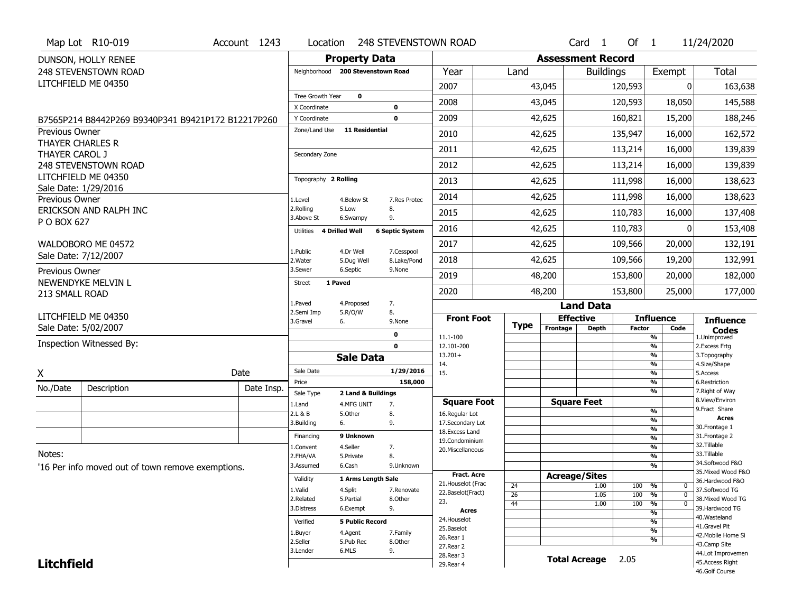|                       | Map Lot R10-019                                    | Account 1243 | Location                           |                        | <b>248 STEVENSTOWN ROAD</b> |                                         |                       |                          | Card <sub>1</sub> | Of $1$        |                                          | 11/24/2020                           |
|-----------------------|----------------------------------------------------|--------------|------------------------------------|------------------------|-----------------------------|-----------------------------------------|-----------------------|--------------------------|-------------------|---------------|------------------------------------------|--------------------------------------|
|                       | DUNSON, HOLLY RENEE                                |              |                                    | <b>Property Data</b>   |                             |                                         |                       | <b>Assessment Record</b> |                   |               |                                          |                                      |
|                       | 248 STEVENSTOWN ROAD                               |              | Neighborhood                       | 200 Stevenstown Road   |                             | Year                                    | Land                  |                          | <b>Buildings</b>  |               | Exempt                                   | Total                                |
|                       | LITCHFIELD ME 04350                                |              |                                    |                        |                             | 2007                                    |                       | 43,045                   |                   | 120,593       | 0                                        | 163,638                              |
|                       |                                                    |              | Tree Growth Year                   | $\mathbf 0$            |                             | 2008                                    |                       | 43,045                   |                   | 120,593       | 18,050                                   | 145,588                              |
|                       |                                                    |              | X Coordinate                       |                        | 0<br>$\mathbf 0$            | 2009                                    |                       | 42,625                   |                   |               |                                          |                                      |
|                       | B7565P214 B8442P269 B9340P341 B9421P172 B12217P260 |              | Y Coordinate<br>Zone/Land Use      | <b>11 Residential</b>  |                             |                                         |                       |                          |                   | 160,821       | 15,200                                   | 188,246                              |
| <b>Previous Owner</b> | THAYER CHARLES R                                   |              |                                    |                        |                             | 2010                                    |                       | 42,625                   |                   | 135,947       | 16,000                                   | 162,572                              |
| THAYER CAROL J        |                                                    |              | Secondary Zone                     |                        |                             | 2011                                    |                       | 42,625                   |                   | 113,214       | 16,000                                   | 139,839                              |
|                       | <b>248 STEVENSTOWN ROAD</b>                        |              |                                    |                        |                             | 2012                                    |                       | 42,625                   |                   | 113,214       | 16,000                                   | 139,839                              |
|                       | LITCHFIELD ME 04350                                |              | Topography 2 Rolling               |                        |                             | 2013                                    |                       | 42,625                   |                   | 111,998       | 16,000                                   | 138,623                              |
| Previous Owner        | Sale Date: 1/29/2016                               |              |                                    | 4.Below St             | 7.Res Protec                | 2014                                    |                       | 42,625                   |                   | 111,998       | 16,000                                   | 138,623                              |
|                       | ERICKSON AND RALPH INC                             |              | 1.Level<br>2.Rolling               | 5.Low                  | 8.                          | 2015                                    |                       | 42,625                   |                   | 110,783       | 16,000                                   | 137,408                              |
| P O BOX 627           |                                                    |              | 3.Above St                         | 6.Swampy               | 9.                          |                                         |                       |                          |                   |               |                                          |                                      |
|                       |                                                    |              | Utilities<br><b>4 Drilled Well</b> |                        | <b>6 Septic System</b>      | 2016                                    |                       | 42,625                   |                   | 110,783       | 0                                        | 153,408                              |
|                       | WALDOBORO ME 04572                                 |              | 1.Public                           | 4.Dr Well              | 7.Cesspool                  | 2017                                    |                       | 42,625                   |                   | 109,566       | 20,000                                   | 132,191                              |
|                       | Sale Date: 7/12/2007                               |              | 2. Water                           | 5.Dug Well             | 8.Lake/Pond                 | 2018                                    |                       | 42,625                   |                   | 109,566       | 19,200                                   | 132,991                              |
| Previous Owner        |                                                    |              | 3.Sewer                            | 6.Septic               | 9.None                      | 2019                                    |                       | 48,200                   |                   | 153,800       | 20,000                                   | 182,000                              |
| 213 SMALL ROAD        | NEWENDYKE MELVIN L                                 |              | <b>Street</b><br>1 Paved           |                        |                             | 2020                                    |                       | 48,200                   |                   | 153,800       | 25,000                                   | 177,000                              |
|                       |                                                    |              | 1.Paved                            | 4.Proposed             | 7.                          |                                         |                       |                          | <b>Land Data</b>  |               |                                          |                                      |
|                       | LITCHFIELD ME 04350                                |              | 2.Semi Imp<br>3.Gravel             | 5.R/O/W<br>6.          | 8.<br>9.None                | <b>Front Foot</b>                       |                       | <b>Effective</b>         |                   |               | <b>Influence</b>                         | <b>Influence</b>                     |
|                       | Sale Date: 5/02/2007                               |              |                                    |                        | 0                           |                                         | <b>Type</b>           | Frontage                 | Depth             | <b>Factor</b> | Code                                     | <b>Codes</b>                         |
|                       | Inspection Witnessed By:                           |              |                                    |                        | $\mathbf 0$                 | 11.1-100<br>12.101-200                  |                       |                          |                   |               | %<br>$\frac{9}{6}$                       | 1.Unimproved<br>2. Excess Frtg       |
|                       |                                                    |              |                                    | <b>Sale Data</b>       |                             | $13.201+$                               |                       |                          |                   |               | %                                        | 3. Topography                        |
| X                     |                                                    | Date         | Sale Date                          |                        | 1/29/2016                   | 14.<br>15.                              |                       |                          |                   |               | $\frac{9}{6}$<br>$\frac{9}{6}$           | 4.Size/Shape<br>5.Access             |
| No./Date              | Description                                        | Date Insp.   | Price                              |                        | 158,000                     |                                         |                       |                          |                   |               | %                                        | 6.Restriction                        |
|                       |                                                    |              | Sale Type                          | 2 Land & Buildings     |                             | <b>Square Foot</b>                      |                       | <b>Square Feet</b>       |                   |               | %                                        | 7. Right of Way<br>8.View/Environ    |
|                       |                                                    |              | 1.Land<br>2.L & B                  | 4.MFG UNIT<br>5.0ther  | 7.<br>8.                    | 16.Regular Lot                          |                       |                          |                   |               | %                                        | 9.Fract Share                        |
|                       |                                                    |              | 3.Building                         | 6.                     | 9.                          | 17.Secondary Lot                        |                       |                          |                   |               | %<br>$\frac{9}{6}$                       | <b>Acres</b><br>30. Frontage 1       |
|                       |                                                    |              | Financing                          | 9 Unknown              |                             | 18. Excess Land<br>19.Condominium       |                       |                          |                   |               | $\frac{9}{6}$                            | 31. Frontage 2                       |
| Notes:                |                                                    |              | 1.Convent                          | 4.Seller               | 7.                          | 20. Miscellaneous                       |                       |                          |                   |               | $\frac{9}{6}$                            | 32.Tillable<br>33.Tillable           |
|                       | '16 Per info moved out of town remove exemptions.  |              | 2.FHA/VA<br>3.Assumed              | 5.Private<br>6.Cash    | 8.<br>9.Unknown             |                                         |                       |                          |                   |               | %<br>%                                   | 34.Softwood F&O                      |
|                       |                                                    |              | Validity                           | 1 Arms Length Sale     |                             | <b>Fract. Acre</b>                      |                       | <b>Acreage/Sites</b>     |                   |               |                                          | 35. Mixed Wood F&O                   |
|                       |                                                    |              | 1.Valid                            | 4.Split                | 7.Renovate                  | 21. Houselot (Frac<br>22.Baselot(Fract) | 24                    |                          | 1.00              | 100           | %<br>0                                   | 36.Hardwood F&O<br>37.Softwood TG    |
|                       |                                                    |              | 2.Related                          | 5.Partial              | 8.Other                     | 23.                                     | $\overline{26}$<br>44 |                          | 1.05<br>1.00      | 100<br>100    | $\overline{0}$<br>%<br>%<br>$\mathbf{0}$ | 38. Mixed Wood TG                    |
|                       |                                                    |              | 3.Distress                         | 6.Exempt               | 9.                          | Acres                                   |                       |                          |                   |               | %                                        | 39.Hardwood TG                       |
|                       |                                                    |              | Verified                           | <b>5 Public Record</b> |                             | 24. Houselot                            |                       |                          |                   |               | %                                        | 40.Wasteland<br>41.Gravel Pit        |
|                       |                                                    |              |                                    |                        |                             |                                         |                       |                          |                   |               |                                          |                                      |
|                       |                                                    |              | 1.Buyer                            | 4.Agent                | 7.Family                    | 25.Baselot                              |                       |                          |                   |               | $\overline{\frac{9}{6}}$                 | 42. Mobile Home Si                   |
|                       |                                                    |              | 2.Seller                           | 5.Pub Rec              | 8.Other                     | 26.Rear 1<br>27.Rear 2                  |                       |                          |                   |               | %                                        | 43.Camp Site                         |
| <b>Litchfield</b>     |                                                    |              | 3.Lender                           | 6.MLS                  | 9.                          | 28. Rear 3<br>29. Rear 4                |                       | <b>Total Acreage</b>     |                   | 2.05          |                                          | 44.Lot Improvemen<br>45.Access Right |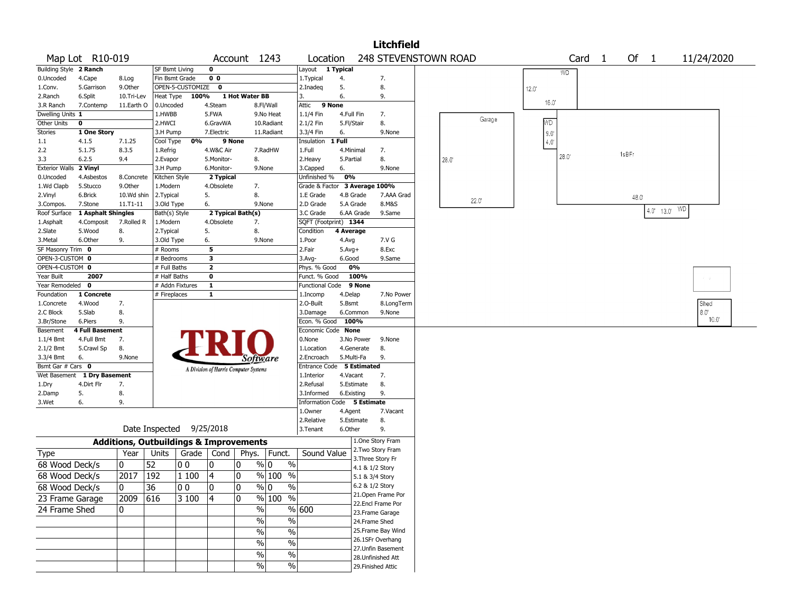|                        |                                 |            |                                                   |                  |                                       |                |                                 |                               |            |            | <b>Litchfield</b>                      |      |                |      |      |   |       |                |                   |                             |                |
|------------------------|---------------------------------|------------|---------------------------------------------------|------------------|---------------------------------------|----------------|---------------------------------|-------------------------------|------------|------------|----------------------------------------|------|----------------|------|------|---|-------|----------------|-------------------|-----------------------------|----------------|
|                        | Map Lot R10-019                 |            |                                                   |                  |                                       | Account 1243   |                                 | Location                      |            |            | 248 STEVENSTOWN ROAD                   |      |                |      | Card | 1 |       | Of 1           |                   | 11/24/2020                  |                |
| Building Style 2 Ranch |                                 |            | <b>SF Bsmt Living</b>                             |                  | 0                                     |                |                                 | Layout 1 Typical              |            |            |                                        |      |                |      | WD.  |   |       |                |                   |                             |                |
| 0.Uncoded              | 4.Cape                          | 8.Log      | Fin Bsmt Grade                                    |                  | 0 <sub>0</sub>                        |                |                                 | 1.Typical                     | 4.         |            | 7.                                     |      |                |      |      |   |       |                |                   |                             |                |
| 1.Conv.                | 5.Garrison                      | 9.Other    |                                                   | OPEN-5-CUSTOMIZE | $\mathbf 0$                           |                |                                 | 2.Inadeq                      | 5.         |            | 8.                                     |      |                | 12.0 |      |   |       |                |                   |                             |                |
| 2.Ranch                | 6.Split                         | 10.Tri-Lev | Heat Type                                         | 100%             |                                       | 1 Hot Water BB |                                 | 3.                            | 6.         |            | 9.                                     |      |                |      |      |   |       |                |                   |                             |                |
| 3.R Ranch              | 7.Contemp                       | 11.Earth O | 0.Uncoded                                         |                  | 4.Steam                               |                | 8.Fl/Wall                       | Attic                         | 9 None     |            |                                        |      |                | 16.0 |      |   |       |                |                   |                             |                |
| Dwelling Units 1       |                                 |            | 1.HWBB                                            |                  | 5.FWA                                 |                | 9.No Heat                       | 1.1/4 Fin                     | 4.Full Fin |            | 7.                                     |      | Garage         |      |      |   |       |                |                   |                             |                |
| Other Units            | 0                               |            | 2.HWCI                                            |                  | 6.GravWA                              |                | 10.Radiant                      | 2.1/2 Fin                     | 5.Fl/Stair |            | 8.                                     |      |                | MD.  |      |   |       |                |                   |                             |                |
| Stories                | 1 One Story                     |            | 3.H Pump                                          |                  | 7.Electric                            |                | 11.Radiant                      | 3.3/4 Fin                     | 6.         |            | 9.None                                 |      |                | 9.0  |      |   |       |                |                   |                             |                |
| 1.1                    | 4.1.5                           | 7.1.25     | Cool Type                                         | 0%               |                                       | 9 None         |                                 | Insulation                    | 1 Full     |            |                                        |      |                | 4.0  |      |   |       |                |                   |                             |                |
| 2.2                    | 5.1.75                          | 8.3.5      | 1.Refrig                                          |                  | 4.W&C Air                             |                | 7.RadHW                         | 1.Full                        |            | 4.Minimal  | 7.                                     |      |                |      |      |   | 1sBFr |                |                   |                             |                |
| 3.3                    | 6.2.5                           | 9.4        | 2.Evapor                                          |                  | 5.Monitor-                            | 8.             |                                 | 2.Heavy                       | 5.Partial  |            | 8.                                     | 28.0 |                |      | 28.0 |   |       |                |                   |                             |                |
| Exterior Walls 2 Vinyl |                                 |            | 3.H Pump                                          |                  | 6.Monitor-                            |                | 9.None                          | 3.Capped                      | 6.         |            | 9.None                                 |      |                |      |      |   |       |                |                   |                             |                |
| 0.Uncoded              | 4.Asbestos                      | 8.Concrete | Kitchen Style                                     |                  | 2 Typical                             |                |                                 | Unfinished %                  | 0%         |            |                                        |      |                |      |      |   |       |                |                   |                             |                |
| 1.Wd Clapb             | 5.Stucco                        | 9.0ther    | 1.Modern                                          |                  | 4.Obsolete                            |                | 7.                              | Grade & Factor 3 Average 100% |            |            |                                        |      |                |      |      |   |       |                |                   |                             |                |
| 2.Vinyl                | 6.Brick                         | 10.Wd shin | 2.Typical                                         |                  | 5.                                    | 8.             |                                 | 1.E Grade                     |            | 4.B Grade  | 7.AAA Grad                             |      | $22.0^{\circ}$ |      |      |   |       | $48.0^{\circ}$ |                   |                             |                |
| 3.Compos.              | 7.Stone                         | 11.T1-11   | 3.Old Type                                        |                  | 6.                                    |                | 9.None                          | 2.D Grade                     |            | 5.A Grade  | 8.M&S                                  |      |                |      |      |   |       |                |                   |                             |                |
|                        | Roof Surface 1 Asphalt Shingles |            | Bath(s) Style                                     |                  | 2 Typical Bath(s)                     |                |                                 | 3.C Grade                     |            | 6.AA Grade | 9.Same                                 |      |                |      |      |   |       |                | $4.0'$ $13.0'$ WD |                             |                |
| 1.Asphalt              | 4.Composit                      | 7.Rolled R | 1.Modern                                          |                  | 4.Obsolete                            | 7.             |                                 | SQFT (Footprint) 1344         |            |            |                                        |      |                |      |      |   |       |                |                   |                             |                |
| 2.Slate                | 5.Wood                          | 8.         | 2.Typical                                         |                  | 5.                                    | 8.             |                                 | Condition                     | 4 Average  |            |                                        |      |                |      |      |   |       |                |                   |                             |                |
| 3.Metal                | 6.Other                         | 9.         | 3.Old Type                                        |                  | 6.                                    |                | 9.None                          | 1.Poor                        | 4.Avg      |            | 7.V G                                  |      |                |      |      |   |       |                |                   |                             |                |
| SF Masonry Trim 0      |                                 |            | # Rooms                                           |                  | 5                                     |                |                                 | 2.Fair                        | $5.Avg+$   |            | 8.Exc                                  |      |                |      |      |   |       |                |                   |                             |                |
| OPEN-3-CUSTOM 0        |                                 |            | $#$ Bedrooms                                      |                  | 3                                     |                |                                 | 3.Avg-                        | 6.Good     |            | 9.Same                                 |      |                |      |      |   |       |                |                   |                             |                |
| OPEN-4-CUSTOM 0        |                                 |            | # Full Baths                                      |                  | $\mathbf{2}$                          |                |                                 | Phys. % Good                  |            | 0%         |                                        |      |                |      |      |   |       |                |                   |                             |                |
| Year Built             | 2007                            |            | # Half Baths                                      |                  | $\bf o$                               |                |                                 | Funct. % Good                 |            | 100%       |                                        |      |                |      |      |   |       |                |                   | $\mathcal{F}=\mathcal{G}$ . |                |
| Year Remodeled         | $\mathbf{o}$                    |            |                                                   | # Addn Fixtures  | $\mathbf{1}$                          |                |                                 | <b>Functional Code</b>        |            | 9 None     |                                        |      |                |      |      |   |       |                |                   |                             |                |
| Foundation             | 1 Concrete                      |            | # Fireplaces                                      |                  | $\mathbf{1}$                          |                |                                 | 1.Incomp                      | 4.Delap    |            | 7.No Power                             |      |                |      |      |   |       |                |                   |                             |                |
| 1.Concrete             | 4.Wood                          | 7.         |                                                   |                  |                                       |                |                                 | 2.O-Built                     | 5.Bsmt     |            | 8.LongTerm                             |      |                |      |      |   |       |                |                   | Shed                        |                |
| 2.C Block              | 5.Slab                          | 8.         |                                                   |                  |                                       |                |                                 | 3.Damage                      |            | 6.Common   | 9.None                                 |      |                |      |      |   |       |                |                   | 8.0"                        |                |
| 3.Br/Stone             | 6.Piers                         | 9.         |                                                   |                  |                                       |                |                                 | Econ. % Good                  |            | 100%       |                                        |      |                |      |      |   |       |                |                   |                             | $10.0^{\circ}$ |
| Basement               | <b>4 Full Basement</b>          |            |                                                   |                  |                                       |                |                                 | Economic Code None            |            |            |                                        |      |                |      |      |   |       |                |                   |                             |                |
| $1.1/4$ Bmt            | 4.Full Bmt                      | 7.         |                                                   |                  |                                       |                |                                 | 0.None                        |            | 3.No Power | 9.None                                 |      |                |      |      |   |       |                |                   |                             |                |
| 2.1/2 Bmt              | 5.Crawl Sp                      | 8.         |                                                   |                  |                                       |                |                                 | 1.Location                    |            | 4.Generate | 8.                                     |      |                |      |      |   |       |                |                   |                             |                |
| 3.3/4 Bmt              | 6.                              | 9.None     |                                                   |                  |                                       |                | Software                        | 2.Encroach                    |            | 5.Multi-Fa | 9.                                     |      |                |      |      |   |       |                |                   |                             |                |
| Bsmt Gar # Cars 0      |                                 |            |                                                   |                  | A Division of Harris Computer Systems |                |                                 | Entrance Code 5 Estimated     |            |            |                                        |      |                |      |      |   |       |                |                   |                             |                |
|                        | Wet Basement 1 Dry Basement     |            |                                                   |                  |                                       |                |                                 | 1.Interior                    | 4.Vacant   |            | 7.                                     |      |                |      |      |   |       |                |                   |                             |                |
| 1.Dry                  | 4.Dirt Flr                      | 7.         |                                                   |                  |                                       |                |                                 | 2.Refusal                     |            | 5.Estimate | 8.                                     |      |                |      |      |   |       |                |                   |                             |                |
| 2.Damp                 | 5.                              | 8.         |                                                   |                  |                                       |                |                                 | 3.Informed                    |            | 6.Existing | 9.                                     |      |                |      |      |   |       |                |                   |                             |                |
| 3.Wet                  | 6.                              | 9.         |                                                   |                  |                                       |                |                                 | Information Code 5 Estimate   |            |            |                                        |      |                |      |      |   |       |                |                   |                             |                |
|                        |                                 |            |                                                   |                  |                                       |                |                                 | 1.0wner                       | 4.Agent    |            | 7.Vacant                               |      |                |      |      |   |       |                |                   |                             |                |
|                        |                                 |            |                                                   |                  |                                       |                |                                 | 2.Relative                    |            | 5.Estimate | 8.                                     |      |                |      |      |   |       |                |                   |                             |                |
|                        |                                 |            | Date Inspected                                    |                  | 9/25/2018                             |                |                                 | 3.Tenant                      | 6.Other    |            | 9.                                     |      |                |      |      |   |       |                |                   |                             |                |
|                        |                                 |            | <b>Additions, Outbuildings &amp; Improvements</b> |                  |                                       |                |                                 |                               |            |            | 1.One Story Fram                       |      |                |      |      |   |       |                |                   |                             |                |
| Type                   |                                 | Year       | Units                                             |                  | Grade   Cond                          |                | Phys. Funct.                    | Sound Value                   |            |            | 2. Two Story Fram<br>3. Three Story Fr |      |                |      |      |   |       |                |                   |                             |                |
| 68 Wood Deck/s         |                                 | 0          | 52                                                | 00               | 0                                     | 10             | $\%$<br>% 0                     |                               |            |            | 4.1 & 1/2 Story                        |      |                |      |      |   |       |                |                   |                             |                |
| 68 Wood Deck/s         |                                 | 2017       | 192                                               | 1 100            | 4                                     | 10             | $\frac{9}{6}$ 100 $\frac{1}{6}$ |                               |            |            | 5.1 & 3/4 Story                        |      |                |      |      |   |       |                |                   |                             |                |
|                        |                                 |            |                                                   |                  |                                       |                |                                 |                               |            |            | 6.2 & 1/2 Story                        |      |                |      |      |   |       |                |                   |                             |                |
| 68 Wood Deck/s         |                                 | $\Omega$   | $\overline{36}$                                   | 00               | 0                                     | 0              | % 0<br>$\%$                     |                               |            |            | 21. Open Frame Por                     |      |                |      |      |   |       |                |                   |                             |                |
| 23 Frame Garage        |                                 | 2009       | 616                                               | 3 100            | 4                                     | 10             | % 100 %                         |                               |            |            | 22.Encl Frame Por                      |      |                |      |      |   |       |                |                   |                             |                |
| 24 Frame Shed          |                                 | 0          |                                                   |                  |                                       |                | $\%$                            | % 600                         |            |            | 23. Frame Garage                       |      |                |      |      |   |       |                |                   |                             |                |
|                        |                                 |            |                                                   |                  |                                       |                | $\frac{0}{6}$<br>$\%$           |                               |            |            | 24.Frame Shed                          |      |                |      |      |   |       |                |                   |                             |                |
|                        |                                 |            |                                                   |                  |                                       |                |                                 |                               |            |            | 25. Frame Bay Wind                     |      |                |      |      |   |       |                |                   |                             |                |
|                        |                                 |            |                                                   |                  |                                       |                | $\frac{1}{2}$<br>$\%$           |                               |            |            | 26.1SFr Overhang                       |      |                |      |      |   |       |                |                   |                             |                |
|                        |                                 |            |                                                   |                  |                                       |                | $\frac{1}{2}$<br>$\%$           |                               |            |            | 27. Unfin Basement                     |      |                |      |      |   |       |                |                   |                             |                |
|                        |                                 |            |                                                   |                  |                                       |                | $\frac{1}{2}$<br>%              |                               |            |            | 28. Unfinished Att                     |      |                |      |      |   |       |                |                   |                             |                |
|                        |                                 |            |                                                   |                  |                                       |                | $\sqrt{6}$<br>%                 |                               |            |            | 29. Finished Attic                     |      |                |      |      |   |       |                |                   |                             |                |
|                        |                                 |            |                                                   |                  |                                       |                |                                 |                               |            |            |                                        |      |                |      |      |   |       |                |                   |                             |                |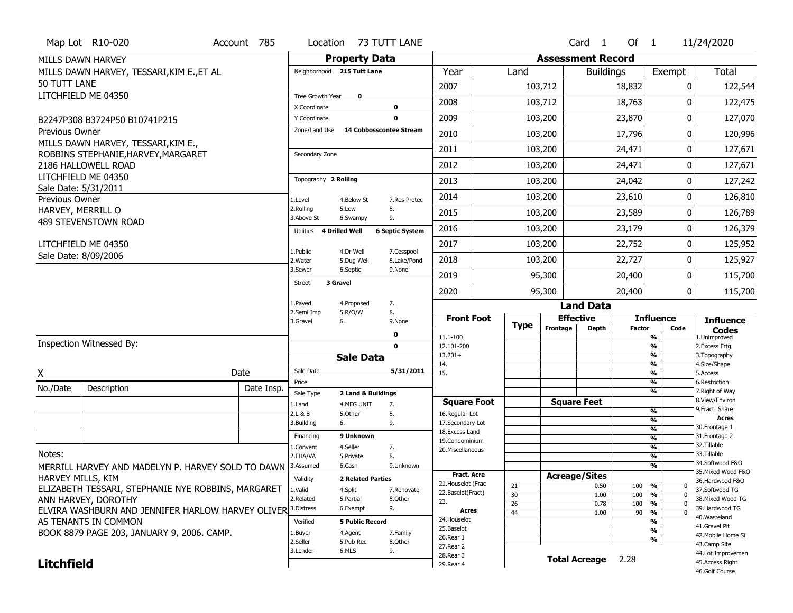|                       | Map Lot R10-020                                              | Account 785 | Location                      |                            | 73 TUTT LANE                            |                                   |             |                          | Card <sub>1</sub>    | Of $1$        |                                | 11/24/2020                           |
|-----------------------|--------------------------------------------------------------|-------------|-------------------------------|----------------------------|-----------------------------------------|-----------------------------------|-------------|--------------------------|----------------------|---------------|--------------------------------|--------------------------------------|
|                       | MILLS DAWN HARVEY                                            |             |                               | <b>Property Data</b>       |                                         |                                   |             | <b>Assessment Record</b> |                      |               |                                |                                      |
|                       | MILLS DAWN HARVEY, TESSARI, KIM E., ET AL                    |             |                               | Neighborhood 215 Tutt Lane |                                         | Year                              | Land        |                          | <b>Buildings</b>     |               | Exempt                         | Total                                |
| 50 TUTT LANE          |                                                              |             |                               |                            |                                         | 2007                              |             | 103,712                  |                      | 18,832        | 0                              | 122,544                              |
|                       | LITCHFIELD ME 04350                                          |             | Tree Growth Year              | $\mathbf 0$                |                                         | 2008                              |             | 103,712                  |                      | 18,763        | O                              | 122,475                              |
|                       |                                                              |             | X Coordinate                  |                            | 0                                       |                                   |             |                          |                      |               |                                |                                      |
|                       | B2247P308 B3724P50 B10741P215                                |             | Y Coordinate<br>Zone/Land Use |                            | $\mathbf{0}$<br>14 Cobbosscontee Stream | 2009                              |             | 103,200                  |                      | 23,870        | 0                              | 127,070                              |
| <b>Previous Owner</b> | MILLS DAWN HARVEY, TESSARI, KIM E.,                          |             |                               |                            |                                         | 2010                              |             | 103,200                  |                      | 17,796        | 0                              | 120,996                              |
|                       | ROBBINS STEPHANIE, HARVEY, MARGARET                          |             | Secondary Zone                |                            |                                         | 2011                              |             | 103,200                  |                      | 24,471        | 0                              | 127,671                              |
|                       | 2186 HALLOWELL ROAD                                          |             |                               |                            |                                         | 2012                              |             | 103,200                  |                      | 24,471        | 0                              | 127,671                              |
|                       | LITCHFIELD ME 04350                                          |             | Topography 2 Rolling          |                            |                                         | 2013                              |             | 103,200                  |                      | 24,042        | 0                              | 127,242                              |
| Previous Owner        | Sale Date: 5/31/2011                                         |             | 1.Level                       | 4.Below St                 | 7.Res Protec                            | 2014                              |             | 103,200                  |                      | 23,610        | 0                              | 126,810                              |
| HARVEY, MERRILL O     |                                                              |             | 2.Rolling<br>3.Above St       | 5.Low<br>6.Swampy          | 8.<br>9.                                | 2015                              |             | 103,200                  |                      | 23,589        | 0                              | 126,789                              |
|                       | 489 STEVENSTOWN ROAD                                         |             | Utilities                     | 4 Drilled Well             | <b>6 Septic System</b>                  | 2016                              |             | 103,200                  |                      | 23,179        | 0                              | 126,379                              |
|                       | LITCHFIELD ME 04350                                          |             |                               |                            |                                         | 2017                              |             | 103,200                  |                      | 22,752        | 0                              | 125,952                              |
|                       | Sale Date: 8/09/2006                                         |             | 1.Public<br>2. Water          | 4.Dr Well<br>5.Dug Well    | 7.Cesspool<br>8.Lake/Pond               | 2018                              |             | 103,200                  |                      | 22,727        | 0                              | 125,927                              |
|                       |                                                              |             | 3.Sewer                       | 6.Septic                   | 9.None                                  | 2019                              |             | 95,300                   |                      | 20,400        | 0                              | 115,700                              |
|                       |                                                              |             | <b>Street</b>                 | 3 Gravel                   |                                         | 2020                              |             | 95,300                   |                      | 20,400        | 0                              | 115,700                              |
|                       |                                                              |             | 1.Paved                       | 4.Proposed                 | 7.                                      |                                   |             |                          | <b>Land Data</b>     |               |                                |                                      |
|                       |                                                              |             |                               |                            |                                         |                                   |             |                          |                      |               |                                |                                      |
|                       |                                                              |             | 2.Semi Imp<br>3.Gravel        | 5.R/O/W<br>6.              | 8.<br>9.None                            | <b>Front Foot</b>                 |             |                          | <b>Effective</b>     |               | <b>Influence</b>               | <b>Influence</b>                     |
|                       |                                                              |             |                               |                            | 0                                       |                                   | <b>Type</b> | Frontage                 | <b>Depth</b>         | <b>Factor</b> | Code                           | <b>Codes</b>                         |
|                       | Inspection Witnessed By:                                     |             |                               |                            | $\mathbf 0$                             | 11.1-100<br>12.101-200            |             |                          |                      |               | %<br>$\overline{\frac{9}{6}}$  | 1.Unimproved<br>2. Excess Frtg       |
|                       |                                                              |             |                               | <b>Sale Data</b>           |                                         | $13.201+$                         |             |                          |                      |               | %                              | 3. Topography                        |
| Χ                     |                                                              | Date        | Sale Date                     |                            | 5/31/2011                               | 14.<br>15.                        |             |                          |                      |               | $\frac{9}{6}$<br>$\frac{9}{6}$ | 4.Size/Shape<br>5.Access             |
| No./Date              | Description                                                  | Date Insp.  | Price                         |                            |                                         |                                   |             |                          |                      |               | %                              | 6.Restriction                        |
|                       |                                                              |             | Sale Type                     | 2 Land & Buildings         |                                         | <b>Square Foot</b>                |             |                          | <b>Square Feet</b>   |               | $\frac{9}{6}$                  | 7. Right of Way<br>8.View/Environ    |
|                       |                                                              |             | 1.Land<br>2.L & B             | 4.MFG UNIT<br>5.Other      | 7.<br>8.                                | 16.Regular Lot                    |             |                          |                      |               | $\frac{9}{6}$                  | 9.Fract Share                        |
|                       |                                                              |             | 3.Building                    | 6.                         | 9.                                      | 17.Secondary Lot                  |             |                          |                      |               | %<br>$\%$                      | <b>Acres</b><br>30. Frontage 1       |
|                       |                                                              |             | Financing                     | 9 Unknown                  |                                         | 18. Excess Land<br>19.Condominium |             |                          |                      |               | %                              | 31. Frontage 2                       |
|                       |                                                              |             | 1.Convent                     | 4.Seller                   | 7.                                      | 20.Miscellaneous                  |             |                          |                      |               | %                              | 32.Tillable                          |
| Notes:                |                                                              |             | 2.FHA/VA                      | 5.Private                  | 8.                                      |                                   |             |                          |                      |               | %                              | 33.Tillable<br>34.Softwood F&O       |
|                       | MERRILL HARVEY AND MADELYN P. HARVEY SOLD TO DAWN            |             | 3.Assumed                     | 6.Cash                     | 9.Unknown                               | Fract. Acre                       |             |                          |                      |               | %                              | 35. Mixed Wood F&O                   |
| HARVEY MILLS, KIM     |                                                              |             | Validity                      | <b>2 Related Parties</b>   |                                         | 21. Houselot (Frac                |             |                          | <b>Acreage/Sites</b> |               |                                | 36.Hardwood F&O                      |
|                       | ELIZABETH TESSARI, STEPHANIE NYE ROBBINS, MARGARET           |             | 1.Valid                       | 4.Split                    | 7.Renovate                              | 22.Baselot(Fract)                 | 21<br>30    |                          | 0.50<br>1.00         | 100<br>100    | %<br>0<br>$\mathbf 0$<br>%     | 37.Softwood TG                       |
|                       | ANN HARVEY, DOROTHY                                          |             | 2.Related                     | 5.Partial                  | 8.Other                                 | 23.                               | 26          |                          | 0.78                 | 100           | %<br>$\mathbf 0$               | 38. Mixed Wood TG                    |
|                       | ELVIRA WASHBURN AND JENNIFER HARLOW HARVEY OLIVER 3.Distress |             |                               | 6.Exempt                   | 9.                                      | Acres                             | 44          |                          | 1.00                 | 90            | $\overline{0}$<br>%            | 39.Hardwood TG<br>40.Wasteland       |
|                       | AS TENANTS IN COMMON                                         |             | Verified                      | <b>5 Public Record</b>     |                                         | 24. Houselot<br>25.Baselot        |             |                          |                      |               | %                              | 41.Gravel Pit                        |
|                       | BOOK 8879 PAGE 203, JANUARY 9, 2006. CAMP.                   |             | 1.Buyer                       | 4.Agent                    | 7.Family                                | 26.Rear 1                         |             |                          |                      |               | %<br>%                         | 42. Mobile Home Si                   |
|                       |                                                              |             | 2.Seller                      | 5.Pub Rec                  | 8.Other                                 | 27. Rear 2                        |             |                          |                      |               |                                | 43.Camp Site                         |
| <b>Litchfield</b>     |                                                              |             | 3.Lender                      | 6.MLS                      | 9.                                      | 28. Rear 3<br>29. Rear 4          |             |                          | <b>Total Acreage</b> | 2.28          |                                | 44.Lot Improvemen<br>45.Access Right |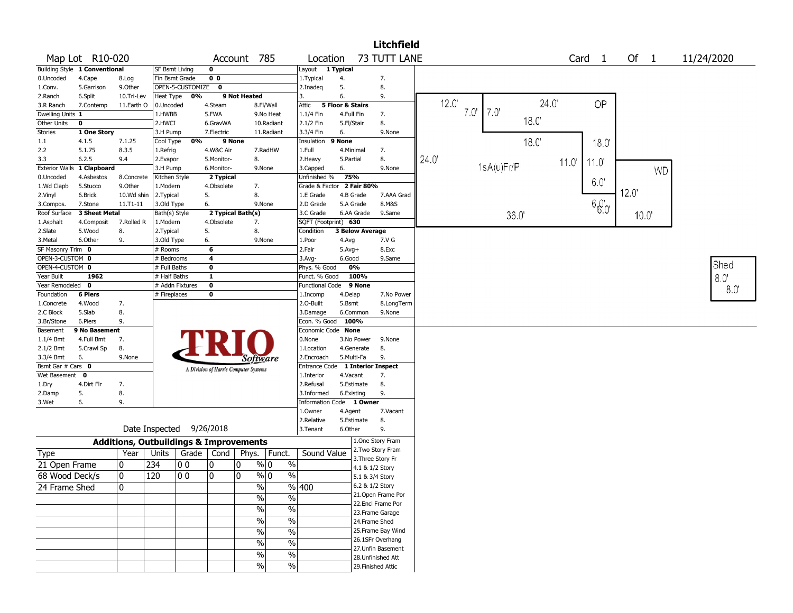|                       |                               |                                                   |                          |                    |                |                                       |                |                                   |                         |                                    | <b>Litchfield</b>  |      |      |            |      |      |                   |      |           |            |
|-----------------------|-------------------------------|---------------------------------------------------|--------------------------|--------------------|----------------|---------------------------------------|----------------|-----------------------------------|-------------------------|------------------------------------|--------------------|------|------|------------|------|------|-------------------|------|-----------|------------|
|                       | Map Lot R10-020               |                                                   |                          |                    |                | Account 785                           |                | Location                          |                         |                                    | 73 TUTT LANE       |      |      |            |      |      | Card <sub>1</sub> | Of 1 |           | 11/24/2020 |
|                       | Building Style 1 Conventional |                                                   | <b>SF Bsmt Living</b>    |                    | $\mathbf 0$    |                                       |                | Layout                            | 1 Typical               |                                    |                    |      |      |            |      |      |                   |      |           |            |
| 0.Uncoded             | 4.Cape                        | 8.Log                                             | Fin Bsmt Grade           |                    | 0 <sub>0</sub> |                                       |                | 1.Typical                         | 4.                      |                                    | 7.                 |      |      |            |      |      |                   |      |           |            |
| 1.Conv.               | 5.Garrison                    | 9.0ther                                           |                          | OPEN-5-CUSTOMIZE 0 |                |                                       |                | 2.Inadeg                          | 5.                      |                                    | 8.                 |      |      |            |      |      |                   |      |           |            |
| 2.Ranch               | 6.Split                       | 10.Tri-Lev                                        | Heat Type                | 0%                 |                | 9 Not Heated                          |                | 3.                                | 6.                      |                                    | 9.                 |      |      |            |      |      |                   |      |           |            |
| 3.R Ranch             | 7.Contemp                     | 11.Earth O                                        | 0.Uncoded                |                    | 4.Steam        |                                       | 8.Fl/Wall      | Attic                             | 5 Floor & Stairs        |                                    |                    |      | 12.0 |            |      | 24.0 | OP                |      |           |            |
| Dwelling Units 1      |                               |                                                   | 1.HWBB                   |                    | 5.FWA          |                                       | 9.No Heat      | 1.1/4 Fin                         | 4.Full Fin              |                                    | 7.                 |      | 7.0' | 7.0'       |      |      |                   |      |           |            |
| Other Units           | $\mathbf 0$                   |                                                   | 2.HWCI                   |                    | 6.GravWA       |                                       | 10.Radiant     | 2.1/2 Fin                         | 5.Fl/Stair              |                                    | 8.                 |      |      |            | 18.0 |      |                   |      |           |            |
| <b>Stories</b>        | 1 One Story                   |                                                   | 3.H Pump                 |                    | 7.Electric     |                                       | 11.Radiant     | 3.3/4 Fin                         | 6.                      |                                    | 9.None             |      |      |            |      |      |                   |      |           |            |
| 1.1                   | 4.1.5                         | 7.1.25                                            | Cool Type                | 0%                 |                | 9 None                                |                | Insulation                        | 9 None                  |                                    |                    |      |      |            | 18.0 |      | 18.0              |      |           |            |
| 2.2                   | 5.1.75                        | 8.3.5                                             | 1.Refrig                 |                    | 4.W&C Air      |                                       | 7.RadHW        | 1.Full                            | 4.Minimal               |                                    | 7.                 |      |      |            |      |      |                   |      |           |            |
| 3.3                   | 6.2.5                         | 9.4                                               | 2.Evapor                 |                    | 5.Monitor-     | 8.                                    |                | 2. Heavy                          | 5.Partial               |                                    | 8.                 | 24.0 |      |            |      | 110  | 11.0              |      |           |            |
| <b>Exterior Walls</b> | 1 Clapboard                   |                                                   | 3.H Pump                 |                    | 6.Monitor-     | 9.None                                |                | 3.Capped                          | 6.                      |                                    | 9.None             |      |      | 1sA(u)Fr/P |      |      |                   |      | <b>WD</b> |            |
| 0.Uncoded             | 4.Asbestos                    | 8.Concrete                                        | Kitchen Style            |                    | 2 Typical      |                                       |                | Unfinished %                      | 75%                     |                                    |                    |      |      |            |      |      | 6.0               |      |           |            |
| 1.Wd Clapb            | 5.Stucco                      | 9.0ther                                           | 1.Modern                 |                    | 4.Obsolete     | 7.                                    |                | Grade & Factor 2 Fair 80%         |                         |                                    |                    |      |      |            |      |      |                   | 12.0 |           |            |
| 2.Vinyl               | 6.Brick                       | 10.Wd shin                                        | 2.Typical                |                    | 5.             | 8.                                    |                | 1.E Grade                         | 4.B Grade               |                                    | 7.AAA Grad         |      |      |            |      |      |                   |      |           |            |
| 3.Compos.             | 7.Stone                       | 11.T1-11                                          | 3.Old Type               |                    | 6.             | 9.None                                |                | 2.D Grade                         | 5.A Grade<br>6.AA Grade |                                    | 8.M&S              |      |      |            |      |      | $60'_{0}$         |      |           |            |
| Roof Surface          | 3 Sheet Metal                 | 7.Rolled R                                        | Bath(s) Style            |                    |                | 2 Typical Bath(s)                     |                | 3.C Grade<br>SQFT (Footprint) 630 |                         |                                    | 9.Same             |      |      |            | 36.0 |      |                   | 10.0 |           |            |
| 1.Asphalt<br>2.Slate  | 4.Composit<br>5.Wood          |                                                   | 1.Modern                 |                    | 4.Obsolete     | 7.<br>8.                              |                | Condition                         | <b>3 Below Average</b>  |                                    |                    |      |      |            |      |      |                   |      |           |            |
| 3.Metal               | 6.Other                       | 8.<br>9.                                          | 2.Typical<br>3.Old Type  |                    | 5.<br>6.       | 9.None                                |                | 1.Poor                            | 4.Avg                   |                                    | 7.V G              |      |      |            |      |      |                   |      |           |            |
| SF Masonry Trim 0     |                               |                                                   | # Rooms                  |                    | 6              |                                       |                | 2.Fair                            | $5.$ Avg $+$            |                                    | 8.Exc              |      |      |            |      |      |                   |      |           |            |
| OPEN-3-CUSTOM 0       |                               |                                                   | # Bedrooms               |                    | 4              |                                       |                | $3.$ Avg-                         | 6.Good                  |                                    | 9.Same             |      |      |            |      |      |                   |      |           |            |
| OPEN-4-CUSTOM 0       |                               |                                                   | # Full Baths             |                    | $\mathbf 0$    |                                       |                | Phys. % Good                      | 0%                      |                                    |                    |      |      |            |      |      |                   |      |           | Shed       |
| Year Built            | 1962                          |                                                   | # Half Baths             |                    | $\mathbf{1}$   |                                       |                | Funct. % Good                     | 100%                    |                                    |                    |      |      |            |      |      |                   |      |           | 8.0        |
| Year Remodeled 0      |                               |                                                   | # Addn Fixtures          |                    | $\pmb{0}$      |                                       |                | Functional Code 9 None            |                         |                                    |                    |      |      |            |      |      |                   |      |           |            |
| Foundation            | <b>6 Piers</b>                |                                                   | # Fireplaces             |                    | $\mathbf 0$    |                                       |                | 1.Incomp                          | 4.Delap                 |                                    | 7.No Power         |      |      |            |      |      |                   |      |           | 8.0        |
| 1.Concrete            | 4.Wood                        | 7.                                                |                          |                    |                |                                       |                | 2.0-Built                         | 5.Bsmt                  |                                    | 8.LongTerm         |      |      |            |      |      |                   |      |           |            |
| 2.C Block             | 5.Slab                        | 8.                                                |                          |                    |                |                                       |                | 3.Damage                          | 6.Common                |                                    | 9.None             |      |      |            |      |      |                   |      |           |            |
| 3.Br/Stone            | 6.Piers                       | 9.                                                |                          |                    |                |                                       |                | Econ. % Good 100%                 |                         |                                    |                    |      |      |            |      |      |                   |      |           |            |
| Basement              | 9 No Basement                 |                                                   |                          |                    |                |                                       |                | Economic Code None                |                         |                                    |                    |      |      |            |      |      |                   |      |           |            |
| 1.1/4 Bmt             | 4.Full Bmt                    | 7.                                                |                          |                    |                |                                       |                | 0.None                            | 3.No Power              |                                    | 9.None             |      |      |            |      |      |                   |      |           |            |
| 2.1/2 Bmt             | 5.Crawl Sp                    | 8.                                                |                          |                    |                |                                       |                | 1.Location                        | 4.Generate              |                                    | 8.                 |      |      |            |      |      |                   |      |           |            |
| 3.3/4 Bmt             | 6.                            | 9.None                                            |                          |                    |                | Software                              |                | 2.Encroach                        | 5.Multi-Fa              |                                    | 9.                 |      |      |            |      |      |                   |      |           |            |
| Bsmt Gar # Cars 0     |                               |                                                   |                          |                    |                | A Division of Harris Computer Systems |                | Entrance Code 1 Interior Inspect  |                         |                                    |                    |      |      |            |      |      |                   |      |           |            |
| Wet Basement          | 0                             |                                                   |                          |                    |                |                                       |                | 1.Interior                        | 4.Vacant                |                                    | 7.                 |      |      |            |      |      |                   |      |           |            |
| 1.Dry                 | 4.Dirt Flr                    | 7.                                                |                          |                    |                |                                       |                | 2.Refusal                         | 5.Estimate              |                                    | 8.                 |      |      |            |      |      |                   |      |           |            |
| 2.Damp                | 5.                            | 8.                                                |                          |                    |                |                                       |                | 3.Informed                        | 6.Existing              |                                    | 9.                 |      |      |            |      |      |                   |      |           |            |
| 3.Wet                 | 6.                            | 9.                                                |                          |                    |                |                                       |                | Information Code 1 Owner          |                         |                                    |                    |      |      |            |      |      |                   |      |           |            |
|                       |                               |                                                   |                          |                    |                |                                       |                | 1.Owner                           | 4.Agent                 |                                    | 7.Vacant           |      |      |            |      |      |                   |      |           |            |
|                       |                               |                                                   |                          |                    |                |                                       |                | 2.Relative                        | 5.Estimate              |                                    | 8.                 |      |      |            |      |      |                   |      |           |            |
|                       |                               |                                                   | Date Inspected 9/26/2018 |                    |                |                                       |                | 3.Tenant                          | 6.Other                 |                                    | 9.                 |      |      |            |      |      |                   |      |           |            |
|                       |                               | <b>Additions, Outbuildings &amp; Improvements</b> |                          |                    |                |                                       |                |                                   |                         |                                    | 1.One Story Fram   |      |      |            |      |      |                   |      |           |            |
| Type                  |                               | Year                                              | Units                    | Grade              | Cond           | Phys.                                 | Funct.         | Sound Value                       |                         |                                    | 2. Two Story Fram  |      |      |            |      |      |                   |      |           |            |
| 21 Open Frame         |                               | 0                                                 | 234                      | 00                 | 0              | 0                                     | $\%$<br>% 0    |                                   |                         |                                    | 3. Three Story Fr  |      |      |            |      |      |                   |      |           |            |
| 68 Wood Deck/s        |                               | 0                                                 | 120                      | 00                 | 0              | 0                                     | $\%$ 0<br>$\%$ |                                   |                         | 4.1 & 1/2 Story                    |                    |      |      |            |      |      |                   |      |           |            |
|                       |                               |                                                   |                          |                    |                |                                       |                |                                   |                         | 5.1 & 3/4 Story<br>6.2 & 1/2 Story |                    |      |      |            |      |      |                   |      |           |            |
| 24 Frame Shed         |                               | 0                                                 |                          |                    |                | $\frac{9}{6}$                         |                | $\frac{9}{6}$ 400                 |                         |                                    | 21. Open Frame Por |      |      |            |      |      |                   |      |           |            |
|                       |                               |                                                   |                          |                    |                | $\%$                                  | $\%$           |                                   |                         |                                    | 22.Encl Frame Por  |      |      |            |      |      |                   |      |           |            |
|                       |                               |                                                   |                          |                    |                | $\sqrt{2}$                            | $\%$           |                                   |                         |                                    | 23. Frame Garage   |      |      |            |      |      |                   |      |           |            |
|                       |                               |                                                   |                          |                    |                | $\sqrt{6}$                            | $\%$           |                                   |                         | 24.Frame Shed                      |                    |      |      |            |      |      |                   |      |           |            |
|                       |                               |                                                   |                          |                    |                | $\%$                                  | $\%$           |                                   |                         |                                    | 25. Frame Bay Wind |      |      |            |      |      |                   |      |           |            |
|                       |                               |                                                   |                          |                    |                |                                       |                |                                   |                         |                                    | 26.1SFr Overhang   |      |      |            |      |      |                   |      |           |            |
|                       |                               |                                                   |                          |                    |                | $\%$                                  | $\%$           |                                   |                         |                                    | 27. Unfin Basement |      |      |            |      |      |                   |      |           |            |
|                       |                               |                                                   |                          |                    |                | $\sqrt{2}$                            | $\%$           |                                   |                         |                                    | 28.Unfinished Att  |      |      |            |      |      |                   |      |           |            |
|                       |                               |                                                   |                          |                    |                | $\%$                                  | $\%$           |                                   |                         |                                    | 29. Finished Attic |      |      |            |      |      |                   |      |           |            |
|                       |                               |                                                   |                          |                    |                |                                       |                |                                   |                         |                                    |                    |      |      |            |      |      |                   |      |           |            |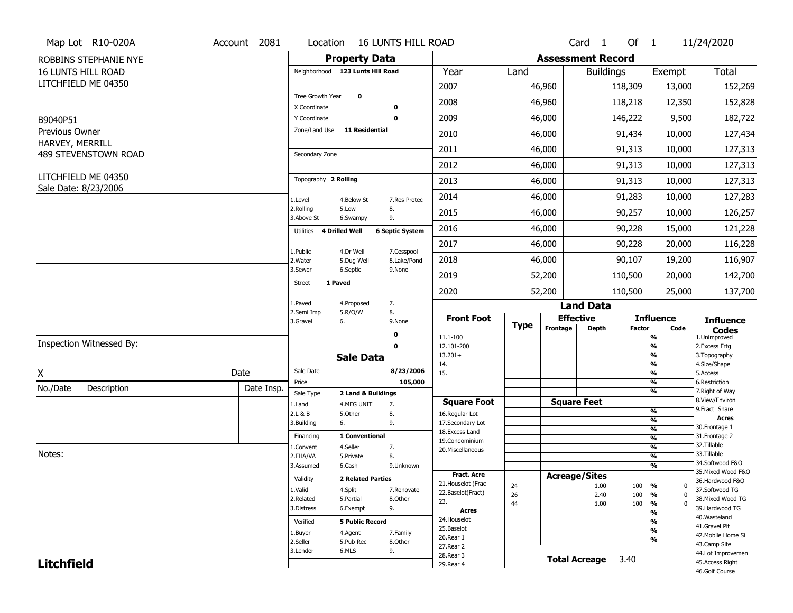|                                   | Map Lot R10-020A                            | Account 2081 | Location                      | <b>16 LUNTS HILL ROAD</b>                            |                     |                 |                          | Card <sub>1</sub>    | Of $1$        |                                           | 11/24/2020                        |
|-----------------------------------|---------------------------------------------|--------------|-------------------------------|------------------------------------------------------|---------------------|-----------------|--------------------------|----------------------|---------------|-------------------------------------------|-----------------------------------|
|                                   | ROBBINS STEPHANIE NYE                       |              |                               | <b>Property Data</b>                                 |                     |                 | <b>Assessment Record</b> |                      |               |                                           |                                   |
|                                   | <b>16 LUNTS HILL ROAD</b>                   |              |                               | Neighborhood 123 Lunts Hill Road                     | Year                | Land            |                          | <b>Buildings</b>     |               | Exempt                                    | <b>Total</b>                      |
|                                   | LITCHFIELD ME 04350                         |              |                               |                                                      | 2007                |                 | 46,960                   |                      | 118,309       | 13,000                                    | 152,269                           |
|                                   |                                             |              | Tree Growth Year              | $\mathbf 0$                                          | 2008                |                 | 46,960                   |                      | 118,218       | 12,350                                    | 152,828                           |
|                                   |                                             |              | X Coordinate                  | 0<br>$\mathbf 0$                                     | 2009                |                 |                          |                      |               |                                           |                                   |
| B9040P51                          |                                             |              | Y Coordinate<br>Zone/Land Use | <b>11 Residential</b>                                |                     |                 | 46,000                   |                      | 146,222       | 9,500                                     | 182,722                           |
| Previous Owner<br>HARVEY, MERRILL |                                             |              |                               |                                                      | 2010                |                 | 46,000                   |                      | 91,434        | 10,000                                    | 127,434                           |
|                                   | 489 STEVENSTOWN ROAD                        |              | Secondary Zone                |                                                      | 2011                |                 | 46,000                   |                      | 91,313        | 10,000                                    | 127,313                           |
|                                   |                                             |              |                               |                                                      | 2012                |                 | 46,000                   |                      | 91,313        | 10,000                                    | 127,313                           |
|                                   | LITCHFIELD ME 04350<br>Sale Date: 8/23/2006 |              | Topography 2 Rolling          |                                                      | 2013                |                 | 46,000                   |                      | 91,313        | 10,000                                    | 127,313                           |
|                                   |                                             |              | 1.Level                       | 4.Below St<br>7.Res Protec                           | 2014                |                 | 46,000                   |                      | 91,283        | 10,000                                    | 127,283                           |
|                                   |                                             |              | 2.Rolling<br>3.Above St       | 5.Low<br>8.<br>9.<br>6.Swampy                        | 2015                |                 | 46,000                   |                      | 90,257        | 10,000                                    | 126,257                           |
|                                   |                                             |              | 4 Drilled Well<br>Utilities   | <b>6 Septic System</b>                               | 2016                |                 | 46,000                   |                      | 90,228        | 15,000                                    | 121,228                           |
|                                   |                                             |              |                               |                                                      | 2017                |                 | 46,000                   |                      | 90,228        | 20,000                                    | 116,228                           |
|                                   |                                             |              | 1.Public<br>2. Water          | 4.Dr Well<br>7.Cesspool<br>8.Lake/Pond<br>5.Dug Well | 2018                |                 | 46,000                   |                      | 90,107        | 19,200                                    | 116,907                           |
|                                   |                                             |              | 3.Sewer                       | 6.Septic<br>9.None                                   | 2019                |                 | 52,200                   |                      | 110,500       | 20,000                                    | 142,700                           |
|                                   |                                             |              | 1 Paved<br>Street             |                                                      | 2020                |                 | 52,200                   |                      | 110,500       | 25,000                                    | 137,700                           |
|                                   |                                             |              | 1.Paved                       | 7.<br>4.Proposed                                     |                     |                 |                          | <b>Land Data</b>     |               |                                           |                                   |
|                                   |                                             |              | 2.Semi Imp<br>3.Gravel<br>6.  | 5.R/O/W<br>8.<br>9.None                              | <b>Front Foot</b>   | <b>Type</b>     | <b>Effective</b>         |                      |               | <b>Influence</b>                          | <b>Influence</b>                  |
|                                   |                                             |              |                               | $\mathbf 0$                                          | 11.1-100            |                 | Frontage                 | <b>Depth</b>         | <b>Factor</b> | Code<br>$\frac{9}{6}$                     | Codes<br>1.Unimproved             |
|                                   | Inspection Witnessed By:                    |              |                               | $\mathbf 0$                                          | 12.101-200          |                 |                          |                      |               | $\frac{9}{6}$                             | 2. Excess Frtg                    |
|                                   |                                             |              |                               | <b>Sale Data</b>                                     | $13.201+$<br>14.    |                 |                          |                      |               | $\frac{9}{6}$<br>$\overline{\frac{9}{6}}$ | 3. Topography<br>4.Size/Shape     |
| X                                 |                                             | Date         | Sale Date                     | 8/23/2006                                            | 15.                 |                 |                          |                      |               | $\frac{9}{6}$                             | 5.Access                          |
| No./Date                          | Description                                 | Date Insp.   | Price                         | 105,000                                              |                     |                 |                          |                      |               | $\frac{9}{6}$<br>$\overline{\frac{9}{6}}$ | 6.Restriction<br>7. Right of Way  |
|                                   |                                             |              | Sale Type<br>1.Land           | 2 Land & Buildings<br>4.MFG UNIT<br>7.               | <b>Square Foot</b>  |                 | <b>Square Feet</b>       |                      |               |                                           | 8.View/Environ                    |
|                                   |                                             |              | 2.L & B                       | 5.Other<br>8.                                        | 16.Regular Lot      |                 |                          |                      |               | %                                         | 9.Fract Share                     |
|                                   |                                             |              | 3.Building<br>6.              | 9.                                                   | 17.Secondary Lot    |                 |                          |                      |               | %                                         | <b>Acres</b><br>30. Frontage 1    |
|                                   |                                             |              | Financing                     | 1 Conventional                                       | 18.Excess Land      |                 |                          |                      |               | $\frac{9}{6}$<br>$\frac{9}{6}$            | 31. Frontage 2                    |
|                                   |                                             |              | 1.Convent                     | 4.Seller<br>7.                                       | 19.Condominium      |                 |                          |                      |               | %                                         | 32. Tillable                      |
| Notes:                            |                                             |              | 2.FHA/VA                      | 5.Private<br>8.                                      | 20.Miscellaneous    |                 |                          |                      |               | %                                         | 33.Tillable                       |
|                                   |                                             |              | 3.Assumed                     | 6.Cash<br>9.Unknown                                  |                     |                 |                          |                      |               | %                                         | 34.Softwood F&O                   |
|                                   |                                             |              | Validity                      | <b>2 Related Parties</b>                             | <b>Fract. Acre</b>  |                 | <b>Acreage/Sites</b>     |                      |               |                                           | 35. Mixed Wood F&O                |
|                                   |                                             |              | 1.Valid                       | 4.Split<br>7.Renovate                                | 21. Houselot (Frac  | 24              |                          | 1.00                 | 100           | %<br>$^{\rm o}$                           | 36.Hardwood F&O<br>37.Softwood TG |
|                                   |                                             |              | 2.Related                     | 5.Partial<br>8.Other                                 | 22.Baselot(Fract)   | $\overline{26}$ |                          | 2.40                 | 100           | $\frac{9}{6}$<br>$\Omega$                 | 38. Mixed Wood TG                 |
|                                   |                                             |              | 3.Distress                    | 6.Exempt<br>9.                                       | 23.<br><b>Acres</b> | 44              |                          | 1.00                 | 100           | $\frac{9}{6}$<br>$\Omega$                 | 39.Hardwood TG                    |
|                                   |                                             |              |                               |                                                      | 24. Houselot        |                 |                          |                      |               | $\overline{\frac{9}{6}}$                  | 40. Wasteland                     |
|                                   |                                             |              | Verified                      | <b>5 Public Record</b>                               | 25.Baselot          |                 |                          |                      |               | $\overline{\frac{9}{6}}$<br>$\frac{9}{6}$ | 41.Gravel Pit                     |
|                                   |                                             |              | 1.Buyer                       | 4.Agent<br>7.Family                                  | 26.Rear 1           |                 |                          |                      |               | $\overline{\frac{9}{6}}$                  | 42. Mobile Home Si                |
|                                   |                                             |              | 2.Seller                      | 5.Pub Rec<br>8.0ther                                 | 27. Rear 2          |                 |                          |                      |               |                                           | 43.Camp Site                      |
|                                   |                                             |              | 3.Lender                      | 6.MLS<br>9.                                          | 28.Rear 3           |                 |                          | <b>Total Acreage</b> | 3.40          |                                           | 44.Lot Improvemen                 |
| <b>Litchfield</b>                 |                                             |              |                               |                                                      | 29. Rear 4          |                 |                          |                      |               |                                           | 45.Access Right<br>46.Golf Course |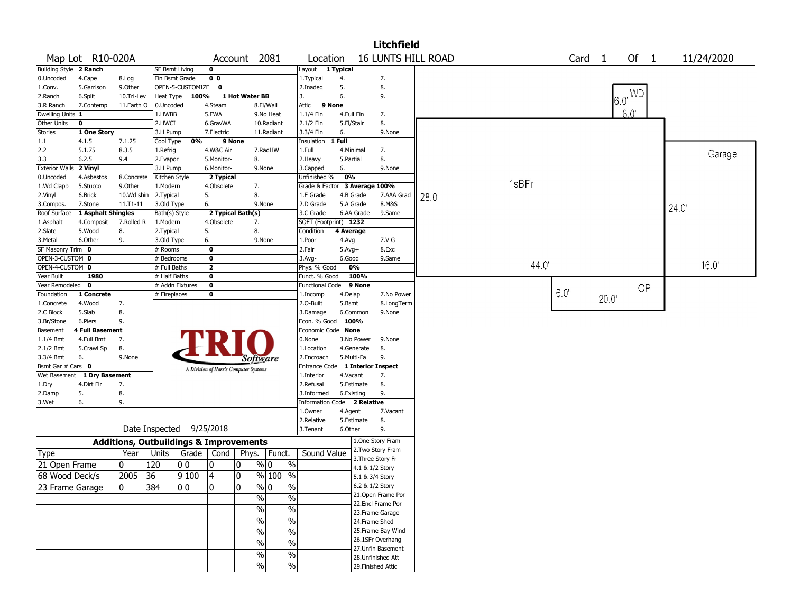|                        |                                   |                                                   |                       |                          |                         |                                       |                          |                                  |            |                 | <b>Litchfield</b>  |                           |       |                   |      |            |      |            |
|------------------------|-----------------------------------|---------------------------------------------------|-----------------------|--------------------------|-------------------------|---------------------------------------|--------------------------|----------------------------------|------------|-----------------|--------------------|---------------------------|-------|-------------------|------|------------|------|------------|
|                        | Map Lot R10-020A                  |                                                   |                       |                          |                         | Account 2081                          |                          | Location                         |            |                 |                    | <b>16 LUNTS HILL ROAD</b> |       | Card <sub>1</sub> |      | Of $1$     |      | 11/24/2020 |
| Building Style 2 Ranch |                                   |                                                   | <b>SF Bsmt Living</b> |                          | $\mathbf 0$             |                                       |                          | Layout                           | 1 Typical  |                 |                    |                           |       |                   |      |            |      |            |
| 0.Uncoded              | 4.Cape                            | 8.Log                                             | Fin Bsmt Grade        |                          | 0 <sub>0</sub>          |                                       |                          | 1. Typical                       | 4.         |                 | 7.                 |                           |       |                   |      |            |      |            |
| 1.Conv.                | 5.Garrison                        | 9.0ther                                           |                       | OPEN-5-CUSTOMIZE         | $\mathbf 0$             |                                       |                          | 2.Inadeg                         | 5.         |                 | 8.                 |                           |       |                   |      |            |      |            |
| 2.Ranch                | 6.Split                           | 10.Tri-Lev                                        | Heat Type             | 100%                     |                         | 1 Hot Water BB                        |                          | 3.                               | 6.         |                 | 9.                 |                           |       |                   |      | $6.0^{WD}$ |      |            |
| 3.R Ranch              | 7.Contemp                         | 11.Earth O                                        | 0.Uncoded             |                          | 4.Steam                 |                                       | 8.Fl/Wall                | 9 None<br>Attic                  |            |                 |                    |                           |       |                   |      |            |      |            |
| Dwelling Units 1       |                                   |                                                   | 1.HWBB                |                          | 5.FWA                   |                                       | 9.No Heat                | 1.1/4 Fin                        | 4.Full Fin |                 | 7.                 |                           |       |                   |      | 60'        |      |            |
| Other Units            | $\mathbf 0$                       |                                                   | 2.HWCI                |                          | 6.GravWA                |                                       | 10.Radiant               | 2.1/2 Fin                        | 5.Fl/Stair |                 | 8.                 |                           |       |                   |      |            |      |            |
| <b>Stories</b>         | 1 One Story                       |                                                   | 3.H Pump              |                          | 7.Electric              |                                       | 11.Radiant               | 3.3/4 Fin                        | 6.         |                 | 9.None             |                           |       |                   |      |            |      |            |
| 1.1                    | 4.1.5                             | 7.1.25                                            | Cool Type             | 0%                       |                         | 9 None                                |                          | Insulation                       | 1 Full     |                 |                    |                           |       |                   |      |            |      |            |
| 2.2                    | 5.1.75                            | 8.3.5                                             | 1.Refrig              |                          | 4.W&C Air               |                                       | 7.RadHW                  | 1.Full                           | 4.Minimal  |                 | 7.                 |                           |       |                   |      |            |      | Garage     |
| 3.3                    | 6.2.5                             | 9.4                                               | 2.Evapor              |                          | 5.Monitor-              | 8.                                    |                          | 2.Heavy                          | 5.Partial  |                 | 8.                 |                           |       |                   |      |            |      |            |
| <b>Exterior Walls</b>  | 2 Vinyl                           |                                                   | 3.H Pump              |                          | 6.Monitor-              |                                       | 9.None                   | 3.Capped                         | 6.         |                 | 9.None             |                           |       |                   |      |            |      |            |
| 0.Uncoded              | 4.Asbestos                        | 8.Concrete                                        | Kitchen Style         |                          | 2 Typical               |                                       |                          | Unfinished %                     | 0%         |                 |                    |                           | 1sBFr |                   |      |            |      |            |
| 1.Wd Clapb             | 5.Stucco                          | 9.Other                                           | 1.Modern              |                          | 4.Obsolete              | 7.                                    |                          | Grade & Factor 3 Average 100%    |            |                 |                    |                           |       |                   |      |            |      |            |
| 2.Vinyl                | 6.Brick                           | 10.Wd shin                                        | 2.Typical             |                          | 5.                      | 8.                                    |                          | 1.E Grade                        | 4.B Grade  |                 | 7.AAA Grad         | 28.0                      |       |                   |      |            |      |            |
| 3.Compos.              | 7.Stone                           | $11. T1 - 11$                                     | 3.Old Type            |                          | 6.                      |                                       | 9.None                   | 2.D Grade                        | 5.A Grade  |                 | 8.M&S              |                           |       |                   |      |            | 24.0 |            |
| Roof Surface           | 1 Asphalt Shingles                |                                                   | Bath(s) Style         |                          |                         | 2 Typical Bath(s)                     |                          | 3.C Grade                        |            | 6.AA Grade      | 9.Same             |                           |       |                   |      |            |      |            |
| 1.Asphalt              | 4.Composit                        | 7.Rolled R                                        | 1.Modern              |                          | 4.Obsolete              | 7.                                    |                          | SQFT (Footprint) 1232            |            |                 |                    |                           |       |                   |      |            |      |            |
| 2.Slate                | 5.Wood                            | 8.                                                | 2. Typical            |                          | 5.                      | 8.                                    |                          | Condition                        | 4 Average  |                 |                    |                           |       |                   |      |            |      |            |
| 3.Metal                | 6.Other                           | 9.                                                | 3.Old Type            |                          | 6.                      |                                       | 9.None                   | 1.Poor                           | 4.Avg      |                 | 7.V G              |                           |       |                   |      |            |      |            |
| SF Masonry Trim 0      |                                   |                                                   | # Rooms               |                          | $\overline{\mathbf{0}}$ |                                       |                          | 2.Fair                           | $5.Avg+$   |                 | 8.Exc              |                           |       |                   |      |            |      |            |
| OPEN-3-CUSTOM 0        |                                   |                                                   | # Bedrooms            |                          | $\mathbf{o}$            |                                       |                          | 3.Avg-                           | 6.Good     |                 | 9.Same             |                           | 44.0  |                   |      |            |      | 16.0'      |
| OPEN-4-CUSTOM 0        |                                   |                                                   | # Full Baths          |                          | $\overline{2}$          |                                       |                          | Phys. % Good                     |            | 0%              |                    |                           |       |                   |      |            |      |            |
| Year Built             | 1980                              |                                                   | # Half Baths          |                          | $\mathbf 0$             |                                       |                          | Funct. % Good                    |            | 100%            |                    |                           |       |                   |      |            |      |            |
| Year Remodeled         | $\mathbf 0$                       |                                                   | # Addn Fixtures       |                          | $\bf{0}$                |                                       |                          | <b>Functional Code</b>           |            | 9 None          |                    |                           |       | 6.0               |      | OP         |      |            |
| Foundation             | 1 Concrete                        |                                                   | # Fireplaces          |                          | $\bf{0}$                |                                       |                          | 1.Incomp                         | 4.Delap    |                 | 7.No Power         |                           |       |                   | 20.0 |            |      |            |
| 1.Concrete             | 4.Wood                            | 7.                                                |                       |                          |                         |                                       |                          | 2.O-Built                        | 5.Bsmt     |                 | 8.LongTerm         |                           |       |                   |      |            |      |            |
| 2.C Block              | 5.Slab                            | 8.                                                |                       |                          |                         |                                       |                          | 3.Damage<br>Econ. % Good 100%    |            | 6.Common        | 9.None             |                           |       |                   |      |            |      |            |
| 3.Br/Stone             | 6.Piers<br><b>4 Full Basement</b> | 9.                                                |                       |                          |                         |                                       |                          | Economic Code None               |            |                 |                    |                           |       |                   |      |            |      |            |
| Basement<br>1.1/4 Bmt  | 4.Full Bmt                        | 7.                                                |                       |                          |                         |                                       |                          | 0.None                           |            | 3.No Power      | 9.None             |                           |       |                   |      |            |      |            |
| 2.1/2 Bmt              | 5.Crawl Sp                        | 8.                                                |                       |                          |                         |                                       |                          | 1.Location                       |            | 4.Generate      | 8.                 |                           |       |                   |      |            |      |            |
| 3.3/4 Bmt              | 6.                                | 9.None                                            |                       |                          |                         |                                       |                          | 2.Encroach                       | 5.Multi-Fa |                 | 9.                 |                           |       |                   |      |            |      |            |
| Bsmt Gar # Cars 0      |                                   |                                                   |                       |                          |                         | Software                              |                          | Entrance Code 1 Interior Inspect |            |                 |                    |                           |       |                   |      |            |      |            |
|                        | Wet Basement 1 Dry Basement       |                                                   |                       |                          |                         | A Division of Harris Computer Systems |                          | 1.Interior                       | 4.Vacant   |                 | 7.                 |                           |       |                   |      |            |      |            |
| 1.Dry                  | 4.Dirt Flr                        | 7.                                                |                       |                          |                         |                                       |                          | 2.Refusal                        |            | 5.Estimate      | 8.                 |                           |       |                   |      |            |      |            |
| 2.Damp                 | 5.                                | 8.                                                |                       |                          |                         |                                       |                          | 3.Informed                       | 6.Existing |                 | 9.                 |                           |       |                   |      |            |      |            |
| 3.Wet                  | 6.                                | 9.                                                |                       |                          |                         |                                       |                          | <b>Information Code</b>          |            | 2 Relative      |                    |                           |       |                   |      |            |      |            |
|                        |                                   |                                                   |                       |                          |                         |                                       |                          | 1.Owner                          | 4.Agent    |                 | 7.Vacant           |                           |       |                   |      |            |      |            |
|                        |                                   |                                                   |                       |                          |                         |                                       |                          | 2.Relative                       |            | 5.Estimate      | 8.                 |                           |       |                   |      |            |      |            |
|                        |                                   |                                                   |                       | Date Inspected 9/25/2018 |                         |                                       |                          | 3.Tenant                         | 6.Other    |                 | 9.                 |                           |       |                   |      |            |      |            |
|                        |                                   | <b>Additions, Outbuildings &amp; Improvements</b> |                       |                          |                         |                                       |                          |                                  |            |                 | 1.One Story Fram   |                           |       |                   |      |            |      |            |
| Type                   |                                   | Year                                              | Units                 | Grade                    | Cond                    | Phys.                                 | Funct.                   | Sound Value                      |            |                 | 2. Two Story Fram  |                           |       |                   |      |            |      |            |
| 21 Open Frame          |                                   | 0                                                 | 120                   | 0 <sub>0</sub>           | 10                      | 0                                     | % 0                      |                                  |            |                 | 3. Three Story Fr  |                           |       |                   |      |            |      |            |
|                        |                                   |                                                   |                       |                          |                         |                                       | %                        |                                  |            | 4.1 & 1/2 Story |                    |                           |       |                   |      |            |      |            |
| 68 Wood Deck/s         |                                   | 2005                                              | 36                    | 9 1 0 0                  | 4                       | $\mathbf{0}$                          | $\sqrt{96}$ 100 %        |                                  |            | 5.1 & 3/4 Story |                    |                           |       |                   |      |            |      |            |
| 23 Frame Garage        |                                   | 10                                                | 384                   | 10 O                     | 10                      | 10                                    | % 0<br>%                 |                                  |            | 6.2 & 1/2 Story |                    |                           |       |                   |      |            |      |            |
|                        |                                   |                                                   |                       |                          |                         | $\frac{1}{2}$                         | $\%$                     |                                  |            |                 | 21.Open Frame Por  |                           |       |                   |      |            |      |            |
|                        |                                   |                                                   |                       |                          |                         | $\sqrt{0}$                            | $\%$                     |                                  |            |                 | 22.Encl Frame Por  |                           |       |                   |      |            |      |            |
|                        |                                   |                                                   |                       |                          |                         |                                       |                          |                                  |            |                 | 23. Frame Garage   |                           |       |                   |      |            |      |            |
|                        |                                   |                                                   |                       |                          |                         | $\sqrt{6}$                            | $\overline{\frac{0}{6}}$ |                                  |            | 24.Frame Shed   |                    |                           |       |                   |      |            |      |            |
|                        |                                   |                                                   |                       |                          |                         | $\sqrt{6}$                            | $\%$                     |                                  |            |                 | 25. Frame Bay Wind |                           |       |                   |      |            |      |            |
|                        |                                   |                                                   |                       |                          |                         | $\%$                                  | $\frac{0}{0}$            |                                  |            |                 | 26.1SFr Overhang   |                           |       |                   |      |            |      |            |
|                        |                                   |                                                   |                       |                          |                         | $\%$                                  | $\%$                     |                                  |            |                 | 27.Unfin Basement  |                           |       |                   |      |            |      |            |
|                        |                                   |                                                   |                       |                          |                         | $\sqrt{0}$                            | $\frac{1}{2}$            |                                  |            |                 | 28.Unfinished Att  |                           |       |                   |      |            |      |            |
|                        |                                   |                                                   |                       |                          |                         |                                       |                          |                                  |            |                 | 29. Finished Attic |                           |       |                   |      |            |      |            |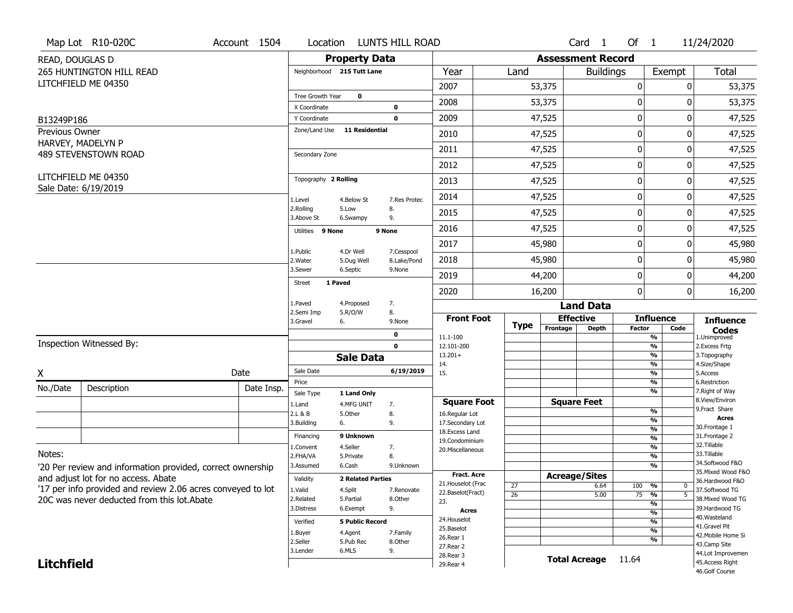|                              | Map Lot R10-020C                                            | Account 1504 | Location                     |                            | <b>LUNTS HILL ROAD</b>    |                                   |                                    |                          | Card <sub>1</sub>    | Of $1$                                               |                     | 11/24/2020                          |
|------------------------------|-------------------------------------------------------------|--------------|------------------------------|----------------------------|---------------------------|-----------------------------------|------------------------------------|--------------------------|----------------------|------------------------------------------------------|---------------------|-------------------------------------|
| READ, DOUGLAS D              |                                                             |              |                              | <b>Property Data</b>       |                           |                                   |                                    | <b>Assessment Record</b> |                      |                                                      |                     |                                     |
|                              | <b>265 HUNTINGTON HILL READ</b>                             |              |                              | Neighborhood 215 Tutt Lane |                           | Year                              | Land                               |                          | <b>Buildings</b>     |                                                      | Exempt              | <b>Total</b>                        |
|                              | LITCHFIELD ME 04350                                         |              |                              |                            |                           | 2007                              |                                    | 53,375                   |                      | 0                                                    | 0                   | 53,375                              |
|                              |                                                             |              | Tree Growth Year             | $\mathbf 0$                |                           | 2008                              |                                    | 53,375                   |                      | $\mathbf 0$                                          | 0                   | 53,375                              |
|                              |                                                             |              | X Coordinate<br>Y Coordinate |                            | 0<br>$\mathbf 0$          | 2009                              |                                    | 47,525                   |                      | 0                                                    | 0                   | 47,525                              |
| B13249P186<br>Previous Owner |                                                             |              | Zone/Land Use                | <b>11 Residential</b>      |                           |                                   |                                    |                          |                      |                                                      |                     |                                     |
|                              | HARVEY, MADELYN P                                           |              |                              |                            |                           | 2010                              |                                    | 47,525                   |                      | 0                                                    | 0                   | 47,525                              |
|                              | 489 STEVENSTOWN ROAD                                        |              | Secondary Zone               |                            |                           | 2011                              |                                    | 47,525                   |                      | $\pmb{0}$                                            | 0                   | 47,525                              |
|                              |                                                             |              |                              |                            |                           | 2012                              |                                    | 47,525                   |                      | $\pmb{0}$                                            | 0                   | 47,525                              |
|                              | LITCHFIELD ME 04350<br>Sale Date: 6/19/2019                 |              | Topography 2 Rolling         |                            |                           | 2013                              |                                    | 47,525                   |                      | 0                                                    | 0                   | 47,525                              |
|                              |                                                             |              | 1.Level                      | 4.Below St                 | 7.Res Protec              | 2014                              |                                    | 47,525                   |                      | $\mathbf 0$                                          | 0                   | 47,525                              |
|                              |                                                             |              | 2.Rolling<br>3.Above St      | 5.Low<br>6.Swampy          | 8.<br>9.                  | 2015                              |                                    | 47,525                   |                      | 0                                                    | 0                   | 47,525                              |
|                              |                                                             |              | Utilities 9 None             |                            | 9 None                    | 2016                              |                                    | 47,525                   |                      | $\mathbf 0$                                          | 0                   | 47,525                              |
|                              |                                                             |              |                              |                            |                           | 2017                              |                                    | 45,980                   |                      | 0                                                    | 0                   | 45,980                              |
|                              |                                                             |              | 1.Public<br>2. Water         | 4.Dr Well<br>5.Dug Well    | 7.Cesspool<br>8.Lake/Pond | 2018                              |                                    | 45,980                   |                      | 0                                                    | 0                   | 45,980                              |
|                              |                                                             |              | 3.Sewer                      | 6.Septic                   | 9.None                    | 2019                              |                                    | 44,200                   |                      | $\pmb{0}$                                            | 0                   | 44,200                              |
|                              |                                                             |              | <b>Street</b>                | 1 Paved                    |                           | 2020                              |                                    | 16,200                   |                      | $\mathbf 0$                                          | $\overline{0}$      | 16,200                              |
|                              |                                                             |              | 1.Paved                      | 4.Proposed                 | 7.                        |                                   |                                    |                          | <b>Land Data</b>     |                                                      |                     |                                     |
|                              |                                                             |              | 2.Semi Imp<br>3.Gravel       | 5.R/O/W<br>6.              | 8.<br>9.None              | <b>Front Foot</b>                 |                                    |                          | <b>Effective</b>     |                                                      | <b>Influence</b>    | <b>Influence</b>                    |
|                              |                                                             |              |                              |                            | $\mathbf 0$               | 11.1-100                          | <b>Type</b>                        | Frontage                 | <b>Depth</b>         | <b>Factor</b><br>$\frac{9}{6}$                       | Code                | <b>Codes</b><br>1.Unimproved        |
|                              | Inspection Witnessed By:                                    |              |                              |                            | $\mathbf 0$               | 12.101-200                        |                                    |                          |                      | $\overline{\frac{9}{6}}$                             |                     | 2. Excess Frtg                      |
|                              |                                                             |              |                              | <b>Sale Data</b>           |                           | $13.201+$<br>14.                  |                                    |                          |                      | $\overline{\frac{9}{6}}$<br>$\overline{\frac{9}{6}}$ |                     | 3. Topography<br>4.Size/Shape       |
| X                            |                                                             | Date         | Sale Date                    |                            | 6/19/2019                 | 15.                               |                                    |                          |                      | $\overline{\frac{9}{6}}$                             |                     | 5.Access                            |
| No./Date                     | Description                                                 | Date Insp.   | Price                        |                            |                           |                                   |                                    |                          |                      | %<br>$\overline{\frac{9}{6}}$                        |                     | 6.Restriction<br>7. Right of Way    |
|                              |                                                             |              | Sale Type<br>1.Land          | 1 Land Only<br>4.MFG UNIT  | 7.                        | <b>Square Foot</b>                |                                    |                          | <b>Square Feet</b>   |                                                      |                     | 8.View/Environ                      |
|                              |                                                             |              | 2.L & B                      | 5.Other                    | 8.                        | 16.Regular Lot                    |                                    |                          |                      | %                                                    |                     | 9.Fract Share<br><b>Acres</b>       |
|                              |                                                             |              | 3.Building                   | 6.                         | 9.                        | 17.Secondary Lot                  |                                    |                          |                      | %<br>%                                               |                     | 30. Frontage 1                      |
|                              |                                                             |              | Financing                    | 9 Unknown                  |                           | 18. Excess Land<br>19.Condominium |                                    |                          |                      | %                                                    |                     | 31. Frontage 2                      |
|                              |                                                             |              | 1.Convent                    | 4.Seller                   | 7.                        | 20.Miscellaneous                  |                                    |                          |                      | %                                                    |                     | 32.Tillable                         |
| Notes:                       |                                                             |              | 2.FHA/VA                     | 5.Private                  | 8.                        |                                   |                                    |                          |                      | %                                                    |                     | 33.Tillable<br>34.Softwood F&O      |
|                              | '20 Per review and information provided, correct ownership  |              | 3.Assumed                    | 6.Cash                     | 9.Unknown                 | <b>Fract. Acre</b>                |                                    |                          |                      | %                                                    |                     | 35. Mixed Wood F&O                  |
|                              | and adjust lot for no access. Abate                         |              | Validity                     | <b>2 Related Parties</b>   |                           | 21. Houselot (Frac                |                                    |                          | <b>Acreage/Sites</b> |                                                      |                     | 36.Hardwood F&O                     |
|                              | '17 per info provided and review 2.06 acres conveyed to lot |              | 1.Valid                      | 4.Split                    | 7.Renovate                | 22.Baselot(Fract)                 | $\overline{27}$<br>$\overline{26}$ |                          | 6.64<br>5.00         | 100 %<br>75<br>%                                     | 0<br>$\overline{5}$ | 37.Softwood TG                      |
|                              | 20C was never deducted from this lot. Abate                 |              | 2.Related                    | 5.Partial                  | 8.Other                   | 23.                               |                                    |                          |                      |                                                      | %                   | 38. Mixed Wood TG                   |
|                              |                                                             |              | 3.Distress                   | 6.Exempt                   | 9.                        | <b>Acres</b>                      |                                    |                          |                      | %                                                    |                     | 39.Hardwood TG                      |
|                              |                                                             |              | Verified                     | <b>5 Public Record</b>     |                           | 24. Houselot                      |                                    |                          |                      | %                                                    |                     | 40.Wasteland                        |
|                              |                                                             |              | 1.Buyer                      | 4.Agent                    | 7.Family                  | 25.Baselot                        |                                    |                          |                      | %                                                    |                     | 41.Gravel Pit<br>42. Mobile Home Si |
|                              |                                                             |              | 2.Seller                     | 5.Pub Rec                  | 8.Other                   | 26.Rear 1                         |                                    |                          |                      |                                                      | %                   | 43.Camp Site                        |
|                              |                                                             |              | 3.Lender                     | 6.MLS                      | 9.                        | 27. Rear 2<br>28. Rear 3          |                                    |                          |                      |                                                      |                     | 44.Lot Improvemen                   |
|                              |                                                             |              |                              |                            |                           |                                   |                                    |                          |                      |                                                      |                     |                                     |
| <b>Litchfield</b>            |                                                             |              |                              |                            |                           | 29. Rear 4                        |                                    |                          | <b>Total Acreage</b> | 11.64                                                |                     | 45.Access Right                     |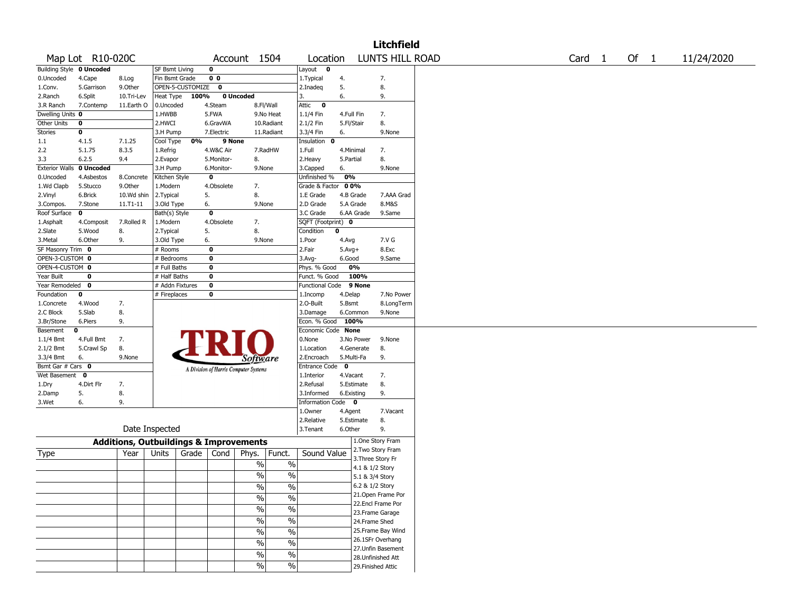| LUNTS HILL ROAD<br>Map Lot R10-020C<br>Of 1<br>Account 1504<br>Location<br>Card 1<br>11/24/2020<br><b>Building Style 0 Uncoded</b><br>$\mathbf 0$<br>Layout<br><b>SF Bsmt Living</b><br>$\mathbf 0$<br>Fin Bsmt Grade<br>0 <sub>0</sub><br>4.Cape<br>1.Typical<br>4.<br>7.<br>8.Log<br>9.Other<br>OPEN-5-CUSTOMIZE<br>$\mathbf 0$<br>5.<br>8.<br>5.Garrison<br>2.Inadeg<br>Heat Type<br>100%<br>0 Uncoded<br>6.<br>6.Split<br>10.Tri-Lev<br>9.<br>3.<br>11.Earth O<br>0.Uncoded<br>4.Steam<br>8.Fl/Wall<br>Attic<br>$\bf{0}$<br>7.Contemp<br>Dwelling Units 0<br>1.HWBB<br>5.FWA<br>9.No Heat<br>1.1/4 Fin<br>7.<br>4.Full Fin<br>2.HWCI<br>10.Radiant<br>2.1/2 Fin<br>5.Fl/Stair<br>8.<br>0<br>6.GravWA<br>7.Electric<br>11.Radiant<br>3.3/4 Fin<br>0<br>3.H Pump<br>6.<br>9.None<br>Cool Type<br>0%<br>9 None<br>Insulation 0<br>4.1.5<br>7.1.25<br>5.1.75<br>8.3.5<br>4.W&C Air<br>7.RadHW<br>1.Full<br>4.Minimal<br>7.<br>1.Refrig<br>8.<br>2.Heavy<br>8.<br>6.2.5<br>9.4<br>2.Evapor<br>5.Monitor-<br>5.Partial<br>0 Uncoded<br>3.H Pump<br>6.Monitor-<br>9.None<br>3.Capped<br>6.<br>9.None<br>0<br>Unfinished %<br>0%<br>4.Asbestos<br>8.Concrete<br>Kitchen Style<br>9.Other<br>00%<br>5.Stucco<br>1.Modern<br>4.Obsolete<br>7.<br>Grade & Factor<br>10.Wd shin<br>5.<br>8.<br>4.B Grade<br>6.Brick<br>2. Typical<br>1.E Grade<br>7.AAA Grad<br>6.<br>2.D Grade<br>5.A Grade<br>8.M&S<br>7.Stone<br>$11.71 - 11$<br>3.Old Type<br>9.None<br>Bath(s) Style<br>$\bf{0}$<br>3.C Grade<br>6.AA Grade<br>9.Same<br>0<br>4.Obsolete<br>7.<br>SQFT (Footprint) 0<br>7.Rolled R<br>1.Modern<br>4.Composit<br>5.<br>8.<br>$\bf{0}$<br>5.Wood<br>8.<br>2. Typical<br>Condition<br>6.Other<br>7.V G<br>9.<br>3.Old Type<br>6.<br>9.None<br>1.Poor<br>4.Avg<br>SF Masonry Trim 0<br>$\bf{0}$<br>2.Fair<br>8.Exc<br># Rooms<br>$5.Avg+$<br>OPEN-3-CUSTOM 0<br>$\bf{0}$<br># Bedrooms<br>$3.$ Avg-<br>6.Good<br>9.Same<br>OPEN-4-CUSTOM 0<br># Full Baths<br>$\bf{0}$<br>0%<br>Phys. % Good<br># Half Baths<br>$\bf{0}$<br>100%<br>0<br>Funct. % Good<br>Year Remodeled 0<br># Addn Fixtures<br>0<br><b>Functional Code</b><br>9 None<br># Fireplaces<br>0<br>7.No Power<br>0<br>4.Delap<br>1.Incomp<br>2.0-Built<br>8.LongTerm<br>4.Wood<br>7.<br>5.Bsmt<br>5.Slab<br>8.<br>3.Damage<br>6.Common<br>9.None<br>9.<br>Econ. % Good 100%<br>3.Br/Stone<br>6.Piers<br>Economic Code None<br>0<br>0.None<br>4.Full Bmt<br>7.<br>3.No Power<br>9.None<br>5.Crawl Sp<br>8.<br>1.Location<br>4.Generate<br>8.<br>5.Multi-Fa<br>9.<br>3.3/4 Bmt<br>6.<br>9.None<br>2.Encroach<br><i>Software</i><br>Bsmt Gar # Cars 0<br>$\mathbf 0$<br><b>Entrance Code</b><br>A Division of Harris Computer Systems<br>Wet Basement<br>0<br>1.Interior<br>4.Vacant<br>7.<br>7.<br>2.Refusal<br>8.<br>4.Dirt Flr<br>5.Estimate<br>1.Dry<br>5.<br>8.<br>3.Informed<br>9.<br>2.Damp<br>6.Existing<br>Information Code 0<br>6.<br>9.<br>1.0wner<br>4.Agent<br>7.Vacant<br>8.<br>2.Relative<br>5.Estimate<br>Date Inspected<br>3.Tenant<br>6.Other<br>9.<br>1.One Story Fram<br><b>Additions, Outbuildings &amp; Improvements</b><br>2. Two Story Fram<br>Funct.<br>Sound Value<br>Grade<br>Cond<br>Phys.<br>Type<br>Year<br>Units<br>3. Three Story Fr<br>$\%$<br>$\%$<br>4.1 & 1/2 Story<br>$\frac{0}{0}$<br>$\%$<br>5.1 & 3/4 Story<br>6.2 & 1/2 Story<br>$\frac{9}{6}$<br>$\frac{1}{2}$<br>21.Open Frame Por<br>%<br>$\%$<br>22.Encl Frame Por<br>$\sqrt{6}$<br>$\%$<br>23. Frame Garage<br>$\sqrt{6}$<br>$\%$<br>24.Frame Shed<br>25.Frame Bay Wind<br>$\%$<br>$\frac{0}{0}$<br>26.1SFr Overhang<br>$\%$<br>$\%$<br>27.Unfin Basement<br>$\overline{\frac{0}{6}}$<br>$\sqrt{6}$<br>28.Unfinished Att<br>$\%$<br>29. Finished Attic |                       |  |  |            |  | <b>Litchfield</b> |  |  |  |
|--------------------------------------------------------------------------------------------------------------------------------------------------------------------------------------------------------------------------------------------------------------------------------------------------------------------------------------------------------------------------------------------------------------------------------------------------------------------------------------------------------------------------------------------------------------------------------------------------------------------------------------------------------------------------------------------------------------------------------------------------------------------------------------------------------------------------------------------------------------------------------------------------------------------------------------------------------------------------------------------------------------------------------------------------------------------------------------------------------------------------------------------------------------------------------------------------------------------------------------------------------------------------------------------------------------------------------------------------------------------------------------------------------------------------------------------------------------------------------------------------------------------------------------------------------------------------------------------------------------------------------------------------------------------------------------------------------------------------------------------------------------------------------------------------------------------------------------------------------------------------------------------------------------------------------------------------------------------------------------------------------------------------------------------------------------------------------------------------------------------------------------------------------------------------------------------------------------------------------------------------------------------------------------------------------------------------------------------------------------------------------------------------------------------------------------------------------------------------------------------------------------------------------------------------------------------------------------------------------------------------------------------------------------------------------------------------------------------------------------------------------------------------------------------------------------------------------------------------------------------------------------------------------------------------------------------------------------------------------------------------------------------------------------------------------------------------------------------------------------------------------------------------------------------------------------------------------------------------------------------------------------------------------------------------------------------------------------------------------------------------------------------------------------------------------------------------------------------------------------------------------------------------------------------------------------------------------------------------------------------------------------------------------------------------------------------------------|-----------------------|--|--|------------|--|-------------------|--|--|--|
|                                                                                                                                                                                                                                                                                                                                                                                                                                                                                                                                                                                                                                                                                                                                                                                                                                                                                                                                                                                                                                                                                                                                                                                                                                                                                                                                                                                                                                                                                                                                                                                                                                                                                                                                                                                                                                                                                                                                                                                                                                                                                                                                                                                                                                                                                                                                                                                                                                                                                                                                                                                                                                                                                                                                                                                                                                                                                                                                                                                                                                                                                                                                                                                                                                                                                                                                                                                                                                                                                                                                                                                                                                                                                                        |                       |  |  |            |  |                   |  |  |  |
|                                                                                                                                                                                                                                                                                                                                                                                                                                                                                                                                                                                                                                                                                                                                                                                                                                                                                                                                                                                                                                                                                                                                                                                                                                                                                                                                                                                                                                                                                                                                                                                                                                                                                                                                                                                                                                                                                                                                                                                                                                                                                                                                                                                                                                                                                                                                                                                                                                                                                                                                                                                                                                                                                                                                                                                                                                                                                                                                                                                                                                                                                                                                                                                                                                                                                                                                                                                                                                                                                                                                                                                                                                                                                                        |                       |  |  |            |  |                   |  |  |  |
|                                                                                                                                                                                                                                                                                                                                                                                                                                                                                                                                                                                                                                                                                                                                                                                                                                                                                                                                                                                                                                                                                                                                                                                                                                                                                                                                                                                                                                                                                                                                                                                                                                                                                                                                                                                                                                                                                                                                                                                                                                                                                                                                                                                                                                                                                                                                                                                                                                                                                                                                                                                                                                                                                                                                                                                                                                                                                                                                                                                                                                                                                                                                                                                                                                                                                                                                                                                                                                                                                                                                                                                                                                                                                                        | 0.Uncoded             |  |  |            |  |                   |  |  |  |
|                                                                                                                                                                                                                                                                                                                                                                                                                                                                                                                                                                                                                                                                                                                                                                                                                                                                                                                                                                                                                                                                                                                                                                                                                                                                                                                                                                                                                                                                                                                                                                                                                                                                                                                                                                                                                                                                                                                                                                                                                                                                                                                                                                                                                                                                                                                                                                                                                                                                                                                                                                                                                                                                                                                                                                                                                                                                                                                                                                                                                                                                                                                                                                                                                                                                                                                                                                                                                                                                                                                                                                                                                                                                                                        | 1.Conv.               |  |  |            |  |                   |  |  |  |
|                                                                                                                                                                                                                                                                                                                                                                                                                                                                                                                                                                                                                                                                                                                                                                                                                                                                                                                                                                                                                                                                                                                                                                                                                                                                                                                                                                                                                                                                                                                                                                                                                                                                                                                                                                                                                                                                                                                                                                                                                                                                                                                                                                                                                                                                                                                                                                                                                                                                                                                                                                                                                                                                                                                                                                                                                                                                                                                                                                                                                                                                                                                                                                                                                                                                                                                                                                                                                                                                                                                                                                                                                                                                                                        | 2.Ranch               |  |  |            |  |                   |  |  |  |
|                                                                                                                                                                                                                                                                                                                                                                                                                                                                                                                                                                                                                                                                                                                                                                                                                                                                                                                                                                                                                                                                                                                                                                                                                                                                                                                                                                                                                                                                                                                                                                                                                                                                                                                                                                                                                                                                                                                                                                                                                                                                                                                                                                                                                                                                                                                                                                                                                                                                                                                                                                                                                                                                                                                                                                                                                                                                                                                                                                                                                                                                                                                                                                                                                                                                                                                                                                                                                                                                                                                                                                                                                                                                                                        | 3.R Ranch             |  |  |            |  |                   |  |  |  |
|                                                                                                                                                                                                                                                                                                                                                                                                                                                                                                                                                                                                                                                                                                                                                                                                                                                                                                                                                                                                                                                                                                                                                                                                                                                                                                                                                                                                                                                                                                                                                                                                                                                                                                                                                                                                                                                                                                                                                                                                                                                                                                                                                                                                                                                                                                                                                                                                                                                                                                                                                                                                                                                                                                                                                                                                                                                                                                                                                                                                                                                                                                                                                                                                                                                                                                                                                                                                                                                                                                                                                                                                                                                                                                        |                       |  |  |            |  |                   |  |  |  |
|                                                                                                                                                                                                                                                                                                                                                                                                                                                                                                                                                                                                                                                                                                                                                                                                                                                                                                                                                                                                                                                                                                                                                                                                                                                                                                                                                                                                                                                                                                                                                                                                                                                                                                                                                                                                                                                                                                                                                                                                                                                                                                                                                                                                                                                                                                                                                                                                                                                                                                                                                                                                                                                                                                                                                                                                                                                                                                                                                                                                                                                                                                                                                                                                                                                                                                                                                                                                                                                                                                                                                                                                                                                                                                        | Other Units           |  |  |            |  |                   |  |  |  |
|                                                                                                                                                                                                                                                                                                                                                                                                                                                                                                                                                                                                                                                                                                                                                                                                                                                                                                                                                                                                                                                                                                                                                                                                                                                                                                                                                                                                                                                                                                                                                                                                                                                                                                                                                                                                                                                                                                                                                                                                                                                                                                                                                                                                                                                                                                                                                                                                                                                                                                                                                                                                                                                                                                                                                                                                                                                                                                                                                                                                                                                                                                                                                                                                                                                                                                                                                                                                                                                                                                                                                                                                                                                                                                        | <b>Stories</b>        |  |  |            |  |                   |  |  |  |
|                                                                                                                                                                                                                                                                                                                                                                                                                                                                                                                                                                                                                                                                                                                                                                                                                                                                                                                                                                                                                                                                                                                                                                                                                                                                                                                                                                                                                                                                                                                                                                                                                                                                                                                                                                                                                                                                                                                                                                                                                                                                                                                                                                                                                                                                                                                                                                                                                                                                                                                                                                                                                                                                                                                                                                                                                                                                                                                                                                                                                                                                                                                                                                                                                                                                                                                                                                                                                                                                                                                                                                                                                                                                                                        | 1.1                   |  |  |            |  |                   |  |  |  |
|                                                                                                                                                                                                                                                                                                                                                                                                                                                                                                                                                                                                                                                                                                                                                                                                                                                                                                                                                                                                                                                                                                                                                                                                                                                                                                                                                                                                                                                                                                                                                                                                                                                                                                                                                                                                                                                                                                                                                                                                                                                                                                                                                                                                                                                                                                                                                                                                                                                                                                                                                                                                                                                                                                                                                                                                                                                                                                                                                                                                                                                                                                                                                                                                                                                                                                                                                                                                                                                                                                                                                                                                                                                                                                        | 2.2                   |  |  |            |  |                   |  |  |  |
|                                                                                                                                                                                                                                                                                                                                                                                                                                                                                                                                                                                                                                                                                                                                                                                                                                                                                                                                                                                                                                                                                                                                                                                                                                                                                                                                                                                                                                                                                                                                                                                                                                                                                                                                                                                                                                                                                                                                                                                                                                                                                                                                                                                                                                                                                                                                                                                                                                                                                                                                                                                                                                                                                                                                                                                                                                                                                                                                                                                                                                                                                                                                                                                                                                                                                                                                                                                                                                                                                                                                                                                                                                                                                                        | 3.3                   |  |  |            |  |                   |  |  |  |
|                                                                                                                                                                                                                                                                                                                                                                                                                                                                                                                                                                                                                                                                                                                                                                                                                                                                                                                                                                                                                                                                                                                                                                                                                                                                                                                                                                                                                                                                                                                                                                                                                                                                                                                                                                                                                                                                                                                                                                                                                                                                                                                                                                                                                                                                                                                                                                                                                                                                                                                                                                                                                                                                                                                                                                                                                                                                                                                                                                                                                                                                                                                                                                                                                                                                                                                                                                                                                                                                                                                                                                                                                                                                                                        | <b>Exterior Walls</b> |  |  |            |  |                   |  |  |  |
|                                                                                                                                                                                                                                                                                                                                                                                                                                                                                                                                                                                                                                                                                                                                                                                                                                                                                                                                                                                                                                                                                                                                                                                                                                                                                                                                                                                                                                                                                                                                                                                                                                                                                                                                                                                                                                                                                                                                                                                                                                                                                                                                                                                                                                                                                                                                                                                                                                                                                                                                                                                                                                                                                                                                                                                                                                                                                                                                                                                                                                                                                                                                                                                                                                                                                                                                                                                                                                                                                                                                                                                                                                                                                                        | 0.Uncoded             |  |  |            |  |                   |  |  |  |
|                                                                                                                                                                                                                                                                                                                                                                                                                                                                                                                                                                                                                                                                                                                                                                                                                                                                                                                                                                                                                                                                                                                                                                                                                                                                                                                                                                                                                                                                                                                                                                                                                                                                                                                                                                                                                                                                                                                                                                                                                                                                                                                                                                                                                                                                                                                                                                                                                                                                                                                                                                                                                                                                                                                                                                                                                                                                                                                                                                                                                                                                                                                                                                                                                                                                                                                                                                                                                                                                                                                                                                                                                                                                                                        | 1.Wd Clapb            |  |  |            |  |                   |  |  |  |
|                                                                                                                                                                                                                                                                                                                                                                                                                                                                                                                                                                                                                                                                                                                                                                                                                                                                                                                                                                                                                                                                                                                                                                                                                                                                                                                                                                                                                                                                                                                                                                                                                                                                                                                                                                                                                                                                                                                                                                                                                                                                                                                                                                                                                                                                                                                                                                                                                                                                                                                                                                                                                                                                                                                                                                                                                                                                                                                                                                                                                                                                                                                                                                                                                                                                                                                                                                                                                                                                                                                                                                                                                                                                                                        | 2.Vinyl               |  |  |            |  |                   |  |  |  |
|                                                                                                                                                                                                                                                                                                                                                                                                                                                                                                                                                                                                                                                                                                                                                                                                                                                                                                                                                                                                                                                                                                                                                                                                                                                                                                                                                                                                                                                                                                                                                                                                                                                                                                                                                                                                                                                                                                                                                                                                                                                                                                                                                                                                                                                                                                                                                                                                                                                                                                                                                                                                                                                                                                                                                                                                                                                                                                                                                                                                                                                                                                                                                                                                                                                                                                                                                                                                                                                                                                                                                                                                                                                                                                        | 3.Compos.             |  |  |            |  |                   |  |  |  |
|                                                                                                                                                                                                                                                                                                                                                                                                                                                                                                                                                                                                                                                                                                                                                                                                                                                                                                                                                                                                                                                                                                                                                                                                                                                                                                                                                                                                                                                                                                                                                                                                                                                                                                                                                                                                                                                                                                                                                                                                                                                                                                                                                                                                                                                                                                                                                                                                                                                                                                                                                                                                                                                                                                                                                                                                                                                                                                                                                                                                                                                                                                                                                                                                                                                                                                                                                                                                                                                                                                                                                                                                                                                                                                        | Roof Surface          |  |  |            |  |                   |  |  |  |
|                                                                                                                                                                                                                                                                                                                                                                                                                                                                                                                                                                                                                                                                                                                                                                                                                                                                                                                                                                                                                                                                                                                                                                                                                                                                                                                                                                                                                                                                                                                                                                                                                                                                                                                                                                                                                                                                                                                                                                                                                                                                                                                                                                                                                                                                                                                                                                                                                                                                                                                                                                                                                                                                                                                                                                                                                                                                                                                                                                                                                                                                                                                                                                                                                                                                                                                                                                                                                                                                                                                                                                                                                                                                                                        | 1.Asphalt             |  |  |            |  |                   |  |  |  |
|                                                                                                                                                                                                                                                                                                                                                                                                                                                                                                                                                                                                                                                                                                                                                                                                                                                                                                                                                                                                                                                                                                                                                                                                                                                                                                                                                                                                                                                                                                                                                                                                                                                                                                                                                                                                                                                                                                                                                                                                                                                                                                                                                                                                                                                                                                                                                                                                                                                                                                                                                                                                                                                                                                                                                                                                                                                                                                                                                                                                                                                                                                                                                                                                                                                                                                                                                                                                                                                                                                                                                                                                                                                                                                        | 2.Slate               |  |  |            |  |                   |  |  |  |
|                                                                                                                                                                                                                                                                                                                                                                                                                                                                                                                                                                                                                                                                                                                                                                                                                                                                                                                                                                                                                                                                                                                                                                                                                                                                                                                                                                                                                                                                                                                                                                                                                                                                                                                                                                                                                                                                                                                                                                                                                                                                                                                                                                                                                                                                                                                                                                                                                                                                                                                                                                                                                                                                                                                                                                                                                                                                                                                                                                                                                                                                                                                                                                                                                                                                                                                                                                                                                                                                                                                                                                                                                                                                                                        | 3. Metal              |  |  |            |  |                   |  |  |  |
|                                                                                                                                                                                                                                                                                                                                                                                                                                                                                                                                                                                                                                                                                                                                                                                                                                                                                                                                                                                                                                                                                                                                                                                                                                                                                                                                                                                                                                                                                                                                                                                                                                                                                                                                                                                                                                                                                                                                                                                                                                                                                                                                                                                                                                                                                                                                                                                                                                                                                                                                                                                                                                                                                                                                                                                                                                                                                                                                                                                                                                                                                                                                                                                                                                                                                                                                                                                                                                                                                                                                                                                                                                                                                                        |                       |  |  |            |  |                   |  |  |  |
|                                                                                                                                                                                                                                                                                                                                                                                                                                                                                                                                                                                                                                                                                                                                                                                                                                                                                                                                                                                                                                                                                                                                                                                                                                                                                                                                                                                                                                                                                                                                                                                                                                                                                                                                                                                                                                                                                                                                                                                                                                                                                                                                                                                                                                                                                                                                                                                                                                                                                                                                                                                                                                                                                                                                                                                                                                                                                                                                                                                                                                                                                                                                                                                                                                                                                                                                                                                                                                                                                                                                                                                                                                                                                                        |                       |  |  |            |  |                   |  |  |  |
|                                                                                                                                                                                                                                                                                                                                                                                                                                                                                                                                                                                                                                                                                                                                                                                                                                                                                                                                                                                                                                                                                                                                                                                                                                                                                                                                                                                                                                                                                                                                                                                                                                                                                                                                                                                                                                                                                                                                                                                                                                                                                                                                                                                                                                                                                                                                                                                                                                                                                                                                                                                                                                                                                                                                                                                                                                                                                                                                                                                                                                                                                                                                                                                                                                                                                                                                                                                                                                                                                                                                                                                                                                                                                                        |                       |  |  |            |  |                   |  |  |  |
|                                                                                                                                                                                                                                                                                                                                                                                                                                                                                                                                                                                                                                                                                                                                                                                                                                                                                                                                                                                                                                                                                                                                                                                                                                                                                                                                                                                                                                                                                                                                                                                                                                                                                                                                                                                                                                                                                                                                                                                                                                                                                                                                                                                                                                                                                                                                                                                                                                                                                                                                                                                                                                                                                                                                                                                                                                                                                                                                                                                                                                                                                                                                                                                                                                                                                                                                                                                                                                                                                                                                                                                                                                                                                                        | Year Built            |  |  |            |  |                   |  |  |  |
|                                                                                                                                                                                                                                                                                                                                                                                                                                                                                                                                                                                                                                                                                                                                                                                                                                                                                                                                                                                                                                                                                                                                                                                                                                                                                                                                                                                                                                                                                                                                                                                                                                                                                                                                                                                                                                                                                                                                                                                                                                                                                                                                                                                                                                                                                                                                                                                                                                                                                                                                                                                                                                                                                                                                                                                                                                                                                                                                                                                                                                                                                                                                                                                                                                                                                                                                                                                                                                                                                                                                                                                                                                                                                                        |                       |  |  |            |  |                   |  |  |  |
|                                                                                                                                                                                                                                                                                                                                                                                                                                                                                                                                                                                                                                                                                                                                                                                                                                                                                                                                                                                                                                                                                                                                                                                                                                                                                                                                                                                                                                                                                                                                                                                                                                                                                                                                                                                                                                                                                                                                                                                                                                                                                                                                                                                                                                                                                                                                                                                                                                                                                                                                                                                                                                                                                                                                                                                                                                                                                                                                                                                                                                                                                                                                                                                                                                                                                                                                                                                                                                                                                                                                                                                                                                                                                                        | Foundation            |  |  |            |  |                   |  |  |  |
|                                                                                                                                                                                                                                                                                                                                                                                                                                                                                                                                                                                                                                                                                                                                                                                                                                                                                                                                                                                                                                                                                                                                                                                                                                                                                                                                                                                                                                                                                                                                                                                                                                                                                                                                                                                                                                                                                                                                                                                                                                                                                                                                                                                                                                                                                                                                                                                                                                                                                                                                                                                                                                                                                                                                                                                                                                                                                                                                                                                                                                                                                                                                                                                                                                                                                                                                                                                                                                                                                                                                                                                                                                                                                                        | 1.Concrete            |  |  |            |  |                   |  |  |  |
|                                                                                                                                                                                                                                                                                                                                                                                                                                                                                                                                                                                                                                                                                                                                                                                                                                                                                                                                                                                                                                                                                                                                                                                                                                                                                                                                                                                                                                                                                                                                                                                                                                                                                                                                                                                                                                                                                                                                                                                                                                                                                                                                                                                                                                                                                                                                                                                                                                                                                                                                                                                                                                                                                                                                                                                                                                                                                                                                                                                                                                                                                                                                                                                                                                                                                                                                                                                                                                                                                                                                                                                                                                                                                                        | 2.C Block             |  |  |            |  |                   |  |  |  |
|                                                                                                                                                                                                                                                                                                                                                                                                                                                                                                                                                                                                                                                                                                                                                                                                                                                                                                                                                                                                                                                                                                                                                                                                                                                                                                                                                                                                                                                                                                                                                                                                                                                                                                                                                                                                                                                                                                                                                                                                                                                                                                                                                                                                                                                                                                                                                                                                                                                                                                                                                                                                                                                                                                                                                                                                                                                                                                                                                                                                                                                                                                                                                                                                                                                                                                                                                                                                                                                                                                                                                                                                                                                                                                        |                       |  |  |            |  |                   |  |  |  |
|                                                                                                                                                                                                                                                                                                                                                                                                                                                                                                                                                                                                                                                                                                                                                                                                                                                                                                                                                                                                                                                                                                                                                                                                                                                                                                                                                                                                                                                                                                                                                                                                                                                                                                                                                                                                                                                                                                                                                                                                                                                                                                                                                                                                                                                                                                                                                                                                                                                                                                                                                                                                                                                                                                                                                                                                                                                                                                                                                                                                                                                                                                                                                                                                                                                                                                                                                                                                                                                                                                                                                                                                                                                                                                        | Basement              |  |  |            |  |                   |  |  |  |
|                                                                                                                                                                                                                                                                                                                                                                                                                                                                                                                                                                                                                                                                                                                                                                                                                                                                                                                                                                                                                                                                                                                                                                                                                                                                                                                                                                                                                                                                                                                                                                                                                                                                                                                                                                                                                                                                                                                                                                                                                                                                                                                                                                                                                                                                                                                                                                                                                                                                                                                                                                                                                                                                                                                                                                                                                                                                                                                                                                                                                                                                                                                                                                                                                                                                                                                                                                                                                                                                                                                                                                                                                                                                                                        | 1.1/4 Bmt             |  |  |            |  |                   |  |  |  |
|                                                                                                                                                                                                                                                                                                                                                                                                                                                                                                                                                                                                                                                                                                                                                                                                                                                                                                                                                                                                                                                                                                                                                                                                                                                                                                                                                                                                                                                                                                                                                                                                                                                                                                                                                                                                                                                                                                                                                                                                                                                                                                                                                                                                                                                                                                                                                                                                                                                                                                                                                                                                                                                                                                                                                                                                                                                                                                                                                                                                                                                                                                                                                                                                                                                                                                                                                                                                                                                                                                                                                                                                                                                                                                        | 2.1/2 Bmt             |  |  |            |  |                   |  |  |  |
|                                                                                                                                                                                                                                                                                                                                                                                                                                                                                                                                                                                                                                                                                                                                                                                                                                                                                                                                                                                                                                                                                                                                                                                                                                                                                                                                                                                                                                                                                                                                                                                                                                                                                                                                                                                                                                                                                                                                                                                                                                                                                                                                                                                                                                                                                                                                                                                                                                                                                                                                                                                                                                                                                                                                                                                                                                                                                                                                                                                                                                                                                                                                                                                                                                                                                                                                                                                                                                                                                                                                                                                                                                                                                                        |                       |  |  |            |  |                   |  |  |  |
|                                                                                                                                                                                                                                                                                                                                                                                                                                                                                                                                                                                                                                                                                                                                                                                                                                                                                                                                                                                                                                                                                                                                                                                                                                                                                                                                                                                                                                                                                                                                                                                                                                                                                                                                                                                                                                                                                                                                                                                                                                                                                                                                                                                                                                                                                                                                                                                                                                                                                                                                                                                                                                                                                                                                                                                                                                                                                                                                                                                                                                                                                                                                                                                                                                                                                                                                                                                                                                                                                                                                                                                                                                                                                                        |                       |  |  |            |  |                   |  |  |  |
|                                                                                                                                                                                                                                                                                                                                                                                                                                                                                                                                                                                                                                                                                                                                                                                                                                                                                                                                                                                                                                                                                                                                                                                                                                                                                                                                                                                                                                                                                                                                                                                                                                                                                                                                                                                                                                                                                                                                                                                                                                                                                                                                                                                                                                                                                                                                                                                                                                                                                                                                                                                                                                                                                                                                                                                                                                                                                                                                                                                                                                                                                                                                                                                                                                                                                                                                                                                                                                                                                                                                                                                                                                                                                                        |                       |  |  |            |  |                   |  |  |  |
|                                                                                                                                                                                                                                                                                                                                                                                                                                                                                                                                                                                                                                                                                                                                                                                                                                                                                                                                                                                                                                                                                                                                                                                                                                                                                                                                                                                                                                                                                                                                                                                                                                                                                                                                                                                                                                                                                                                                                                                                                                                                                                                                                                                                                                                                                                                                                                                                                                                                                                                                                                                                                                                                                                                                                                                                                                                                                                                                                                                                                                                                                                                                                                                                                                                                                                                                                                                                                                                                                                                                                                                                                                                                                                        |                       |  |  |            |  |                   |  |  |  |
|                                                                                                                                                                                                                                                                                                                                                                                                                                                                                                                                                                                                                                                                                                                                                                                                                                                                                                                                                                                                                                                                                                                                                                                                                                                                                                                                                                                                                                                                                                                                                                                                                                                                                                                                                                                                                                                                                                                                                                                                                                                                                                                                                                                                                                                                                                                                                                                                                                                                                                                                                                                                                                                                                                                                                                                                                                                                                                                                                                                                                                                                                                                                                                                                                                                                                                                                                                                                                                                                                                                                                                                                                                                                                                        |                       |  |  |            |  |                   |  |  |  |
|                                                                                                                                                                                                                                                                                                                                                                                                                                                                                                                                                                                                                                                                                                                                                                                                                                                                                                                                                                                                                                                                                                                                                                                                                                                                                                                                                                                                                                                                                                                                                                                                                                                                                                                                                                                                                                                                                                                                                                                                                                                                                                                                                                                                                                                                                                                                                                                                                                                                                                                                                                                                                                                                                                                                                                                                                                                                                                                                                                                                                                                                                                                                                                                                                                                                                                                                                                                                                                                                                                                                                                                                                                                                                                        | 3.Wet                 |  |  |            |  |                   |  |  |  |
|                                                                                                                                                                                                                                                                                                                                                                                                                                                                                                                                                                                                                                                                                                                                                                                                                                                                                                                                                                                                                                                                                                                                                                                                                                                                                                                                                                                                                                                                                                                                                                                                                                                                                                                                                                                                                                                                                                                                                                                                                                                                                                                                                                                                                                                                                                                                                                                                                                                                                                                                                                                                                                                                                                                                                                                                                                                                                                                                                                                                                                                                                                                                                                                                                                                                                                                                                                                                                                                                                                                                                                                                                                                                                                        |                       |  |  |            |  |                   |  |  |  |
|                                                                                                                                                                                                                                                                                                                                                                                                                                                                                                                                                                                                                                                                                                                                                                                                                                                                                                                                                                                                                                                                                                                                                                                                                                                                                                                                                                                                                                                                                                                                                                                                                                                                                                                                                                                                                                                                                                                                                                                                                                                                                                                                                                                                                                                                                                                                                                                                                                                                                                                                                                                                                                                                                                                                                                                                                                                                                                                                                                                                                                                                                                                                                                                                                                                                                                                                                                                                                                                                                                                                                                                                                                                                                                        |                       |  |  |            |  |                   |  |  |  |
|                                                                                                                                                                                                                                                                                                                                                                                                                                                                                                                                                                                                                                                                                                                                                                                                                                                                                                                                                                                                                                                                                                                                                                                                                                                                                                                                                                                                                                                                                                                                                                                                                                                                                                                                                                                                                                                                                                                                                                                                                                                                                                                                                                                                                                                                                                                                                                                                                                                                                                                                                                                                                                                                                                                                                                                                                                                                                                                                                                                                                                                                                                                                                                                                                                                                                                                                                                                                                                                                                                                                                                                                                                                                                                        |                       |  |  |            |  |                   |  |  |  |
|                                                                                                                                                                                                                                                                                                                                                                                                                                                                                                                                                                                                                                                                                                                                                                                                                                                                                                                                                                                                                                                                                                                                                                                                                                                                                                                                                                                                                                                                                                                                                                                                                                                                                                                                                                                                                                                                                                                                                                                                                                                                                                                                                                                                                                                                                                                                                                                                                                                                                                                                                                                                                                                                                                                                                                                                                                                                                                                                                                                                                                                                                                                                                                                                                                                                                                                                                                                                                                                                                                                                                                                                                                                                                                        |                       |  |  |            |  |                   |  |  |  |
|                                                                                                                                                                                                                                                                                                                                                                                                                                                                                                                                                                                                                                                                                                                                                                                                                                                                                                                                                                                                                                                                                                                                                                                                                                                                                                                                                                                                                                                                                                                                                                                                                                                                                                                                                                                                                                                                                                                                                                                                                                                                                                                                                                                                                                                                                                                                                                                                                                                                                                                                                                                                                                                                                                                                                                                                                                                                                                                                                                                                                                                                                                                                                                                                                                                                                                                                                                                                                                                                                                                                                                                                                                                                                                        |                       |  |  |            |  |                   |  |  |  |
|                                                                                                                                                                                                                                                                                                                                                                                                                                                                                                                                                                                                                                                                                                                                                                                                                                                                                                                                                                                                                                                                                                                                                                                                                                                                                                                                                                                                                                                                                                                                                                                                                                                                                                                                                                                                                                                                                                                                                                                                                                                                                                                                                                                                                                                                                                                                                                                                                                                                                                                                                                                                                                                                                                                                                                                                                                                                                                                                                                                                                                                                                                                                                                                                                                                                                                                                                                                                                                                                                                                                                                                                                                                                                                        |                       |  |  |            |  |                   |  |  |  |
|                                                                                                                                                                                                                                                                                                                                                                                                                                                                                                                                                                                                                                                                                                                                                                                                                                                                                                                                                                                                                                                                                                                                                                                                                                                                                                                                                                                                                                                                                                                                                                                                                                                                                                                                                                                                                                                                                                                                                                                                                                                                                                                                                                                                                                                                                                                                                                                                                                                                                                                                                                                                                                                                                                                                                                                                                                                                                                                                                                                                                                                                                                                                                                                                                                                                                                                                                                                                                                                                                                                                                                                                                                                                                                        |                       |  |  |            |  |                   |  |  |  |
|                                                                                                                                                                                                                                                                                                                                                                                                                                                                                                                                                                                                                                                                                                                                                                                                                                                                                                                                                                                                                                                                                                                                                                                                                                                                                                                                                                                                                                                                                                                                                                                                                                                                                                                                                                                                                                                                                                                                                                                                                                                                                                                                                                                                                                                                                                                                                                                                                                                                                                                                                                                                                                                                                                                                                                                                                                                                                                                                                                                                                                                                                                                                                                                                                                                                                                                                                                                                                                                                                                                                                                                                                                                                                                        |                       |  |  |            |  |                   |  |  |  |
|                                                                                                                                                                                                                                                                                                                                                                                                                                                                                                                                                                                                                                                                                                                                                                                                                                                                                                                                                                                                                                                                                                                                                                                                                                                                                                                                                                                                                                                                                                                                                                                                                                                                                                                                                                                                                                                                                                                                                                                                                                                                                                                                                                                                                                                                                                                                                                                                                                                                                                                                                                                                                                                                                                                                                                                                                                                                                                                                                                                                                                                                                                                                                                                                                                                                                                                                                                                                                                                                                                                                                                                                                                                                                                        |                       |  |  |            |  |                   |  |  |  |
|                                                                                                                                                                                                                                                                                                                                                                                                                                                                                                                                                                                                                                                                                                                                                                                                                                                                                                                                                                                                                                                                                                                                                                                                                                                                                                                                                                                                                                                                                                                                                                                                                                                                                                                                                                                                                                                                                                                                                                                                                                                                                                                                                                                                                                                                                                                                                                                                                                                                                                                                                                                                                                                                                                                                                                                                                                                                                                                                                                                                                                                                                                                                                                                                                                                                                                                                                                                                                                                                                                                                                                                                                                                                                                        |                       |  |  |            |  |                   |  |  |  |
|                                                                                                                                                                                                                                                                                                                                                                                                                                                                                                                                                                                                                                                                                                                                                                                                                                                                                                                                                                                                                                                                                                                                                                                                                                                                                                                                                                                                                                                                                                                                                                                                                                                                                                                                                                                                                                                                                                                                                                                                                                                                                                                                                                                                                                                                                                                                                                                                                                                                                                                                                                                                                                                                                                                                                                                                                                                                                                                                                                                                                                                                                                                                                                                                                                                                                                                                                                                                                                                                                                                                                                                                                                                                                                        |                       |  |  |            |  |                   |  |  |  |
|                                                                                                                                                                                                                                                                                                                                                                                                                                                                                                                                                                                                                                                                                                                                                                                                                                                                                                                                                                                                                                                                                                                                                                                                                                                                                                                                                                                                                                                                                                                                                                                                                                                                                                                                                                                                                                                                                                                                                                                                                                                                                                                                                                                                                                                                                                                                                                                                                                                                                                                                                                                                                                                                                                                                                                                                                                                                                                                                                                                                                                                                                                                                                                                                                                                                                                                                                                                                                                                                                                                                                                                                                                                                                                        |                       |  |  |            |  |                   |  |  |  |
|                                                                                                                                                                                                                                                                                                                                                                                                                                                                                                                                                                                                                                                                                                                                                                                                                                                                                                                                                                                                                                                                                                                                                                                                                                                                                                                                                                                                                                                                                                                                                                                                                                                                                                                                                                                                                                                                                                                                                                                                                                                                                                                                                                                                                                                                                                                                                                                                                                                                                                                                                                                                                                                                                                                                                                                                                                                                                                                                                                                                                                                                                                                                                                                                                                                                                                                                                                                                                                                                                                                                                                                                                                                                                                        |                       |  |  |            |  |                   |  |  |  |
|                                                                                                                                                                                                                                                                                                                                                                                                                                                                                                                                                                                                                                                                                                                                                                                                                                                                                                                                                                                                                                                                                                                                                                                                                                                                                                                                                                                                                                                                                                                                                                                                                                                                                                                                                                                                                                                                                                                                                                                                                                                                                                                                                                                                                                                                                                                                                                                                                                                                                                                                                                                                                                                                                                                                                                                                                                                                                                                                                                                                                                                                                                                                                                                                                                                                                                                                                                                                                                                                                                                                                                                                                                                                                                        |                       |  |  |            |  |                   |  |  |  |
|                                                                                                                                                                                                                                                                                                                                                                                                                                                                                                                                                                                                                                                                                                                                                                                                                                                                                                                                                                                                                                                                                                                                                                                                                                                                                                                                                                                                                                                                                                                                                                                                                                                                                                                                                                                                                                                                                                                                                                                                                                                                                                                                                                                                                                                                                                                                                                                                                                                                                                                                                                                                                                                                                                                                                                                                                                                                                                                                                                                                                                                                                                                                                                                                                                                                                                                                                                                                                                                                                                                                                                                                                                                                                                        |                       |  |  |            |  |                   |  |  |  |
|                                                                                                                                                                                                                                                                                                                                                                                                                                                                                                                                                                                                                                                                                                                                                                                                                                                                                                                                                                                                                                                                                                                                                                                                                                                                                                                                                                                                                                                                                                                                                                                                                                                                                                                                                                                                                                                                                                                                                                                                                                                                                                                                                                                                                                                                                                                                                                                                                                                                                                                                                                                                                                                                                                                                                                                                                                                                                                                                                                                                                                                                                                                                                                                                                                                                                                                                                                                                                                                                                                                                                                                                                                                                                                        |                       |  |  |            |  |                   |  |  |  |
|                                                                                                                                                                                                                                                                                                                                                                                                                                                                                                                                                                                                                                                                                                                                                                                                                                                                                                                                                                                                                                                                                                                                                                                                                                                                                                                                                                                                                                                                                                                                                                                                                                                                                                                                                                                                                                                                                                                                                                                                                                                                                                                                                                                                                                                                                                                                                                                                                                                                                                                                                                                                                                                                                                                                                                                                                                                                                                                                                                                                                                                                                                                                                                                                                                                                                                                                                                                                                                                                                                                                                                                                                                                                                                        |                       |  |  |            |  |                   |  |  |  |
|                                                                                                                                                                                                                                                                                                                                                                                                                                                                                                                                                                                                                                                                                                                                                                                                                                                                                                                                                                                                                                                                                                                                                                                                                                                                                                                                                                                                                                                                                                                                                                                                                                                                                                                                                                                                                                                                                                                                                                                                                                                                                                                                                                                                                                                                                                                                                                                                                                                                                                                                                                                                                                                                                                                                                                                                                                                                                                                                                                                                                                                                                                                                                                                                                                                                                                                                                                                                                                                                                                                                                                                                                                                                                                        |                       |  |  | $\sqrt{6}$ |  |                   |  |  |  |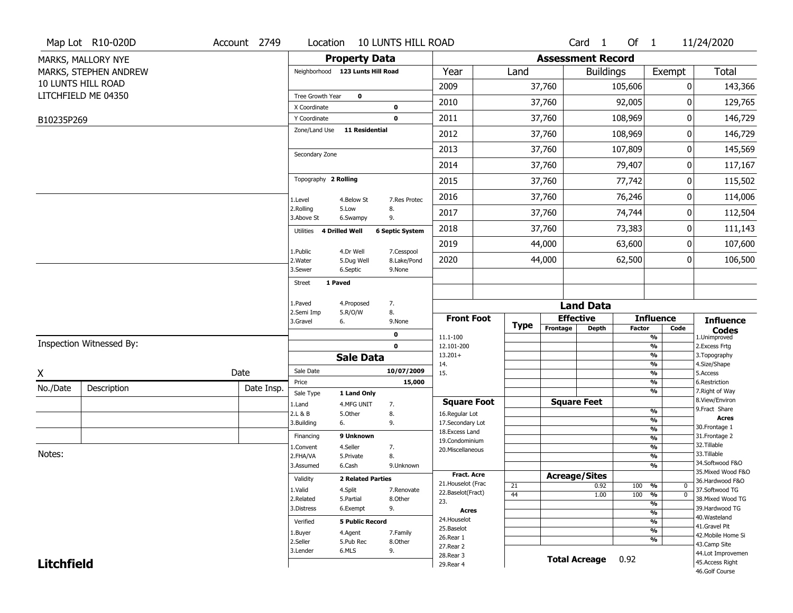|                   | Map Lot R10-020D         | Account 2749 | Location                         |                          | <b>10 LUNTS HILL ROAD</b> |                                    |             |                          | Card 1               | Of $1$        |                                           | 11/24/2020                            |
|-------------------|--------------------------|--------------|----------------------------------|--------------------------|---------------------------|------------------------------------|-------------|--------------------------|----------------------|---------------|-------------------------------------------|---------------------------------------|
|                   | MARKS, MALLORY NYE       |              |                                  | <b>Property Data</b>     |                           |                                    |             | <b>Assessment Record</b> |                      |               |                                           |                                       |
|                   | MARKS, STEPHEN ANDREW    |              | Neighborhood 123 Lunts Hill Road |                          |                           | Year                               | Land        |                          | <b>Buildings</b>     |               | Exempt                                    | <b>Total</b>                          |
|                   | 10 LUNTS HILL ROAD       |              |                                  |                          |                           | 2009                               |             | 37,760                   |                      | 105,606       | 0                                         | 143,366                               |
|                   | LITCHFIELD ME 04350      |              | Tree Growth Year                 | $\mathbf 0$              |                           | 2010                               |             | 37,760                   |                      | 92,005        | 0                                         | 129,765                               |
|                   |                          |              | X Coordinate                     |                          | 0                         |                                    |             |                          |                      | 108,969       | 0                                         |                                       |
| B10235P269        |                          |              | Y Coordinate<br>Zone/Land Use    | <b>11 Residential</b>    | $\mathbf 0$               | 2011                               |             | 37,760                   |                      |               |                                           | 146,729                               |
|                   |                          |              |                                  |                          |                           | 2012                               |             | 37,760                   |                      | 108,969       | 0                                         | 146,729                               |
|                   |                          |              | Secondary Zone                   |                          |                           | 2013                               |             | 37,760                   |                      | 107,809       | 0                                         | 145,569                               |
|                   |                          |              |                                  |                          |                           | 2014                               |             | 37,760                   |                      | 79,407        | $\bf{0}$                                  | 117,167                               |
|                   |                          |              | Topography 2 Rolling             |                          |                           | 2015                               |             | 37,760                   |                      | 77,742        | 0                                         | 115,502                               |
|                   |                          |              | 1.Level                          | 4.Below St               | 7.Res Protec              | 2016                               |             | 37,760                   |                      | 76,246        | 0                                         | 114,006                               |
|                   |                          |              | 2.Rolling<br>3.Above St          | 5.Low<br>6.Swampy        | 8.<br>9.                  | 2017                               |             | 37,760                   |                      | 74,744        | 0                                         | 112,504                               |
|                   |                          |              | 4 Drilled Well<br>Utilities      |                          | <b>6 Septic System</b>    | 2018                               |             | 37,760                   |                      | 73,383        | 0                                         | 111,143                               |
|                   |                          |              | 1.Public                         |                          |                           | 2019                               |             | 44,000                   |                      | 63,600        | 0                                         | 107,600                               |
|                   |                          |              | 2. Water                         | 4.Dr Well<br>5.Dug Well  | 7.Cesspool<br>8.Lake/Pond | 2020                               |             | 44,000                   |                      | 62,500        | 0                                         | 106,500                               |
|                   |                          |              | 3.Sewer                          | 6.Septic                 | 9.None                    |                                    |             |                          |                      |               |                                           |                                       |
|                   |                          |              | 1 Paved<br>Street                |                          |                           |                                    |             |                          |                      |               |                                           |                                       |
|                   |                          |              | 1.Paved                          | 4.Proposed               | 7.                        |                                    |             |                          | <b>Land Data</b>     |               |                                           |                                       |
|                   |                          |              | 2.Semi Imp<br>3.Gravel<br>6.     | 5.R/O/W                  | 8.<br>9.None              | <b>Front Foot</b>                  |             |                          | <b>Effective</b>     |               | <b>Influence</b>                          | <b>Influence</b>                      |
|                   |                          |              |                                  |                          | 0                         |                                    | <b>Type</b> | Frontage                 | <b>Depth</b>         | <b>Factor</b> | Code                                      | <b>Codes</b>                          |
|                   | Inspection Witnessed By: |              |                                  |                          | $\mathbf 0$               | 11.1-100<br>12.101-200             |             |                          |                      |               | %<br>$\frac{9}{6}$                        | 1.Unimproved<br>2.Excess Frtg         |
|                   |                          |              |                                  | <b>Sale Data</b>         |                           | $13.201+$                          |             |                          |                      |               | %                                         | 3. Topography                         |
| X                 |                          | Date         | Sale Date                        |                          | 10/07/2009                | 14.<br>15.                         |             |                          |                      |               | %<br>%                                    | 4.Size/Shape<br>5.Access              |
| No./Date          | Description              | Date Insp.   | Price                            |                          | 15,000                    |                                    |             |                          |                      |               | %                                         | 6.Restriction                         |
|                   |                          |              | Sale Type                        | 1 Land Only              |                           | <b>Square Foot</b>                 |             |                          | <b>Square Feet</b>   |               | %                                         | 7. Right of Way<br>8.View/Environ     |
|                   |                          |              | 1.Land<br>2.L & B                | 4.MFG UNIT<br>5.Other    | 7.<br>8.                  | 16.Regular Lot                     |             |                          |                      |               | %                                         | 9.Fract Share                         |
|                   |                          |              | 3.Building<br>6.                 |                          | 9.                        | 17.Secondary Lot                   |             |                          |                      |               | $\frac{9}{6}$                             | <b>Acres</b><br>30.Frontage 1         |
|                   |                          |              | Financing                        | 9 Unknown                |                           | 18.Excess Land                     |             |                          |                      |               | $\frac{9}{6}$<br>$\overline{\frac{9}{6}}$ | 31. Frontage 2                        |
|                   |                          |              | 1.Convent                        | 4.Seller                 | 7.                        | 19.Condominium<br>20.Miscellaneous |             |                          |                      |               | $\frac{9}{6}$                             | 32.Tillable                           |
| Notes:            |                          |              | 2.FHA/VA                         | 5.Private                | 8.                        |                                    |             |                          |                      |               | $\overline{\frac{9}{6}}$                  | 33.Tillable                           |
|                   |                          |              | 3.Assumed                        | 6.Cash                   | 9.Unknown                 |                                    |             |                          |                      |               | $\frac{9}{6}$                             | 34.Softwood F&O                       |
|                   |                          |              | Validity                         | <b>2 Related Parties</b> |                           | Fract. Acre                        |             |                          | <b>Acreage/Sites</b> |               |                                           | 35. Mixed Wood F&O<br>36.Hardwood F&O |
|                   |                          |              | 1.Valid                          | 4.Split                  | 7.Renovate                | 21. Houselot (Frac                 | 21          |                          | 0.92                 | 100 %         | $\mathbf 0$                               | 37.Softwood TG                        |
|                   |                          |              | 2.Related                        | 5.Partial                | 8.Other                   | 22.Baselot(Fract)<br>23.           | 44          |                          | 1.00                 | 100           | $\frac{9}{6}$<br>$\mathbf{0}$             | 38. Mixed Wood TG                     |
|                   |                          |              | 3.Distress                       | 6.Exempt                 | 9.                        | <b>Acres</b>                       |             |                          |                      |               | $\frac{9}{6}$<br>$\frac{9}{6}$            | 39.Hardwood TG                        |
|                   |                          |              | Verified                         | <b>5 Public Record</b>   |                           | 24. Houselot                       |             |                          |                      |               | $\frac{9}{6}$                             | 40. Wasteland                         |
|                   |                          |              |                                  |                          |                           | 25.Baselot                         |             |                          |                      |               | $\frac{9}{6}$                             | 41.Gravel Pit                         |
|                   |                          |              | 1.Buyer<br>2.Seller              | 4.Agent<br>5.Pub Rec     | 7.Family<br>8.Other       | 26.Rear 1                          |             |                          |                      |               | %                                         | 42. Mobile Home Si                    |
|                   |                          |              | 3.Lender                         | 6.MLS                    | 9.                        | 27.Rear 2                          |             |                          |                      |               |                                           | 43.Camp Site<br>44.Lot Improvemen     |
| <b>Litchfield</b> |                          |              |                                  |                          |                           | 28. Rear 3                         |             |                          | <b>Total Acreage</b> | 0.92          |                                           | 45.Access Right                       |
|                   |                          |              |                                  |                          |                           | 29. Rear 4                         |             |                          |                      |               |                                           |                                       |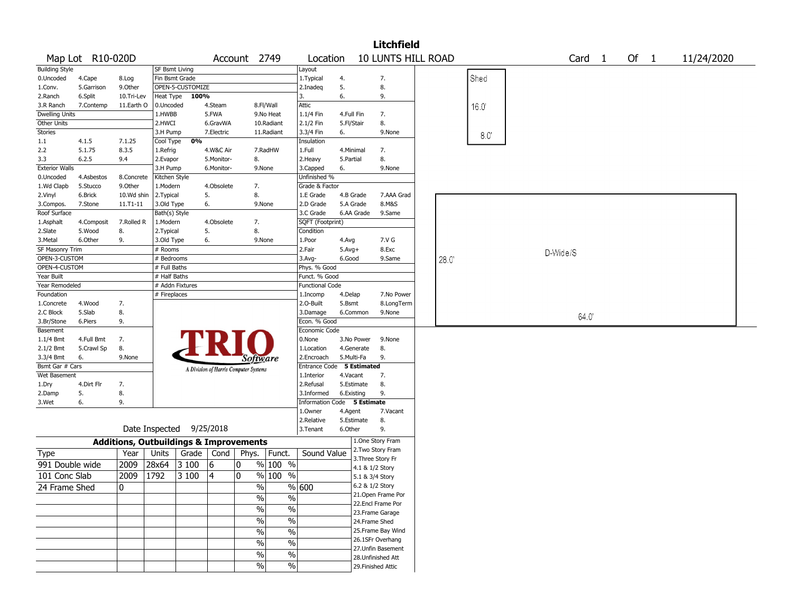|                       |                  |            |                                                   |                  |              |                                       |                          |                           |            |                   | <b>Litchfield</b>         |      |      |          |        |        |            |  |
|-----------------------|------------------|------------|---------------------------------------------------|------------------|--------------|---------------------------------------|--------------------------|---------------------------|------------|-------------------|---------------------------|------|------|----------|--------|--------|------------|--|
|                       | Map Lot R10-020D |            |                                                   |                  |              | Account 2749                          |                          | Location                  |            |                   | <b>10 LUNTS HILL ROAD</b> |      |      |          | Card 1 | Of $1$ | 11/24/2020 |  |
| <b>Building Style</b> |                  |            | SF Bsmt Living                                    |                  |              |                                       |                          | Layout                    |            |                   |                           |      |      |          |        |        |            |  |
| 0.Uncoded             | 4.Cape           | 8.Log      | Fin Bsmt Grade                                    |                  |              |                                       |                          | 1. Typical                | 4.         |                   | 7.                        |      | Shed |          |        |        |            |  |
| 1.Conv.               | 5.Garrison       | 9.Other    |                                                   | OPEN-5-CUSTOMIZE |              |                                       |                          | 2.Inadeq                  | 5.         |                   | 8.                        |      |      |          |        |        |            |  |
| 2.Ranch               | 6.Split          | 10.Tri-Lev | Heat Type                                         | 100%             |              |                                       |                          | 3.                        | 6.         |                   | 9.                        |      |      |          |        |        |            |  |
| 3.R Ranch             | 7.Contemp        | 11.Earth O | 0.Uncoded                                         |                  | 4.Steam      |                                       | 8.Fl/Wall                | Attic                     |            |                   |                           |      | 16.0 |          |        |        |            |  |
| <b>Dwelling Units</b> |                  |            | 1.HWBB                                            |                  | 5.FWA        |                                       | 9.No Heat                | 1.1/4 Fin                 | 4.Full Fin |                   | 7.                        |      |      |          |        |        |            |  |
| Other Units           |                  |            | 2.HWCI                                            |                  | 6.GravWA     |                                       | 10.Radiant               | 2.1/2 Fin                 | 5.Fl/Stair |                   | 8.                        |      |      |          |        |        |            |  |
| Stories               |                  |            | 3.H Pump                                          |                  | 7.Electric   |                                       | 11.Radiant               | 3.3/4 Fin                 | 6.         |                   | 9.None                    |      | 8.0' |          |        |        |            |  |
| 1.1                   | 4.1.5            | 7.1.25     | Cool Type                                         | 0%               |              |                                       |                          | Insulation                |            |                   |                           |      |      |          |        |        |            |  |
| 2.2                   | 5.1.75           | 8.3.5      | 1.Refrig                                          |                  | 4.W&C Air    |                                       | 7.RadHW                  | 1.Full                    | 4.Minimal  |                   | 7.                        |      |      |          |        |        |            |  |
| 3.3                   | 6.2.5            | 9.4        | 2.Evapor                                          |                  | 5.Monitor-   | 8.                                    |                          | 2.Heavy                   | 5.Partial  |                   | 8.                        |      |      |          |        |        |            |  |
| <b>Exterior Walls</b> |                  |            | 3.H Pump                                          |                  | 6.Monitor-   |                                       | 9.None                   | 3.Capped                  | 6.         |                   | 9.None                    |      |      |          |        |        |            |  |
| 0.Uncoded             | 4.Asbestos       | 8.Concrete | Kitchen Style                                     |                  |              |                                       |                          | Unfinished %              |            |                   |                           |      |      |          |        |        |            |  |
| 1.Wd Clapb            | 5.Stucco         | 9.Other    | 1.Modern                                          |                  | 4.Obsolete   | 7.                                    |                          | Grade & Factor            |            |                   |                           |      |      |          |        |        |            |  |
| 2.Vinyl               | 6.Brick          | 10.Wd shin | 2. Typical                                        |                  | 5.           | 8.                                    |                          | 1.E Grade                 | 4.B Grade  |                   | 7.AAA Grad                |      |      |          |        |        |            |  |
| 3.Compos.             | 7.Stone          | 11.T1-11   | 3.Old Type                                        |                  | 6.           |                                       | 9.None                   | 2.D Grade                 | 5.A Grade  |                   | 8.M&S                     |      |      |          |        |        |            |  |
| Roof Surface          |                  |            | Bath(s) Style                                     |                  |              |                                       |                          | 3.C Grade                 | 6.AA Grade |                   | 9.Same                    |      |      |          |        |        |            |  |
| 1.Asphalt             | 4.Composit       | 7.Rolled R | 1.Modern                                          |                  | 4.Obsolete   | 7.                                    |                          | SQFT (Footprint)          |            |                   |                           |      |      |          |        |        |            |  |
| 2.Slate               | 5.Wood           | 8.         | 2. Typical                                        |                  | 5.           | 8.                                    |                          | Condition                 |            |                   |                           |      |      |          |        |        |            |  |
| 3.Metal               | 6.Other          | 9.         | 3.Old Type                                        |                  | 6.           |                                       | 9.None                   | 1.Poor                    | 4.Avg      |                   | 7.V G                     |      |      |          |        |        |            |  |
| SF Masonry Trim       |                  |            | # Rooms                                           |                  |              |                                       |                          | 2.Fair                    | $5.Avg+$   |                   | 8.Exc                     |      |      |          |        |        |            |  |
| OPEN-3-CUSTOM         |                  |            | # Bedrooms                                        |                  |              |                                       |                          | 3.Avg-                    | 6.Good     |                   | 9.Same                    | 28.0 |      | D-Wide/S |        |        |            |  |
| OPEN-4-CUSTOM         |                  |            | # Full Baths                                      |                  |              |                                       |                          | Phys. % Good              |            |                   |                           |      |      |          |        |        |            |  |
| Year Built            |                  |            | # Half Baths                                      |                  |              |                                       |                          | Funct. % Good             |            |                   |                           |      |      |          |        |        |            |  |
| Year Remodeled        |                  |            |                                                   | # Addn Fixtures  |              |                                       |                          | <b>Functional Code</b>    |            |                   |                           |      |      |          |        |        |            |  |
| Foundation            |                  |            | # Fireplaces                                      |                  |              |                                       |                          | 1.Incomp                  | 4.Delap    |                   | 7.No Power                |      |      |          |        |        |            |  |
| 1.Concrete            | 4.Wood           | 7.         |                                                   |                  |              |                                       |                          | 2.0-Built                 | 5.Bsmt     |                   | 8.LongTerm                |      |      |          |        |        |            |  |
| 2.C Block             | 5.Slab           | 8.         |                                                   |                  |              |                                       |                          | 3.Damage                  | 6.Common   |                   | 9.None                    |      |      |          |        |        |            |  |
| 3.Br/Stone            | 6.Piers          | 9.         |                                                   |                  |              |                                       |                          | Econ. % Good              |            |                   |                           |      |      |          | 64.0   |        |            |  |
| Basement              |                  |            |                                                   |                  |              |                                       |                          | Economic Code             |            |                   |                           |      |      |          |        |        |            |  |
| $1.1/4$ Bmt           | 4.Full Bmt       | 7.         |                                                   |                  |              |                                       |                          | 0.None                    | 3.No Power |                   | 9.None                    |      |      |          |        |        |            |  |
|                       |                  |            |                                                   |                  |              |                                       |                          | 1.Location                | 4.Generate |                   | 8.                        |      |      |          |        |        |            |  |
| 2.1/2 Bmt             | 5.Crawl Sp       | 8.         |                                                   |                  |              |                                       |                          |                           |            |                   |                           |      |      |          |        |        |            |  |
| 3.3/4 Bmt             | 6.               | 9.None     |                                                   |                  |              | Software                              |                          | 2.Encroach                | 5.Multi-Fa |                   | 9.                        |      |      |          |        |        |            |  |
| Bsmt Gar # Cars       |                  |            |                                                   |                  |              | A Division of Harris Computer Systems |                          | Entrance Code 5 Estimated |            |                   |                           |      |      |          |        |        |            |  |
| Wet Basement          |                  |            |                                                   |                  |              |                                       |                          | 1.Interior                | 4.Vacant   |                   | 7.                        |      |      |          |        |        |            |  |
| 1.Dry                 | 4.Dirt Flr       | 7.         |                                                   |                  |              |                                       |                          | 2.Refusal                 | 5.Estimate |                   | 8.                        |      |      |          |        |        |            |  |
| 2.Damp                | 5.               | 8.         |                                                   |                  |              |                                       |                          | 3.Informed                | 6.Existing |                   | 9.                        |      |      |          |        |        |            |  |
| 3.Wet                 | 6.               | 9.         |                                                   |                  |              |                                       |                          | <b>Information Code</b>   |            | 5 Estimate        |                           |      |      |          |        |        |            |  |
|                       |                  |            |                                                   |                  |              |                                       |                          | 1.Owner                   | 4.Agent    |                   | 7.Vacant                  |      |      |          |        |        |            |  |
|                       |                  |            |                                                   |                  |              |                                       |                          | 2.Relative                | 5.Estimate |                   | 8.                        |      |      |          |        |        |            |  |
|                       |                  |            | Date Inspected                                    |                  | 9/25/2018    |                                       |                          | 3.Tenant                  | 6.Other    |                   | 9.<br>1.One Story Fram    |      |      |          |        |        |            |  |
|                       |                  |            | <b>Additions, Outbuildings &amp; Improvements</b> |                  |              |                                       |                          |                           |            |                   | 2. Two Story Fram         |      |      |          |        |        |            |  |
| Type                  |                  | Year       | Units                                             |                  | Grade   Cond | Phys.                                 | Funct.                   | Sound Value               |            | 3. Three Story Fr |                           |      |      |          |        |        |            |  |
| 991 Double wide       |                  | 2009       | 28x64                                             | 3 100            | 6            | 0                                     | % 100 %                  |                           |            | 4.1 & 1/2 Story   |                           |      |      |          |        |        |            |  |
| 101 Conc Slab         |                  | 2009       | 1792                                              | 3 100            | 4            | 0                                     | % 100 %                  |                           |            | 5.1 & 3/4 Story   |                           |      |      |          |        |        |            |  |
|                       |                  | $\Omega$   |                                                   |                  |              | $\%$                                  |                          | %   600                   |            | 6.2 & 1/2 Story   |                           |      |      |          |        |        |            |  |
| 24 Frame Shed         |                  |            |                                                   |                  |              |                                       |                          |                           |            |                   | 21. Open Frame Por        |      |      |          |        |        |            |  |
|                       |                  |            |                                                   |                  |              | $\%$                                  | $\%$                     |                           |            |                   | 22.Encl Frame Por         |      |      |          |        |        |            |  |
|                       |                  |            |                                                   |                  |              | $\frac{1}{2}$                         | $\overline{\frac{0}{6}}$ |                           |            |                   | 23. Frame Garage          |      |      |          |        |        |            |  |
|                       |                  |            |                                                   |                  |              | $\sqrt{6}$                            | $\overline{\frac{0}{6}}$ |                           |            | 24.Frame Shed     |                           |      |      |          |        |        |            |  |
|                       |                  |            |                                                   |                  |              |                                       |                          |                           |            |                   |                           |      |      |          |        |        |            |  |
|                       |                  |            |                                                   |                  |              | $\frac{1}{2}$                         | $\overline{\frac{0}{6}}$ |                           |            |                   | 25. Frame Bay Wind        |      |      |          |        |        |            |  |
|                       |                  |            |                                                   |                  |              | $\sqrt{6}$                            | $\%$                     |                           |            |                   | 26.1SFr Overhang          |      |      |          |        |        |            |  |
|                       |                  |            |                                                   |                  |              | $\sqrt{6}$                            | $\%$                     |                           |            |                   | 27. Unfin Basement        |      |      |          |        |        |            |  |
|                       |                  |            |                                                   |                  |              |                                       |                          |                           |            |                   | 28. Unfinished Att        |      |      |          |        |        |            |  |
|                       |                  |            |                                                   |                  |              | $\frac{0}{0}$                         | $\%$                     |                           |            |                   | 29. Finished Attic        |      |      |          |        |        |            |  |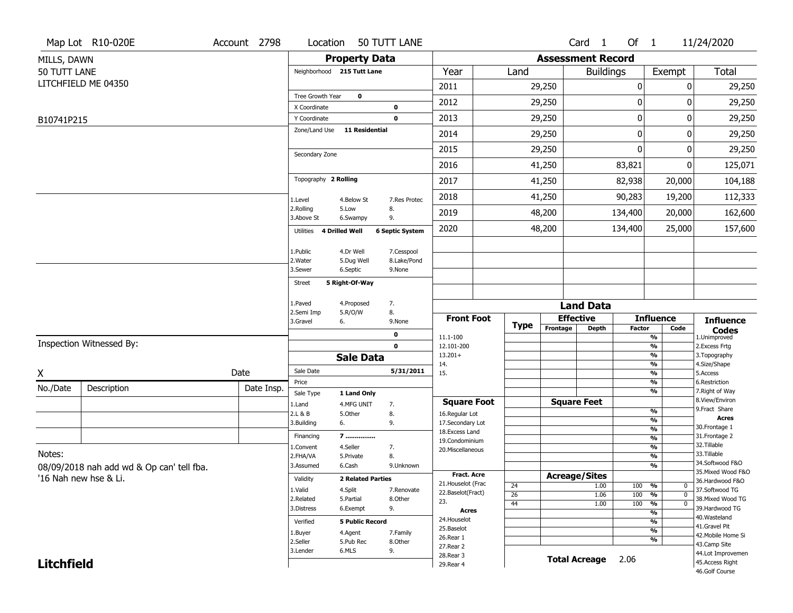|                   | Map Lot R10-020E                          | Account 2798 | Location                      |                          | 50 TUTT LANE           |                                      |                 |                          | Card <sub>1</sub>    | Of $1$        |                                           | 11/24/2020                        |
|-------------------|-------------------------------------------|--------------|-------------------------------|--------------------------|------------------------|--------------------------------------|-----------------|--------------------------|----------------------|---------------|-------------------------------------------|-----------------------------------|
| MILLS, DAWN       |                                           |              |                               | <b>Property Data</b>     |                        |                                      |                 | <b>Assessment Record</b> |                      |               |                                           |                                   |
| 50 TUTT LANE      |                                           |              | Neighborhood 215 Tutt Lane    |                          |                        | Year                                 | Land            |                          | <b>Buildings</b>     |               | Exempt                                    | Total                             |
|                   | LITCHFIELD ME 04350                       |              |                               |                          |                        | 2011                                 |                 | 29,250                   |                      | 0             | 0                                         | 29,250                            |
|                   |                                           |              | Tree Growth Year              | $\mathbf 0$              |                        | 2012                                 |                 | 29,250                   |                      | 0             | ŋ                                         | 29,250                            |
|                   |                                           |              | X Coordinate                  |                          | 0                      |                                      |                 |                          |                      |               |                                           |                                   |
| B10741P215        |                                           |              | Y Coordinate<br>Zone/Land Use | 11 Residential           | $\mathbf 0$            | 2013                                 |                 | 29,250                   |                      | $\mathbf 0$   | 0                                         | 29,250                            |
|                   |                                           |              |                               |                          |                        | 2014                                 |                 | 29,250                   |                      | $\mathbf 0$   | 0                                         | 29,250                            |
|                   |                                           |              | Secondary Zone                |                          |                        | 2015                                 |                 | 29,250                   |                      | $\mathbf{0}$  | 0                                         | 29,250                            |
|                   |                                           |              |                               |                          |                        | 2016                                 |                 | 41,250                   |                      | 83,821        | 0                                         | 125,071                           |
|                   |                                           |              | Topography 2 Rolling          |                          |                        | 2017                                 |                 | 41,250                   |                      | 82,938        | 20,000                                    | 104,188                           |
|                   |                                           |              | 1.Level                       | 4.Below St               | 7.Res Protec           | 2018                                 |                 | 41,250                   |                      | 90,283        | 19,200                                    | 112,333                           |
|                   |                                           |              | 2.Rolling<br>3.Above St       | 5.Low<br>6.Swampy        | 8.<br>9.               | 2019                                 |                 | 48,200                   |                      | 134,400       | 20,000                                    | 162,600                           |
|                   |                                           |              | 4 Drilled Well<br>Utilities   |                          | <b>6 Septic System</b> | 2020                                 |                 | 48,200                   |                      | 134,400       | 25,000                                    | 157,600                           |
|                   |                                           |              | 1.Public                      | 4.Dr Well                | 7.Cesspool             |                                      |                 |                          |                      |               |                                           |                                   |
|                   |                                           |              | 2. Water                      | 5.Dug Well               | 8.Lake/Pond            |                                      |                 |                          |                      |               |                                           |                                   |
|                   |                                           |              | 3.Sewer                       | 6.Septic                 | 9.None                 |                                      |                 |                          |                      |               |                                           |                                   |
|                   |                                           |              | <b>Street</b>                 | 5 Right-Of-Way           |                        |                                      |                 |                          |                      |               |                                           |                                   |
|                   |                                           |              | 1.Paved                       | 4.Proposed               | 7.                     |                                      |                 |                          | <b>Land Data</b>     |               |                                           |                                   |
|                   |                                           |              | 2.Semi Imp                    | 5.R/O/W                  | 8.                     | <b>Front Foot</b>                    |                 |                          | <b>Effective</b>     |               | <b>Influence</b>                          | <b>Influence</b>                  |
|                   |                                           |              | 3.Gravel<br>6.                |                          | 9.None                 |                                      | <b>Type</b>     | Frontage                 | <b>Depth</b>         | <b>Factor</b> | Code                                      | <b>Codes</b>                      |
|                   | Inspection Witnessed By:                  |              |                               |                          | 0<br>$\mathbf 0$       | 11.1-100<br>12.101-200               |                 |                          |                      |               | $\overline{\frac{9}{6}}$<br>$\frac{9}{6}$ | 1.Unimproved<br>2.Excess Frtg     |
|                   |                                           |              |                               | <b>Sale Data</b>         |                        | $13.201+$                            |                 |                          |                      |               | $\overline{\frac{9}{6}}$                  | 3. Topography                     |
| X                 |                                           | Date         | Sale Date                     |                          | 5/31/2011              | 14.<br>15.                           |                 |                          |                      |               | $\frac{9}{6}$<br>$\overline{\frac{9}{6}}$ | 4.Size/Shape<br>5.Access          |
| No./Date          |                                           |              | Price                         |                          |                        |                                      |                 |                          |                      |               | $\frac{9}{6}$                             | 6.Restriction                     |
|                   | Description                               | Date Insp.   | Sale Type                     | 1 Land Only              |                        |                                      |                 |                          |                      |               | $\overline{\frac{9}{6}}$                  | 7. Right of Way<br>8.View/Environ |
|                   |                                           |              | 1.Land<br>2.L & B             | 4.MFG UNIT<br>5.Other    | 7.<br>8.               | <b>Square Foot</b><br>16.Regular Lot |                 |                          | <b>Square Feet</b>   |               | $\frac{9}{6}$                             | 9.Fract Share                     |
|                   |                                           |              | 3.Building<br>6.              |                          | 9.                     | 17.Secondary Lot                     |                 |                          |                      |               | $\frac{9}{6}$                             | <b>Acres</b>                      |
|                   |                                           |              | Financing                     | 7                        |                        | 18. Excess Land                      |                 |                          |                      |               | $\frac{9}{6}$                             | 30. Frontage 1<br>31. Frontage 2  |
|                   |                                           |              | 1.Convent                     | 4.Seller                 | 7.                     | 19.Condominium                       |                 |                          |                      |               | $\frac{9}{6}$<br>$\frac{9}{6}$            | 32.Tillable                       |
| Notes:            |                                           |              | 2.FHA/VA                      | 5.Private                | 8.                     | 20.Miscellaneous                     |                 |                          |                      |               | $\overline{\frac{9}{6}}$                  | 33.Tillable                       |
|                   | 08/09/2018 nah add wd & Op can' tell fba. |              | 3.Assumed                     | 6.Cash                   | 9.Unknown              |                                      |                 |                          |                      |               | %                                         | 34.Softwood F&O                   |
|                   | '16 Nah new hse & Li.                     |              | Validity                      | <b>2 Related Parties</b> |                        | <b>Fract. Acre</b>                   |                 |                          | <b>Acreage/Sites</b> |               |                                           | 35. Mixed Wood F&O                |
|                   |                                           |              | 1.Valid                       | 4.Split                  | 7.Renovate             | 21. Houselot (Frac                   | 24              |                          | 1.00                 | 100           | %<br>$\mathbf{0}$                         | 36.Hardwood F&O<br>37.Softwood TG |
|                   |                                           |              | 2.Related                     | 5.Partial                | 8.Other                | 22.Baselot(Fract)                    | $\overline{26}$ |                          | 1.06                 | 100           | $\overline{0}$<br>%                       | 38. Mixed Wood TG                 |
|                   |                                           |              | 3.Distress                    | 6.Exempt                 | 9.                     | 23.<br>Acres                         | 44              |                          | 1.00                 | 100           | $\frac{9}{6}$<br>$\overline{0}$           | 39.Hardwood TG                    |
|                   |                                           |              | Verified                      | <b>5 Public Record</b>   |                        | 24. Houselot                         |                 |                          |                      |               | %<br>%                                    | 40. Wasteland                     |
|                   |                                           |              |                               |                          |                        | 25.Baselot                           |                 |                          |                      |               | $\overline{\frac{9}{6}}$                  | 41.Gravel Pit                     |
|                   |                                           |              | 1.Buyer<br>2.Seller           | 4.Agent<br>5.Pub Rec     | 7.Family<br>8.Other    | 26.Rear 1                            |                 |                          |                      |               | %                                         | 42. Mobile Home Si                |
|                   |                                           |              | 3.Lender                      | 6.MLS                    | 9.                     | 27. Rear 2                           |                 |                          |                      |               |                                           | 43.Camp Site<br>44.Lot Improvemen |
|                   |                                           |              |                               |                          |                        |                                      |                 |                          |                      |               |                                           |                                   |
| <b>Litchfield</b> |                                           |              |                               |                          |                        | 28. Rear 3<br>29. Rear 4             |                 |                          | <b>Total Acreage</b> | 2.06          |                                           | 45.Access Right                   |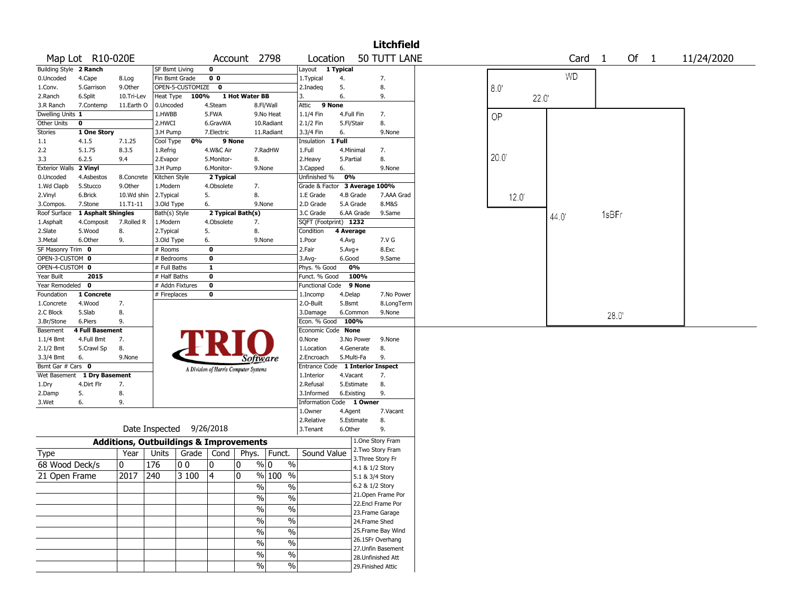|                               |                        |                                                   |                          |                  |                                       |                |                                           |                                  |                       |                                         | <b>Litchfield</b>    |           |                   |       |      |            |  |
|-------------------------------|------------------------|---------------------------------------------------|--------------------------|------------------|---------------------------------------|----------------|-------------------------------------------|----------------------------------|-----------------------|-----------------------------------------|----------------------|-----------|-------------------|-------|------|------------|--|
|                               | Map Lot R10-020E       |                                                   |                          |                  |                                       |                | Account 2798                              | Location                         |                       |                                         | 50 TUTT LANE         |           | Card <sub>1</sub> |       | Of 1 | 11/24/2020 |  |
| Building Style 2 Ranch        |                        |                                                   | SF Bsmt Living           |                  | $\mathbf 0$                           |                |                                           | Layout                           | 1 Typical             |                                         |                      |           |                   |       |      |            |  |
| 0.Uncoded                     | 4.Cape                 | 8.Log                                             | Fin Bsmt Grade           |                  | 0 <sub>0</sub>                        |                |                                           | 1. Typical                       | 4.                    | 7.                                      |                      |           | <b>WD</b>         |       |      |            |  |
| 1.Conv.                       | 5.Garrison             | 9.Other                                           |                          | OPEN-5-CUSTOMIZE | $\mathbf 0$                           |                |                                           | 2.Inadeg                         | 5.                    | 8.                                      |                      | 8.0'      |                   |       |      |            |  |
| 2.Ranch                       | 6.Split                | 10.Tri-Lev                                        | Heat Type                | 100%             |                                       | 1 Hot Water BB |                                           | 3.                               | 6.                    | 9.                                      |                      | 22.0'     |                   |       |      |            |  |
| 3.R Ranch                     | 7.Contemp              | 11.Earth O                                        | 0.Uncoded                |                  | 4.Steam                               |                | 8.Fl/Wall                                 | 9 None<br>Attic                  |                       |                                         |                      |           |                   |       |      |            |  |
| Dwelling Units 1              |                        |                                                   | 1.HWBB                   |                  | 5.FWA                                 |                | 9.No Heat                                 | $1.1/4$ Fin                      | 4.Full Fin            | 7.                                      |                      | <b>OP</b> |                   |       |      |            |  |
| Other Units                   | 0                      |                                                   | 2.HWCI                   |                  | 6.GravWA                              |                | 10.Radiant                                | 2.1/2 Fin                        | 5.Fl/Stair            | 8.                                      |                      |           |                   |       |      |            |  |
| Stories                       | 1 One Story            |                                                   | 3.H Pump                 |                  | 7.Electric                            |                | 11.Radiant                                | 3.3/4 Fin                        | 6.                    |                                         | 9.None               |           |                   |       |      |            |  |
| $1.1\,$                       | 4.1.5                  | 7.1.25                                            | Cool Type                | 0%               | 9 None                                |                |                                           | Insulation                       | 1 Full                |                                         |                      |           |                   |       |      |            |  |
| 2.2                           | 5.1.75<br>6.2.5        | 8.3.5                                             | 1.Refrig                 |                  | 4.W&C Air                             |                | 7.RadHW                                   | 1.Full                           | 4.Minimal             | 7.<br>8.                                |                      | 20.0      |                   |       |      |            |  |
| 3.3<br>Exterior Walls 2 Vinyl |                        | 9.4                                               | 2.Evapor<br>3.H Pump     |                  | 5.Monitor-<br>6.Monitor-              |                | 8.<br>9.None                              | 2.Heavy<br>3.Capped              | 5.Partial<br>6.       |                                         | 9.None               |           |                   |       |      |            |  |
| 0.Uncoded                     | 4.Asbestos             | 8.Concrete                                        | Kitchen Style            |                  | 2 Typical                             |                |                                           | Unfinished %                     | 0%                    |                                         |                      |           |                   |       |      |            |  |
| 1.Wd Clapb                    | 5.Stucco               | 9.Other                                           | 1.Modern                 |                  | 4.Obsolete                            |                | 7.                                        | Grade & Factor 3 Average 100%    |                       |                                         |                      |           |                   |       |      |            |  |
| 2.Vinyl                       | 6.Brick                | 10.Wd shin                                        | 2.Typical                |                  | 5.                                    |                | 8.                                        | 1.E Grade                        | 4.B Grade             |                                         | 7.AAA Grad           | 12.0      |                   |       |      |            |  |
| 3.Compos.                     | 7.Stone                | $11. T1 - 11$                                     | 3.Old Type               |                  | 6.                                    |                | 9.None                                    | 2.D Grade                        | 5.A Grade             |                                         | 8.M&S                |           |                   |       |      |            |  |
| Roof Surface                  | 1 Asphalt Shingles     |                                                   | Bath(s) Style            |                  | 2 Typical Bath(s)                     |                |                                           | 3.C Grade                        | 6.AA Grade            |                                         | 9.Same               |           | 44.0              | 1sBFr |      |            |  |
| 1.Asphalt                     | 4.Composit             | 7.Rolled R                                        | 1.Modern                 |                  | 4.Obsolete                            |                | 7.                                        | SQFT (Footprint) 1232            |                       |                                         |                      |           |                   |       |      |            |  |
| 2.Slate                       | 5.Wood                 | 8.                                                | 2. Typical               |                  | 5.                                    |                | 8.                                        | Condition                        | 4 Average             |                                         |                      |           |                   |       |      |            |  |
| 3.Metal                       | 6.Other                | 9.                                                | 3.Old Type               |                  | 6.                                    |                | 9.None                                    | 1.Poor                           | 4.Avg                 |                                         | 7.V G                |           |                   |       |      |            |  |
| SF Masonry Trim 0             |                        |                                                   | # Rooms                  |                  | $\mathbf 0$                           |                |                                           | 2.Fair                           | $5.Avg+$              |                                         | 8.Exc                |           |                   |       |      |            |  |
| OPEN-3-CUSTOM 0               |                        |                                                   | # Bedrooms               |                  | 0                                     |                |                                           | 3.Avg-                           | 6.Good                |                                         | 9.Same               |           |                   |       |      |            |  |
| OPEN-4-CUSTOM 0               |                        |                                                   | # Full Baths             |                  | $\mathbf{1}$                          |                |                                           | Phys. % Good                     | 0%                    |                                         |                      |           |                   |       |      |            |  |
| Year Built                    | 2015                   |                                                   | # Half Baths             |                  | 0                                     |                |                                           | Funct. % Good                    | 100%                  |                                         |                      |           |                   |       |      |            |  |
| Year Remodeled 0              |                        |                                                   | # Addn Fixtures          |                  | $\mathbf 0$                           |                |                                           | <b>Functional Code</b>           | 9 None                |                                         |                      |           |                   |       |      |            |  |
| Foundation                    | 1 Concrete             |                                                   | # Fireplaces             |                  | 0                                     |                |                                           | 1.Incomp                         | 4.Delap<br>5.Bsmt     |                                         | 7.No Power           |           |                   |       |      |            |  |
| 1.Concrete<br>2.C Block       | 4.Wood<br>5.Slab       | 7.<br>8.                                          |                          |                  |                                       |                |                                           | 2.O-Built<br>3.Damage            | 6.Common              |                                         | 8.LongTerm<br>9.None |           |                   |       |      |            |  |
| 3.Br/Stone                    | 6.Piers                | 9.                                                |                          |                  |                                       |                |                                           | Econ. % Good                     | 100%                  |                                         |                      |           |                   | 28.0  |      |            |  |
| Basement                      | <b>4 Full Basement</b> |                                                   |                          |                  |                                       |                |                                           | Economic Code None               |                       |                                         |                      |           |                   |       |      |            |  |
| 1.1/4 Bmt                     | 4.Full Bmt             | 7.                                                |                          |                  |                                       |                |                                           | 0.None                           | 3.No Power            |                                         | 9.None               |           |                   |       |      |            |  |
| 2.1/2 Bmt                     | 5.Crawl Sp             | 8.                                                |                          |                  |                                       |                |                                           | 1.Location                       | 4.Generate            | 8.                                      |                      |           |                   |       |      |            |  |
| 3.3/4 Bmt                     | 6.                     | 9.None                                            |                          |                  |                                       |                | Software                                  | 2.Encroach                       | 5.Multi-Fa            | 9.                                      |                      |           |                   |       |      |            |  |
| Bsmt Gar # Cars 0             |                        |                                                   |                          |                  | A Division of Harris Computer Systems |                |                                           | Entrance Code 1 Interior Inspect |                       |                                         |                      |           |                   |       |      |            |  |
| Wet Basement                  | 1 Dry Basement         |                                                   |                          |                  |                                       |                |                                           | 1.Interior                       | 4.Vacant              | 7.                                      |                      |           |                   |       |      |            |  |
| 1.Dry                         | 4.Dirt Flr             | 7.                                                |                          |                  |                                       |                |                                           | 2.Refusal                        | 5.Estimate            | 8.                                      |                      |           |                   |       |      |            |  |
| 2.Damp                        | 5.                     | 8.                                                |                          |                  |                                       |                |                                           | 3.Informed                       | 6.Existing            | 9.                                      |                      |           |                   |       |      |            |  |
| 3.Wet                         | 6.                     | 9.                                                |                          |                  |                                       |                |                                           | Information Code 1 Owner         |                       |                                         |                      |           |                   |       |      |            |  |
|                               |                        |                                                   |                          |                  |                                       |                |                                           | 1.0wner                          | 4.Agent               |                                         | 7.Vacant             |           |                   |       |      |            |  |
|                               |                        |                                                   | Date Inspected 9/26/2018 |                  |                                       |                |                                           | 2.Relative<br>3.Tenant           | 5.Estimate<br>6.Other | 8.<br>9.                                |                      |           |                   |       |      |            |  |
|                               |                        | <b>Additions, Outbuildings &amp; Improvements</b> |                          |                  |                                       |                |                                           |                                  |                       | 1.One Story Fram                        |                      |           |                   |       |      |            |  |
| Type                          |                        | Year                                              | Units                    |                  | Grade   Cond                          |                | Phys. Funct.                              | Sound Value                      |                       | 2. Two Story Fram                       |                      |           |                   |       |      |            |  |
| 68 Wood Deck/s                |                        | 10                                                | 176                      | 00               | 10                                    | 0              | $\%$ 0<br>$\%$                            |                                  |                       | 3. Three Story Fr                       |                      |           |                   |       |      |            |  |
|                               |                        |                                                   |                          |                  |                                       |                |                                           |                                  |                       | 4.1 & 1/2 Story                         |                      |           |                   |       |      |            |  |
| 21 Open Frame                 |                        | 2017                                              | 240                      | 3 100            | 4                                     | 0              | % 100<br>$\frac{0}{0}$                    |                                  |                       | 5.1 & 3/4 Story                         |                      |           |                   |       |      |            |  |
|                               |                        |                                                   |                          |                  |                                       |                | $\sqrt{6}$<br>$\sqrt{6}$                  |                                  |                       | 6.2 & 1/2 Story                         |                      |           |                   |       |      |            |  |
|                               |                        |                                                   |                          |                  |                                       |                | $\frac{0}{0}$<br>$\%$                     |                                  |                       | 21. Open Frame Por<br>22.Encl Frame Por |                      |           |                   |       |      |            |  |
|                               |                        |                                                   |                          |                  |                                       |                | $\frac{0}{0}$<br>%                        |                                  |                       | 23. Frame Garage                        |                      |           |                   |       |      |            |  |
|                               |                        |                                                   |                          |                  |                                       |                | $\%$<br>$\frac{0}{0}$                     |                                  |                       | 24.Frame Shed                           |                      |           |                   |       |      |            |  |
|                               |                        |                                                   |                          |                  |                                       |                | $\overline{\frac{0}{6}}$<br>$\frac{0}{0}$ |                                  |                       | 25. Frame Bay Wind                      |                      |           |                   |       |      |            |  |
|                               |                        |                                                   |                          |                  |                                       |                |                                           |                                  |                       | 26.1SFr Overhang                        |                      |           |                   |       |      |            |  |
|                               |                        |                                                   |                          |                  |                                       |                | $\%$<br>$\frac{0}{0}$                     |                                  |                       | 27. Unfin Basement                      |                      |           |                   |       |      |            |  |
|                               |                        |                                                   |                          |                  |                                       |                | $\sqrt{6}$<br>%                           |                                  |                       | 28. Unfinished Att                      |                      |           |                   |       |      |            |  |
|                               |                        |                                                   |                          |                  |                                       |                | $\frac{0}{0}$<br>$\frac{0}{0}$            |                                  |                       | 29. Finished Attic                      |                      |           |                   |       |      |            |  |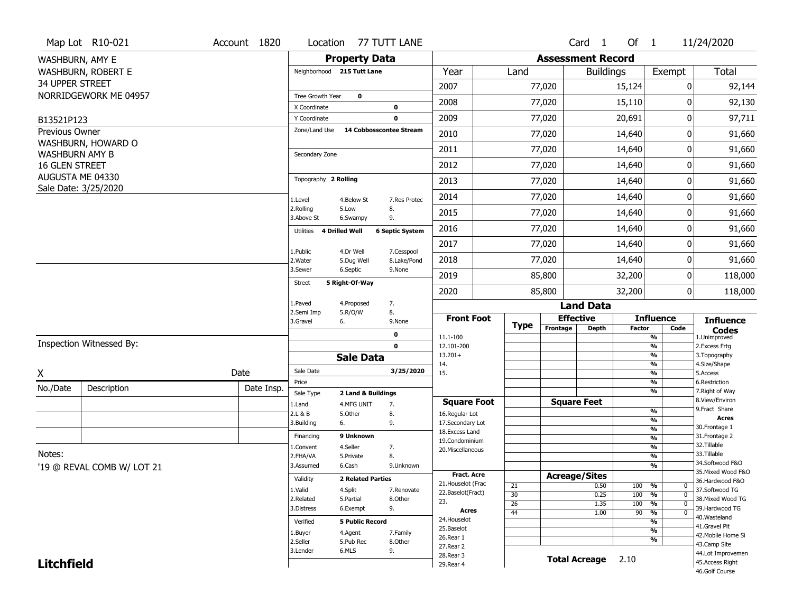|                        | Map Lot R10-021            | Account 1820 | Location                   |                                  | 77 TUTT LANE           |                                    |                 |                          | $Card \t1$           | Of $1$        |                                           | 11/24/2020                          |
|------------------------|----------------------------|--------------|----------------------------|----------------------------------|------------------------|------------------------------------|-----------------|--------------------------|----------------------|---------------|-------------------------------------------|-------------------------------------|
| WASHBURN, AMY E        |                            |              |                            | <b>Property Data</b>             |                        |                                    |                 | <b>Assessment Record</b> |                      |               |                                           |                                     |
|                        | WASHBURN, ROBERT E         |              | Neighborhood 215 Tutt Lane |                                  |                        | Year                               | Land            |                          | <b>Buildings</b>     |               | Exempt                                    | Total                               |
| <b>34 UPPER STREET</b> |                            |              |                            |                                  |                        | 2007                               |                 | 77,020                   |                      | 15,124        | 0                                         | 92,144                              |
|                        | NORRIDGEWORK ME 04957      |              | Tree Growth Year           | $\mathbf 0$                      |                        | 2008                               |                 | 77,020                   |                      |               | 0                                         | 92,130                              |
|                        |                            |              | X Coordinate               |                                  | 0                      |                                    |                 |                          |                      | 15,110        |                                           |                                     |
| B13521P123             |                            |              | Y Coordinate               |                                  | 0                      | 2009                               |                 | 77,020                   |                      | 20,691        | 0                                         | 97,711                              |
| Previous Owner         |                            |              | Zone/Land Use              | 14 Cobbosscontee Stream          |                        | 2010                               |                 | 77,020                   |                      | 14,640        | 0                                         | 91,660                              |
| <b>WASHBURN AMY B</b>  | WASHBURN, HOWARD O         |              | Secondary Zone             |                                  |                        | 2011                               |                 | 77,020                   |                      | 14,640        | 0                                         | 91,660                              |
| 16 GLEN STREET         |                            |              |                            |                                  |                        | 2012                               |                 | 77,020                   |                      | 14,640        | 0                                         | 91,660                              |
|                        | AUGUSTA ME 04330           |              | Topography 2 Rolling       |                                  |                        | 2013                               |                 | 77,020                   |                      | 14,640        | 0                                         | 91,660                              |
|                        | Sale Date: 3/25/2020       |              | 1.Level                    | 4.Below St                       | 7.Res Protec           | 2014                               |                 | 77,020                   |                      | 14,640        | 0                                         | 91,660                              |
|                        |                            |              | 2.Rolling<br>3.Above St    | 5.Low<br>6.Swampy                | 8.<br>9.               | 2015                               |                 | 77,020                   |                      | 14,640        | 0                                         | 91,660                              |
|                        |                            |              | Utilities                  | <b>4 Drilled Well</b>            | <b>6 Septic System</b> | 2016                               |                 | 77,020                   |                      | 14,640        | 0                                         | 91,660                              |
|                        |                            |              | 1.Public                   | 4.Dr Well                        | 7.Cesspool             | 2017                               |                 | 77,020                   |                      | 14,640        | 0                                         | 91,660                              |
|                        |                            |              | 2. Water                   | 5.Dug Well                       | 8.Lake/Pond            | 2018                               |                 | 77,020                   |                      | 14,640        | 0                                         | 91,660                              |
|                        |                            |              | 3.Sewer                    | 6.Septic                         | 9.None                 | 2019                               |                 | 85,800                   |                      | 32,200        | 0                                         | 118,000                             |
|                        |                            |              | Street                     | 5 Right-Of-Way                   |                        | 2020                               |                 | 85,800                   |                      | 32,200        | $\overline{0}$                            | 118,000                             |
|                        |                            |              | 1.Paved                    | 4.Proposed                       | 7.                     |                                    |                 |                          | <b>Land Data</b>     |               |                                           |                                     |
|                        |                            |              | 2.Semi Imp<br>3.Gravel     | 5.R/O/W<br>6.                    | 8.<br>9.None           | <b>Front Foot</b>                  | <b>Type</b>     | <b>Effective</b>         |                      |               | <b>Influence</b>                          | <b>Influence</b>                    |
|                        |                            |              |                            |                                  | 0                      | 11.1-100                           |                 | Frontage                 | <b>Depth</b>         | <b>Factor</b> | Code<br>%                                 | <b>Codes</b><br>1.Unimproved        |
|                        | Inspection Witnessed By:   |              |                            |                                  | $\mathbf 0$            | 12.101-200                         |                 |                          |                      |               | $\overline{\frac{9}{6}}$                  | 2. Excess Frtg                      |
|                        |                            |              |                            | <b>Sale Data</b>                 |                        | $13.201+$<br>14.                   |                 |                          |                      |               | %<br>%                                    | 3. Topography<br>4.Size/Shape       |
| X                      |                            | Date         | Sale Date                  |                                  | 3/25/2020              | 15.                                |                 |                          |                      |               | $\overline{\frac{9}{6}}$                  | 5.Access                            |
| No./Date               | Description                | Date Insp.   | Price                      |                                  |                        |                                    |                 |                          |                      |               | %<br>%                                    | 6.Restriction<br>7. Right of Way    |
|                        |                            |              | Sale Type<br>1.Land        | 2 Land & Buildings<br>4.MFG UNIT | 7.                     | <b>Square Foot</b>                 |                 |                          | <b>Square Feet</b>   |               |                                           | 8.View/Environ                      |
|                        |                            |              | 2.L & B                    | 5.Other                          | 8.                     | 16.Regular Lot                     |                 |                          |                      |               | $\frac{9}{6}$                             | 9. Fract Share                      |
|                        |                            |              | 3.Building                 | 6.                               | 9.                     | 17.Secondary Lot                   |                 |                          |                      |               | $\overline{\frac{9}{6}}$                  | <b>Acres</b><br>30. Frontage 1      |
|                        |                            |              | Financing                  | 9 Unknown                        |                        | 18. Excess Land                    |                 |                          |                      |               | $\frac{9}{6}$<br>$\overline{\frac{9}{6}}$ | 31. Frontage 2                      |
|                        |                            |              | 1.Convent                  | 4.Seller                         | 7.                     | 19.Condominium<br>20.Miscellaneous |                 |                          |                      |               | $\frac{9}{6}$                             | 32.Tillable                         |
| Notes:                 |                            |              | 2.FHA/VA                   | 5.Private                        | 8.                     |                                    |                 |                          |                      |               | $\overline{\frac{9}{6}}$                  | 33.Tillable                         |
|                        | '19 @ REVAL COMB W/ LOT 21 |              | 3.Assumed                  | 6.Cash                           | 9.Unknown              |                                    |                 |                          |                      |               | %                                         | 34.Softwood F&O                     |
|                        |                            |              | Validity                   | <b>2 Related Parties</b>         |                        | Fract. Acre                        |                 | <b>Acreage/Sites</b>     |                      |               |                                           | 35. Mixed Wood F&O                  |
|                        |                            |              |                            |                                  |                        | 21. Houselot (Frac                 | 21              |                          | 0.50                 | 100           | %<br>0                                    | 36.Hardwood F&O                     |
|                        |                            |              | 1.Valid<br>2.Related       | 4.Split<br>5.Partial             | 7.Renovate<br>8.Other  | 22.Baselot(Fract)                  | 30              |                          | 0.25                 | 100           | $\frac{9}{6}$<br>$\mathbf 0$              | 37.Softwood TG<br>38. Mixed Wood TG |
|                        |                            |              | 3.Distress                 | 6.Exempt                         | 9.                     | 23.                                | $\overline{26}$ |                          | 1.35                 | 100           | %<br>$\mathbf 0$                          | 39.Hardwood TG                      |
|                        |                            |              |                            |                                  |                        | <b>Acres</b>                       | 44              |                          | 1.00                 | 90            | $\frac{9}{6}$<br>$\mathbf 0$              | 40. Wasteland                       |
|                        |                            |              | Verified                   | <b>5 Public Record</b>           |                        | 24. Houselot                       |                 |                          |                      |               | %                                         | 41.Gravel Pit                       |
|                        |                            |              | 1.Buyer                    | 4.Agent                          | 7.Family               | 25.Baselot<br>26.Rear 1            |                 |                          |                      |               | %                                         | 42. Mobile Home Si                  |
|                        |                            |              | 2.Seller                   | 5.Pub Rec                        | 8.Other                | 27.Rear 2                          |                 |                          |                      |               | %                                         | 43.Camp Site                        |
|                        |                            |              |                            |                                  |                        |                                    |                 |                          |                      |               |                                           |                                     |
|                        |                            |              | 3.Lender                   | 6.MLS                            | 9.                     |                                    |                 |                          |                      |               |                                           | 44.Lot Improvemen                   |
| <b>Litchfield</b>      |                            |              |                            |                                  |                        | 28.Rear 3<br>29. Rear 4            |                 |                          | <b>Total Acreage</b> | 2.10          |                                           | 45. Access Right<br>46.Golf Course  |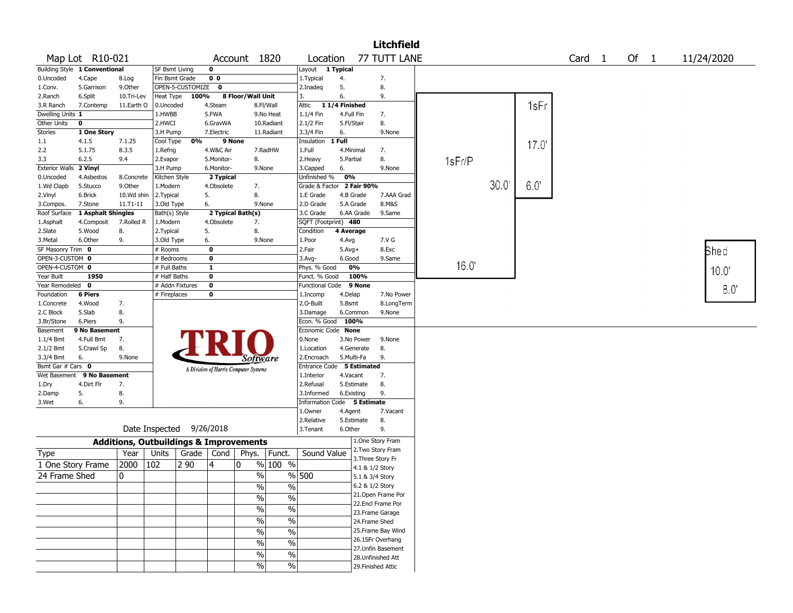|                       |                               |               |                |                  |                |                                                   |                          |                           |               |                 | <b>Litchfield</b>                      |        |      |       |        |      |             |
|-----------------------|-------------------------------|---------------|----------------|------------------|----------------|---------------------------------------------------|--------------------------|---------------------------|---------------|-----------------|----------------------------------------|--------|------|-------|--------|------|-------------|
|                       | Map Lot R10-021               |               |                |                  |                | Account 1820                                      |                          | Location                  |               |                 | 77 TUTT LANE                           |        |      |       | Card 1 | Of 1 | 11/24/2020  |
|                       | Building Style 1 Conventional |               | SF Bsmt Living |                  | 0              |                                                   |                          | Layout                    | 1 Typical     |                 |                                        |        |      |       |        |      |             |
| 0.Uncoded             | 4.Cape                        | 8.Log         | Fin Bsmt Grade |                  | 0 <sub>0</sub> |                                                   |                          | 1. Typical                | 4.            |                 | 7.                                     |        |      |       |        |      |             |
| 1.Conv.               | 5.Garrison                    | 9.0ther       |                | OPEN-5-CUSTOMIZE | 0              |                                                   |                          | 2.Inadeg                  | 5.            |                 | 8.                                     |        |      |       |        |      |             |
| 2.Ranch               | 6.Split                       | 10.Tri-Lev    | Heat Type      | 100%             |                | 8 Floor/Wall Unit                                 |                          | 3.                        | 6.            |                 | 9.                                     |        |      |       |        |      |             |
| 3.R Ranch             | 7.Contemp                     | 11.Earth O    | 0.Uncoded      |                  | 4.Steam        |                                                   | 8.Fl/Wall                | Attic                     | 11/4 Finished |                 |                                        |        |      | 1sFr  |        |      |             |
| Dwelling Units 1      |                               |               | 1.HWBB         |                  | 5.FWA          |                                                   | 9.No Heat                | 1.1/4 Fin                 | 4.Full Fin    |                 | 7.                                     |        |      |       |        |      |             |
| Other Units           | $\mathbf 0$                   |               | 2.HWCI         |                  | 6.GravWA       |                                                   | 10.Radiant               | 2.1/2 Fin                 | 5.Fl/Stair    |                 | 8.                                     |        |      |       |        |      |             |
| Stories               | 1 One Story                   |               | 3.H Pump       |                  | 7.Electric     |                                                   | 11.Radiant               | 3.3/4 Fin                 | 6.            |                 | 9.None                                 |        |      |       |        |      |             |
| 1.1                   | 4.1.5                         | 7.1.25        | Cool Type      | 0%               |                | 9 None                                            |                          | Insulation                | 1 Full        |                 |                                        |        |      | 17.0' |        |      |             |
| 2.2                   | 5.1.75                        | 8.3.5         | 1.Refrig       |                  | 4.W&C Air      |                                                   | 7.RadHW                  | 1.Full                    | 4.Minimal     |                 | 7.                                     |        |      |       |        |      |             |
| 3.3                   | 6.2.5                         | 9.4           | 2.Evapor       |                  | 5.Monitor-     | 8.                                                |                          | 2.Heavy                   | 5.Partial     |                 | 8.                                     | 1sFr/P |      |       |        |      |             |
| <b>Exterior Walls</b> | 2 Vinyl                       |               | 3.H Pump       |                  | 6.Monitor-     | 9.None                                            |                          | 3.Capped                  | 6.            |                 | 9.None                                 |        |      |       |        |      |             |
| 0.Uncoded             | 4.Asbestos                    | 8.Concrete    | Kitchen Style  |                  | 2 Typical      |                                                   |                          | Unfinished %              | 0%            |                 |                                        |        |      |       |        |      |             |
| 1.Wd Clapb            | 5.Stucco                      | 9.0ther       | 1.Modern       |                  | 4.Obsolete     | 7.                                                |                          | Grade & Factor            |               | 2 Fair 90%      |                                        |        | 30.0 | 6.0   |        |      |             |
| 2.Vinyl               | 6.Brick                       | 10.Wd shin    | 2. Typical     |                  | 5.             | 8.                                                |                          | 1.E Grade                 | 4.B Grade     |                 | 7.AAA Grad                             |        |      |       |        |      |             |
| 3.Compos.             | 7.Stone                       | $11. T1 - 11$ | 3.Old Type     |                  | 6.             | 9.None                                            |                          | 2.D Grade                 | 5.A Grade     |                 | 8.M&S                                  |        |      |       |        |      |             |
| Roof Surface          | 1 Asphalt Shingles            |               | Bath(s) Style  |                  |                | 2 Typical Bath(s)                                 |                          | 3.C Grade                 |               | 6.AA Grade      | 9.Same                                 |        |      |       |        |      |             |
| 1.Asphalt             | 4.Composit                    | 7.Rolled R    | 1.Modern       |                  | 4.Obsolete     | 7.                                                |                          | SQFT (Footprint) 480      |               |                 |                                        |        |      |       |        |      |             |
| 2.Slate               | 5.Wood                        | 8.            | 2.Typical      |                  | 5.             | 8.                                                |                          | Condition                 | 4 Average     |                 |                                        |        |      |       |        |      |             |
| 3.Metal               | 6.Other                       | 9.            | 3.Old Type     |                  | 6.             | 9.None                                            |                          | 1.Poor                    | 4.Avg         |                 | 7.V G                                  |        |      |       |        |      |             |
| SF Masonry Trim 0     |                               |               | # Rooms        |                  | 0              |                                                   |                          | 2.Fair                    | $5.Avg+$      |                 | 8.Exc                                  |        |      |       |        |      | <b>Shed</b> |
| OPEN-3-CUSTOM 0       |                               |               | # Bedrooms     |                  | $\mathbf{o}$   |                                                   |                          | 3.Avg-                    | 6.Good        |                 | 9.Same                                 |        |      |       |        |      |             |
| OPEN-4-CUSTOM 0       |                               |               | # Full Baths   |                  | $\mathbf{1}$   |                                                   |                          | Phys. % Good              |               | 0%              |                                        | 16.0   |      |       |        |      | 10.0        |
| Year Built            | 1950                          |               | # Half Baths   |                  | $\bf o$        |                                                   |                          | Funct. % Good             |               | 100%            |                                        |        |      |       |        |      |             |
| Year Remodeled        | 0                             |               |                | # Addn Fixtures  | $\bf{0}$       |                                                   |                          | <b>Functional Code</b>    |               | 9 None          |                                        |        |      |       |        |      |             |
| Foundation            | <b>6 Piers</b>                |               | # Fireplaces   |                  | 0              |                                                   |                          | 1.Incomp                  | 4.Delap       |                 | 7.No Power                             |        |      |       |        |      | 8.0         |
| 1.Concrete            | 4.Wood                        | 7.            |                |                  |                |                                                   |                          | 2.O-Built                 | 5.Bsmt        |                 | 8.LongTerm                             |        |      |       |        |      |             |
| 2.C Block             | 5.Slab                        | 8.            |                |                  |                |                                                   |                          | 3.Damage                  | 6.Common      |                 | 9.None                                 |        |      |       |        |      |             |
| 3.Br/Stone            | 6.Piers                       | 9.            |                |                  |                |                                                   |                          | Econ. % Good              | 100%          |                 |                                        |        |      |       |        |      |             |
| Basement              | 9 No Basement                 |               |                |                  |                |                                                   |                          | Economic Code None        |               |                 |                                        |        |      |       |        |      |             |
| 1.1/4 Bmt             | 4.Full Bmt                    | 7.            |                |                  |                |                                                   |                          | 0.None                    |               | 3.No Power      | 9.None                                 |        |      |       |        |      |             |
| 2.1/2 Bmt             | 5.Crawl Sp                    | 8.            |                |                  |                |                                                   |                          | 1.Location                |               | 4.Generate      | 8.                                     |        |      |       |        |      |             |
| 3.3/4 Bmt             | 6.                            | 9.None        |                |                  |                | Software                                          |                          | 2.Encroach                | 5.Multi-Fa    |                 | 9.                                     |        |      |       |        |      |             |
| Bsmt Gar # Cars 0     |                               |               |                |                  |                | A Division of Harris Computer Systems             |                          | Entrance Code 5 Estimated |               |                 |                                        |        |      |       |        |      |             |
| Wet Basement          | 9 No Basement                 |               |                |                  |                |                                                   |                          | 1.Interior                | 4.Vacant      |                 | 7.                                     |        |      |       |        |      |             |
| 1.Dry                 | 4.Dirt Flr                    | 7.            |                |                  |                |                                                   |                          | 2.Refusal                 | 5.Estimate    |                 | 8.                                     |        |      |       |        |      |             |
| 2.Damp                | 5.                            | 8.            |                |                  |                |                                                   |                          | 3.Informed                | 6.Existing    |                 | 9.                                     |        |      |       |        |      |             |
| 3.Wet                 | 6.                            | 9.            |                |                  |                |                                                   |                          | <b>Information Code</b>   |               | 5 Estimate      |                                        |        |      |       |        |      |             |
|                       |                               |               |                |                  |                |                                                   |                          | 1.Owner                   | 4.Agent       |                 | 7.Vacant                               |        |      |       |        |      |             |
|                       |                               |               |                |                  |                |                                                   |                          | 2.Relative                | 5.Estimate    |                 | 8.                                     |        |      |       |        |      |             |
|                       |                               |               | Date Inspected |                  | 9/26/2018      |                                                   |                          | 3.Tenant                  | 6.Other       |                 | 9.                                     |        |      |       |        |      |             |
|                       |                               |               |                |                  |                |                                                   |                          |                           |               |                 | 1.One Story Fram                       |        |      |       |        |      |             |
|                       |                               |               |                |                  |                | <b>Additions, Outbuildings &amp; Improvements</b> |                          |                           |               |                 |                                        |        |      |       |        |      |             |
| Type                  |                               | Year          | Units          | Grade            | Cond           | Phys.                                             | Funct.                   | Sound Value               |               |                 | 2. Two Story Fram<br>3. Three Story Fr |        |      |       |        |      |             |
|                       | 1 One Story Frame             | 2000          | 102            | 2 90             | 4              | 0                                                 | % 100 %                  |                           |               |                 |                                        |        |      |       |        |      |             |
| 24 Frame Shed         |                               | 0             |                |                  |                | %                                                 |                          | % 500                     |               | 4.1 & 1/2 Story |                                        |        |      |       |        |      |             |
|                       |                               |               |                |                  |                |                                                   |                          |                           |               | 5.1 & 3/4 Story |                                        |        |      |       |        |      |             |
|                       |                               |               |                |                  |                | $\frac{0}{6}$                                     | $\overline{\frac{9}{6}}$ |                           |               | 6.2 & 1/2 Story |                                        |        |      |       |        |      |             |
|                       |                               |               |                |                  |                | $\frac{1}{2}$                                     | $\frac{0}{0}$            |                           |               |                 | 21.Open Frame Por                      |        |      |       |        |      |             |
|                       |                               |               |                |                  |                | $\sqrt{6}$                                        | $\overline{\frac{0}{0}}$ |                           |               |                 | 22.Encl Frame Por                      |        |      |       |        |      |             |
|                       |                               |               |                |                  |                |                                                   |                          |                           |               |                 | 23. Frame Garage                       |        |      |       |        |      |             |
|                       |                               |               |                |                  |                | $\frac{1}{2}$                                     | $\frac{0}{0}$            |                           |               | 24.Frame Shed   |                                        |        |      |       |        |      |             |
|                       |                               |               |                |                  |                | $\frac{1}{2}$                                     | $\overline{\frac{0}{0}}$ |                           |               |                 | 25.Frame Bay Wind                      |        |      |       |        |      |             |
|                       |                               |               |                |                  |                | $\frac{1}{2}$                                     | $\%$                     |                           |               |                 | 26.1SFr Overhang                       |        |      |       |        |      |             |
|                       |                               |               |                |                  |                | $\%$                                              | $\%$                     |                           |               |                 | 27.Unfin Basement                      |        |      |       |        |      |             |
|                       |                               |               |                |                  |                |                                                   |                          |                           |               |                 | 28.Unfinished Att                      |        |      |       |        |      |             |
|                       |                               |               |                |                  |                | $\frac{9}{6}$                                     | $\%$                     |                           |               |                 | 29. Finished Attic                     |        |      |       |        |      |             |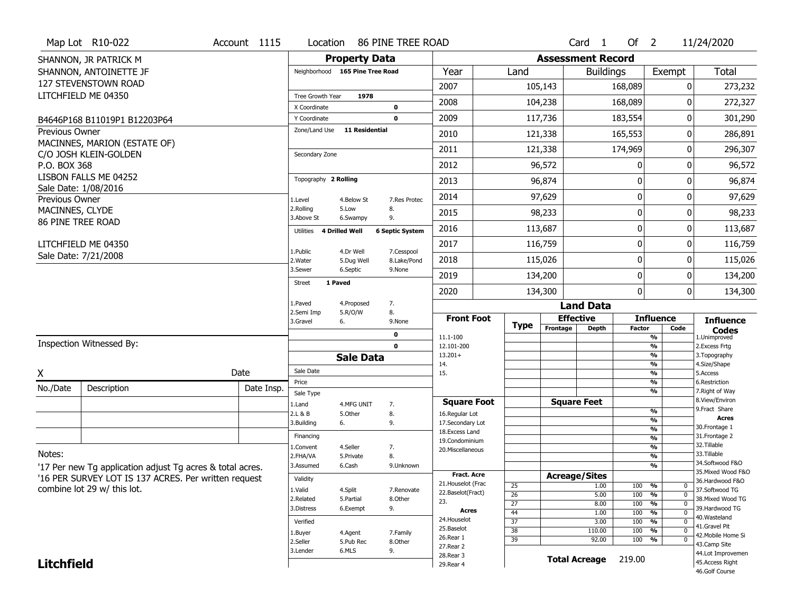|                                      | Map Lot R10-022                                           | Account 1115 | Location                     |                                 | 86 PINE TREE ROAD      |                                     |                 |                          | Card <sub>1</sub>    | Of $2$           |                                                      | 11/24/2020                           |
|--------------------------------------|-----------------------------------------------------------|--------------|------------------------------|---------------------------------|------------------------|-------------------------------------|-----------------|--------------------------|----------------------|------------------|------------------------------------------------------|--------------------------------------|
|                                      | SHANNON, JR PATRICK M                                     |              |                              | <b>Property Data</b>            |                        |                                     |                 | <b>Assessment Record</b> |                      |                  |                                                      |                                      |
|                                      | SHANNON, ANTOINETTE JF                                    |              |                              | Neighborhood 165 Pine Tree Road |                        | Year                                | Land            |                          | <b>Buildings</b>     |                  | Exempt                                               | Total                                |
|                                      | <b>127 STEVENSTOWN ROAD</b>                               |              |                              |                                 |                        | 2007                                |                 | 105,143                  |                      | 168,089          | 0                                                    | 273,232                              |
|                                      | LITCHFIELD ME 04350                                       |              | Tree Growth Year             | 1978                            |                        | 2008                                |                 | 104,238                  |                      | 168,089          | O                                                    | 272,327                              |
|                                      | B4646P168 B11019P1 B12203P64                              |              | X Coordinate<br>Y Coordinate |                                 | 0<br>$\mathbf 0$       | 2009                                |                 | 117,736                  |                      | 183,554          | 0                                                    | 301,290                              |
| <b>Previous Owner</b>                |                                                           |              | Zone/Land Use                | <b>11 Residential</b>           |                        | 2010                                |                 | 121,338                  |                      | 165,553          | 0                                                    | 286,891                              |
|                                      | MACINNES, MARION (ESTATE OF)                              |              |                              |                                 |                        | 2011                                |                 | 121,338                  |                      | 174,969          | O                                                    | 296,307                              |
|                                      | C/O JOSH KLEIN-GOLDEN                                     |              | Secondary Zone               |                                 |                        |                                     |                 |                          |                      |                  |                                                      |                                      |
| P.O. BOX 368                         | LISBON FALLS ME 04252                                     |              |                              |                                 |                        | 2012                                |                 | 96,572                   |                      | 0                | $\Omega$                                             | 96,572                               |
|                                      | Sale Date: 1/08/2016                                      |              | Topography 2 Rolling         |                                 |                        | 2013                                |                 | 96,874                   |                      | 0                | O                                                    | 96,874                               |
| Previous Owner                       |                                                           |              | 1.Level                      | 4.Below St                      | 7.Res Protec           | 2014                                |                 | 97,629                   |                      | $\boldsymbol{0}$ | 0                                                    | 97,629                               |
| MACINNES, CLYDE<br>86 PINE TREE ROAD |                                                           |              | 2.Rolling<br>3.Above St      | 5.Low<br>6.Swampy               | 8.<br>9.               | 2015                                |                 | 98,233                   |                      | 0                | 0                                                    | 98,233                               |
|                                      |                                                           |              | Utilities                    | 4 Drilled Well                  | <b>6 Septic System</b> | 2016                                |                 | 113,687                  |                      | $\boldsymbol{0}$ | O                                                    | 113,687                              |
|                                      | LITCHFIELD ME 04350                                       |              | 1.Public                     | 4.Dr Well                       | 7.Cesspool             | 2017                                |                 | 116,759                  |                      | $\boldsymbol{0}$ | 0                                                    | 116,759                              |
|                                      | Sale Date: 7/21/2008                                      |              | 2. Water                     | 5.Dug Well                      | 8.Lake/Pond            | 2018                                |                 | 115,026                  |                      | $\boldsymbol{0}$ | O                                                    | 115,026                              |
|                                      |                                                           |              | 3.Sewer                      | 6.Septic                        | 9.None                 | 2019                                |                 | 134,200                  |                      | $\boldsymbol{0}$ | 0                                                    | 134,200                              |
|                                      |                                                           |              | <b>Street</b>                | 1 Paved                         |                        | 2020                                |                 | 134,300                  |                      | $\mathbf 0$      | 0                                                    | 134,300                              |
|                                      |                                                           |              | 1.Paved                      | 4.Proposed                      | 7.                     |                                     |                 |                          | <b>Land Data</b>     |                  |                                                      |                                      |
|                                      |                                                           |              | 2.Semi Imp<br>3.Gravel       | 5.R/O/W<br>6.                   | 8.<br>9.None           | <b>Front Foot</b>                   |                 | <b>Effective</b>         |                      |                  | <b>Influence</b>                                     | <b>Influence</b>                     |
|                                      |                                                           |              |                              |                                 | 0                      | 11.1-100                            | Type            | Frontage                 | <b>Depth</b>         | <b>Factor</b>    | Code<br>%                                            | <b>Codes</b><br>1.Unimproved         |
|                                      | Inspection Witnessed By:                                  |              |                              |                                 | $\mathbf 0$            | 12.101-200                          |                 |                          |                      |                  | %                                                    | 2. Excess Frtg                       |
|                                      |                                                           |              |                              | <b>Sale Data</b>                |                        | $13.201+$<br>14.                    |                 |                          |                      |                  | %<br>%                                               | 3. Topography<br>4.Size/Shape        |
| X                                    |                                                           | Date         | Sale Date                    |                                 |                        | 15.                                 |                 |                          |                      |                  | %                                                    | 5.Access                             |
| No./Date                             | Description                                               | Date Insp.   | Price<br>Sale Type           |                                 |                        |                                     |                 |                          |                      |                  | %<br>%                                               | 6.Restriction<br>7. Right of Way     |
|                                      |                                                           |              | 1.Land                       | 4.MFG UNIT                      | 7.                     | <b>Square Foot</b>                  |                 | <b>Square Feet</b>       |                      |                  |                                                      | 8.View/Environ<br>9.Fract Share      |
|                                      |                                                           |              | 2.L & B                      | 5.Other                         | 8.                     | 16.Regular Lot                      |                 |                          |                      |                  | %<br>%                                               | Acres                                |
|                                      |                                                           |              | 3.Building                   | 6.                              | 9.                     | 17.Secondary Lot<br>18. Excess Land |                 |                          |                      |                  | $\overline{\frac{9}{6}}$                             | 30.Frontage 1                        |
|                                      |                                                           |              | Financing                    |                                 |                        | 19.Condominium                      |                 |                          |                      |                  | $\overline{\frac{9}{6}}$                             | 31. Frontage 2<br>32. Tillable       |
| Notes:                               |                                                           |              | 1.Convent<br>2.FHA/VA        | 4.Seller                        | 7.<br>8.               | 20.Miscellaneous                    |                 |                          |                      |                  | $\overline{\frac{9}{6}}$<br>$\overline{\frac{9}{6}}$ | 33.Tillable                          |
|                                      |                                                           |              |                              | 5.Private                       |                        |                                     |                 |                          |                      |                  |                                                      | 34.Softwood F&O                      |
|                                      |                                                           |              |                              |                                 |                        |                                     |                 |                          |                      |                  |                                                      |                                      |
|                                      | '17 Per new Tg application adjust Tg acres & total acres. |              | 3.Assumed                    | 6.Cash                          | 9.Unknown              | <b>Fract. Acre</b>                  |                 |                          |                      |                  | $\overline{\frac{9}{6}}$                             | 35. Mixed Wood F&O                   |
|                                      | '16 PER SURVEY LOT IS 137 ACRES. Per written request      |              | Validity                     |                                 |                        | 21. Houselot (Frac                  |                 | <b>Acreage/Sites</b>     | 1.00                 |                  | $\frac{9}{6}$<br>$\mathbf 0$                         | 36.Hardwood F&O                      |
|                                      | combine lot 29 w/ this lot.                               |              | 1.Valid                      | 4.Split                         | 7.Renovate             | 22.Baselot(Fract)                   | 25<br>26        |                          | 5.00                 | 100<br>100       | $\frac{9}{6}$<br>$\mathbf 0$                         | 37.Softwood TG                       |
|                                      |                                                           |              | 2.Related                    | 5.Partial                       | 8.0ther                | 23.                                 | 27              |                          | 8.00                 | 100              | $\frac{9}{6}$<br>$\mathbf 0$                         | 38. Mixed Wood TG                    |
|                                      |                                                           |              | 3.Distress                   | 6.Exempt                        | 9.                     | <b>Acres</b>                        | 44              |                          | 1.00                 | 100              | $\frac{9}{6}$<br>$\mathbf 0$                         | 39.Hardwood TG<br>40. Wasteland      |
|                                      |                                                           |              | Verified                     |                                 |                        | 24. Houselot<br>25.Baselot          | $\overline{37}$ |                          | 3.00                 | 100              | %<br>$\mathbf 0$                                     | 41.Gravel Pit                        |
|                                      |                                                           |              | 1.Buyer                      | 4.Agent                         | 7.Family               | 26.Rear 1                           | $\overline{38}$ |                          | 110.00               | 100              | %<br>$\mathbf 0$<br>0                                | 42. Mobile Home Si                   |
|                                      |                                                           |              | 2.Seller                     | 5.Pub Rec                       | 8.Other                | 27.Rear 2                           | 39              |                          | 92.00                | 100              | $\frac{9}{6}$                                        | 43.Camp Site                         |
| <b>Litchfield</b>                    |                                                           |              | 3.Lender                     | 6.MLS                           | 9.                     | 28. Rear 3<br>29. Rear 4            |                 |                          | <b>Total Acreage</b> | 219.00           |                                                      | 44.Lot Improvemen<br>45.Access Right |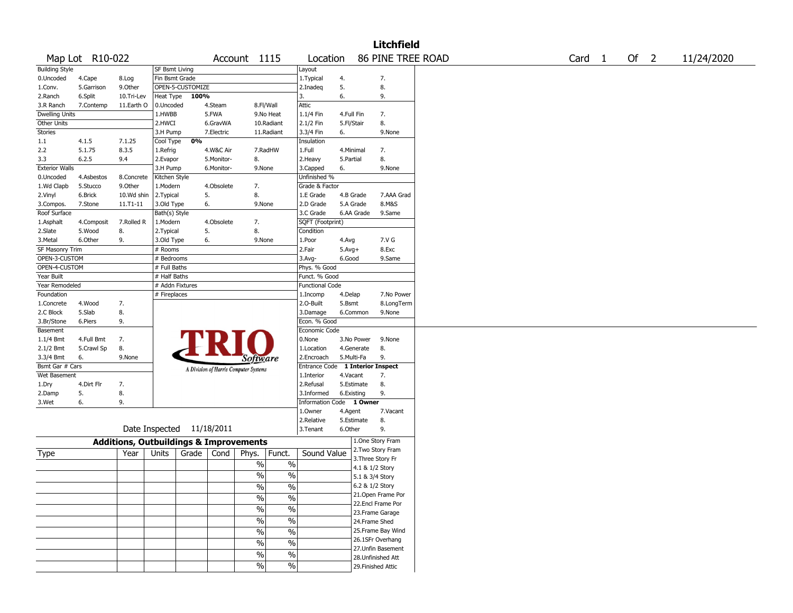|                              |                 |                                                   |                      |                  |                          |                                       |                 |                                        |                 |                 | <b>Litchfield</b>  |  |                   |        |            |
|------------------------------|-----------------|---------------------------------------------------|----------------------|------------------|--------------------------|---------------------------------------|-----------------|----------------------------------------|-----------------|-----------------|--------------------|--|-------------------|--------|------------|
|                              | Map Lot R10-022 |                                                   |                      |                  |                          | Account 1115                          |                 | Location                               |                 |                 | 86 PINE TREE ROAD  |  | Card <sub>1</sub> | Of $2$ | 11/24/2020 |
| <b>Building Style</b>        |                 |                                                   | SF Bsmt Living       |                  |                          |                                       |                 | Layout                                 |                 |                 |                    |  |                   |        |            |
| 0.Uncoded                    | 4.Cape          | 8.Log                                             | Fin Bsmt Grade       |                  |                          |                                       |                 | 1. Typical                             | 4.              |                 | 7.                 |  |                   |        |            |
| 1.Conv.                      | 5.Garrison      | 9.Other                                           |                      | OPEN-5-CUSTOMIZE |                          |                                       |                 | 2.Inadeq                               | 5.              |                 | 8.                 |  |                   |        |            |
| 2.Ranch                      | 6.Split         | 10.Tri-Lev                                        | Heat Type            | 100%             |                          |                                       |                 | 3.                                     | 6.              |                 | 9.                 |  |                   |        |            |
| 3.R Ranch                    | 7.Contemp       | 11.Earth O                                        | 0.Uncoded            |                  | 4.Steam                  |                                       | 8.Fl/Wall       | Attic                                  |                 |                 |                    |  |                   |        |            |
| <b>Dwelling Units</b>        |                 |                                                   | 1.HWBB               |                  | 5.FWA                    |                                       | 9.No Heat       | 1.1/4 Fin                              |                 | 4.Full Fin      | 7.                 |  |                   |        |            |
| Other Units                  |                 |                                                   | 2.HWCI               |                  | 6.GravWA                 |                                       | 10.Radiant      | 2.1/2 Fin                              | 5.Fl/Stair      |                 | 8.                 |  |                   |        |            |
| Stories                      |                 |                                                   | 3.H Pump             |                  | 7.Electric               |                                       | 11.Radiant      | 3.3/4 Fin                              | 6.              |                 | 9.None             |  |                   |        |            |
| 1.1                          | 4.1.5           | 7.1.25<br>8.3.5                                   | Cool Type            | 0%               |                          |                                       |                 | Insulation                             |                 |                 |                    |  |                   |        |            |
| 2.2                          | 5.1.75<br>6.2.5 |                                                   | 1.Refrig             |                  | 4.W&C Air                |                                       | 7.RadHW         | 1.Full                                 |                 | 4.Minimal       | 7.<br>8.           |  |                   |        |            |
| 3.3<br><b>Exterior Walls</b> |                 | 9.4                                               | 2.Evapor<br>3.H Pump |                  | 5.Monitor-<br>6.Monitor- | 8.<br>9.None                          |                 | 2.Heavy<br>3.Capped                    | 5.Partial<br>6. |                 | 9.None             |  |                   |        |            |
| 0.Uncoded                    | 4.Asbestos      | 8.Concrete                                        | Kitchen Style        |                  |                          |                                       |                 | Unfinished %                           |                 |                 |                    |  |                   |        |            |
| 1.Wd Clapb                   | 5.Stucco        | 9.Other                                           | 1.Modern             |                  | 4.Obsolete               | 7.                                    |                 | Grade & Factor                         |                 |                 |                    |  |                   |        |            |
| 2.Vinyl                      | 6.Brick         | 10.Wd shin                                        | 2.Typical            |                  | 5.                       | 8.                                    |                 | 1.E Grade                              |                 | 4.B Grade       | 7.AAA Grad         |  |                   |        |            |
| 3.Compos.                    | 7.Stone         | 11.T1-11                                          | 3.Old Type           |                  | 6.                       | 9.None                                |                 | 2.D Grade                              |                 | 5.A Grade       | 8.M&S              |  |                   |        |            |
| Roof Surface                 |                 |                                                   | Bath(s) Style        |                  |                          |                                       |                 | 3.C Grade                              |                 | 6.AA Grade      | 9.Same             |  |                   |        |            |
| 1.Asphalt                    | 4.Composit      | 7.Rolled R                                        | 1.Modern             |                  | 4.Obsolete               | 7.                                    |                 | SQFT (Footprint)                       |                 |                 |                    |  |                   |        |            |
| 2.Slate                      | 5.Wood          | 8.                                                | 2. Typical           |                  | 5.                       | 8.                                    |                 | Condition                              |                 |                 |                    |  |                   |        |            |
| 3. Metal                     | 6.Other         | 9.                                                | 3.Old Type           |                  | 6.                       | 9.None                                |                 | 1.Poor                                 | 4.Avg           |                 | 7.V G              |  |                   |        |            |
| SF Masonry Trim              |                 |                                                   | # Rooms              |                  |                          |                                       |                 | 2.Fair                                 | $5.Avg+$        |                 | 8.Exc              |  |                   |        |            |
| OPEN-3-CUSTOM                |                 |                                                   | # Bedrooms           |                  |                          |                                       |                 | $3.$ Avg-                              | 6.Good          |                 | 9.Same             |  |                   |        |            |
| OPEN-4-CUSTOM                |                 |                                                   | # Full Baths         |                  |                          |                                       |                 | Phys. % Good                           |                 |                 |                    |  |                   |        |            |
| Year Built                   |                 |                                                   | # Half Baths         |                  |                          |                                       |                 | Funct. % Good                          |                 |                 |                    |  |                   |        |            |
| Year Remodeled               |                 |                                                   | # Addn Fixtures      |                  |                          |                                       |                 | Functional Code                        |                 |                 |                    |  |                   |        |            |
| Foundation                   |                 |                                                   | # Fireplaces         |                  |                          |                                       |                 | 1.Incomp                               | 4.Delap         |                 | 7.No Power         |  |                   |        |            |
| 1.Concrete                   | 4.Wood          | 7.                                                |                      |                  |                          |                                       |                 | 2.0-Built                              | 5.Bsmt          |                 | 8.LongTerm         |  |                   |        |            |
| 2.C Block                    | 5.Slab          | 8.                                                |                      |                  |                          |                                       |                 | 3.Damage                               |                 | 6.Common        | 9.None             |  |                   |        |            |
| 3.Br/Stone                   | 6.Piers         | 9.                                                |                      |                  |                          |                                       |                 | Econ. % Good                           |                 |                 |                    |  |                   |        |            |
| Basement                     |                 |                                                   |                      |                  |                          |                                       |                 | Economic Code                          |                 |                 |                    |  |                   |        |            |
| $1.1/4$ Bmt                  | 4.Full Bmt      | 7.                                                |                      |                  |                          |                                       |                 | 0.None                                 |                 | 3.No Power      | 9.None             |  |                   |        |            |
| 2.1/2 Bmt                    | 5.Crawl Sp      | 8.                                                |                      |                  |                          |                                       |                 | 1.Location                             |                 | 4.Generate      | 8.                 |  |                   |        |            |
| 3.3/4 Bmt                    | 6.              | 9.None                                            |                      |                  |                          | <i>Software</i>                       |                 | 2.Encroach                             |                 | 5.Multi-Fa      | 9.                 |  |                   |        |            |
| Bsmt Gar # Cars              |                 |                                                   |                      |                  |                          | A Division of Harris Computer Systems |                 | Entrance Code 1 Interior Inspect       |                 |                 |                    |  |                   |        |            |
| Wet Basement                 |                 |                                                   |                      |                  |                          |                                       |                 | 1.Interior                             |                 | 4.Vacant        | 7.                 |  |                   |        |            |
| 1.Dry                        | 4.Dirt Flr      | 7.                                                |                      |                  |                          |                                       |                 | 2.Refusal                              |                 | 5.Estimate      | 8.                 |  |                   |        |            |
| 2.Damp<br>3.Wet              | 5.<br>6.        | 8.<br>9.                                          |                      |                  |                          |                                       |                 | 3.Informed<br>Information Code 1 Owner |                 | 6.Existing      | 9.                 |  |                   |        |            |
|                              |                 |                                                   |                      |                  |                          |                                       |                 | 1.0wner                                | 4.Agent         |                 | 7.Vacant           |  |                   |        |            |
|                              |                 |                                                   |                      |                  |                          |                                       |                 | 2.Relative                             |                 | 5.Estimate      | 8.                 |  |                   |        |            |
|                              |                 | Date Inspected 11/18/2011                         |                      |                  |                          |                                       |                 | 3. Tenant                              | 6.Other         |                 | 9.                 |  |                   |        |            |
|                              |                 | <b>Additions, Outbuildings &amp; Improvements</b> |                      |                  |                          |                                       |                 |                                        |                 |                 | 1.One Story Fram   |  |                   |        |            |
|                              |                 |                                                   |                      |                  |                          |                                       |                 |                                        |                 |                 | 2. Two Story Fram  |  |                   |        |            |
| Type                         |                 | Year                                              | Units                | Grade   Cond     |                          | Phys.                                 | Funct.          | Sound Value                            |                 |                 | 3. Three Story Fr  |  |                   |        |            |
|                              |                 |                                                   |                      |                  |                          | $\%$                                  | $\overline{\%}$ |                                        |                 | 4.1 & 1/2 Story |                    |  |                   |        |            |
|                              |                 |                                                   |                      |                  |                          | $\%$                                  | $\%$            |                                        |                 | 5.1 & 3/4 Story |                    |  |                   |        |            |
|                              |                 |                                                   |                      |                  |                          | $\sqrt{6}$                            | $\frac{0}{6}$   |                                        |                 | 6.2 & 1/2 Story |                    |  |                   |        |            |
|                              |                 |                                                   |                      |                  |                          | %                                     | $\frac{1}{2}$   |                                        |                 |                 | 21. Open Frame Por |  |                   |        |            |
|                              |                 |                                                   |                      |                  |                          |                                       |                 |                                        |                 |                 | 22.Encl Frame Por  |  |                   |        |            |
|                              |                 |                                                   |                      |                  |                          | $\sqrt{6}$                            | $\%$            |                                        |                 |                 | 23. Frame Garage   |  |                   |        |            |
|                              |                 |                                                   |                      |                  |                          | $\%$                                  | $\%$            |                                        |                 | 24.Frame Shed   |                    |  |                   |        |            |
|                              |                 |                                                   |                      |                  |                          | $\%$                                  | $\%$            |                                        |                 |                 | 25. Frame Bay Wind |  |                   |        |            |
|                              |                 |                                                   |                      |                  |                          | $\%$                                  | $\frac{1}{2}$   |                                        |                 |                 | 26.1SFr Overhang   |  |                   |        |            |
|                              |                 |                                                   |                      |                  |                          | $\%$                                  | $\sqrt{2}$      |                                        |                 |                 | 27. Unfin Basement |  |                   |        |            |
|                              |                 |                                                   |                      |                  |                          |                                       |                 |                                        |                 |                 | 28. Unfinished Att |  |                   |        |            |
|                              |                 |                                                   |                      |                  |                          | $\overline{\frac{0}{0}}$              | $\frac{1}{2}$   |                                        |                 |                 | 29. Finished Attic |  |                   |        |            |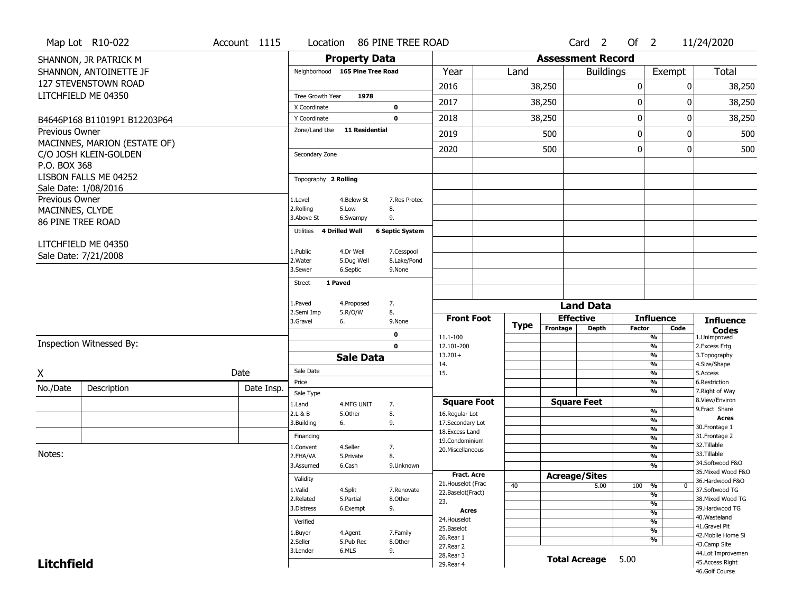|                   | Map Lot R10-022              | Account 1115 |            | Location                        |                       | 86 PINE TREE ROAD      |                                         |      |                          | Card <sub>2</sub>                | Of $2$        |                          | 11/24/2020                                                  |
|-------------------|------------------------------|--------------|------------|---------------------------------|-----------------------|------------------------|-----------------------------------------|------|--------------------------|----------------------------------|---------------|--------------------------|-------------------------------------------------------------|
|                   | SHANNON, JR PATRICK M        |              |            |                                 | <b>Property Data</b>  |                        |                                         |      | <b>Assessment Record</b> |                                  |               |                          |                                                             |
|                   | SHANNON, ANTOINETTE JF       |              |            | Neighborhood 165 Pine Tree Road |                       |                        | Year                                    | Land |                          | <b>Buildings</b>                 |               | Exempt                   | <b>Total</b>                                                |
|                   | 127 STEVENSTOWN ROAD         |              |            |                                 |                       |                        | 2016                                    |      | 38,250                   |                                  | 0             |                          | 0<br>38,250                                                 |
|                   | LITCHFIELD ME 04350          |              |            | Tree Growth Year                | 1978                  |                        |                                         |      |                          |                                  |               |                          |                                                             |
|                   |                              |              |            | X Coordinate                    |                       | $\mathbf 0$            | 2017                                    |      | 38,250                   |                                  | 0             |                          | 38,250<br>0                                                 |
|                   | B4646P168 B11019P1 B12203P64 |              |            | Y Coordinate                    |                       | $\mathbf 0$            | 2018                                    |      | 38,250                   |                                  | 0             |                          | 0<br>38,250                                                 |
| Previous Owner    |                              |              |            | Zone/Land Use                   | <b>11 Residential</b> |                        | 2019                                    |      | 500                      |                                  | $\mathbf 0$   |                          | 500<br>0                                                    |
|                   | MACINNES, MARION (ESTATE OF) |              |            |                                 |                       |                        |                                         |      |                          |                                  |               |                          | 500                                                         |
|                   | C/O JOSH KLEIN-GOLDEN        |              |            | Secondary Zone                  |                       |                        | 2020                                    |      | 500                      |                                  | 0             |                          | 0                                                           |
| P.O. BOX 368      |                              |              |            |                                 |                       |                        |                                         |      |                          |                                  |               |                          |                                                             |
|                   | LISBON FALLS ME 04252        |              |            | Topography 2 Rolling            |                       |                        |                                         |      |                          |                                  |               |                          |                                                             |
|                   | Sale Date: 1/08/2016         |              |            |                                 |                       |                        |                                         |      |                          |                                  |               |                          |                                                             |
| Previous Owner    |                              |              |            | 1.Level<br>2.Rolling            | 4.Below St<br>5.Low   | 7.Res Protec<br>8.     |                                         |      |                          |                                  |               |                          |                                                             |
| MACINNES, CLYDE   |                              |              |            | 3.Above St                      | 6.Swampy              | 9.                     |                                         |      |                          |                                  |               |                          |                                                             |
|                   | <b>86 PINE TREE ROAD</b>     |              |            | 4 Drilled Well<br>Utilities     |                       | <b>6 Septic System</b> |                                         |      |                          |                                  |               |                          |                                                             |
|                   | LITCHFIELD ME 04350          |              |            |                                 |                       |                        |                                         |      |                          |                                  |               |                          |                                                             |
|                   | Sale Date: 7/21/2008         |              |            | 1.Public                        | 4.Dr Well             | 7.Cesspool             |                                         |      |                          |                                  |               |                          |                                                             |
|                   |                              |              |            | 2.Water                         | 5.Dug Well            | 8.Lake/Pond            |                                         |      |                          |                                  |               |                          |                                                             |
|                   |                              |              |            | 3.Sewer                         | 6.Septic              | 9.None                 |                                         |      |                          |                                  |               |                          |                                                             |
|                   |                              |              |            | 1 Paved<br><b>Street</b>        |                       |                        |                                         |      |                          |                                  |               |                          |                                                             |
|                   |                              |              |            | 1.Paved                         | 4.Proposed            | 7.                     |                                         |      |                          |                                  |               |                          |                                                             |
|                   |                              |              |            | 2.Semi Imp                      | 5.R/O/W               | 8.                     |                                         |      |                          | <b>Land Data</b>                 |               |                          |                                                             |
|                   |                              |              |            | 3.Gravel<br>6.                  |                       | 9.None                 | <b>Front Foot</b>                       | Type | Frontage                 | <b>Effective</b><br><b>Depth</b> | <b>Factor</b> | <b>Influence</b><br>Code | <b>Influence</b>                                            |
|                   |                              |              |            |                                 |                       | $\mathbf 0$            | 11.1-100                                |      |                          |                                  |               | $\frac{9}{6}$            | $\mathop{{\textbf{Codes}}}\limits_{\text{1.Uniformproved}}$ |
|                   | Inspection Witnessed By:     |              |            |                                 |                       | $\mathbf 0$            | 12.101-200                              |      |                          |                                  |               | $\overline{\frac{9}{6}}$ | 2.Excess Frtg                                               |
|                   |                              |              |            |                                 | <b>Sale Data</b>      |                        | $13.201+$<br>14.                        |      |                          |                                  |               | %<br>%                   | 3. Topography<br>4.Size/Shape                               |
| X                 |                              | Date         |            | Sale Date                       |                       |                        | 15.                                     |      |                          |                                  |               | $\overline{\frac{9}{6}}$ | 5.Access                                                    |
|                   |                              |              |            | Price                           |                       |                        |                                         |      |                          |                                  |               | %                        | 6.Restriction                                               |
| No./Date          | Description                  |              | Date Insp. | Sale Type                       |                       |                        |                                         |      |                          |                                  |               | $\overline{\frac{9}{6}}$ | 7. Right of Way                                             |
|                   |                              |              |            | 1.Land                          | 4.MFG UNIT            | 7.                     | <b>Square Foot</b>                      |      |                          | <b>Square Feet</b>               |               | %                        | 8.View/Environ<br>9. Fract Share                            |
|                   |                              |              |            | 2.L & B<br>3.Building<br>6.     | 5.Other               | 8.<br>9.               | 16.Regular Lot<br>17.Secondary Lot      |      |                          |                                  |               | %                        | <b>Acres</b>                                                |
|                   |                              |              |            |                                 |                       |                        | 18.Excess Land                          |      |                          |                                  |               | %                        | 30. Frontage 1                                              |
|                   |                              |              |            | Financing                       | 4.Seller              |                        | 19.Condominium                          |      |                          |                                  |               | %<br>%                   | 31. Frontage 2<br>32. Tillable                              |
| Notes:            |                              |              |            | 1.Convent<br>2.FHA/VA           | 5.Private             | 7.<br>8.               | 20.Miscellaneous                        |      |                          |                                  |               | %                        | 33.Tillable                                                 |
|                   |                              |              |            | 3.Assumed                       | 6.Cash                | 9.Unknown              |                                         |      |                          |                                  |               | %                        | 34.Softwood F&O                                             |
|                   |                              |              |            | Validity                        |                       |                        | <b>Fract. Acre</b>                      |      |                          | <b>Acreage/Sites</b>             |               |                          | 35. Mixed Wood F&O<br>36.Hardwood F&O                       |
|                   |                              |              |            | 1.Valid                         | 4.Split               | 7.Renovate             | 21. Houselot (Frac<br>22.Baselot(Fract) | 40   |                          | 5.00                             | 100 %         |                          | 0<br>37.Softwood TG                                         |
|                   |                              |              |            | 2.Related                       | 5.Partial             | 8.Other                | 23.                                     |      |                          |                                  |               | $\frac{9}{6}$<br>%       | 38. Mixed Wood TG                                           |
|                   |                              |              |            | 3.Distress                      | 6.Exempt              | 9.                     | Acres                                   |      |                          |                                  |               | $\frac{9}{6}$            | 39.Hardwood TG                                              |
|                   |                              |              |            | Verified                        |                       |                        | 24. Houselot                            |      |                          |                                  |               | %                        | 40. Wasteland<br>41.Gravel Pit                              |
|                   |                              |              |            | 1.Buyer                         | 4.Agent               | 7.Family               | 25.Baselot<br>26.Rear 1                 |      |                          |                                  |               | $\frac{9}{6}$            | 42. Mobile Home Si                                          |
|                   |                              |              |            | 2.Seller<br>3.Lender            | 5.Pub Rec<br>6.MLS    | 8.Other<br>9.          | 27. Rear 2                              |      |                          |                                  |               | %                        | 43.Camp Site                                                |
|                   |                              |              |            |                                 |                       |                        |                                         |      |                          |                                  |               |                          |                                                             |
| <b>Litchfield</b> |                              |              |            |                                 |                       |                        | 28. Rear 3<br>29. Rear 4                |      |                          | <b>Total Acreage</b>             | 5.00          |                          | 44.Lot Improvemen<br>45.Access Right                        |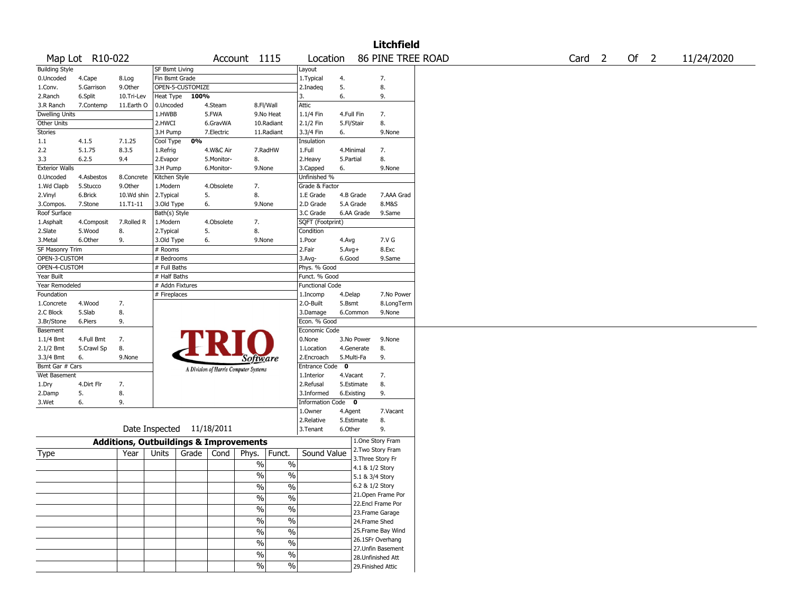|                       |                     |                                                   |                         |                  |            |                                       |               |                                |             |                        | <b>Litchfield</b>                       |  |                   |      |            |
|-----------------------|---------------------|---------------------------------------------------|-------------------------|------------------|------------|---------------------------------------|---------------|--------------------------------|-------------|------------------------|-----------------------------------------|--|-------------------|------|------------|
|                       | Map Lot R10-022     |                                                   |                         |                  |            | Account 1115                          |               | Location                       |             |                        | 86 PINE TREE ROAD                       |  | Card <sub>2</sub> | Of 2 | 11/24/2020 |
| <b>Building Style</b> |                     |                                                   | <b>SF Bsmt Living</b>   |                  |            |                                       |               | Layout                         |             |                        |                                         |  |                   |      |            |
| 0.Uncoded             | 4.Cape              | 8.Log                                             | Fin Bsmt Grade          |                  |            |                                       |               | 1.Typical                      | 4.          |                        | 7.                                      |  |                   |      |            |
| 1.Conv.               | 5.Garrison          | 9.Other                                           |                         | OPEN-5-CUSTOMIZE |            |                                       |               | 2.Inadeq                       | 5.          |                        | 8.                                      |  |                   |      |            |
| 2.Ranch               | 6.Split             | 10.Tri-Lev                                        | Heat Type               | 100%             |            |                                       | 3.            |                                | 6.          |                        | 9.                                      |  |                   |      |            |
| 3.R Ranch             | 7.Contemp           | 11.Earth O                                        | 0.Uncoded               |                  | 4.Steam    | 8.Fl/Wall                             |               | Attic                          |             |                        |                                         |  |                   |      |            |
| <b>Dwelling Units</b> |                     |                                                   | 1.HWBB                  |                  | 5.FWA      | 9.No Heat                             |               | 1.1/4 Fin                      |             | 4.Full Fin             | 7.                                      |  |                   |      |            |
| Other Units           |                     |                                                   | 2.HWCI                  |                  | 6.GravWA   | 10.Radiant                            |               | 2.1/2 Fin                      |             | 5.Fl/Stair             | 8.                                      |  |                   |      |            |
| Stories               |                     |                                                   | 3.H Pump                |                  | 7.Electric | 11.Radiant                            |               | 3.3/4 Fin                      | 6.          |                        | 9.None                                  |  |                   |      |            |
| 1.1                   | 4.1.5               | 7.1.25                                            | Cool Type               | 0%               |            |                                       |               | Insulation                     |             |                        |                                         |  |                   |      |            |
| 2.2                   | 5.1.75              | 8.3.5                                             | 1.Refrig                |                  | 4.W&C Air  | 7.RadHW                               |               | 1.Full                         |             | 4.Minimal              | 7.                                      |  |                   |      |            |
| 3.3                   | 6.2.5               | 9.4                                               | 2.Evapor                |                  | 5.Monitor- | 8.                                    |               | 2. Heavy                       | 5.Partial   |                        | 8.                                      |  |                   |      |            |
| <b>Exterior Walls</b> |                     |                                                   | 3.H Pump                |                  | 6.Monitor- | 9.None                                |               | 3.Capped                       | 6.          |                        | 9.None                                  |  |                   |      |            |
| 0.Uncoded             | 4.Asbestos          | 8.Concrete<br>9.Other                             | Kitchen Style           |                  |            |                                       |               | Unfinished %<br>Grade & Factor |             |                        |                                         |  |                   |      |            |
| 1.Wd Clapb            | 5.Stucco<br>6.Brick |                                                   | 1.Modern                | 5.               | 4.Obsolete | 7.<br>8.                              |               | 1.E Grade                      |             |                        | 7.AAA Grad                              |  |                   |      |            |
| 2.Vinyl<br>3.Compos.  | 7.Stone             | 10.Wd shin<br>11.T1-11                            | 2.Typical<br>3.Old Type | 6.               |            | 9.None                                |               | 2.D Grade                      |             | 4.B Grade<br>5.A Grade | 8.M&S                                   |  |                   |      |            |
| Roof Surface          |                     |                                                   | Bath(s) Style           |                  |            |                                       |               | 3.C Grade                      |             | 6.AA Grade             | 9.Same                                  |  |                   |      |            |
| 1.Asphalt             | 4.Composit          | 7.Rolled R                                        | 1.Modern                |                  | 4.Obsolete | 7.                                    |               | SQFT (Footprint)               |             |                        |                                         |  |                   |      |            |
| 2.Slate               | 5.Wood              | 8.                                                | 2. Typical              | 5.               |            | 8.                                    |               | Condition                      |             |                        |                                         |  |                   |      |            |
| 3. Metal              | 6.Other             | 9.                                                | 3.Old Type              | 6.               |            | 9.None                                |               | 1.Poor                         | 4.Avg       |                        | 7.V G                                   |  |                   |      |            |
| SF Masonry Trim       |                     |                                                   | # Rooms                 |                  |            |                                       |               | 2.Fair                         | $5.Avg+$    |                        | 8.Exc                                   |  |                   |      |            |
| OPEN-3-CUSTOM         |                     |                                                   | # Bedrooms              |                  |            |                                       |               | 3.Avg-                         | 6.Good      |                        | 9.Same                                  |  |                   |      |            |
| OPEN-4-CUSTOM         |                     |                                                   | # Full Baths            |                  |            |                                       |               | Phys. % Good                   |             |                        |                                         |  |                   |      |            |
| Year Built            |                     |                                                   | # Half Baths            |                  |            |                                       |               | Funct. % Good                  |             |                        |                                         |  |                   |      |            |
| Year Remodeled        |                     |                                                   | # Addn Fixtures         |                  |            |                                       |               | <b>Functional Code</b>         |             |                        |                                         |  |                   |      |            |
| Foundation            |                     |                                                   | # Fireplaces            |                  |            |                                       |               | 1.Incomp                       | 4.Delap     |                        | 7.No Power                              |  |                   |      |            |
| 1.Concrete            | 4.Wood              | 7.                                                |                         |                  |            |                                       |               | 2.O-Built                      | 5.Bsmt      |                        | 8.LongTerm                              |  |                   |      |            |
| 2.C Block             | 5.Slab              | 8.                                                |                         |                  |            |                                       |               | 3.Damage                       |             | 6.Common               | 9.None                                  |  |                   |      |            |
| 3.Br/Stone            | 6.Piers             | 9.                                                |                         |                  |            |                                       |               | Econ. % Good                   |             |                        |                                         |  |                   |      |            |
| Basement              |                     |                                                   |                         |                  |            |                                       |               | Economic Code                  |             |                        |                                         |  |                   |      |            |
| 1.1/4 Bmt             | 4.Full Bmt          | 7.                                                |                         |                  |            |                                       |               | 0.None                         |             | 3.No Power             | 9.None                                  |  |                   |      |            |
| 2.1/2 Bmt             | 5.Crawl Sp          | 8.                                                |                         |                  |            |                                       |               | 1.Location                     |             | 4.Generate             | 8.                                      |  |                   |      |            |
| 3.3/4 Bmt             | 6.                  | 9.None                                            |                         |                  |            | <i>Software</i>                       |               | 2.Encroach                     |             | 5.Multi-Fa             | 9.                                      |  |                   |      |            |
| Bsmt Gar # Cars       |                     |                                                   |                         |                  |            | A Division of Harris Computer Systems |               | <b>Entrance Code</b>           | $\mathbf 0$ |                        |                                         |  |                   |      |            |
| Wet Basement          |                     |                                                   |                         |                  |            |                                       |               | 1.Interior                     | 4.Vacant    |                        | 7.                                      |  |                   |      |            |
| 1.Dry                 | 4.Dirt Flr          | 7.                                                |                         |                  |            |                                       |               | 2.Refusal                      |             | 5.Estimate             | 8.                                      |  |                   |      |            |
| 2.Damp                | 5.                  | 8.                                                |                         |                  |            |                                       |               | 3.Informed                     |             | 6.Existing             | 9.                                      |  |                   |      |            |
| 3.Wet                 | 6.                  | 9.                                                |                         |                  |            |                                       |               | <b>Information Code</b>        |             | $\mathbf 0$            |                                         |  |                   |      |            |
|                       |                     |                                                   |                         |                  |            |                                       |               | 1.Owner                        | 4.Agent     |                        | 7.Vacant                                |  |                   |      |            |
|                       |                     |                                                   |                         |                  |            |                                       |               | 2.Relative                     |             | 5.Estimate             | 8.                                      |  |                   |      |            |
|                       |                     | Date Inspected 11/18/2011                         |                         |                  |            |                                       |               | 3.Tenant                       | 6.Other     |                        | 9.                                      |  |                   |      |            |
|                       |                     | <b>Additions, Outbuildings &amp; Improvements</b> |                         |                  |            |                                       |               |                                |             |                        | 1.One Story Fram                        |  |                   |      |            |
| Type                  |                     | Year                                              | Units                   | Grade            | Cond       | Phys.<br>Funct.                       |               | Sound Value                    |             |                        | 2. Two Story Fram                       |  |                   |      |            |
|                       |                     |                                                   |                         |                  |            | $\%$                                  | $\%$          |                                |             |                        | 3. Three Story Fr                       |  |                   |      |            |
|                       |                     |                                                   |                         |                  |            | %                                     | $\%$          |                                |             |                        | 4.1 & 1/2 Story                         |  |                   |      |            |
|                       |                     |                                                   |                         |                  |            |                                       |               |                                |             | 5.1 & 3/4 Story        |                                         |  |                   |      |            |
|                       |                     |                                                   |                         |                  |            | $\frac{1}{2}$                         | $\sqrt{6}$    |                                |             | 6.2 & 1/2 Story        |                                         |  |                   |      |            |
|                       |                     |                                                   |                         |                  |            | $\%$                                  | $\frac{9}{6}$ |                                |             |                        | 21. Open Frame Por<br>22.Encl Frame Por |  |                   |      |            |
|                       |                     |                                                   |                         |                  |            | $\%$                                  | $\%$          |                                |             |                        | 23. Frame Garage                        |  |                   |      |            |
|                       |                     |                                                   |                         |                  |            | $\%$                                  | $\sqrt{6}$    |                                |             |                        | 24.Frame Shed                           |  |                   |      |            |
|                       |                     |                                                   |                         |                  |            |                                       | $\frac{9}{6}$ |                                |             |                        | 25. Frame Bay Wind                      |  |                   |      |            |
|                       |                     |                                                   |                         |                  |            | $\%$                                  |               |                                |             |                        | 26.1SFr Overhang                        |  |                   |      |            |
|                       |                     |                                                   |                         |                  |            | $\%$                                  | $\frac{0}{6}$ |                                |             |                        | 27.Unfin Basement                       |  |                   |      |            |
|                       |                     |                                                   |                         |                  |            | $\frac{1}{2}$                         | $\frac{0}{6}$ |                                |             |                        | 28. Unfinished Att                      |  |                   |      |            |
|                       |                     |                                                   |                         |                  |            | $\%$                                  | $\sqrt{6}$    |                                |             |                        | 29. Finished Attic                      |  |                   |      |            |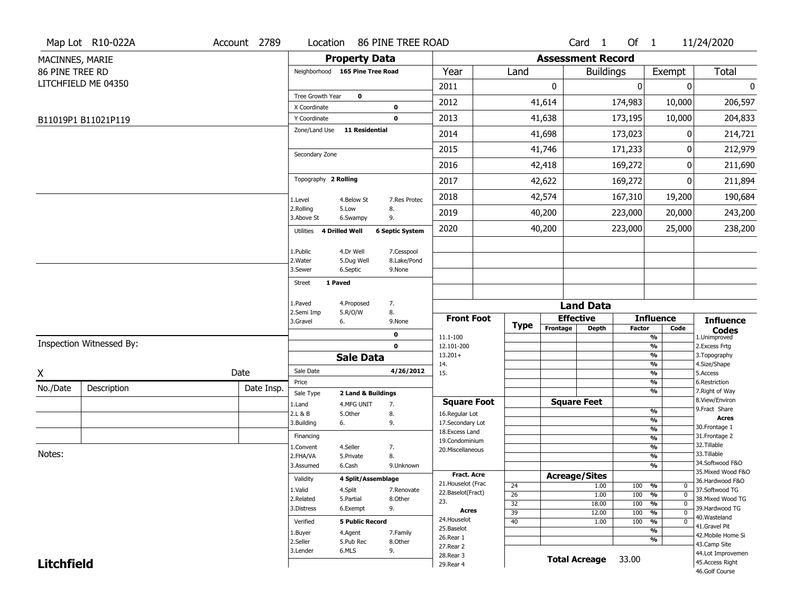|                   | Map Lot R10-022A         | Account 2789 | Location                        |                        | 86 PINE TREE ROAD      |                                    |                 |                          | Card 1               | Of $1$        |                                | 11/24/2020                        |
|-------------------|--------------------------|--------------|---------------------------------|------------------------|------------------------|------------------------------------|-----------------|--------------------------|----------------------|---------------|--------------------------------|-----------------------------------|
| MACINNES, MARIE   |                          |              |                                 | <b>Property Data</b>   |                        |                                    |                 | <b>Assessment Record</b> |                      |               |                                |                                   |
| 86 PINE TREE RD   |                          |              | Neighborhood 165 Pine Tree Road |                        |                        | Year                               | Land            |                          | <b>Buildings</b>     |               | Exempt                         | <b>Total</b>                      |
|                   | LITCHFIELD ME 04350      |              |                                 |                        |                        | 2011                               |                 | 0                        |                      | $\mathbf 0$   | 0                              | 0                                 |
|                   |                          |              | Tree Growth Year                | $\mathbf 0$            |                        | 2012                               |                 | 41,614                   |                      | 174,983       | 10,000                         | 206,597                           |
|                   |                          |              | X Coordinate                    |                        | $\mathbf 0$            |                                    |                 |                          |                      |               |                                |                                   |
|                   | B11019P1 B11021P119      |              | Y Coordinate<br>Zone/Land Use   | <b>11 Residential</b>  | $\mathbf 0$            | 2013                               |                 | 41,638                   |                      | 173,195       | 10,000                         | 204,833                           |
|                   |                          |              |                                 |                        |                        | 2014                               |                 | 41,698                   |                      | 173,023       | 0                              | 214,721                           |
|                   |                          |              | Secondary Zone                  |                        |                        | 2015                               |                 | 41,746                   |                      | 171,233       | 0                              | 212,979                           |
|                   |                          |              |                                 |                        |                        | 2016                               |                 | 42,418                   |                      | 169,272       | 0                              | 211,690                           |
|                   |                          |              | Topography 2 Rolling            |                        |                        | 2017                               |                 | 42,622                   |                      | 169,272       | 0                              | 211,894                           |
|                   |                          |              | 1.Level                         | 4.Below St             | 7.Res Protec           | 2018                               |                 | 42,574                   |                      | 167,310       | 19,200                         | 190,684                           |
|                   |                          |              | 2.Rolling<br>3.Above St         | 5.Low<br>6.Swampy      | 8.<br>9.               | 2019                               |                 | 40,200                   |                      | 223,000       | 20,000                         | 243,200                           |
|                   |                          |              | 4 Drilled Well<br>Utilities     |                        | <b>6 Septic System</b> | 2020                               |                 | 40,200                   |                      | 223,000       | 25,000                         | 238,200                           |
|                   |                          |              | 1.Public                        | 4.Dr Well              | 7.Cesspool             |                                    |                 |                          |                      |               |                                |                                   |
|                   |                          |              | 2. Water                        | 5.Dug Well             | 8.Lake/Pond            |                                    |                 |                          |                      |               |                                |                                   |
|                   |                          |              | 3.Sewer                         | 6.Septic               | 9.None                 |                                    |                 |                          |                      |               |                                |                                   |
|                   |                          |              | 1 Paved<br><b>Street</b>        |                        |                        |                                    |                 |                          |                      |               |                                |                                   |
|                   |                          |              | 1.Paved                         | 4.Proposed             | 7.                     |                                    |                 |                          | <b>Land Data</b>     |               |                                |                                   |
|                   |                          |              | 2.Semi Imp                      | 5.R/O/W                | 8.                     | <b>Front Foot</b>                  |                 |                          | <b>Effective</b>     |               | <b>Influence</b>               |                                   |
|                   |                          |              | 3.Gravel<br>6.                  |                        | 9.None                 |                                    | <b>Type</b>     | Frontage                 | Depth                | <b>Factor</b> | Code                           | <b>Influence</b><br><b>Codes</b>  |
|                   | Inspection Witnessed By: |              |                                 |                        | 0<br>$\mathbf 0$       | 11.1-100<br>12.101-200             |                 |                          |                      |               | $\frac{9}{6}$<br>$\frac{9}{6}$ | 1.Unimproved<br>2. Excess Frtg    |
|                   |                          |              |                                 | <b>Sale Data</b>       |                        | $13.201+$                          |                 |                          |                      |               | %                              | 3. Topography                     |
|                   |                          |              | Sale Date                       |                        | 4/26/2012              | 14.                                |                 |                          |                      |               | $\frac{9}{6}$                  | 4.Size/Shape                      |
| X                 |                          | Date         | Price                           |                        |                        | 15.                                |                 |                          |                      |               | $\frac{9}{6}$<br>%             | 5.Access<br>6.Restriction         |
| No./Date          | Description              | Date Insp.   | Sale Type                       | 2 Land & Buildings     |                        |                                    |                 |                          |                      |               | %                              | 7. Right of Way                   |
|                   |                          |              | 1.Land                          | 4.MFG UNIT             | 7.                     | <b>Square Foot</b>                 |                 |                          | <b>Square Feet</b>   |               |                                | 8.View/Environ<br>9.Fract Share   |
|                   |                          |              | 2.L & B                         | 5.0ther                | 8.                     | 16.Regular Lot                     |                 |                          |                      |               | $\frac{9}{6}$<br>$\frac{9}{6}$ | Acres                             |
|                   |                          |              | 3.Building<br>6.                |                        | 9.                     | 17.Secondary Lot<br>18.Excess Land |                 |                          |                      |               | $\frac{9}{6}$                  | 30. Frontage 1                    |
|                   |                          |              | Financing                       |                        |                        | 19.Condominium                     |                 |                          |                      |               | $\frac{9}{6}$                  | 31. Frontage 2                    |
| Notes:            |                          |              | 1.Convent                       | 4.Seller               | 7.                     | 20.Miscellaneous                   |                 |                          |                      |               | $\frac{9}{6}$                  | 32.Tillable<br>33.Tillable        |
|                   |                          |              | 2.FHA/VA<br>3.Assumed           | 5.Private<br>6.Cash    | 8.<br>9.Unknown        |                                    |                 |                          |                      |               | $\frac{9}{6}$<br>$\frac{9}{6}$ | 34.Softwood F&O                   |
|                   |                          |              |                                 |                        |                        | <b>Fract. Acre</b>                 |                 |                          | <b>Acreage/Sites</b> |               |                                | 35. Mixed Wood F&O                |
|                   |                          |              | Validity                        | 4 Split/Assemblage     |                        | 21. Houselot (Frac                 | 24              |                          | 1.00                 | 100           | %<br>0                         | 36.Hardwood F&O                   |
|                   |                          |              | 1.Valid                         | 4.Split                | 7.Renovate             | 22.Baselot(Fract)                  | $\overline{26}$ |                          | 1.00                 | 100           | %<br>$\mathbf 0$               | 37.Softwood TG                    |
|                   |                          |              | 2.Related                       | 5.Partial              | 8.Other                | 23.                                | $\overline{32}$ |                          | 18.00                | 100           | $\frac{9}{6}$<br>$\mathbf 0$   | 38. Mixed Wood TG                 |
|                   |                          |              | 3.Distress                      | 6.Exempt               | 9.                     | Acres                              | $\overline{39}$ |                          | 12.00                | 100           | $\frac{9}{6}$<br>$\mathbf 0$   | 39.Hardwood TG<br>40. Wasteland   |
|                   |                          |              | Verified                        | <b>5 Public Record</b> |                        | 24. Houselot                       | $\overline{40}$ |                          | 1.00                 | 100           | %<br>0                         | 41.Gravel Pit                     |
|                   |                          |              | 1.Buyer                         | 4.Agent                | 7.Family               | 25.Baselot<br>26.Rear 1            |                 |                          |                      |               | $\frac{9}{6}$                  | 42. Mobile Home Si                |
|                   |                          |              | 2.Seller                        | 5.Pub Rec              | 8.Other                | 27. Rear 2                         |                 |                          |                      |               | $\frac{9}{6}$                  | 43.Camp Site                      |
|                   |                          |              | 3.Lender                        | 6.MLS                  | 9.                     | 28. Rear 3                         |                 |                          | <b>Total Acreage</b> | 33.00         |                                | 44.Lot Improvemen                 |
| <b>Litchfield</b> |                          |              |                                 |                        |                        | 29. Rear 4                         |                 |                          |                      |               |                                | 45.Access Right<br>46.Golf Course |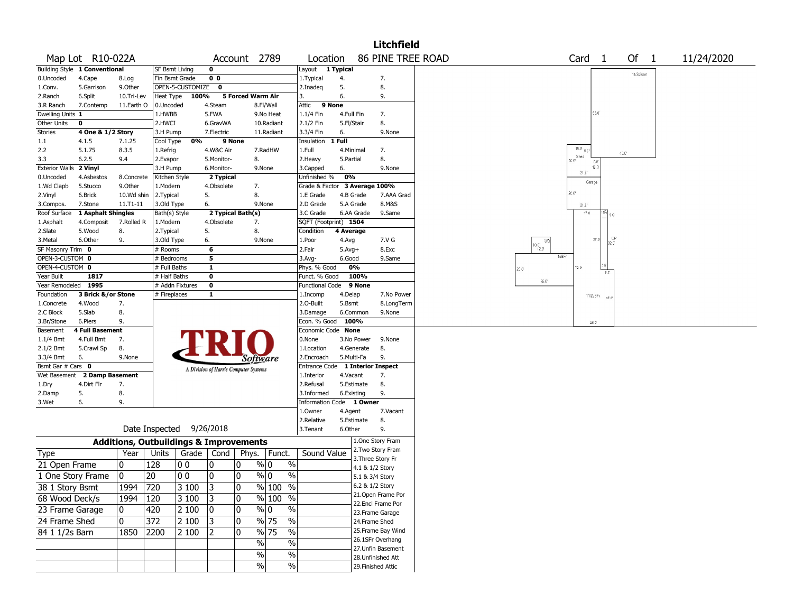|                       |                               |            |                                                   |                                       |                   |                          |            | <b>Litchfield</b>                      |                                                                 |
|-----------------------|-------------------------------|------------|---------------------------------------------------|---------------------------------------|-------------------|--------------------------|------------|----------------------------------------|-----------------------------------------------------------------|
|                       | Map Lot R10-022A              |            |                                                   |                                       | Account 2789      | Location                 |            | <b>86 PINE TREE ROAD</b>               | Of 1<br>Card<br>$\overline{1}$<br>11/24/2020                    |
|                       | Building Style 1 Conventional |            | SF Bsmt Living                                    | $\mathbf 0$                           |                   | Layout 1 Typical         |            |                                        | 11/2s 3am                                                       |
| 0.Uncoded             | 4.Cape                        | 8.Log      | Fin Bsmt Grade                                    | 0 <sub>0</sub>                        |                   | 1. Typical               | 4.         | 7.                                     |                                                                 |
| 1.Conv.               | 5.Garrison                    | 9.0ther    | OPEN-5-CUSTOMIZE                                  | $\mathbf{o}$                          |                   | 2.Inadeg                 | 5.         | 8.                                     |                                                                 |
| 2.Ranch               | 6.Split                       | 10.Tri-Lev | Heat Type<br>100%                                 |                                       | 5 Forced Warm Air | 3.                       | 6.         | 9.                                     |                                                                 |
| 3.R Ranch             | 7.Contemp                     | 11.Earth O | 0.Uncoded                                         | 4.Steam                               | 8.Fl/Wall         | Attic                    | 9 None     |                                        |                                                                 |
| Dwelling Units 1      |                               |            | 1.HWBB                                            | 5.FWA                                 | 9.No Heat         | 1.1/4 Fin                | 4.Full Fin | 7.                                     | 55.0                                                            |
| Other Units           | 0                             |            | 2.HWCI                                            | 6.GravWA                              | 10.Radiant        | 2.1/2 Fin                | 5.Fl/Stair | 8.                                     |                                                                 |
| <b>Stories</b>        | 4 One & 1/2 Story             |            | 3.H Pump                                          | 7.Electric                            | 11.Radiant        | 3.3/4 Fin                | 6.         | 9.None                                 |                                                                 |
| $1.1\,$               | 4.1.5                         | 7.1.25     | 0%<br>Cool Type                                   | 9 None                                |                   | Insulation               | 1 Full     |                                        |                                                                 |
| 2.2                   | 5.1.75                        | 8.3.5      | 1.Refrig                                          | 4.W&C Air                             | 7.RadHW           | 1.Full                   | 4.Minimal  | 7.                                     | $15.0$ $8.0$<br>$40.0^{\circ}$                                  |
| 3.3                   | 6.2.5                         | 9.4        | 2.Evapor                                          | 5.Monitor-                            | 8.                | 2. Heavy                 | 5.Partial  | 8.                                     | Shed<br>20.0<br>8.0                                             |
| <b>Exterior Walls</b> | 2 Vinyl                       |            | 3.H Pump                                          | 6.Monitor-                            | 9.None            | 3.Capped                 | 6.         | 9.None                                 | 12.5<br>$21.0^\circ$                                            |
| 0.Uncoded             | 4.Asbestos                    | 8.Concrete | Kitchen Style                                     | 2 Typical                             |                   | Unfinished %             | 0%         |                                        | Garage                                                          |
| 1.Wd Clapb            | 5.Stucco                      | 9.0ther    | 1.Modern                                          | 4.Obsolete                            | 7.                |                          |            | Grade & Factor 3 Average 100%          |                                                                 |
| 2.Vinyl               | 6.Brick                       | 10.Wd shin | 2. Typical                                        | 5.                                    | 8.                | 1.E Grade                | 4.B Grade  | 7.AAA Grad                             | 20.0                                                            |
| 3.Compos.             | 7.Stone                       | 11.T1-11   | 3.Old Type                                        | 6.                                    | 9.None            | 2.D Grade                | 5.A Grade  | 8.M&S                                  | $21.0^\circ$                                                    |
| Roof Surface          | 1 Asphalt Shingles            |            | Bath(s) Style                                     | 2 Typical Bath(s)                     |                   | 3.C Grade                | 6.AA Grade | 9.Same                                 | 170<br>5.0                                                      |
| 1.Asphalt             | 4.Composit                    | 7.Rolled R | 1.Modern                                          | 4.Obsolete                            | 7.                | SQFT (Footprint) 1504    |            |                                        |                                                                 |
| 2.Slate               | 5.Wood                        | 8.         | 2. Typical                                        | 5.                                    | 8.                | Condition                | 4 Average  |                                        |                                                                 |
| 3.Metal               | 6.Other                       | 9.         | 3.Old Type                                        | 6.                                    | 9.None            | 1.Poor                   | 4.Avg      | 7.V G                                  | CP<br>27.0<br>30<br>$32.0^\circ$                                |
| SF Masonry Trim 0     |                               |            | # Rooms                                           | 6                                     |                   | 2.Fair                   | $5.Avg+$   | 8.Exc                                  | $\begin{smallmatrix} 10.0 & \times \\ 12.0 & \end{smallmatrix}$ |
| OPEN-3-CUSTOM 0       |                               |            | # Bedrooms                                        | 5                                     |                   | $3.$ Avg-                | 6.Good     | 9.Same                                 | 1sBFr                                                           |
| OPEN-4-CUSTOM 0       |                               |            | # Full Baths                                      | $\mathbf{1}$                          |                   | Phys. % Good             | 0%         |                                        | 72 0<br>20.0<br>$8.0^{\circ}$                                   |
| Year Built            | 1817                          |            | # Half Baths                                      | $\bf{0}$                              |                   | Funct. % Good            |            | 100%                                   | $36.0^{\circ}$                                                  |
| Year Remodeled        | 1995                          |            | # Addn Fixtures                                   | $\bf{0}$                              |                   | <b>Functional Code</b>   |            | 9 None                                 |                                                                 |
| Foundation            | 3 Brick &/or Stone            |            | # Fireplaces                                      | 1                                     |                   | 1.Incomp                 | 4.Delap    | 7.No Power                             | 11/2sBFr<br>35.0                                                |
| 1.Concrete            | 4.Wood                        | 7.         |                                                   |                                       |                   | 2.O-Built                | 5.Bsmt     | 8.LongTerm                             |                                                                 |
| 2.C Block             | 5.Slab                        | 8.         |                                                   |                                       |                   | 3.Damage                 | 6.Common   | 9.None                                 |                                                                 |
| 3.Br/Stone            | 6.Piers                       | 9.         |                                                   |                                       |                   | Econ. % Good             | 100%       |                                        | 250                                                             |
| Basement              | 4 Full Basement               |            |                                                   |                                       |                   | Economic Code None       |            |                                        |                                                                 |
| $1.1/4$ Bmt           | 4.Full Bmt                    | 7.         |                                                   |                                       |                   | 0.None                   | 3.No Power | 9.None                                 |                                                                 |
| 2.1/2 Bmt             | 5.Crawl Sp                    | 8.         |                                                   |                                       |                   | 1.Location               | 4.Generate | 8.                                     |                                                                 |
| 3.3/4 Bmt             | 6.                            | 9.None     |                                                   |                                       | Software          | 2.Encroach               | 5.Multi-Fa | 9.                                     |                                                                 |
| Bsmt Gar # Cars 0     |                               |            |                                                   | A Division of Harris Computer Systems |                   |                          |            | Entrance Code 1 Interior Inspect       |                                                                 |
| Wet Basement          | 2 Damp Basement               |            |                                                   |                                       |                   | 1.Interior               | 4.Vacant   | 7.                                     |                                                                 |
| 1.Dry                 | 4.Dirt Flr                    | 7.         |                                                   |                                       |                   | 2.Refusal                | 5.Estimate | 8.                                     |                                                                 |
| 2.Damp                | 5.                            | 8.         |                                                   |                                       |                   | 3.Informed               | 6.Existing | 9.                                     |                                                                 |
| 3.Wet                 | 6.                            | 9.         |                                                   |                                       |                   | Information Code 1 Owner |            |                                        |                                                                 |
|                       |                               |            |                                                   |                                       |                   | 1.0wner                  | 4.Agent    | 7.Vacant                               |                                                                 |
|                       |                               |            |                                                   |                                       |                   | 2.Relative               | 5.Estimate | 8.                                     |                                                                 |
|                       |                               |            | Date Inspected                                    | 9/26/2018                             |                   | 3.Tenant                 | 6.Other    | 9.                                     |                                                                 |
|                       |                               |            | <b>Additions, Outbuildings &amp; Improvements</b> |                                       |                   |                          |            | 1.One Story Fram                       |                                                                 |
| Type                  |                               | Year       | Units                                             | Grade   Cond                          | Phys.<br>Funct.   | Sound Value              |            | 2. Two Story Fram                      |                                                                 |
| 21 Open Frame         |                               | 0          | 128<br> O O                                       | 10<br>10                              | % 0               | $\%$                     |            | 3. Three Story Fr<br>4.1 & 1/2 Story   |                                                                 |
| 1 One Story Frame     |                               | 0          | 20<br>0 <sub>0</sub>                              | 10<br>0                               | % 0               | $\%$                     |            |                                        |                                                                 |
|                       |                               |            |                                                   |                                       |                   |                          |            | 5.1 & 3/4 Story<br>6.2 & 1/2 Story     |                                                                 |
| 38 1 Story Bsmt       |                               | 1994       | 720<br>3 100                                      | 3<br>0                                | % 100             | $\%$                     |            |                                        |                                                                 |
| 68 Wood Deck/s        |                               | 1994       | 120<br>3 100                                      | 3<br>0                                | % 100 %           |                          |            | 21.Open Frame Por<br>22.Encl Frame Por |                                                                 |
| 23 Frame Garage       |                               | 0          | 420<br>2 100                                      | 0<br>10                               | $\%$ 0            | $\frac{0}{0}$            |            |                                        |                                                                 |
| 24 Frame Shed         |                               | 0          | 372<br>2 100                                      | 0<br>3                                | $\frac{9}{6}$ 75  | $\sqrt{6}$               |            | 23. Frame Garage                       |                                                                 |
|                       |                               |            |                                                   |                                       |                   |                          |            | 24.Frame Shed                          |                                                                 |
| 84 1 1/2s Barn        |                               | 1850       | 2200<br>2 100                                     | 0<br>$ 2\rangle$                      | $\sqrt{96}$ 75    | $\frac{0}{6}$            |            | 25. Frame Bay Wind                     |                                                                 |
|                       |                               |            |                                                   |                                       | $\%$              | $\%$                     |            | 26.1SFr Overhang                       |                                                                 |
|                       |                               |            |                                                   |                                       | $\%$              | $\%$                     |            | 27.Unfin Basement                      |                                                                 |
|                       |                               |            |                                                   |                                       | $\%$              | $\%$                     |            | 28.Unfinished Att                      |                                                                 |
|                       |                               |            |                                                   |                                       |                   |                          |            | 29. Finished Attic                     |                                                                 |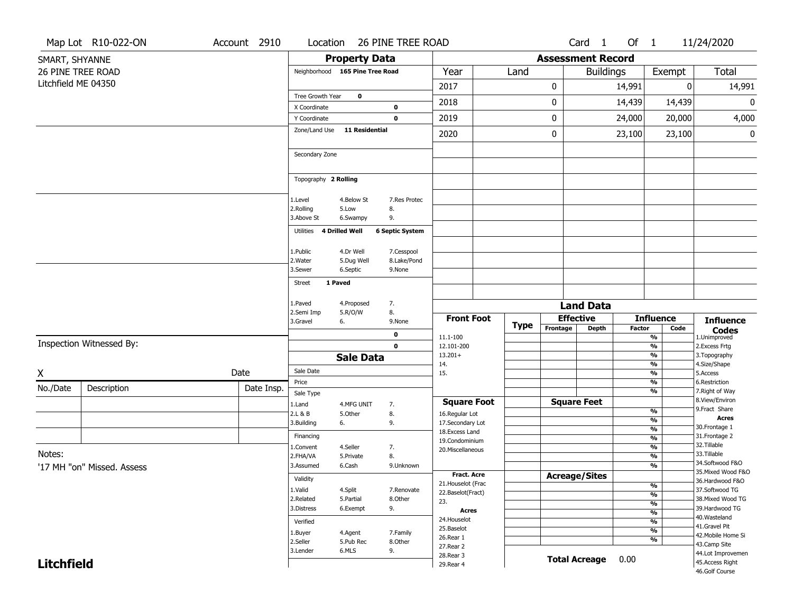|                     | Map Lot R10-022-ON         | Account 2910 | Location                        |                       | 26 PINE TREE ROAD          |                                     |      |                          | Card <sub>1</sub>    | Of 1          |                                           | 11/24/2020                        |
|---------------------|----------------------------|--------------|---------------------------------|-----------------------|----------------------------|-------------------------------------|------|--------------------------|----------------------|---------------|-------------------------------------------|-----------------------------------|
| SMART, SHYANNE      |                            |              |                                 | <b>Property Data</b>  |                            |                                     |      | <b>Assessment Record</b> |                      |               |                                           |                                   |
|                     | 26 PINE TREE ROAD          |              | Neighborhood 165 Pine Tree Road |                       |                            | Year                                | Land |                          | <b>Buildings</b>     |               | Exempt                                    | <b>Total</b>                      |
| Litchfield ME 04350 |                            |              |                                 |                       |                            | 2017                                |      | 0                        |                      | 14,991        | 0                                         | 14,991                            |
|                     |                            |              | Tree Growth Year                | $\mathbf 0$           |                            | 2018                                |      | 0                        |                      | 14,439        | 14,439                                    | 0                                 |
|                     |                            |              | X Coordinate                    |                       | 0                          |                                     |      |                          |                      |               |                                           |                                   |
|                     |                            |              | Y Coordinate                    |                       | $\mathbf 0$                | 2019                                |      | 0                        |                      | 24,000        | 20,000                                    | 4,000                             |
|                     |                            |              | Zone/Land Use                   | 11 Residential        |                            | 2020                                |      | 0                        |                      | 23,100        | 23,100                                    | 0                                 |
|                     |                            |              | Secondary Zone                  |                       |                            |                                     |      |                          |                      |               |                                           |                                   |
|                     |                            |              | Topography 2 Rolling            |                       |                            |                                     |      |                          |                      |               |                                           |                                   |
|                     |                            |              | 1.Level                         | 4.Below St            | 7.Res Protec               |                                     |      |                          |                      |               |                                           |                                   |
|                     |                            |              | 2.Rolling<br>3.Above St         | 5.Low<br>6.Swampy     | 8.<br>9.                   |                                     |      |                          |                      |               |                                           |                                   |
|                     |                            |              |                                 |                       |                            |                                     |      |                          |                      |               |                                           |                                   |
|                     |                            |              | Utilities 4 Drilled Well        |                       | <b>6 Septic System</b>     |                                     |      |                          |                      |               |                                           |                                   |
|                     |                            |              | 1.Public                        | 4.Dr Well             | 7.Cesspool                 |                                     |      |                          |                      |               |                                           |                                   |
|                     |                            |              | 2. Water                        | 5.Dug Well            | 8.Lake/Pond                |                                     |      |                          |                      |               |                                           |                                   |
|                     |                            |              | 3.Sewer                         | 6.Septic              | 9.None                     |                                     |      |                          |                      |               |                                           |                                   |
|                     |                            |              | 1 Paved<br>Street               |                       |                            |                                     |      |                          |                      |               |                                           |                                   |
|                     |                            |              | L.Paved                         | 4.Proposed            | 7.                         |                                     |      |                          | <b>Land Data</b>     |               |                                           |                                   |
|                     |                            |              | 2.Semi Imp                      | 5.R/O/W               | 8.                         | <b>Front Foot</b>                   |      | <b>Effective</b>         |                      |               | <b>Influence</b>                          |                                   |
|                     |                            |              | 3.Gravel                        | 6.                    | 9.None                     |                                     | Type | Frontage                 | <b>Depth</b>         | <b>Factor</b> | Code                                      | <b>Influence</b>                  |
|                     | Inspection Witnessed By:   |              |                                 |                       | $\mathbf 0$<br>$\mathbf 0$ | 11.1-100                            |      |                          |                      |               | $\overline{\frac{9}{6}}$                  | <b>Codes</b><br>1.Unimproved      |
|                     |                            |              |                                 | <b>Sale Data</b>      |                            | 12.101-200<br>$13.201+$             |      |                          |                      |               | $\frac{9}{6}$<br>$\frac{9}{6}$            | 2.Excess Frtg<br>3. Topography    |
|                     |                            |              | Sale Date                       |                       |                            | 14.                                 |      |                          |                      |               | $\frac{9}{6}$                             | 4.Size/Shape                      |
| Χ                   |                            | Date         | Price                           |                       |                            | 15.                                 |      |                          |                      |               | $\frac{9}{6}$<br>$\frac{9}{6}$            | 5.Access<br>6.Restriction         |
| No./Date            | Description                | Date Insp.   | Sale Type                       |                       |                            |                                     |      |                          |                      |               | $\frac{9}{6}$                             | 7. Right of Way                   |
|                     |                            |              | 1.Land                          | 4.MFG UNIT            | 7.                         | <b>Square Foot</b>                  |      |                          | <b>Square Feet</b>   |               |                                           | 8.View/Environ                    |
|                     |                            |              | 2.L & B                         | 5.Other               | 8.                         | 16.Regular Lot                      |      |                          |                      |               | %<br>%                                    | 9. Fract Share<br><b>Acres</b>    |
|                     |                            |              | 3.Building                      | 6.                    | 9.                         | 17.Secondary Lot<br>18. Excess Land |      |                          |                      |               | $\frac{9}{6}$                             | 30.Frontage 1                     |
|                     |                            |              | Financing                       |                       |                            | 19.Condominium                      |      |                          |                      |               | %                                         | 31. Frontage 2<br>32.Tillable     |
| Notes:              |                            |              | l.Convent<br>2.FHA/VA           | 4.Seller<br>5.Private | 7.<br>8.                   | 20.Miscellaneous                    |      |                          |                      |               | %<br>%                                    | 33.Tillable                       |
|                     | '17 MH "on" Missed, Assess |              | 3.Assumed                       | 6.Cash                | 9.Unknown                  |                                     |      |                          |                      |               | %                                         | 34.Softwood F&O                   |
|                     |                            |              | Validity                        |                       |                            | <b>Fract. Acre</b>                  |      | <b>Acreage/Sites</b>     |                      |               |                                           | 35. Mixed Wood F&O                |
|                     |                            |              | 1.Valid                         | 4.Split               | 7.Renovate                 | 21. Houselot (Frac                  |      |                          |                      |               | $\overline{\frac{9}{6}}$                  | 36.Hardwood F&O<br>37.Softwood TG |
|                     |                            |              | 2.Related                       | 5.Partial             | 8.Other                    | 22.Baselot(Fract)<br>23.            |      |                          |                      |               | $\overline{\frac{9}{6}}$                  | 38. Mixed Wood TG                 |
|                     |                            |              | 3.Distress                      | 6.Exempt              | 9.                         | <b>Acres</b>                        |      |                          |                      |               | $\frac{9}{6}$<br>$\overline{\frac{9}{6}}$ | 39.Hardwood TG                    |
|                     |                            |              | Verified                        |                       |                            | 24. Houselot                        |      |                          |                      |               | $\overline{\frac{9}{6}}$                  | 40. Wasteland<br>41.Gravel Pit    |
|                     |                            |              | 1.Buyer                         | 4.Agent               | 7.Family                   | 25.Baselot<br>26.Rear 1             |      |                          |                      |               | $\overline{\frac{9}{6}}$                  | 42. Mobile Home Si                |
|                     |                            |              | 2.Seller                        | 5.Pub Rec             | 8.Other                    | 27.Rear 2                           |      |                          |                      |               | $\overline{\frac{9}{6}}$                  | 43.Camp Site                      |
|                     |                            |              | 3.Lender                        | 6.MLS                 | 9.                         | 28. Rear 3                          |      |                          | <b>Total Acreage</b> | 0.00          |                                           | 44.Lot Improvemen                 |
| <b>Litchfield</b>   |                            |              |                                 |                       |                            | 29. Rear 4                          |      |                          |                      |               |                                           | 45.Access Right<br>46.Golf Course |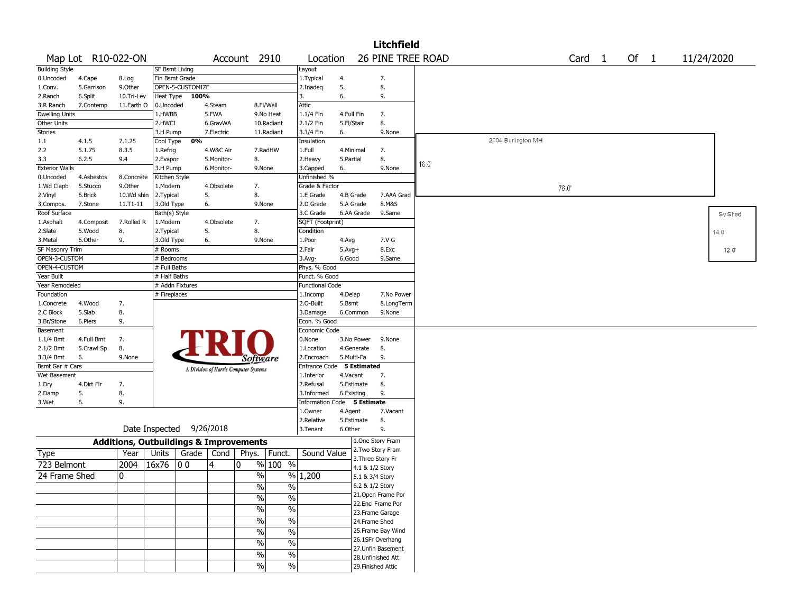|                       |                    |                                                   |                |                          |            |                                       |                          |                             |            |                 | <b>Litchfield</b>                      |      |                    |      |                   |      |  |                |
|-----------------------|--------------------|---------------------------------------------------|----------------|--------------------------|------------|---------------------------------------|--------------------------|-----------------------------|------------|-----------------|----------------------------------------|------|--------------------|------|-------------------|------|--|----------------|
|                       | Map Lot R10-022-ON |                                                   |                |                          |            | Account 2910                          |                          | Location                    |            |                 | 26 PINE TREE ROAD                      |      |                    |      | Card <sub>1</sub> | Of 1 |  | 11/24/2020     |
| <b>Building Style</b> |                    |                                                   | SF Bsmt Living |                          |            |                                       |                          | Layout                      |            |                 |                                        |      |                    |      |                   |      |  |                |
| 0.Uncoded             | 4.Cape             | 8.Log                                             | Fin Bsmt Grade |                          |            |                                       |                          | 1.Typical                   | 4.         |                 | 7.                                     |      |                    |      |                   |      |  |                |
| 1.Conv.               | 5.Garrison         | 9.0ther                                           |                | OPEN-5-CUSTOMIZE         |            |                                       |                          | 2.Inadeq                    | 5.         |                 | 8.                                     |      |                    |      |                   |      |  |                |
| 2.Ranch               | 6.Split            | 10.Tri-Lev                                        | Heat Type      | 100%                     |            |                                       |                          | 3.                          | 6.         |                 | 9.                                     |      |                    |      |                   |      |  |                |
| 3.R Ranch             | 7.Contemp          | 11.Earth O                                        | 0.Uncoded      |                          | 4.Steam    |                                       | 8.Fl/Wall                | Attic                       |            |                 |                                        |      |                    |      |                   |      |  |                |
| <b>Dwelling Units</b> |                    |                                                   | 1.HWBB         |                          | 5.FWA      |                                       | 9.No Heat                | 1.1/4 Fin                   | 4.Full Fin |                 | 7.                                     |      |                    |      |                   |      |  |                |
| Other Units           |                    |                                                   | 2.HWCI         |                          | 6.GravWA   |                                       | 10.Radiant               | 2.1/2 Fin                   | 5.Fl/Stair |                 | 8.                                     |      |                    |      |                   |      |  |                |
| <b>Stories</b>        |                    |                                                   | 3.H Pump       |                          | 7.Electric |                                       | 11.Radiant               | 3.3/4 Fin                   | 6.         |                 | 9.None                                 |      |                    |      |                   |      |  |                |
| 1.1                   | 4.1.5              | 7.1.25                                            | Cool Type      | 0%                       |            |                                       |                          | Insulation                  |            |                 |                                        |      | 2004 Burlington MH |      |                   |      |  |                |
| 2.2                   | 5.1.75             | 8.3.5                                             | 1.Refrig       |                          | 4.W&C Air  |                                       | 7.RadHW                  | 1.Full                      | 4.Minimal  |                 | 7.                                     |      |                    |      |                   |      |  |                |
| 3.3                   | 6.2.5              | 9.4                                               | 2.Evapor       |                          | 5.Monitor- | 8.                                    |                          | 2.Heavy                     | 5.Partial  |                 | 8.                                     | 16.0 |                    |      |                   |      |  |                |
| <b>Exterior Walls</b> |                    |                                                   | 3.H Pump       |                          | 6.Monitor- | 9.None                                |                          | 3.Capped                    | 6.         |                 | 9.None                                 |      |                    |      |                   |      |  |                |
| 0.Uncoded             | 4.Asbestos         | 8.Concrete                                        | Kitchen Style  |                          |            |                                       |                          | Unfinished %                |            |                 |                                        |      |                    |      |                   |      |  |                |
| 1.Wd Clapb            | 5.Stucco           | 9.0ther                                           | 1.Modern       |                          | 4.Obsolete | 7.                                    |                          | Grade & Factor              |            |                 |                                        |      |                    | 76.0 |                   |      |  |                |
| 2.Vinyl               | 6.Brick            | 10.Wd shin                                        | 2. Typical     |                          | 5.         | 8.                                    |                          | 1.E Grade                   | 4.B Grade  |                 | 7.AAA Grad                             |      |                    |      |                   |      |  |                |
| 3.Compos.             | 7.Stone            | $11.71 - 11$                                      | 3.Old Type     |                          | 6.         | 9.None                                |                          | 2.D Grade                   | 5.A Grade  |                 | 8.M&S                                  |      |                    |      |                   |      |  |                |
| Roof Surface          |                    |                                                   | Bath(s) Style  |                          |            |                                       |                          | 3.C Grade                   | 6.AA Grade |                 | 9.Same                                 |      |                    |      |                   |      |  | Sv Shed        |
| 1.Asphalt             | 4.Composit         | 7.Rolled R                                        | 1.Modern       |                          | 4.Obsolete | 7.                                    |                          | SQFT (Footprint)            |            |                 |                                        |      |                    |      |                   |      |  |                |
| 2.Slate               | 5.Wood             | 8.                                                | 2. Typical     |                          | 5.         | 8.                                    |                          | Condition                   |            |                 |                                        |      |                    |      |                   |      |  | 14.0'          |
| 3. Metal              | 6.Other            | 9.                                                | 3.Old Type     |                          | 6.         | 9.None                                |                          | 1.Poor                      | 4.Avg      |                 | 7.V G                                  |      |                    |      |                   |      |  |                |
| SF Masonry Trim       |                    |                                                   | # Rooms        |                          |            |                                       |                          | 2.Fair                      | $5.Avg+$   |                 | 8.Exc                                  |      |                    |      |                   |      |  | $12.0^{\circ}$ |
| OPEN-3-CUSTOM         |                    |                                                   | # Bedrooms     |                          |            |                                       |                          | 3.Avg-                      | 6.Good     |                 | 9.Same                                 |      |                    |      |                   |      |  |                |
| OPEN-4-CUSTOM         |                    |                                                   | # Full Baths   |                          |            |                                       |                          | Phys. % Good                |            |                 |                                        |      |                    |      |                   |      |  |                |
| Year Built            |                    |                                                   | # Half Baths   |                          |            |                                       |                          | Funct. % Good               |            |                 |                                        |      |                    |      |                   |      |  |                |
| Year Remodeled        |                    |                                                   |                | # Addn Fixtures          |            |                                       |                          | <b>Functional Code</b>      |            |                 |                                        |      |                    |      |                   |      |  |                |
| Foundation            |                    |                                                   | # Fireplaces   |                          |            |                                       |                          | 1.Incomp                    | 4.Delap    |                 | 7.No Power                             |      |                    |      |                   |      |  |                |
| 1.Concrete            | 4.Wood             | 7.                                                |                |                          |            |                                       |                          | 2.0-Built                   | 5.Bsmt     |                 | 8.LongTerm                             |      |                    |      |                   |      |  |                |
| 2.C Block             | 5.Slab             | 8.                                                |                |                          |            |                                       |                          | 3.Damage                    | 6.Common   |                 | 9.None                                 |      |                    |      |                   |      |  |                |
| 3.Br/Stone            | 6.Piers            | 9.                                                |                |                          |            |                                       |                          | Econ. % Good                |            |                 |                                        |      |                    |      |                   |      |  |                |
| Basement              |                    |                                                   |                |                          |            |                                       |                          | Economic Code               |            |                 |                                        |      |                    |      |                   |      |  |                |
| $1.1/4$ Bmt           | 4.Full Bmt         | 7.                                                |                |                          |            |                                       |                          | 0.None                      | 3.No Power |                 | 9.None                                 |      |                    |      |                   |      |  |                |
| 2.1/2 Bmt             | 5.Crawl Sp         | 8.                                                |                |                          |            |                                       |                          | 1.Location                  | 4.Generate |                 | 8.                                     |      |                    |      |                   |      |  |                |
| 3.3/4 Bmt             | 6.                 | 9.None                                            |                |                          |            | <i>Software</i>                       |                          | 2.Encroach                  | 5.Multi-Fa |                 | 9.                                     |      |                    |      |                   |      |  |                |
| Bsmt Gar # Cars       |                    |                                                   |                |                          |            | A Division of Harris Computer Systems |                          | <b>Entrance Code</b>        |            | 5 Estimated     |                                        |      |                    |      |                   |      |  |                |
| Wet Basement          |                    |                                                   |                |                          |            |                                       |                          | 1.Interior                  | 4.Vacant   |                 | 7.                                     |      |                    |      |                   |      |  |                |
| 1.Dry                 | 4.Dirt Flr         | 7.                                                |                |                          |            |                                       |                          | 2.Refusal                   | 5.Estimate |                 | 8.                                     |      |                    |      |                   |      |  |                |
| 2.Damp                | 5.                 | 8.                                                |                |                          |            |                                       |                          | 3.Informed                  | 6.Existing |                 | 9.                                     |      |                    |      |                   |      |  |                |
| 3.Wet                 | 6.                 | 9.                                                |                |                          |            |                                       |                          | Information Code 5 Estimate |            |                 |                                        |      |                    |      |                   |      |  |                |
|                       |                    |                                                   |                |                          |            |                                       |                          | 1.0wner                     | 4.Agent    |                 | 7.Vacant                               |      |                    |      |                   |      |  |                |
|                       |                    |                                                   |                |                          |            |                                       |                          | 2.Relative                  | 5.Estimate |                 | 8.                                     |      |                    |      |                   |      |  |                |
|                       |                    |                                                   |                | Date Inspected 9/26/2018 |            |                                       |                          | 3.Tenant                    | 6.Other    |                 | 9.                                     |      |                    |      |                   |      |  |                |
|                       |                    | <b>Additions, Outbuildings &amp; Improvements</b> |                |                          |            |                                       |                          |                             |            |                 | 1.One Story Fram                       |      |                    |      |                   |      |  |                |
| Type                  |                    | Year                                              | Units          | Grade                    | Cond       | Phys.                                 | Funct.                   | Sound Value                 |            |                 | 2. Two Story Fram<br>3. Three Story Fr |      |                    |      |                   |      |  |                |
| 723 Belmont           |                    | 2004                                              | 16x76          | 00                       | 4          | 0                                     | % 100 %                  |                             |            | 4.1 & 1/2 Story |                                        |      |                    |      |                   |      |  |                |
| 24 Frame Shed         |                    | 0                                                 |                |                          |            | $\%$                                  |                          | % 1,200                     |            | 5.1 & 3/4 Story |                                        |      |                    |      |                   |      |  |                |
|                       |                    |                                                   |                |                          |            | $\sqrt{6}$                            | $\%$                     |                             |            | 6.2 & 1/2 Story |                                        |      |                    |      |                   |      |  |                |
|                       |                    |                                                   |                |                          |            |                                       |                          |                             |            |                 | 21.Open Frame Por                      |      |                    |      |                   |      |  |                |
|                       |                    |                                                   |                |                          |            | %                                     | $\%$                     |                             |            |                 | 22.Encl Frame Por                      |      |                    |      |                   |      |  |                |
|                       |                    |                                                   |                |                          |            | $\sqrt{6}$                            | $\%$                     |                             |            |                 | 23. Frame Garage                       |      |                    |      |                   |      |  |                |
|                       |                    |                                                   |                |                          |            | $\sqrt{6}$                            | $\%$                     |                             |            | 24.Frame Shed   |                                        |      |                    |      |                   |      |  |                |
|                       |                    |                                                   |                |                          |            | $\frac{0}{0}$                         | $\%$                     |                             |            |                 | 25.Frame Bay Wind                      |      |                    |      |                   |      |  |                |
|                       |                    |                                                   |                |                          |            |                                       |                          |                             |            |                 | 26.1SFr Overhang                       |      |                    |      |                   |      |  |                |
|                       |                    |                                                   |                |                          |            | $\%$                                  | $\%$                     |                             |            |                 | 27.Unfin Basement                      |      |                    |      |                   |      |  |                |
|                       |                    |                                                   |                |                          |            | $\sqrt{6}$                            | $\overline{\frac{0}{6}}$ |                             |            |                 | 28.Unfinished Att                      |      |                    |      |                   |      |  |                |
|                       |                    |                                                   |                |                          |            | $\sqrt{6}$                            | $\sqrt{6}$               |                             |            |                 | 29. Finished Attic                     |      |                    |      |                   |      |  |                |
|                       |                    |                                                   |                |                          |            |                                       |                          |                             |            |                 |                                        |      |                    |      |                   |      |  |                |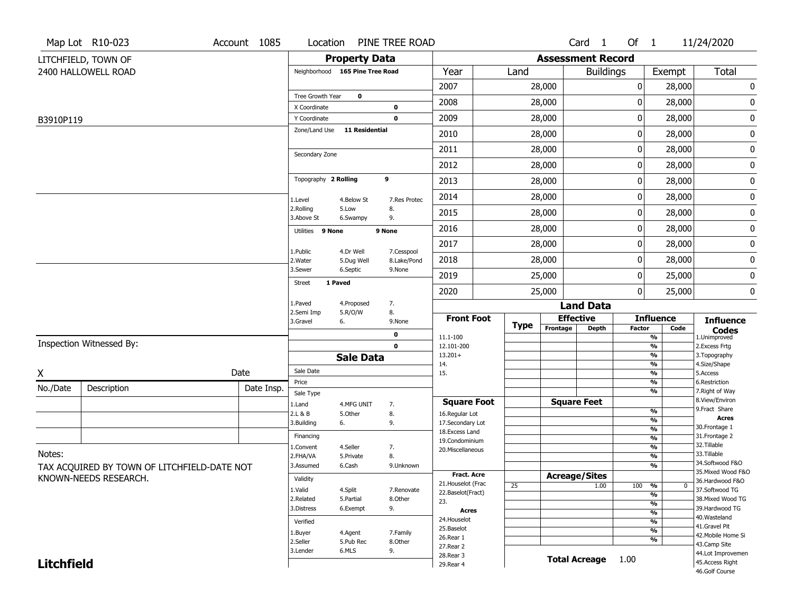|                   | Map Lot R10-023                             | Account 1085 | Location                        |                       | PINE TREE ROAD             |                                    |             |                          | Card <sub>1</sub>    | Of $1$        |                                | 11/24/2020                           |
|-------------------|---------------------------------------------|--------------|---------------------------------|-----------------------|----------------------------|------------------------------------|-------------|--------------------------|----------------------|---------------|--------------------------------|--------------------------------------|
|                   | LITCHFIELD, TOWN OF                         |              |                                 | <b>Property Data</b>  |                            |                                    |             | <b>Assessment Record</b> |                      |               |                                |                                      |
|                   | 2400 HALLOWELL ROAD                         |              | Neighborhood 165 Pine Tree Road |                       |                            | Year                               | Land        |                          | <b>Buildings</b>     |               | Exempt                         | Total                                |
|                   |                                             |              |                                 |                       |                            | 2007                               |             | 28,000                   |                      | 0             | 28,000                         | 0                                    |
|                   |                                             |              | Tree Growth Year                | $\mathbf 0$           |                            | 2008                               |             | 28,000                   |                      | 0             | 28,000                         | 0                                    |
| B3910P119         |                                             |              | X Coordinate<br>Y Coordinate    |                       | $\mathbf 0$<br>$\mathbf 0$ | 2009                               |             | 28,000                   |                      | 0             | 28,000                         | $\pmb{0}$                            |
|                   |                                             |              | Zone/Land Use                   | <b>11 Residential</b> |                            | 2010                               |             | 28,000                   |                      | 0             | 28,000                         | 0                                    |
|                   |                                             |              |                                 |                       |                            | 2011                               |             | 28,000                   |                      | 0             | 28,000                         | 0                                    |
|                   |                                             |              | Secondary Zone                  |                       |                            | 2012                               |             | 28,000                   |                      | 0             | 28,000                         |                                      |
|                   |                                             |              | Topography 2 Rolling            |                       | 9                          |                                    |             |                          |                      |               |                                | 0                                    |
|                   |                                             |              |                                 |                       |                            | 2013                               |             | 28,000                   |                      | 0             | 28,000                         | 0                                    |
|                   |                                             |              | 1.Level                         | 4.Below St            | 7.Res Protec               | 2014                               |             | 28,000                   |                      | 0             | 28,000                         | 0                                    |
|                   |                                             |              | 2.Rolling<br>3.Above St         | 5.Low<br>6.Swampy     | 8.<br>9.                   | 2015                               |             | 28,000                   |                      | 0             | 28,000                         | 0                                    |
|                   |                                             |              | Utilities 9 None                |                       | 9 None                     | 2016                               |             | 28,000                   |                      | 0             | 28,000                         | 0                                    |
|                   |                                             |              | 1.Public                        | 4.Dr Well             | 7.Cesspool                 | 2017                               |             | 28,000                   |                      | 0             | 28,000                         | 0                                    |
|                   |                                             |              | 2. Water                        | 5.Dug Well            | 8.Lake/Pond                | 2018                               |             | 28,000                   |                      | 0             | 28,000                         | 0                                    |
|                   |                                             |              | 3.Sewer                         | 6.Septic              | 9.None                     | 2019                               |             | 25,000                   |                      | 0             | 25,000                         | 0                                    |
|                   |                                             |              | 1 Paved<br><b>Street</b>        |                       |                            | 2020                               |             | 25,000                   |                      | 0             | 25,000                         | 0                                    |
|                   |                                             |              | 1.Paved                         | 4.Proposed            | 7.                         |                                    |             |                          | <b>Land Data</b>     |               |                                |                                      |
|                   |                                             |              | 2.Semi Imp<br>3.Gravel          | 5.R/O/W<br>6.         | 8.<br>9.None               | <b>Front Foot</b>                  | <b>Type</b> |                          | <b>Effective</b>     |               | <b>Influence</b>               | <b>Influence</b>                     |
|                   |                                             |              |                                 |                       | 0                          | 11.1-100                           |             | Frontage                 | <b>Depth</b>         | <b>Factor</b> | Code<br>$\frac{9}{6}$          | <b>Codes</b><br>1.Unimproved         |
|                   | Inspection Witnessed By:                    |              |                                 |                       | $\mathbf{0}$               | 12.101-200                         |             |                          |                      |               | $\frac{9}{6}$                  | 2. Excess Frtg                       |
|                   |                                             |              |                                 | <b>Sale Data</b>      |                            | $13.201+$<br>14.                   |             |                          |                      |               | %<br>$\frac{9}{6}$             | 3. Topography<br>4.Size/Shape        |
| X                 |                                             | Date         | Sale Date                       |                       |                            | 15.                                |             |                          |                      |               | $\frac{9}{6}$                  | 5.Access                             |
| No./Date          | Description                                 | Date Insp.   | Price<br>Sale Type              |                       |                            |                                    |             |                          |                      |               | %<br>%                         | 6.Restriction<br>7. Right of Way     |
|                   |                                             |              | 1.Land                          | 4.MFG UNIT            | 7.                         | <b>Square Foot</b>                 |             |                          | <b>Square Feet</b>   |               |                                | 8.View/Environ                       |
|                   |                                             |              | 2.L & B                         | 5.0ther               | 8.                         | 16.Regular Lot                     |             |                          |                      |               | %<br>%                         | 9. Fract Share<br><b>Acres</b>       |
|                   |                                             |              | 3.Building                      | 6.                    | 9.                         | 17.Secondary Lot<br>18.Excess Land |             |                          |                      |               | %                              | 30. Frontage 1                       |
|                   |                                             |              | Financing                       |                       |                            | 19.Condominium                     |             |                          |                      |               | %                              | 31. Frontage 2                       |
| Notes:            |                                             |              | 1.Convent                       | 4.Seller              | 7.                         | 20. Miscellaneous                  |             |                          |                      |               | $\frac{9}{6}$                  | 32.Tillable<br>33.Tillable           |
|                   |                                             |              | 2.FHA/VA<br>3.Assumed           | 5.Private<br>6.Cash   | 8.<br>9.Unknown            |                                    |             |                          |                      |               | %<br>$\frac{9}{6}$             | 34.Softwood F&O                      |
|                   | TAX ACQUIRED BY TOWN OF LITCHFIELD-DATE NOT |              |                                 |                       |                            | <b>Fract. Acre</b>                 |             |                          | <b>Acreage/Sites</b> |               |                                | 35. Mixed Wood F&O                   |
|                   | KNOWN-NEEDS RESEARCH.                       |              | Validity                        |                       |                            | 21. Houselot (Frac                 | 25          |                          | 1.00                 | 100           | %<br>0                         | 36.Hardwood F&O                      |
|                   |                                             |              | 1.Valid                         | 4.Split               | 7.Renovate                 | 22.Baselot(Fract)                  |             |                          |                      |               | $\frac{9}{6}$                  | 37.Softwood TG                       |
|                   |                                             |              | 2.Related<br>3.Distress         | 5.Partial<br>6.Exempt | 8.Other<br>9.              | 23.                                |             |                          |                      |               | $\frac{9}{6}$                  | 38. Mixed Wood TG<br>39.Hardwood TG  |
|                   |                                             |              |                                 |                       |                            | Acres<br>24. Houselot              |             |                          |                      |               | $\overline{\frac{9}{6}}$       | 40. Wasteland                        |
|                   |                                             |              | Verified                        |                       |                            | 25.Baselot                         |             |                          |                      |               | $\frac{9}{6}$                  | 41.Gravel Pit                        |
|                   |                                             |              | 1.Buyer                         | 4.Agent               | 7.Family                   | 26.Rear 1                          |             |                          |                      |               | $\frac{9}{6}$<br>$\frac{9}{6}$ | 42. Mobile Home Si                   |
|                   |                                             |              | 2.Seller<br>3.Lender            | 5.Pub Rec<br>6.MLS    | 8.Other<br>9.              | 27.Rear 2                          |             |                          |                      |               |                                | 43.Camp Site                         |
|                   |                                             |              |                                 |                       |                            | 28. Rear 3                         |             |                          | <b>Total Acreage</b> | 1.00          |                                | 44.Lot Improvemen<br>45.Access Right |
| <b>Litchfield</b> |                                             |              |                                 |                       |                            | 29. Rear 4                         |             |                          |                      |               |                                | 46.Golf Course                       |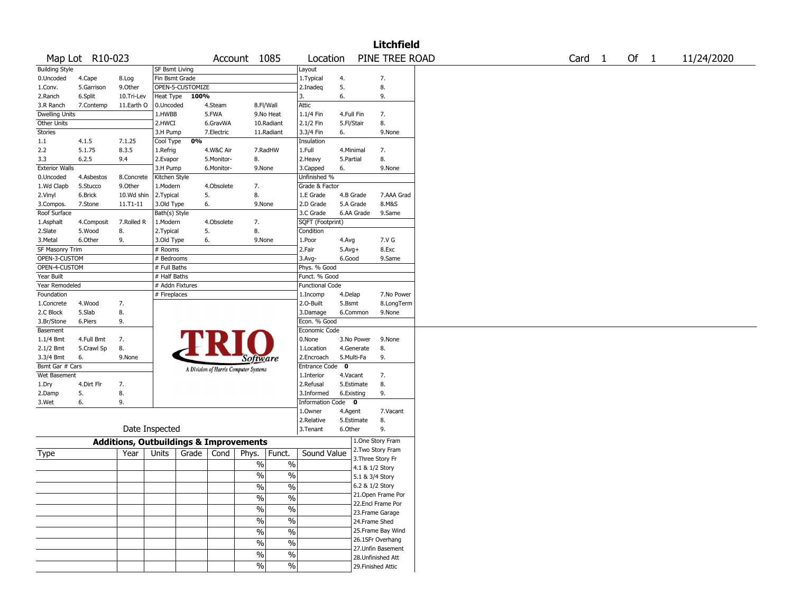|                            |                 |                                                   |                 |                  |            |                                       |                          |                         |             |            | <b>Litchfield</b>  |  |                   |        |            |
|----------------------------|-----------------|---------------------------------------------------|-----------------|------------------|------------|---------------------------------------|--------------------------|-------------------------|-------------|------------|--------------------|--|-------------------|--------|------------|
|                            | Map Lot R10-023 |                                                   |                 |                  |            | Account 1085                          |                          | Location                |             |            | PINE TREE ROAD     |  | Card <sub>1</sub> | Of $1$ | 11/24/2020 |
| <b>Building Style</b>      |                 |                                                   | SF Bsmt Living  |                  |            |                                       |                          | Layout                  |             |            |                    |  |                   |        |            |
| 0.Uncoded                  | 4.Cape          | 8.Log                                             | Fin Bsmt Grade  |                  |            |                                       |                          | 1. Typical              | 4.          |            | 7.                 |  |                   |        |            |
| 1.Conv.                    | 5.Garrison      | 9.0ther                                           |                 | OPEN-5-CUSTOMIZE |            |                                       |                          | 2.Inadeq                | 5.          |            | 8.                 |  |                   |        |            |
| 2.Ranch                    | 6.Split         | 10.Tri-Lev                                        | Heat Type       | 100%             |            |                                       |                          | 3.                      | 6.          |            | 9.                 |  |                   |        |            |
| 3.R Ranch                  | 7.Contemp       | 11.Earth O                                        | 0.Uncoded       |                  | 4.Steam    |                                       | 8.Fl/Wall                | Attic                   |             |            |                    |  |                   |        |            |
| <b>Dwelling Units</b>      |                 |                                                   | 1.HWBB          |                  | 5.FWA      |                                       | 9.No Heat                | 1.1/4 Fin               |             | 4.Full Fin | 7.                 |  |                   |        |            |
| Other Units                |                 |                                                   | 2.HWCI          |                  | 6.GravWA   |                                       | 10.Radiant               | 2.1/2 Fin               |             | 5.Fl/Stair | 8.                 |  |                   |        |            |
| Stories                    |                 |                                                   | 3.H Pump        |                  | 7.Electric |                                       | 11.Radiant               | 3.3/4 Fin               | 6.          |            | 9.None             |  |                   |        |            |
| 1.1                        | 4.1.5           | 7.1.25                                            | Cool Type       | 0%               |            |                                       |                          | Insulation              |             |            |                    |  |                   |        |            |
| 2.2                        | 5.1.75          | 8.3.5                                             | 1.Refrig        |                  | 4.W&C Air  |                                       | 7.RadHW                  | 1.Full                  |             | 4.Minimal  | 7.                 |  |                   |        |            |
| 3.3                        | 6.2.5           | 9.4                                               | 2.Evapor        |                  | 5.Monitor- | 8.                                    |                          | 2. Heavy                | 5.Partial   |            | 8.                 |  |                   |        |            |
| <b>Exterior Walls</b>      |                 |                                                   | 3.H Pump        |                  | 6.Monitor- | 9.None                                |                          | 3.Capped                | 6.          |            | 9.None             |  |                   |        |            |
| 0.Uncoded                  | 4.Asbestos      | 8.Concrete                                        | Kitchen Style   |                  |            |                                       |                          | Unfinished %            |             |            |                    |  |                   |        |            |
|                            |                 |                                                   |                 |                  |            |                                       |                          |                         |             |            |                    |  |                   |        |            |
| 1.Wd Clapb                 | 5.Stucco        | 9.0ther                                           | 1.Modern        |                  | 4.Obsolete | 7.                                    |                          | Grade & Factor          |             |            |                    |  |                   |        |            |
| 2.Vinyl                    | 6.Brick         | 10.Wd shin                                        | 2.Typical       |                  | 5.         | 8.                                    |                          | 1.E Grade               |             | 4.B Grade  | 7.AAA Grad         |  |                   |        |            |
| 3.Compos.                  | 7.Stone         | 11.T1-11                                          | 3.Old Type      |                  | 6.         | 9.None                                |                          | 2.D Grade               |             | 5.A Grade  | 8.M&S              |  |                   |        |            |
| Roof Surface               |                 |                                                   | Bath(s) Style   |                  |            |                                       |                          | 3.C Grade               |             | 6.AA Grade | 9.Same             |  |                   |        |            |
| 1.Asphalt                  | 4.Composit      | 7.Rolled R                                        | 1.Modern        |                  | 4.Obsolete | 7.                                    |                          | SQFT (Footprint)        |             |            |                    |  |                   |        |            |
| 2.Slate                    | 5.Wood          | 8.                                                | 2.Typical       |                  | 5.         | 8.                                    |                          | Condition               |             |            |                    |  |                   |        |            |
| 3. Metal                   | 6.Other         | 9.                                                | 3.Old Type      |                  | 6.         | 9.None                                |                          | 1.Poor                  | 4.Avg       |            | 7.V G              |  |                   |        |            |
| SF Masonry Trim            |                 |                                                   | # Rooms         |                  |            |                                       |                          | 2.Fair                  | $5.Avg+$    |            | 8.Exc              |  |                   |        |            |
| OPEN-3-CUSTOM              |                 |                                                   | # Bedrooms      |                  |            |                                       |                          | $3.$ Avg-               | 6.Good      |            | 9.Same             |  |                   |        |            |
| OPEN-4-CUSTOM              |                 |                                                   | # Full Baths    |                  |            |                                       |                          | Phys. % Good            |             |            |                    |  |                   |        |            |
| Year Built                 |                 |                                                   | # Half Baths    |                  |            |                                       |                          | Funct. % Good           |             |            |                    |  |                   |        |            |
| Year Remodeled             |                 |                                                   | # Addn Fixtures |                  |            |                                       |                          | <b>Functional Code</b>  |             |            |                    |  |                   |        |            |
| # Fireplaces<br>Foundation |                 |                                                   |                 |                  | 1.Incomp   | 4.Delap                               |                          | 7.No Power              |             |            |                    |  |                   |        |            |
| 1.Concrete                 | 4.Wood          | 7.                                                |                 |                  |            |                                       |                          | 2.O-Built               | 5.Bsmt      |            | 8.LongTerm         |  |                   |        |            |
| 2.C Block                  | 5.Slab          | 8.                                                |                 |                  |            |                                       |                          | 3.Damage                |             | 6.Common   | 9.None             |  |                   |        |            |
| 3.Br/Stone                 | 6.Piers         | 9.                                                |                 |                  |            |                                       |                          | Econ. % Good            |             |            |                    |  |                   |        |            |
| Basement                   |                 |                                                   |                 |                  |            |                                       |                          | Economic Code           |             |            |                    |  |                   |        |            |
| $1.1/4$ Bmt                | 4.Full Bmt      | 7.                                                |                 |                  |            |                                       |                          | 0.None                  |             | 3.No Power | 9.None             |  |                   |        |            |
| 2.1/2 Bmt                  | 5.Crawl Sp      | 8.                                                |                 |                  |            |                                       |                          | 1.Location              |             | 4.Generate | 8.                 |  |                   |        |            |
|                            | 6.              | 9.None                                            |                 |                  |            |                                       |                          | 2.Encroach              |             | 5.Multi-Fa | 9.                 |  |                   |        |            |
| 3.3/4 Bmt                  |                 |                                                   |                 |                  |            | <i>Software</i>                       |                          |                         |             |            |                    |  |                   |        |            |
| Bsmt Gar # Cars            |                 |                                                   |                 |                  |            | A Division of Harris Computer Systems |                          | Entrance Code           | $\mathbf 0$ |            |                    |  |                   |        |            |
| Wet Basement               |                 |                                                   |                 |                  |            |                                       |                          | 1.Interior              |             | 4.Vacant   | 7.                 |  |                   |        |            |
| 1.Dry                      | 4.Dirt Flr      | 7.                                                |                 |                  |            |                                       |                          | 2.Refusal               |             | 5.Estimate | 8.                 |  |                   |        |            |
| 2.Damp                     | 5.              | 8.                                                |                 |                  |            |                                       |                          | 3.Informed              |             | 6.Existing | 9.                 |  |                   |        |            |
| 3.Wet                      | 6.              | 9.                                                |                 |                  |            |                                       |                          | <b>Information Code</b> |             | $\bf{0}$   |                    |  |                   |        |            |
|                            |                 |                                                   |                 |                  |            |                                       |                          | 1.Owner                 | 4.Agent     |            | 7.Vacant           |  |                   |        |            |
|                            |                 |                                                   |                 |                  |            |                                       |                          | 2.Relative              |             | 5.Estimate | 8.                 |  |                   |        |            |
|                            |                 |                                                   | Date Inspected  |                  |            |                                       |                          | 3.Tenant                | 6.Other     |            | 9.                 |  |                   |        |            |
|                            |                 | <b>Additions, Outbuildings &amp; Improvements</b> |                 |                  |            |                                       |                          |                         |             |            | 1.One Story Fram   |  |                   |        |            |
| Type                       |                 | Year                                              | Units           | Grade            | Cond       | Phys.                                 | Funct.                   | Sound Value             |             |            | 2. Two Story Fram  |  |                   |        |            |
|                            |                 |                                                   |                 |                  |            |                                       |                          |                         |             |            | 3. Three Story Fr  |  |                   |        |            |
|                            |                 |                                                   |                 |                  |            | $\%$                                  | $\%$                     |                         |             |            | 4.1 & 1/2 Story    |  |                   |        |            |
|                            |                 |                                                   |                 |                  |            | %                                     | $\%$                     |                         |             |            | 5.1 & 3/4 Story    |  |                   |        |            |
|                            |                 |                                                   |                 |                  |            | $\sqrt{6}$                            | $\sqrt{20}$              |                         |             |            | 6.2 & 1/2 Story    |  |                   |        |            |
|                            |                 |                                                   |                 |                  |            |                                       |                          |                         |             |            | 21. Open Frame Por |  |                   |        |            |
|                            |                 |                                                   |                 |                  |            | $\frac{1}{2}$                         | $\frac{0}{0}$            |                         |             |            | 22.Encl Frame Por  |  |                   |        |            |
|                            |                 |                                                   |                 |                  |            | $\sqrt{9/6}$                          | $\overline{\frac{0}{6}}$ |                         |             |            | 23. Frame Garage   |  |                   |        |            |
|                            |                 |                                                   |                 |                  |            | $\frac{1}{2}$                         | $\%$                     |                         |             |            | 24.Frame Shed      |  |                   |        |            |
|                            |                 |                                                   |                 |                  |            |                                       |                          |                         |             |            |                    |  |                   |        |            |
|                            |                 |                                                   |                 |                  |            | $\frac{1}{2}$                         | $\frac{0}{0}$            |                         |             |            | 25. Frame Bay Wind |  |                   |        |            |
|                            |                 |                                                   |                 |                  |            | $\%$                                  | $\%$                     |                         |             |            | 26.1SFr Overhang   |  |                   |        |            |
|                            |                 |                                                   |                 |                  |            | $\frac{1}{2}$                         | $\frac{1}{2}$            |                         |             |            | 27.Unfin Basement  |  |                   |        |            |
|                            |                 |                                                   |                 |                  |            |                                       |                          |                         |             |            | 28. Unfinished Att |  |                   |        |            |
|                            |                 |                                                   |                 |                  |            | $\frac{1}{2}$                         | $\%$                     |                         |             |            | 29. Finished Attic |  |                   |        |            |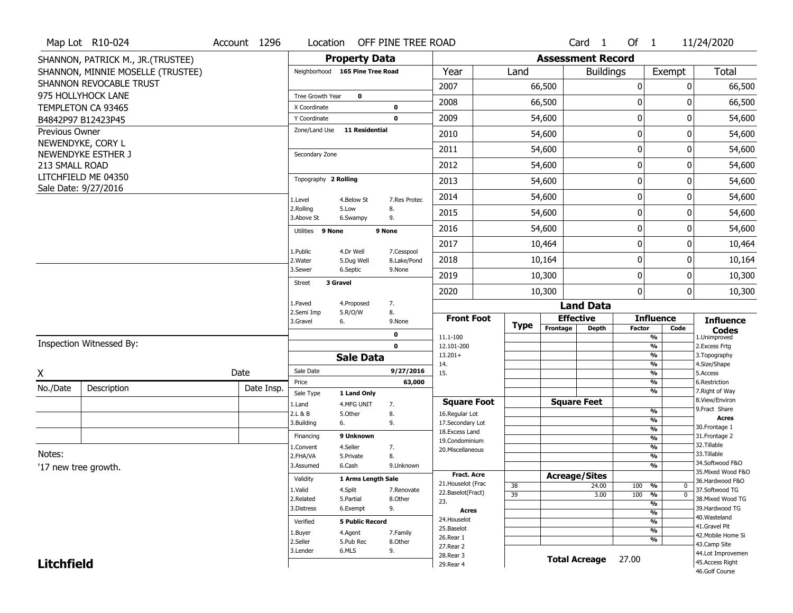|                       | Map Lot R10-024                             | Account 1296 | Location                      |                                 |        | OFF PINE TREE ROAD |                                          |             |                          | Card <sub>1</sub>    | Of $1$           |                               |                               | 11/24/2020                            |
|-----------------------|---------------------------------------------|--------------|-------------------------------|---------------------------------|--------|--------------------|------------------------------------------|-------------|--------------------------|----------------------|------------------|-------------------------------|-------------------------------|---------------------------------------|
|                       | SHANNON, PATRICK M., JR.(TRUSTEE)           |              |                               | <b>Property Data</b>            |        |                    |                                          |             | <b>Assessment Record</b> |                      |                  |                               |                               |                                       |
|                       | SHANNON, MINNIE MOSELLE (TRUSTEE)           |              |                               | Neighborhood 165 Pine Tree Road |        |                    | Year                                     | Land        |                          | <b>Buildings</b>     |                  | Exempt                        |                               | <b>Total</b>                          |
|                       | SHANNON REVOCABLE TRUST                     |              |                               |                                 |        |                    | 2007                                     |             | 66,500                   |                      | 0                |                               | 0                             | 66,500                                |
|                       | 975 HOLLYHOCK LANE                          |              | Tree Growth Year              | $\mathbf 0$                     |        |                    | 2008                                     |             | 66,500                   |                      | $\boldsymbol{0}$ |                               | O                             | 66,500                                |
|                       | TEMPLETON CA 93465                          |              | X Coordinate                  |                                 |        | 0<br>$\mathbf 0$   | 2009                                     |             | 54,600                   |                      | 0                |                               | 0                             |                                       |
|                       | B4842P97 B12423P45                          |              | Y Coordinate<br>Zone/Land Use | <b>11 Residential</b>           |        |                    |                                          |             |                          |                      |                  |                               |                               | 54,600                                |
| <b>Previous Owner</b> | NEWENDYKE, CORY L                           |              |                               |                                 |        |                    | 2010                                     |             | 54,600                   |                      | 0                |                               | O                             | 54,600                                |
|                       | NEWENDYKE ESTHER J                          |              | Secondary Zone                |                                 |        |                    | 2011                                     |             | 54,600                   |                      | 0                |                               | 0                             | 54,600                                |
| 213 SMALL ROAD        |                                             |              |                               |                                 |        |                    | 2012                                     |             | 54,600                   |                      | $\boldsymbol{0}$ |                               | 0                             | 54,600                                |
|                       | LITCHFIELD ME 04350<br>Sale Date: 9/27/2016 |              | Topography 2 Rolling          |                                 |        |                    | 2013                                     |             | 54,600                   |                      | 0                |                               | O                             | 54,600                                |
|                       |                                             |              | 1.Level                       | 4.Below St                      |        | 7.Res Protec       | 2014                                     |             | 54,600                   |                      | 0                |                               | 0                             | 54,600                                |
|                       |                                             |              | 2.Rolling<br>3.Above St       | 5.Low<br>6.Swampy               |        | 8.<br>9.           | 2015                                     |             | 54,600                   |                      | 0                |                               | 0                             | 54,600                                |
|                       |                                             |              | Utilities 9 None              |                                 | 9 None |                    | 2016                                     |             | 54,600                   |                      | 0                |                               | 0                             | 54,600                                |
|                       |                                             |              |                               | 4.Dr Well                       |        | 7.Cesspool         | 2017                                     |             | 10,464                   |                      | 0                |                               | 0                             | 10,464                                |
|                       |                                             |              | 1.Public<br>2. Water          | 5.Dug Well                      |        | 8.Lake/Pond        | 2018                                     |             | 10,164                   |                      | 0                |                               | 0                             | 10,164                                |
|                       |                                             |              | 3.Sewer                       | 6.Septic                        |        | 9.None             | 2019                                     |             | 10,300                   |                      | 0                |                               | 0                             | 10,300                                |
|                       |                                             |              | <b>Street</b>                 | 3 Gravel                        |        |                    | 2020                                     |             | 10,300                   |                      | $\mathbf 0$      |                               | 0                             | 10,300                                |
|                       |                                             |              | 1.Paved                       | 4.Proposed                      |        | 7.                 |                                          |             |                          | <b>Land Data</b>     |                  |                               |                               |                                       |
|                       |                                             |              | 2.Semi Imp<br>3.Gravel        | 5.R/O/W<br>6.                   |        | 8.<br>9.None       | <b>Front Foot</b>                        | <b>Type</b> |                          | <b>Effective</b>     |                  | <b>Influence</b>              |                               | <b>Influence</b>                      |
|                       |                                             |              |                               |                                 |        | $\mathbf 0$        | 11.1-100                                 |             | Frontage                 | <b>Depth</b>         | <b>Factor</b>    | %                             | Code                          | <b>Codes</b><br>1.Unimproved          |
|                       | Inspection Witnessed By:                    |              |                               |                                 |        | $\mathbf 0$        | 12.101-200                               |             |                          |                      |                  | %                             |                               | 2. Excess Frtg                        |
|                       |                                             |              |                               | <b>Sale Data</b>                |        |                    | $13.201+$<br>14.                         |             |                          |                      |                  | $\frac{9}{6}$<br>%            |                               | 3. Topography<br>4.Size/Shape         |
| X                     |                                             | Date         | Sale Date                     |                                 |        | 9/27/2016          | 15.                                      |             |                          |                      |                  | $\frac{9}{6}$                 |                               | 5.Access                              |
| No./Date              | Description                                 | Date Insp.   | Price                         |                                 |        | 63,000             |                                          |             |                          |                      |                  | %<br>%                        |                               | 6.Restriction<br>7. Right of Way      |
|                       |                                             |              | Sale Type<br>1.Land           | 1 Land Only<br>4.MFG UNIT       |        | 7.                 | <b>Square Foot</b>                       |             |                          | <b>Square Feet</b>   |                  |                               |                               | 8.View/Environ                        |
|                       |                                             |              | 2.L & B                       | 5.Other                         |        | 8.                 | 16.Regular Lot                           |             |                          |                      |                  | %                             |                               | 9.Fract Share                         |
|                       |                                             |              | 3.Building                    | 6.                              |        | 9.                 | 17.Secondary Lot                         |             |                          |                      |                  | %<br>$\overline{\frac{9}{6}}$ |                               | Acres<br>30.Frontage 1                |
|                       |                                             |              | Financing                     | 9 Unknown                       |        |                    | 18.Excess Land<br>19.Condominium         |             |                          |                      |                  | $\overline{\frac{9}{6}}$      |                               | 31. Frontage 2                        |
|                       |                                             |              | 1.Convent                     | 4.Seller                        |        | 7.                 | 20.Miscellaneous                         |             |                          |                      |                  | $\overline{\frac{9}{6}}$      |                               | 32.Tillable                           |
| Notes:                |                                             |              | 2.FHA/VA                      | 5.Private                       |        | 8.                 |                                          |             |                          |                      |                  | $\overline{\frac{9}{6}}$      |                               | 33.Tillable                           |
|                       | '17 new tree growth.                        |              | 3.Assumed                     | 6.Cash                          |        | 9.Unknown          |                                          |             |                          |                      |                  | $\overline{\frac{9}{6}}$      |                               | 34.Softwood F&O<br>35. Mixed Wood F&O |
|                       |                                             |              | Validity                      | 1 Arms Length Sale              |        |                    | <b>Fract. Acre</b><br>21. Houselot (Frac |             |                          | <b>Acreage/Sites</b> |                  |                               |                               | 36.Hardwood F&O                       |
|                       |                                             |              | 1.Valid                       | 4.Split                         |        | 7.Renovate         | 22.Baselot(Fract)                        | 38          |                          | 24.00                | 100              | %                             | $\mathbf 0$<br>$\overline{0}$ | 37.Softwood TG                        |
|                       |                                             |              | 2.Related                     | 5.Partial                       |        | 8.Other            | 23.                                      | 39          |                          | 3.00                 | 100              | %<br>%                        |                               | 38. Mixed Wood TG                     |
|                       |                                             |              | 3.Distress                    | 6.Exempt                        |        | 9.                 | <b>Acres</b>                             |             |                          |                      |                  | $\frac{9}{6}$                 |                               | 39.Hardwood TG                        |
|                       |                                             |              | Verified                      | <b>5 Public Record</b>          |        |                    | 24. Houselot                             |             |                          |                      |                  | %                             |                               | 40. Wasteland                         |
|                       |                                             |              | 1.Buyer                       | 4.Agent                         |        | 7.Family           | 25.Baselot                               |             |                          |                      |                  | $\frac{9}{6}$                 |                               | 41.Gravel Pit                         |
|                       |                                             |              | 2.Seller                      | 5.Pub Rec                       |        | 8.Other            | 26.Rear 1                                |             |                          |                      |                  | %                             |                               | 42. Mobile Home Si<br>43.Camp Site    |
|                       |                                             |              | 3.Lender                      | 6.MLS                           |        | 9.                 | 27. Rear 2                               |             |                          |                      |                  |                               |                               | 44.Lot Improvemen                     |
| <b>Litchfield</b>     |                                             |              |                               |                                 |        |                    | 28. Rear 3<br>29. Rear 4                 |             |                          | <b>Total Acreage</b> | 27.00            |                               |                               | 45.Access Right                       |
|                       |                                             |              |                               |                                 |        |                    |                                          |             |                          |                      |                  |                               |                               | 46.Golf Course                        |